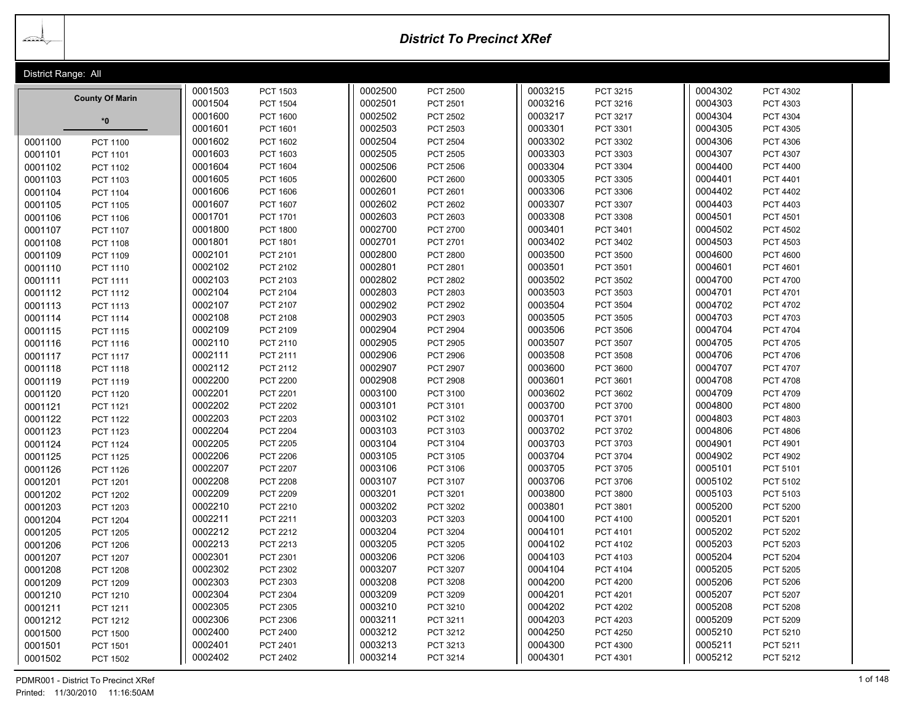<u> Lead</u>

# *District To Precinct XRef*

| District Range: All        |         |                 |         |                 |         |                 |         |                 |  |
|----------------------------|---------|-----------------|---------|-----------------|---------|-----------------|---------|-----------------|--|
|                            | 0001503 | PCT 1503        | 0002500 | PCT 2500        | 0003215 | PCT 3215        | 0004302 | PCT 4302        |  |
| <b>County Of Marin</b>     | 0001504 | <b>PCT 1504</b> | 0002501 | PCT 2501        | 0003216 | PCT 3216        | 0004303 | PCT 4303        |  |
| $*$ 0                      | 0001600 | PCT 1600        | 0002502 | <b>PCT 2502</b> | 0003217 | PCT 3217        | 0004304 | PCT 4304        |  |
|                            | 0001601 | PCT 1601        | 0002503 | PCT 2503        | 0003301 | PCT 3301        | 0004305 | PCT 4305        |  |
| 0001100<br>PCT 1100        | 0001602 | PCT 1602        | 0002504 | <b>PCT 2504</b> | 0003302 | PCT 3302        | 0004306 | PCT 4306        |  |
| 0001101<br>PCT 1101        | 0001603 | PCT 1603        | 0002505 | PCT 2505        | 0003303 | PCT 3303        | 0004307 | PCT 4307        |  |
| 0001102<br>PCT 1102        | 0001604 | PCT 1604        | 0002506 | <b>PCT 2506</b> | 0003304 | PCT 3304        | 0004400 | <b>PCT 4400</b> |  |
| 0001103<br>PCT 1103        | 0001605 | PCT 1605        | 0002600 | PCT 2600        | 0003305 | PCT 3305        | 0004401 | PCT 4401        |  |
| 0001104<br><b>PCT 1104</b> | 0001606 | PCT 1606        | 0002601 | PCT 2601        | 0003306 | PCT 3306        | 0004402 | PCT 4402        |  |
| 0001105<br>PCT 1105        | 0001607 | PCT 1607        | 0002602 | PCT 2602        | 0003307 | <b>PCT 3307</b> | 0004403 | PCT 4403        |  |
| 0001106<br>PCT 1106        | 0001701 | PCT 1701        | 0002603 | PCT 2603        | 0003308 | PCT 3308        | 0004501 | PCT 4501        |  |
| 0001107<br><b>PCT 1107</b> | 0001800 | <b>PCT 1800</b> | 0002700 | <b>PCT 2700</b> | 0003401 | PCT 3401        | 0004502 | <b>PCT 4502</b> |  |
| 0001108<br>PCT 1108        | 0001801 | PCT 1801        | 0002701 | PCT 2701        | 0003402 | PCT 3402        | 0004503 | PCT 4503        |  |
| 0001109<br>PCT 1109        | 0002101 | PCT 2101        | 0002800 | <b>PCT 2800</b> | 0003500 | <b>PCT 3500</b> | 0004600 | PCT 4600        |  |
| 0001110<br>PCT 1110        | 0002102 | PCT 2102        | 0002801 | PCT 2801        | 0003501 | PCT 3501        | 0004601 | PCT 4601        |  |
| 0001111<br>PCT 1111        | 0002103 | PCT 2103        | 0002802 | <b>PCT 2802</b> | 0003502 | PCT 3502        | 0004700 | <b>PCT 4700</b> |  |
| 0001112<br>PCT 1112        | 0002104 | PCT 2104        | 0002803 | <b>PCT 2803</b> | 0003503 | PCT 3503        | 0004701 | PCT 4701        |  |
| 0001113<br>PCT 1113        | 0002107 | PCT 2107        | 0002902 | <b>PCT 2902</b> | 0003504 | <b>PCT 3504</b> | 0004702 | PCT 4702        |  |
| 0001114<br><b>PCT 1114</b> | 0002108 | PCT 2108        | 0002903 | <b>PCT 2903</b> | 0003505 | PCT 3505        | 0004703 | PCT 4703        |  |
| 0001115<br>PCT 1115        | 0002109 | PCT 2109        | 0002904 | <b>PCT 2904</b> | 0003506 | <b>PCT 3506</b> | 0004704 | PCT 4704        |  |
| 0001116<br>PCT 1116        | 0002110 | PCT 2110        | 0002905 | <b>PCT 2905</b> | 0003507 | <b>PCT 3507</b> | 0004705 | <b>PCT 4705</b> |  |
| 0001117<br><b>PCT 1117</b> | 0002111 | PCT 2111        | 0002906 | <b>PCT 2906</b> | 0003508 | <b>PCT 3508</b> | 0004706 | PCT 4706        |  |
| 0001118<br>PCT 1118        | 0002112 | PCT 2112        | 0002907 | <b>PCT 2907</b> | 0003600 | PCT 3600        | 0004707 | PCT 4707        |  |
| 0001119<br>PCT 1119        | 0002200 | <b>PCT 2200</b> | 0002908 | <b>PCT 2908</b> | 0003601 | PCT 3601        | 0004708 | <b>PCT 4708</b> |  |
| 0001120<br>PCT 1120        | 0002201 | <b>PCT 2201</b> | 0003100 | <b>PCT 3100</b> | 0003602 | PCT 3602        | 0004709 | <b>PCT 4709</b> |  |
| 0001121<br>PCT 1121        | 0002202 | <b>PCT 2202</b> | 0003101 | PCT 3101        | 0003700 | PCT 3700        | 0004800 | <b>PCT 4800</b> |  |
| 0001122<br>PCT 1122        | 0002203 | PCT 2203        | 0003102 | PCT 3102        | 0003701 | PCT 3701        | 0004803 | PCT 4803        |  |
| 0001123<br>PCT 1123        | 0002204 | <b>PCT 2204</b> | 0003103 | PCT 3103        | 0003702 | PCT 3702        | 0004806 | <b>PCT 4806</b> |  |
| 0001124<br><b>PCT 1124</b> | 0002205 | <b>PCT 2205</b> | 0003104 | <b>PCT 3104</b> | 0003703 | PCT 3703        | 0004901 | PCT 4901        |  |
| 0001125<br><b>PCT 1125</b> | 0002206 | <b>PCT 2206</b> | 0003105 | PCT 3105        | 0003704 | <b>PCT 3704</b> | 0004902 | PCT 4902        |  |
| 0001126<br><b>PCT 1126</b> | 0002207 | <b>PCT 2207</b> | 0003106 | PCT 3106        | 0003705 | PCT 3705        | 0005101 | PCT 5101        |  |
| 0001201<br><b>PCT 1201</b> | 0002208 | <b>PCT 2208</b> | 0003107 | <b>PCT 3107</b> | 0003706 | PCT 3706        | 0005102 | PCT 5102        |  |
| 0001202<br><b>PCT 1202</b> | 0002209 | PCT 2209        | 0003201 | PCT 3201        | 0003800 | PCT 3800        | 0005103 | PCT 5103        |  |
| 0001203<br>PCT 1203        | 0002210 | PCT 2210        | 0003202 | PCT 3202        | 0003801 | PCT 3801        | 0005200 | PCT 5200        |  |
| 0001204<br><b>PCT 1204</b> | 0002211 | PCT 2211        | 0003203 | <b>PCT 3203</b> | 0004100 | PCT 4100        | 0005201 | PCT 5201        |  |
| 0001205<br><b>PCT 1205</b> | 0002212 | PCT 2212        | 0003204 | <b>PCT 3204</b> | 0004101 | PCT 4101        | 0005202 | <b>PCT 5202</b> |  |
| 0001206<br><b>PCT 1206</b> | 0002213 | PCT 2213        | 0003205 | PCT 3205        | 0004102 | PCT 4102        | 0005203 | PCT 5203        |  |
| 0001207<br><b>PCT 1207</b> | 0002301 | PCT 2301        | 0003206 | <b>PCT 3206</b> | 0004103 | PCT 4103        | 0005204 | PCT 5204        |  |
| 0001208<br><b>PCT 1208</b> | 0002302 | PCT 2302        | 0003207 | <b>PCT 3207</b> | 0004104 | PCT 4104        | 0005205 | PCT 5205        |  |
| 0001209<br>PCT 1209        | 0002303 | PCT 2303        | 0003208 | <b>PCT 3208</b> | 0004200 | <b>PCT 4200</b> | 0005206 | <b>PCT 5206</b> |  |
| 0001210<br>PCT 1210        | 0002304 | PCT 2304        | 0003209 | PCT 3209        | 0004201 | PCT 4201        | 0005207 | <b>PCT 5207</b> |  |
| 0001211<br>PCT 1211        | 0002305 | PCT 2305        | 0003210 | PCT 3210        | 0004202 | <b>PCT 4202</b> | 0005208 | <b>PCT 5208</b> |  |
| 0001212<br>PCT 1212        | 0002306 | PCT 2306        | 0003211 | PCT 3211        | 0004203 | PCT 4203        | 0005209 | PCT 5209        |  |
| 0001500<br><b>PCT 1500</b> | 0002400 | PCT 2400        | 0003212 | PCT 3212        | 0004250 | <b>PCT 4250</b> | 0005210 | PCT 5210        |  |
| 0001501<br><b>PCT 1501</b> | 0002401 | PCT 2401        | 0003213 | PCT 3213        | 0004300 | <b>PCT 4300</b> | 0005211 | PCT 5211        |  |
| 0001502<br><b>PCT 1502</b> | 0002402 | PCT 2402        | 0003214 | PCT 3214        | 0004301 | PCT 4301        | 0005212 | PCT 5212        |  |

PDMR001 - District To Precinct XRef 1 of 148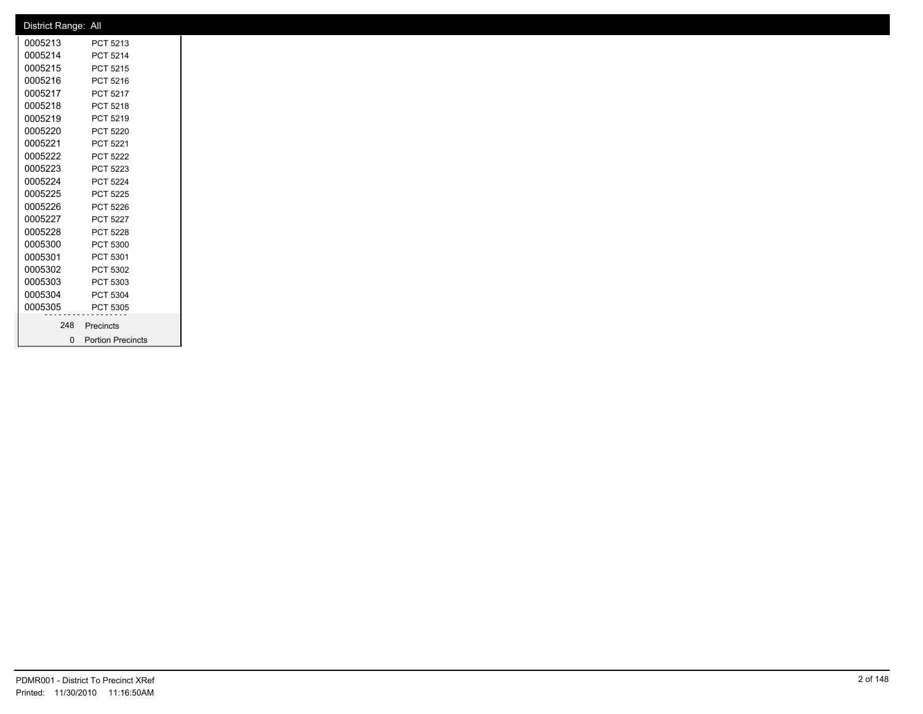| District Range: All |                     |  |
|---------------------|---------------------|--|
| 0005213             | PCT 5213            |  |
| 0005214             | PCT 5214            |  |
| 0005215             | PCT 5215            |  |
| 0005216             | PCT 5216            |  |
| 0005217             | PCT 5217            |  |
| 0005218             | PCT 5218            |  |
| 0005219             | PCT 5219            |  |
| 0005220             | <b>PCT 5220</b>     |  |
| 0005221             | PCT 5221            |  |
| 0005222             | <b>PCT 5222</b>     |  |
| 0005223             | PCT 5223            |  |
| 0005224             | PCT 5224            |  |
| 0005225             | PCT 5225            |  |
| 0005226             | PCT 5226            |  |
| 0005227             | PCT 5227            |  |
| 0005228             | PCT 5228            |  |
| 0005300             | PCT 5300            |  |
| 0005301             | PCT 5301            |  |
| 0005302             | PCT 5302            |  |
| 0005303             | PCT 5303            |  |
| 0005304             | PCT 5304            |  |
| 0005305             | PCT 5305            |  |
| 248                 | Precincts           |  |
|                     | 0 Portion Precincts |  |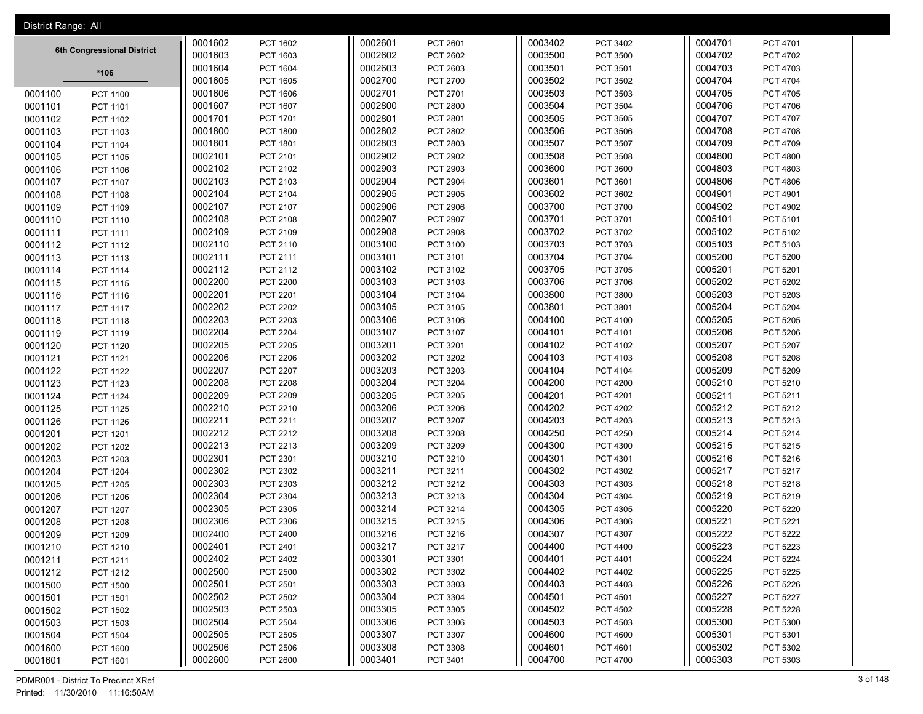| District Range: All |                            |         |                 |         |                 |         |                 |         |                 |
|---------------------|----------------------------|---------|-----------------|---------|-----------------|---------|-----------------|---------|-----------------|
|                     |                            | 0001602 | PCT 1602        | 0002601 | PCT 2601        | 0003402 | PCT 3402        | 0004701 | PCT 4701        |
|                     | 6th Congressional District | 0001603 | PCT 1603        | 0002602 | PCT 2602        | 0003500 | PCT 3500        | 0004702 | PCT 4702        |
|                     | *106                       | 0001604 | PCT 1604        | 0002603 | PCT 2603        | 0003501 | PCT 3501        | 0004703 | PCT 4703        |
|                     |                            | 0001605 | PCT 1605        | 0002700 | PCT 2700        | 0003502 | PCT 3502        | 0004704 | <b>PCT 4704</b> |
| 0001100             | <b>PCT 1100</b>            | 0001606 | PCT 1606        | 0002701 | PCT 2701        | 0003503 | PCT 3503        | 0004705 | PCT 4705        |
| 0001101             | PCT 1101                   | 0001607 | PCT 1607        | 0002800 | <b>PCT 2800</b> | 0003504 | PCT 3504        | 0004706 | PCT 4706        |
| 0001102             | PCT 1102                   | 0001701 | PCT 1701        | 0002801 | PCT 2801        | 0003505 | PCT 3505        | 0004707 | <b>PCT 4707</b> |
| 0001103             | PCT 1103                   | 0001800 | <b>PCT 1800</b> | 0002802 | PCT 2802        | 0003506 | PCT 3506        | 0004708 | PCT 4708        |
| 0001104             | PCT 1104                   | 0001801 | PCT 1801        | 0002803 | PCT 2803        | 0003507 | PCT 3507        | 0004709 | PCT 4709        |
| 0001105             | <b>PCT 1105</b>            | 0002101 | PCT 2101        | 0002902 | PCT 2902        | 0003508 | <b>PCT 3508</b> | 0004800 | <b>PCT 4800</b> |
| 0001106             | PCT 1106                   | 0002102 | PCT 2102        | 0002903 | PCT 2903        | 0003600 | PCT 3600        | 0004803 | PCT 4803        |
| 0001107             | <b>PCT 1107</b>            | 0002103 | PCT 2103        | 0002904 | PCT 2904        | 0003601 | PCT 3601        | 0004806 | <b>PCT 4806</b> |
| 0001108             | PCT 1108                   | 0002104 | PCT 2104        | 0002905 | PCT 2905        | 0003602 | PCT 3602        | 0004901 | PCT 4901        |
| 0001109             | PCT 1109                   | 0002107 | PCT 2107        | 0002906 | <b>PCT 2906</b> | 0003700 | PCT 3700        | 0004902 | <b>PCT 4902</b> |
| 0001110             | PCT 1110                   | 0002108 | PCT 2108        | 0002907 | PCT 2907        | 0003701 | PCT 3701        | 0005101 | PCT 5101        |
| 0001111             | PCT 1111                   | 0002109 | PCT 2109        | 0002908 | <b>PCT 2908</b> | 0003702 | PCT 3702        | 0005102 | PCT 5102        |
| 0001112             | PCT 1112                   | 0002110 | PCT 2110        | 0003100 | PCT 3100        | 0003703 | PCT 3703        | 0005103 | PCT 5103        |
| 0001113             | PCT 1113                   | 0002111 | PCT 2111        | 0003101 | PCT 3101        | 0003704 | PCT 3704        | 0005200 | <b>PCT 5200</b> |
| 0001114             | PCT 1114                   | 0002112 | PCT 2112        | 0003102 | PCT 3102        | 0003705 | <b>PCT 3705</b> | 0005201 | PCT 5201        |
| 0001115             | PCT 1115                   | 0002200 | <b>PCT 2200</b> | 0003103 | PCT 3103        | 0003706 | PCT 3706        | 0005202 | <b>PCT 5202</b> |
| 0001116             | PCT 1116                   | 0002201 | PCT 2201        | 0003104 | PCT 3104        | 0003800 | PCT 3800        | 0005203 | PCT 5203        |
| 0001117             | <b>PCT 1117</b>            | 0002202 | <b>PCT 2202</b> | 0003105 | PCT 3105        | 0003801 | PCT 3801        | 0005204 | <b>PCT 5204</b> |
| 0001118             | PCT 1118                   | 0002203 | PCT 2203        | 0003106 | PCT 3106        | 0004100 | PCT 4100        | 0005205 | PCT 5205        |
| 0001119             | PCT 1119                   | 0002204 | <b>PCT 2204</b> | 0003107 | PCT 3107        | 0004101 | PCT 4101        | 0005206 | <b>PCT 5206</b> |
| 0001120             | <b>PCT 1120</b>            | 0002205 | <b>PCT 2205</b> | 0003201 | PCT 3201        | 0004102 | PCT 4102        | 0005207 | <b>PCT 5207</b> |
| 0001121             | PCT 1121                   | 0002206 | <b>PCT 2206</b> | 0003202 | PCT 3202        | 0004103 | PCT 4103        | 0005208 | <b>PCT 5208</b> |
| 0001122             | <b>PCT 1122</b>            | 0002207 | PCT 2207        | 0003203 | PCT 3203        | 0004104 | PCT 4104        | 0005209 | PCT 5209        |
| 0001123             | PCT 1123                   | 0002208 | <b>PCT 2208</b> | 0003204 | PCT 3204        | 0004200 | <b>PCT 4200</b> | 0005210 | PCT 5210        |
| 0001124             | PCT 1124                   | 0002209 | PCT 2209        | 0003205 | PCT 3205        | 0004201 | PCT 4201        | 0005211 | PCT 5211        |
| 0001125             | <b>PCT 1125</b>            | 0002210 | PCT 2210        | 0003206 | PCT 3206        | 0004202 | <b>PCT 4202</b> | 0005212 | PCT 5212        |
| 0001126             | PCT 1126                   | 0002211 | PCT 2211        | 0003207 | PCT 3207        | 0004203 | PCT 4203        | 0005213 | PCT 5213        |
| 0001201             | PCT 1201                   | 0002212 | PCT 2212        | 0003208 | PCT 3208        | 0004250 | PCT 4250        | 0005214 | PCT 5214        |
| 0001202             | <b>PCT 1202</b>            | 0002213 | PCT 2213        | 0003209 | PCT 3209        | 0004300 | PCT 4300        | 0005215 | PCT 5215        |
| 0001203             | PCT 1203                   | 0002301 | PCT 2301        | 0003210 | PCT 3210        | 0004301 | PCT 4301        | 0005216 | PCT 5216        |
| 0001204             | <b>PCT 1204</b>            | 0002302 | PCT 2302        | 0003211 | PCT 3211        | 0004302 | PCT 4302        | 0005217 | PCT 5217        |
| 0001205             | <b>PCT 1205</b>            | 0002303 | PCT 2303        | 0003212 | PCT 3212        | 0004303 | PCT 4303        | 0005218 | PCT 5218        |
| 0001206             | <b>PCT 1206</b>            | 0002304 | PCT 2304        | 0003213 | PCT 3213        | 0004304 | PCT 4304        | 0005219 | PCT 5219        |
| 0001207             | PCT 1207                   | 0002305 | PCT 2305        | 0003214 | PCT 3214        | 0004305 | PCT 4305        | 0005220 | <b>PCT 5220</b> |
| 0001208             | <b>PCT 1208</b>            | 0002306 | PCT 2306        | 0003215 | PCT 3215        | 0004306 | PCT 4306        | 0005221 | PCT 5221        |
| 0001209             | PCT 1209                   | 0002400 | PCT 2400        | 0003216 | PCT 3216        | 0004307 | PCT 4307        | 0005222 | <b>PCT 5222</b> |
| 0001210             | PCT 1210                   | 0002401 | PCT 2401        | 0003217 | PCT 3217        | 0004400 | <b>PCT 4400</b> | 0005223 | PCT 5223        |
| 0001211             | PCT 1211                   | 0002402 | PCT 2402        | 0003301 | PCT 3301        | 0004401 | PCT 4401        | 0005224 | PCT 5224        |
| 0001212             | PCT 1212                   | 0002500 | <b>PCT 2500</b> | 0003302 | PCT 3302        | 0004402 | PCT 4402        | 0005225 | PCT 5225        |
| 0001500             | <b>PCT 1500</b>            | 0002501 | PCT 2501        | 0003303 | PCT 3303        | 0004403 | PCT 4403        | 0005226 | PCT 5226        |
| 0001501             | PCT 1501                   | 0002502 | PCT 2502        | 0003304 | PCT 3304        | 0004501 | PCT 4501        | 0005227 | PCT 5227        |
| 0001502             | <b>PCT 1502</b>            | 0002503 | PCT 2503        | 0003305 | PCT 3305        | 0004502 | <b>PCT 4502</b> | 0005228 | PCT 5228        |
| 0001503             | PCT 1503                   | 0002504 | <b>PCT 2504</b> | 0003306 | PCT 3306        | 0004503 | PCT 4503        | 0005300 | PCT 5300        |
| 0001504             | <b>PCT 1504</b>            | 0002505 | <b>PCT 2505</b> | 0003307 | PCT 3307        | 0004600 | <b>PCT 4600</b> | 0005301 | PCT 5301        |
| 0001600             | PCT 1600                   | 0002506 | <b>PCT 2506</b> | 0003308 | PCT 3308        | 0004601 | PCT 4601        | 0005302 | PCT 5302        |
| 0001601             | PCT 1601                   | 0002600 | PCT 2600        | 0003401 | PCT 3401        | 0004700 | <b>PCT 4700</b> | 0005303 | PCT 5303        |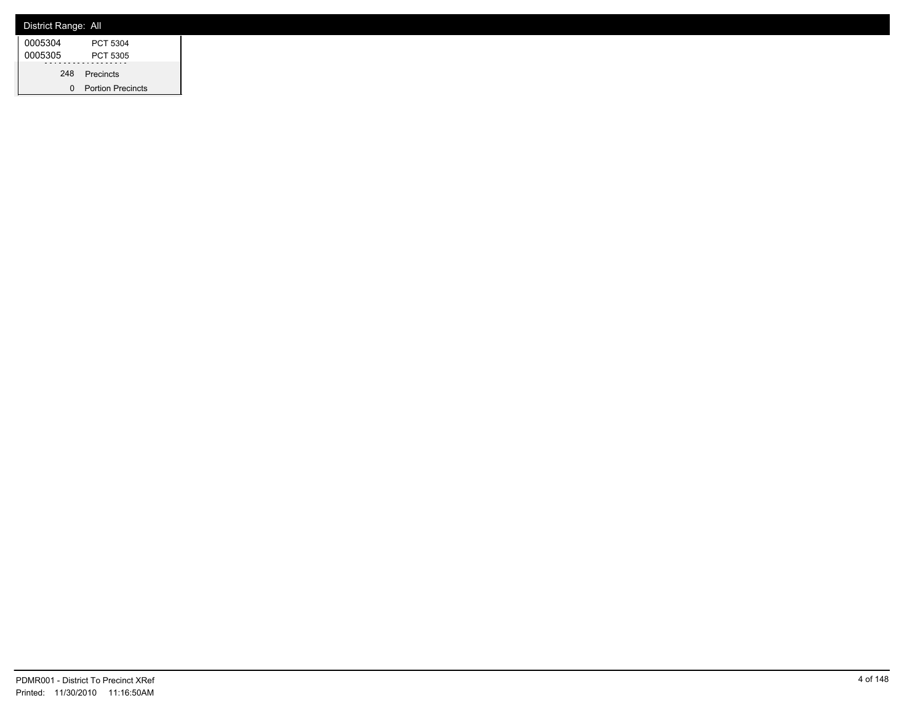| District Range: All |                          |
|---------------------|--------------------------|
| 0005304             | PCT 5304                 |
| 0005305             | PCT 5305                 |
|                     | 248 Precincts            |
|                     | <b>Portion Precincts</b> |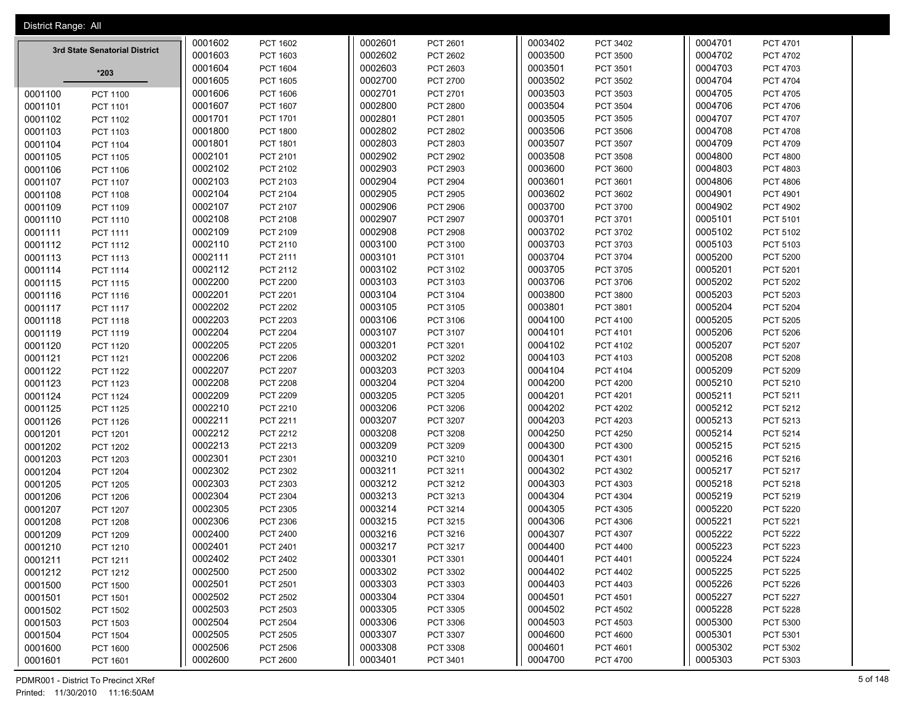| District Range: All |                               |         |                 |         |                 |         |                 |         |                 |
|---------------------|-------------------------------|---------|-----------------|---------|-----------------|---------|-----------------|---------|-----------------|
|                     |                               | 0001602 | PCT 1602        | 0002601 | PCT 2601        | 0003402 | PCT 3402        | 0004701 | PCT 4701        |
|                     | 3rd State Senatorial District | 0001603 | PCT 1603        | 0002602 | PCT 2602        | 0003500 | <b>PCT 3500</b> | 0004702 | <b>PCT 4702</b> |
|                     | $*203$                        | 0001604 | PCT 1604        | 0002603 | PCT 2603        | 0003501 | PCT 3501        | 0004703 | PCT 4703        |
|                     |                               | 0001605 | PCT 1605        | 0002700 | PCT 2700        | 0003502 | PCT 3502        | 0004704 | <b>PCT 4704</b> |
| 0001100             | <b>PCT 1100</b>               | 0001606 | PCT 1606        | 0002701 | PCT 2701        | 0003503 | PCT 3503        | 0004705 | PCT 4705        |
| 0001101             | PCT 1101                      | 0001607 | PCT 1607        | 0002800 | <b>PCT 2800</b> | 0003504 | PCT 3504        | 0004706 | PCT 4706        |
| 0001102             | PCT 1102                      | 0001701 | PCT 1701        | 0002801 | PCT 2801        | 0003505 | <b>PCT 3505</b> | 0004707 | PCT 4707        |
| 0001103             | PCT 1103                      | 0001800 | <b>PCT 1800</b> | 0002802 | PCT 2802        | 0003506 | PCT 3506        | 0004708 | PCT 4708        |
| 0001104             | PCT 1104                      | 0001801 | PCT 1801        | 0002803 | PCT 2803        | 0003507 | <b>PCT 3507</b> | 0004709 | PCT 4709        |
| 0001105             | PCT 1105                      | 0002101 | PCT 2101        | 0002902 | PCT 2902        | 0003508 | PCT 3508        | 0004800 | <b>PCT 4800</b> |
| 0001106             | PCT 1106                      | 0002102 | PCT 2102        | 0002903 | PCT 2903        | 0003600 | PCT 3600        | 0004803 | PCT 4803        |
| 0001107             | PCT 1107                      | 0002103 | PCT 2103        | 0002904 | PCT 2904        | 0003601 | PCT 3601        | 0004806 | PCT 4806        |
| 0001108             | PCT 1108                      | 0002104 | PCT 2104        | 0002905 | PCT 2905        | 0003602 | PCT 3602        | 0004901 | PCT 4901        |
| 0001109             | PCT 1109                      | 0002107 | PCT 2107        | 0002906 | PCT 2906        | 0003700 | PCT 3700        | 0004902 | PCT 4902        |
| 0001110             | PCT 1110                      | 0002108 | PCT 2108        | 0002907 | PCT 2907        | 0003701 | PCT 3701        | 0005101 | PCT 5101        |
| 0001111             | PCT 1111                      | 0002109 | PCT 2109        | 0002908 | <b>PCT 2908</b> | 0003702 | PCT 3702        | 0005102 | PCT 5102        |
| 0001112             | PCT 1112                      | 0002110 | PCT 2110        | 0003100 | PCT 3100        | 0003703 | PCT 3703        | 0005103 | PCT 5103        |
| 0001113             | PCT 1113                      | 0002111 | PCT 2111        | 0003101 | PCT 3101        | 0003704 | PCT 3704        | 0005200 | PCT 5200        |
| 0001114             | PCT 1114                      | 0002112 | PCT 2112        | 0003102 | PCT 3102        | 0003705 | PCT 3705        | 0005201 | PCT 5201        |
| 0001115             | PCT 1115                      | 0002200 | <b>PCT 2200</b> | 0003103 | PCT 3103        | 0003706 | PCT 3706        | 0005202 | PCT 5202        |
| 0001116             | PCT 1116                      | 0002201 | PCT 2201        | 0003104 | PCT 3104        | 0003800 | PCT 3800        | 0005203 | PCT 5203        |
| 0001117             | <b>PCT 1117</b>               | 0002202 | <b>PCT 2202</b> | 0003105 | PCT 3105        | 0003801 | PCT 3801        | 0005204 | PCT 5204        |
| 0001118             | PCT 1118                      | 0002203 | PCT 2203        | 0003106 | PCT 3106        | 0004100 | PCT 4100        | 0005205 | PCT 5205        |
| 0001119             | PCT 1119                      | 0002204 | <b>PCT 2204</b> | 0003107 | PCT 3107        | 0004101 | PCT 4101        | 0005206 | PCT 5206        |
| 0001120             | PCT 1120                      | 0002205 | PCT 2205        | 0003201 | PCT 3201        | 0004102 | PCT 4102        | 0005207 | PCT 5207        |
| 0001121             | PCT 1121                      | 0002206 | <b>PCT 2206</b> | 0003202 | PCT 3202        | 0004103 | PCT 4103        | 0005208 | PCT 5208        |
| 0001122             | <b>PCT 1122</b>               | 0002207 | PCT 2207        | 0003203 | PCT 3203        | 0004104 | PCT 4104        | 0005209 | PCT 5209        |
| 0001123             | PCT 1123                      | 0002208 | <b>PCT 2208</b> | 0003204 | PCT 3204        | 0004200 | <b>PCT 4200</b> | 0005210 | PCT 5210        |
| 0001124             | PCT 1124                      | 0002209 | PCT 2209        | 0003205 | PCT 3205        | 0004201 | PCT 4201        | 0005211 | PCT 5211        |
| 0001125             | PCT 1125                      | 0002210 | PCT 2210        | 0003206 | PCT 3206        | 0004202 | PCT 4202        | 0005212 | PCT 5212        |
| 0001126             | PCT 1126                      | 0002211 | PCT 2211        | 0003207 | PCT 3207        | 0004203 | PCT 4203        | 0005213 | PCT 5213        |
| 0001201             | PCT 1201                      | 0002212 | PCT 2212        | 0003208 | PCT 3208        | 0004250 | <b>PCT 4250</b> | 0005214 | PCT 5214        |
| 0001202             | <b>PCT 1202</b>               | 0002213 | PCT 2213        | 0003209 | PCT 3209        | 0004300 | PCT 4300        | 0005215 | PCT 5215        |
| 0001203             | PCT 1203                      | 0002301 | PCT 2301        | 0003210 | PCT 3210        | 0004301 | PCT 4301        | 0005216 | PCT 5216        |
| 0001204             | <b>PCT 1204</b>               | 0002302 | PCT 2302        | 0003211 | PCT 3211        | 0004302 | PCT 4302        | 0005217 | PCT 5217        |
| 0001205             | <b>PCT 1205</b>               | 0002303 | PCT 2303        | 0003212 | PCT 3212        | 0004303 | PCT 4303        | 0005218 | PCT 5218        |
| 0001206             | <b>PCT 1206</b>               | 0002304 | PCT 2304        | 0003213 | PCT 3213        | 0004304 | PCT 4304        | 0005219 | PCT 5219        |
| 0001207             | PCT 1207                      | 0002305 | PCT 2305        | 0003214 | PCT 3214        | 0004305 | PCT 4305        | 0005220 | PCT 5220        |
| 0001208             | <b>PCT 1208</b>               | 0002306 | PCT 2306        | 0003215 | PCT 3215        | 0004306 | PCT 4306        | 0005221 | PCT 5221        |
| 0001209             | PCT 1209                      | 0002400 | PCT 2400        | 0003216 | PCT 3216        | 0004307 | PCT 4307        | 0005222 | <b>PCT 5222</b> |
| 0001210             | PCT 1210                      | 0002401 | PCT 2401        | 0003217 | PCT 3217        | 0004400 | PCT 4400        | 0005223 | PCT 5223        |
| 0001211             | PCT 1211                      | 0002402 | PCT 2402        | 0003301 | PCT 3301        | 0004401 | PCT 4401        | 0005224 | PCT 5224        |
| 0001212             | PCT 1212                      | 0002500 | PCT 2500        | 0003302 | PCT 3302        | 0004402 | PCT 4402        | 0005225 | PCT 5225        |
| 0001500             | <b>PCT 1500</b>               | 0002501 | PCT 2501        | 0003303 | PCT 3303        | 0004403 | PCT 4403        | 0005226 | PCT 5226        |
| 0001501             | PCT 1501                      | 0002502 | PCT 2502        | 0003304 | PCT 3304        | 0004501 | PCT 4501        | 0005227 | PCT 5227        |
| 0001502             | <b>PCT 1502</b>               | 0002503 | PCT 2503        | 0003305 | PCT 3305        | 0004502 | <b>PCT 4502</b> | 0005228 | PCT 5228        |
| 0001503             | PCT 1503                      | 0002504 | PCT 2504        | 0003306 | PCT 3306        | 0004503 | PCT 4503        | 0005300 | PCT 5300        |
| 0001504             | <b>PCT 1504</b>               | 0002505 | PCT 2505        | 0003307 | PCT 3307        | 0004600 | <b>PCT 4600</b> | 0005301 | PCT 5301        |
| 0001600             | PCT 1600                      | 0002506 | <b>PCT 2506</b> | 0003308 | PCT 3308        | 0004601 | PCT 4601        | 0005302 | PCT 5302        |
| 0001601             | PCT 1601                      | 0002600 | <b>PCT 2600</b> | 0003401 | PCT 3401        | 0004700 | <b>PCT 4700</b> | 0005303 | PCT 5303        |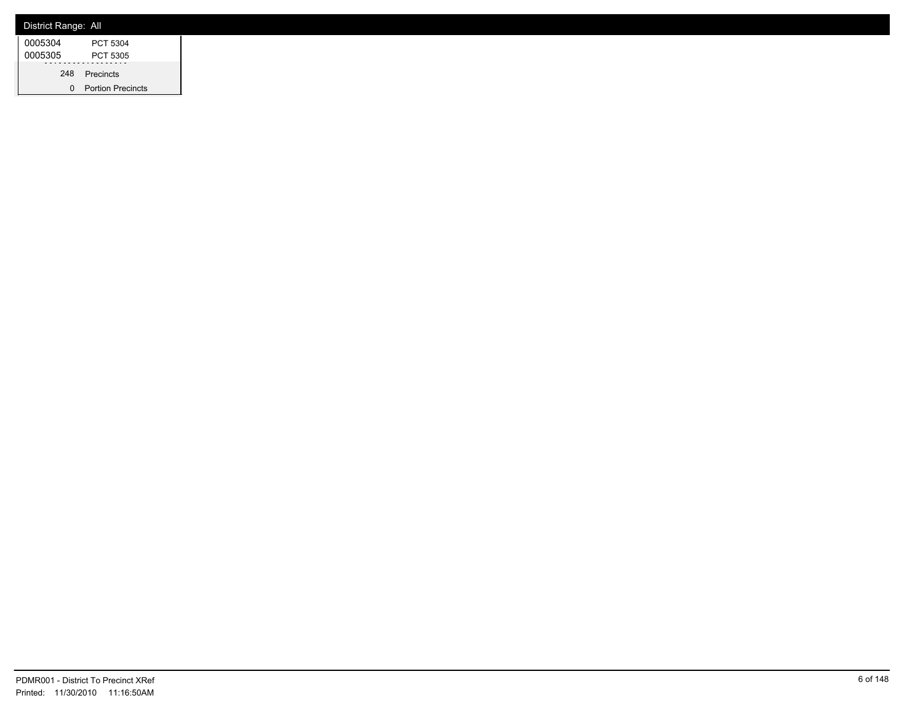| District Range: All |                          |
|---------------------|--------------------------|
| 0005304             | PCT 5304                 |
| 0005305             | PCT 5305                 |
|                     | 248 Precincts            |
|                     | <b>Portion Precincts</b> |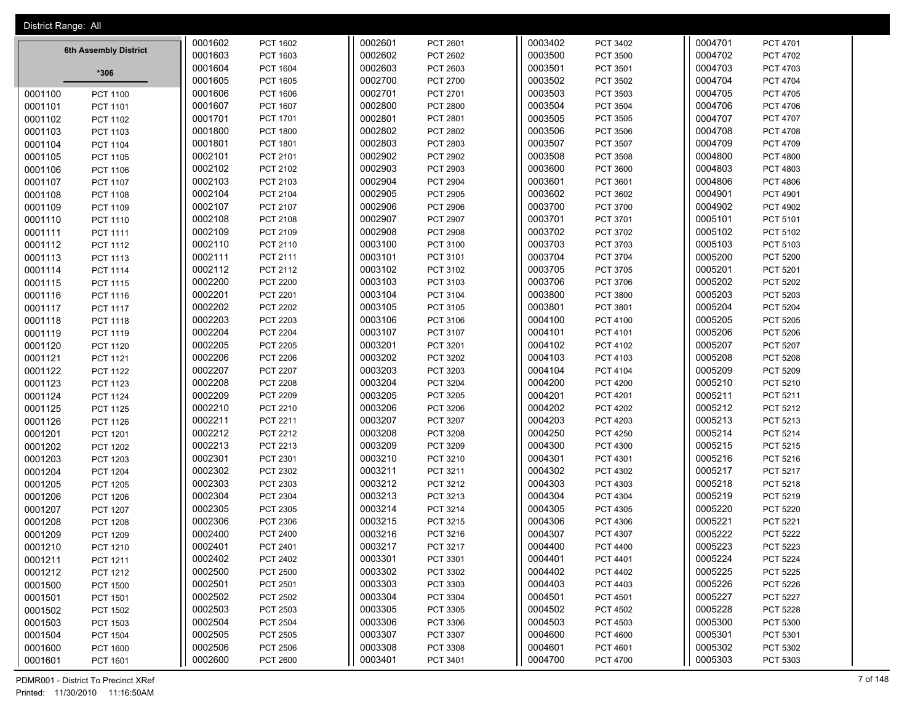| District Range: All        |         |                 |         |                 |         |                 |         |                 |
|----------------------------|---------|-----------------|---------|-----------------|---------|-----------------|---------|-----------------|
|                            | 0001602 | PCT 1602        | 0002601 | PCT 2601        | 0003402 | PCT 3402        | 0004701 | PCT 4701        |
| 6th Assembly District      | 0001603 | PCT 1603        | 0002602 | PCT 2602        | 0003500 | PCT 3500        | 0004702 | <b>PCT 4702</b> |
|                            | 0001604 | <b>PCT 1604</b> | 0002603 | PCT 2603        | 0003501 | PCT 3501        | 0004703 | PCT 4703        |
| $*306$                     | 0001605 | <b>PCT 1605</b> | 0002700 | PCT 2700        | 0003502 | PCT 3502        | 0004704 | PCT 4704        |
| 0001100<br><b>PCT 1100</b> | 0001606 | <b>PCT 1606</b> | 0002701 | PCT 2701        | 0003503 | PCT 3503        | 0004705 | PCT 4705        |
| 0001101<br>PCT 1101        | 0001607 | PCT 1607        | 0002800 | PCT 2800        | 0003504 | PCT 3504        | 0004706 | PCT 4706        |
| 0001102<br>PCT 1102        | 0001701 | <b>PCT 1701</b> | 0002801 | PCT 2801        | 0003505 | PCT 3505        | 0004707 | PCT 4707        |
| 0001103<br><b>PCT 1103</b> | 0001800 | <b>PCT 1800</b> | 0002802 | PCT 2802        | 0003506 | PCT 3506        | 0004708 | PCT 4708        |
| 0001104<br>PCT 1104        | 0001801 | PCT 1801        | 0002803 | PCT 2803        | 0003507 | PCT 3507        | 0004709 | PCT 4709        |
| 0001105<br><b>PCT 1105</b> | 0002101 | PCT 2101        | 0002902 | PCT 2902        | 0003508 | <b>PCT 3508</b> | 0004800 | <b>PCT 4800</b> |
| 0001106<br><b>PCT 1106</b> | 0002102 | PCT 2102        | 0002903 | PCT 2903        | 0003600 | PCT 3600        | 0004803 | PCT 4803        |
| 0001107<br><b>PCT 1107</b> | 0002103 | PCT 2103        | 0002904 | PCT 2904        | 0003601 | PCT 3601        | 0004806 | PCT 4806        |
| 0001108<br><b>PCT 1108</b> | 0002104 | PCT 2104        | 0002905 | PCT 2905        | 0003602 | PCT 3602        | 0004901 | PCT 4901        |
| 0001109<br>PCT 1109        | 0002107 | PCT 2107        | 0002906 | <b>PCT 2906</b> | 0003700 | PCT 3700        | 0004902 | PCT 4902        |
| 0001110<br>PCT 1110        | 0002108 | PCT 2108        | 0002907 | PCT 2907        | 0003701 | PCT 3701        | 0005101 | PCT 5101        |
| 0001111<br>PCT 1111        | 0002109 | PCT 2109        | 0002908 | PCT 2908        | 0003702 | PCT 3702        | 0005102 | PCT 5102        |
| 0001112<br><b>PCT 1112</b> | 0002110 | PCT 2110        | 0003100 | PCT 3100        | 0003703 | PCT 3703        | 0005103 | PCT 5103        |
| 0001113<br>PCT 1113        | 0002111 | PCT 2111        | 0003101 | PCT 3101        | 0003704 | PCT 3704        | 0005200 | PCT 5200        |
| 0001114<br><b>PCT 1114</b> | 0002112 | PCT 2112        | 0003102 | PCT 3102        | 0003705 | PCT 3705        | 0005201 | PCT 5201        |
| 0001115<br><b>PCT 1115</b> | 0002200 | <b>PCT 2200</b> | 0003103 | PCT 3103        | 0003706 | PCT 3706        | 0005202 | PCT 5202        |
| 0001116<br>PCT 1116        | 0002201 | PCT 2201        | 0003104 | PCT 3104        | 0003800 | PCT 3800        | 0005203 | PCT 5203        |
| 0001117<br><b>PCT 1117</b> | 0002202 | <b>PCT 2202</b> | 0003105 | PCT 3105        | 0003801 | PCT 3801        | 0005204 | <b>PCT 5204</b> |
| 0001118<br><b>PCT 1118</b> | 0002203 | <b>PCT 2203</b> | 0003106 | PCT 3106        | 0004100 | PCT 4100        | 0005205 | PCT 5205        |
| 0001119<br>PCT 1119        | 0002204 | <b>PCT 2204</b> | 0003107 | PCT 3107        | 0004101 | PCT 4101        | 0005206 | PCT 5206        |
| 0001120<br><b>PCT 1120</b> | 0002205 | <b>PCT 2205</b> | 0003201 | PCT 3201        | 0004102 | PCT 4102        | 0005207 | PCT 5207        |
| 0001121<br>PCT 1121        | 0002206 | <b>PCT 2206</b> | 0003202 | PCT 3202        | 0004103 | PCT 4103        | 0005208 | PCT 5208        |
| 0001122<br><b>PCT 1122</b> | 0002207 | <b>PCT 2207</b> | 0003203 | PCT 3203        | 0004104 | PCT 4104        | 0005209 | PCT 5209        |
| 0001123<br>PCT 1123        | 0002208 | <b>PCT 2208</b> | 0003204 | PCT 3204        | 0004200 | <b>PCT 4200</b> | 0005210 | PCT 5210        |
| 0001124<br><b>PCT 1124</b> | 0002209 | <b>PCT 2209</b> | 0003205 | PCT 3205        | 0004201 | PCT 4201        | 0005211 | PCT 5211        |
| 0001125<br><b>PCT 1125</b> | 0002210 | PCT 2210        | 0003206 | PCT 3206        | 0004202 | <b>PCT 4202</b> | 0005212 | PCT 5212        |
| 0001126<br><b>PCT 1126</b> | 0002211 | PCT 2211        | 0003207 | PCT 3207        | 0004203 | PCT 4203        | 0005213 | PCT 5213        |
| 0001201<br><b>PCT 1201</b> | 0002212 | PCT 2212        | 0003208 | PCT 3208        | 0004250 | PCT 4250        | 0005214 | PCT 5214        |
| 0001202<br><b>PCT 1202</b> | 0002213 | PCT 2213        | 0003209 | PCT 3209        | 0004300 | PCT 4300        | 0005215 | PCT 5215        |
| 0001203<br><b>PCT 1203</b> | 0002301 | PCT 2301        | 0003210 | PCT 3210        | 0004301 | PCT 4301        | 0005216 | PCT 5216        |
| 0001204<br><b>PCT 1204</b> | 0002302 | PCT 2302        | 0003211 | PCT 3211        | 0004302 | PCT 4302        | 0005217 | PCT 5217        |
| 0001205<br><b>PCT 1205</b> | 0002303 | PCT 2303        | 0003212 | PCT 3212        | 0004303 | PCT 4303        | 0005218 | PCT 5218        |
| 0001206<br><b>PCT 1206</b> | 0002304 | PCT 2304        | 0003213 | PCT 3213        | 0004304 | PCT 4304        | 0005219 | PCT 5219        |
| 0001207<br><b>PCT 1207</b> | 0002305 | PCT 2305        | 0003214 | PCT 3214        | 0004305 | PCT 4305        | 0005220 | PCT 5220        |
| 0001208<br><b>PCT 1208</b> | 0002306 | PCT 2306        | 0003215 | PCT 3215        | 0004306 | PCT 4306        | 0005221 | PCT 5221        |
| 0001209<br>PCT 1209        | 0002400 | <b>PCT 2400</b> | 0003216 | PCT 3216        | 0004307 | PCT 4307        | 0005222 | <b>PCT 5222</b> |
| 0001210<br>PCT 1210        | 0002401 | PCT 2401        | 0003217 | PCT 3217        | 0004400 | PCT 4400        | 0005223 | PCT 5223        |
| 0001211<br>PCT 1211        | 0002402 | PCT 2402        | 0003301 | PCT 3301        | 0004401 | PCT 4401        | 0005224 | PCT 5224        |
| 0001212<br>PCT 1212        | 0002500 | <b>PCT 2500</b> | 0003302 | PCT 3302        | 0004402 | PCT 4402        | 0005225 | PCT 5225        |
| 0001500<br><b>PCT 1500</b> | 0002501 | PCT 2501        | 0003303 | PCT 3303        | 0004403 | PCT 4403        | 0005226 | PCT 5226        |
| 0001501<br>PCT 1501        | 0002502 | PCT 2502        | 0003304 | PCT 3304        | 0004501 | PCT 4501        | 0005227 | PCT 5227        |
| 0001502<br><b>PCT 1502</b> | 0002503 | PCT 2503        | 0003305 | PCT 3305        | 0004502 | <b>PCT 4502</b> | 0005228 | PCT 5228        |
| 0001503<br>PCT 1503        | 0002504 | <b>PCT 2504</b> | 0003306 | PCT 3306        | 0004503 | PCT 4503        | 0005300 | PCT 5300        |
| 0001504<br><b>PCT 1504</b> | 0002505 | PCT 2505        | 0003307 | PCT 3307        | 0004600 | <b>PCT 4600</b> | 0005301 | PCT 5301        |
| 0001600<br><b>PCT 1600</b> | 0002506 | PCT 2506        | 0003308 | PCT 3308        | 0004601 | PCT 4601        | 0005302 | PCT 5302        |
| 0001601<br>PCT 1601        | 0002600 | PCT 2600        | 0003401 | PCT 3401        | 0004700 | PCT 4700        | 0005303 | PCT 5303        |

PDMR001 - District To Precinct XRef 7 of 148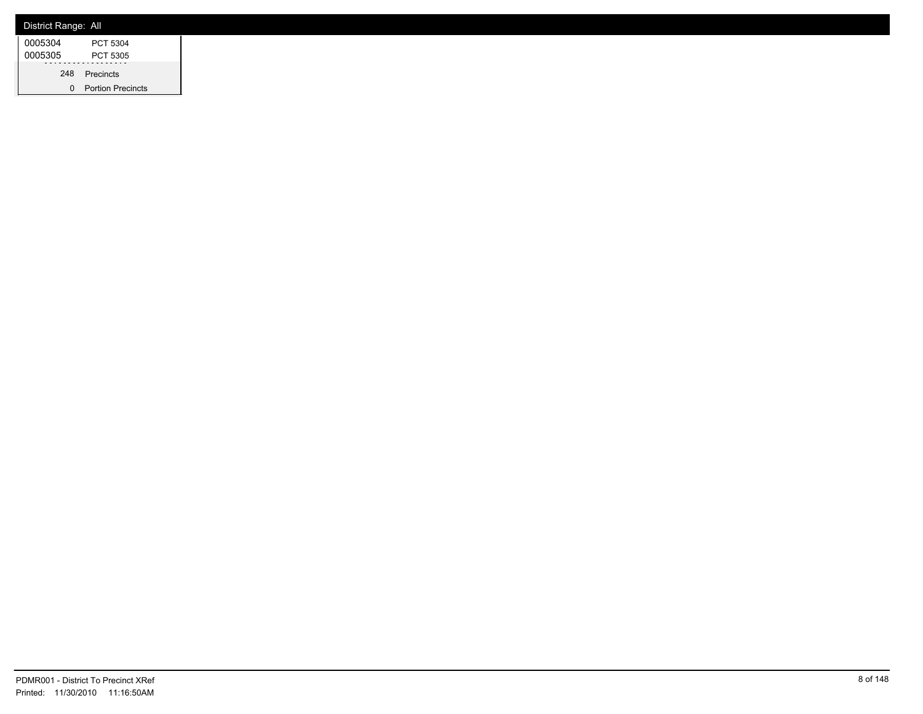| District Range: All |                          |
|---------------------|--------------------------|
| 0005304             | PCT 5304                 |
| 0005305             | PCT 5305                 |
|                     | 248 Precincts            |
|                     | <b>Portion Precincts</b> |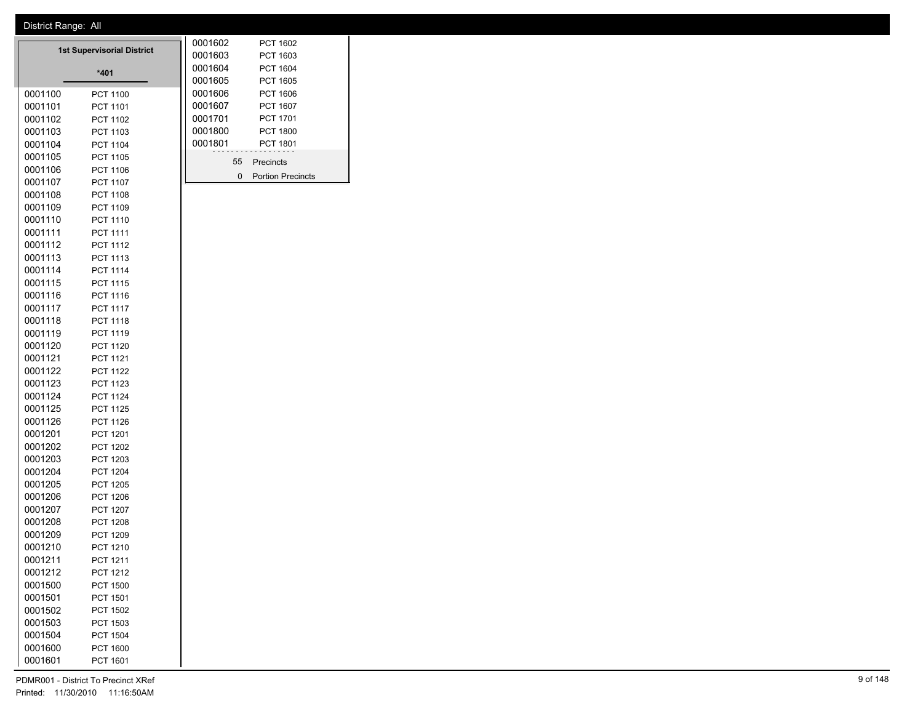|         | <b>1st Supervisorial District</b> | 0001602 | PCT 1602 |                          |  |
|---------|-----------------------------------|---------|----------|--------------------------|--|
|         |                                   |         | 0001603  | PCT 1603                 |  |
|         | $*401$                            | 0001604 | PCT 1604 |                          |  |
|         |                                   |         | 0001605  | <b>PCT 1605</b>          |  |
| 0001100 | PCT 1100                          |         | 0001606  | PCT 1606                 |  |
| 0001101 | PCT 1101                          |         | 0001607  | <b>PCT 1607</b>          |  |
| 0001102 | PCT 1102                          |         | 0001701  | <b>PCT 1701</b>          |  |
| 0001103 | PCT 1103                          |         | 0001800  | <b>PCT 1800</b>          |  |
| 0001104 | <b>PCT 1104</b>                   |         | 0001801  | <b>PCT 1801</b>          |  |
| 0001105 | PCT 1105                          |         | 55       | Precincts                |  |
| 0001106 | PCT 1106                          |         |          |                          |  |
| 0001107 | <b>PCT 1107</b>                   |         | $\Omega$ | <b>Portion Precincts</b> |  |
| 0001108 | <b>PCT 1108</b>                   |         |          |                          |  |
| 0001109 | PCT 1109                          |         |          |                          |  |
| 0001110 | <b>PCT 1110</b>                   |         |          |                          |  |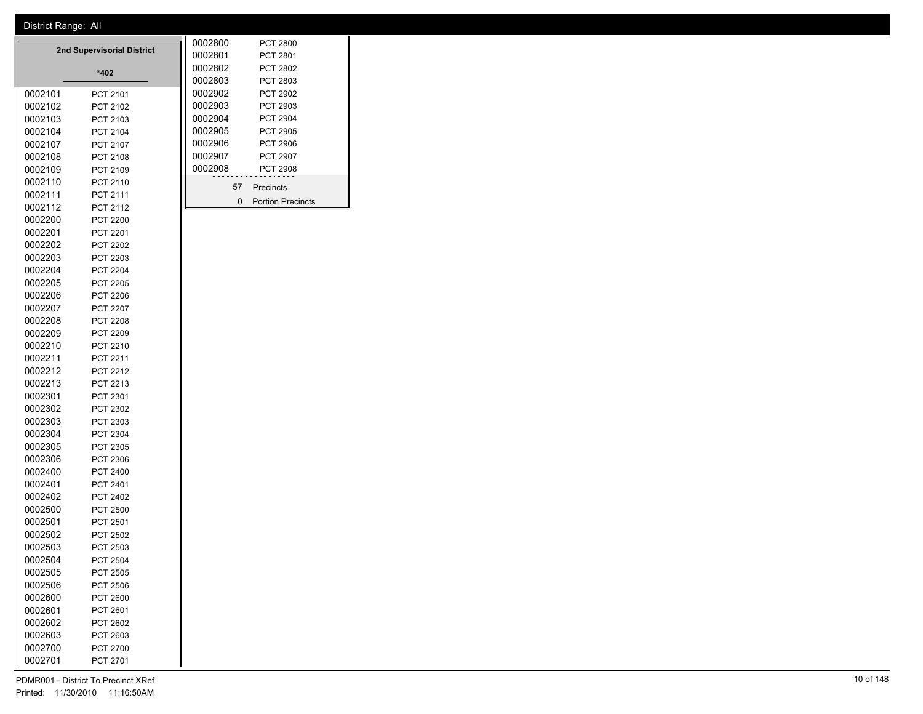|                    | 2nd Supervisorial District         |  | 0002800         |    | <b>PCT 2800</b>          |
|--------------------|------------------------------------|--|-----------------|----|--------------------------|
|                    | 0002801                            |  | <b>PCT 2801</b> |    |                          |
|                    | 0002802                            |  | PCT 2802        |    |                          |
|                    |                                    |  | 0002803         |    | PCT 2803                 |
| 0002101            | PCT 2101                           |  | 0002902         |    | PCT 2902                 |
| 0002102            | PCT 2102                           |  | 0002903         |    | PCT 2903                 |
| 0002103            | PCT 2103                           |  | 0002904         |    | <b>PCT 2904</b>          |
| 0002104            | PCT 2104                           |  | 0002905         |    | <b>PCT 2905</b>          |
| 0002107            | <b>PCT 2107</b>                    |  | 0002906         |    | <b>PCT 2906</b>          |
| 0002108            | PCT 2108                           |  | 0002907         |    | <b>PCT 2907</b>          |
| 0002109            | PCT 2109                           |  | 0002908         |    | <b>PCT 2908</b>          |
| 0002110            | PCT 2110                           |  |                 | 57 | Precincts                |
| 0002111            | PCT 2111                           |  |                 | 0  | <b>Portion Precincts</b> |
| 0002112            | <b>PCT 2112</b>                    |  |                 |    |                          |
| 0002200            | <b>PCT 2200</b>                    |  |                 |    |                          |
| 0002201            | PCT 2201                           |  |                 |    |                          |
| 0002202            | <b>PCT 2202</b>                    |  |                 |    |                          |
| 0002203            | PCT 2203                           |  |                 |    |                          |
| 0002204            | <b>PCT 2204</b>                    |  |                 |    |                          |
| 0002205            | <b>PCT 2205</b>                    |  |                 |    |                          |
| 0002206            | <b>PCT 2206</b>                    |  |                 |    |                          |
| 0002207            | <b>PCT 2207</b>                    |  |                 |    |                          |
| 0002208            | <b>PCT 2208</b><br><b>PCT 2209</b> |  |                 |    |                          |
| 0002209            |                                    |  |                 |    |                          |
| 0002210<br>0002211 | PCT 2210                           |  |                 |    |                          |
| 0002212            | PCT 2211                           |  |                 |    |                          |
| 0002213            | PCT 2212<br>PCT 2213               |  |                 |    |                          |
| 0002301            | PCT 2301                           |  |                 |    |                          |
| 0002302            | PCT 2302                           |  |                 |    |                          |
| 0002303            | PCT 2303                           |  |                 |    |                          |
| 0002304            | PCT 2304                           |  |                 |    |                          |
| 0002305            | PCT 2305                           |  |                 |    |                          |
| 0002306            | PCT 2306                           |  |                 |    |                          |
| 0002400            | PCT 2400                           |  |                 |    |                          |
| 0002401            | PCT 2401                           |  |                 |    |                          |
| 0002402            | PCT 2402                           |  |                 |    |                          |
| 0002500            | <b>PCT 2500</b>                    |  |                 |    |                          |
| 0002501            | PCT 2501                           |  |                 |    |                          |
| 0002502            | <b>PCT 2502</b>                    |  |                 |    |                          |
| 0002503            | PCT 2503                           |  |                 |    |                          |
| 0002504            | <b>PCT 2504</b>                    |  |                 |    |                          |
| 0002505            | PCT 2505                           |  |                 |    |                          |
| 0002506            | PCT 2506                           |  |                 |    |                          |
| 0002600            | PCT 2600                           |  |                 |    |                          |
| 0002601            | PCT 2601                           |  |                 |    |                          |
| 0002602            | PCT 2602                           |  |                 |    |                          |
| 0002603            | PCT 2603                           |  |                 |    |                          |
| 0002700            | PCT 2700                           |  |                 |    |                          |
| 0002701            | PCT 2701                           |  |                 |    |                          |
|                    |                                    |  |                 |    |                          |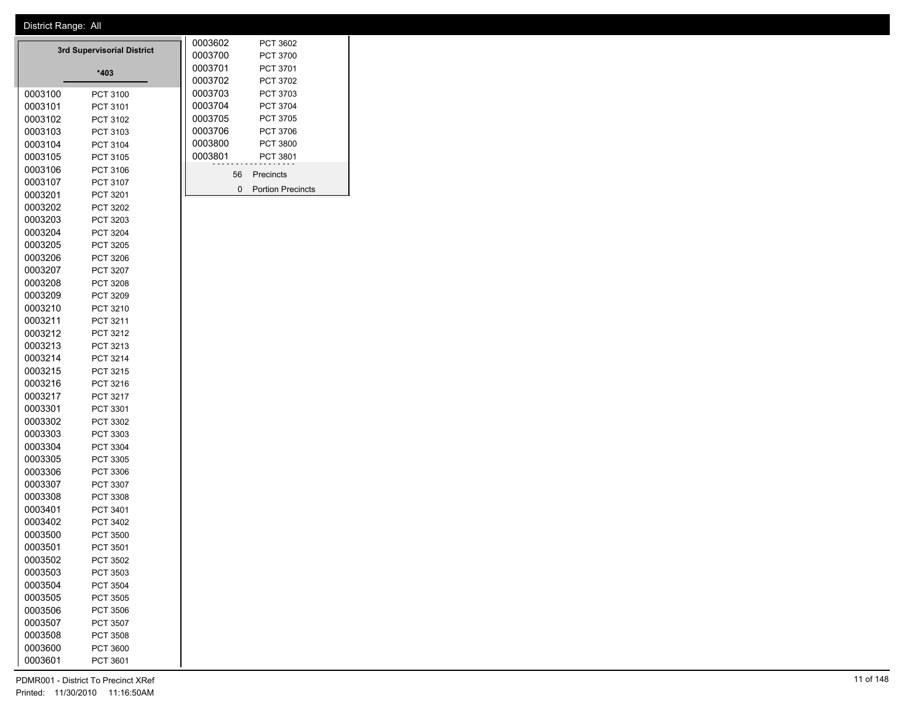|         | <b>3rd Supervisorial District</b> | 0003602            | PCT 3602                                 |
|---------|-----------------------------------|--------------------|------------------------------------------|
|         |                                   | 0003700<br>0003701 | <b>PCT 3700</b><br>PCT 3701              |
|         | *403                              | 0003702            | PCT 3702                                 |
| 0003100 | PCT 3100                          | 0003703            | PCT 3703                                 |
| 0003101 | PCT 3101                          | 0003704            | PCT 3704                                 |
| 0003102 | PCT 3102                          | 0003705            | PCT 3705                                 |
| 0003103 | PCT 3103                          | 0003706            | PCT 3706                                 |
| 0003104 | PCT 3104                          | 0003800            | PCT 3800                                 |
| 0003105 | PCT 3105                          | 0003801            | PCT 3801                                 |
| 0003106 | PCT 3106                          |                    |                                          |
| 0003107 | PCT 3107                          | 56                 | Precincts                                |
| 0003201 | PCT 3201                          |                    | $\mathbf{0}$<br><b>Portion Precincts</b> |
| 0003202 | PCT 3202                          |                    |                                          |
| 0003203 | PCT 3203                          |                    |                                          |
| 0003204 | PCT 3204                          |                    |                                          |
| 0003205 | PCT 3205                          |                    |                                          |
| 0003206 | PCT 3206                          |                    |                                          |
| 0003207 | PCT 3207                          |                    |                                          |
| 0003208 | PCT 3208                          |                    |                                          |
| 0003209 | PCT 3209                          |                    |                                          |
| 0003210 | PCT 3210                          |                    |                                          |
| 0003211 | PCT 3211                          |                    |                                          |
| 0003212 | PCT 3212                          |                    |                                          |
| 0003213 | PCT 3213                          |                    |                                          |
| 0003214 | PCT 3214                          |                    |                                          |
| 0003215 | PCT 3215                          |                    |                                          |
| 0003216 | PCT 3216                          |                    |                                          |
| 0003217 | PCT 3217                          |                    |                                          |
| 0003301 | PCT 3301                          |                    |                                          |
| 0003302 | PCT 3302                          |                    |                                          |
| 0003303 | PCT 3303                          |                    |                                          |
| 0003304 | PCT 3304                          |                    |                                          |
| 0003305 | PCT 3305                          |                    |                                          |
| 0003306 | PCT 3306                          |                    |                                          |
| 0003307 | PCT 3307                          |                    |                                          |
| 0003308 | PCT 3308                          |                    |                                          |
| 0003401 | PCT 3401                          |                    |                                          |
| 0003402 | PCT 3402                          |                    |                                          |
| 0003500 | <b>PCT 3500</b>                   |                    |                                          |
| 0003501 | PCT 3501                          |                    |                                          |
| 0003502 | PCT 3502                          |                    |                                          |
| 0003503 | PCT 3503                          |                    |                                          |
| 0003504 | PCT 3504                          |                    |                                          |
| 0003505 | PCT 3505                          |                    |                                          |
| 0003506 | <b>PCT 3506</b>                   |                    |                                          |
| 0003507 | <b>PCT 3507</b>                   |                    |                                          |
| 0003508 | PCT 3508                          |                    |                                          |
| 0003600 | PCT 3600                          |                    |                                          |
| 0003601 | PCT 3601                          |                    |                                          |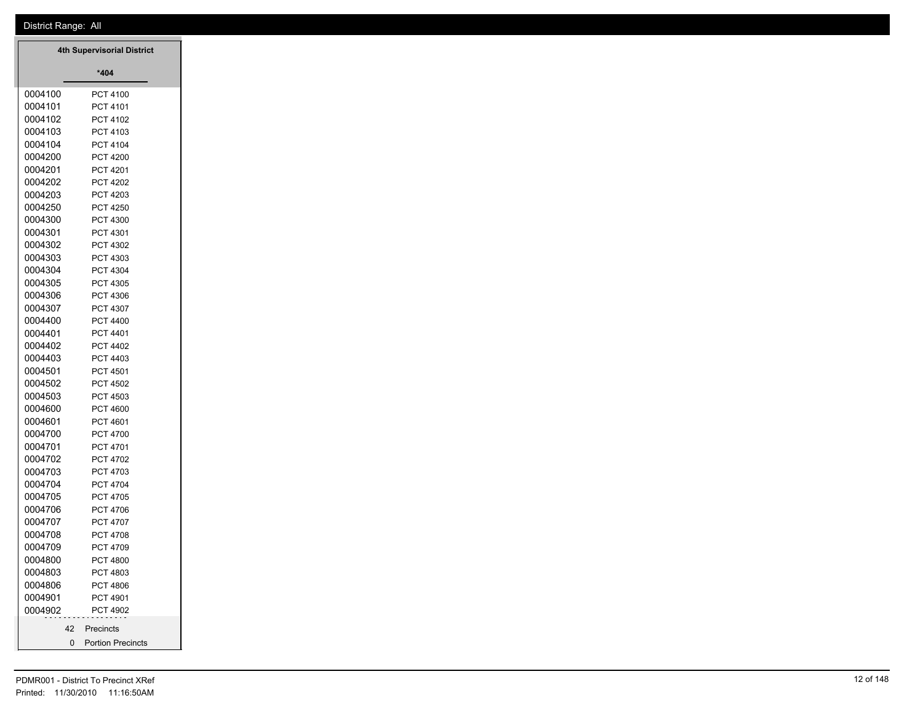|                    | <b>4th Supervisorial District</b> |
|--------------------|-----------------------------------|
|                    | *404                              |
| 0004100            | PCT 4100                          |
| 0004101            | PCT 4101                          |
| 0004102            | PCT 4102                          |
| 0004103            | PCT 4103                          |
| 0004104            | PCT 4104                          |
| 0004200            | <b>PCT 4200</b>                   |
| 0004201            | PCT 4201                          |
| 0004202            | <b>PCT 4202</b>                   |
| 0004203            | PCT 4203                          |
| 0004250            | <b>PCT 4250</b>                   |
| 0004300<br>0004301 | PCT 4300                          |
| 0004302            | PCT 4301<br>PCT 4302              |
| 0004303            | PCT 4303                          |
| 0004304            | PCT 4304                          |
| 0004305            | PCT 4305                          |
| 0004306            | PCT 4306                          |
| 0004307            | PCT 4307                          |
| 0004400            | PCT 4400                          |
| 0004401            | PCT 4401                          |
| 0004402            | PCT 4402                          |
| 0004403            | PCT 4403                          |
| 0004501            | PCT 4501                          |
| 0004502            | PCT 4502                          |
| 0004503            | PCT 4503                          |
| 0004600            | PCT 4600                          |
| 0004601            | PCT 4601                          |
| 0004700            | PCT 4700                          |
| 0004701            | PCT 4701                          |
| 0004702            | PCT 4702                          |
| 0004703            | PCT 4703                          |
| 0004704            | <b>PCT 4704</b>                   |
| 0004705<br>0004706 | PCT 4705<br>PCT 4706              |
| 0004707            | PCT 4707                          |
| 0004708            | PCT 4708                          |
| 0004709            | PCT 4709                          |
| 0004800            | PCT 4800                          |
| 0004803            | PCT 4803                          |
| 0004806            | PCT 4806                          |
| 0004901            | PCT 4901                          |
| 0004902            | PCT 4902                          |
|                    |                                   |
| 42                 | Precincts                         |
| 0                  | <b>Portion Precincts</b>          |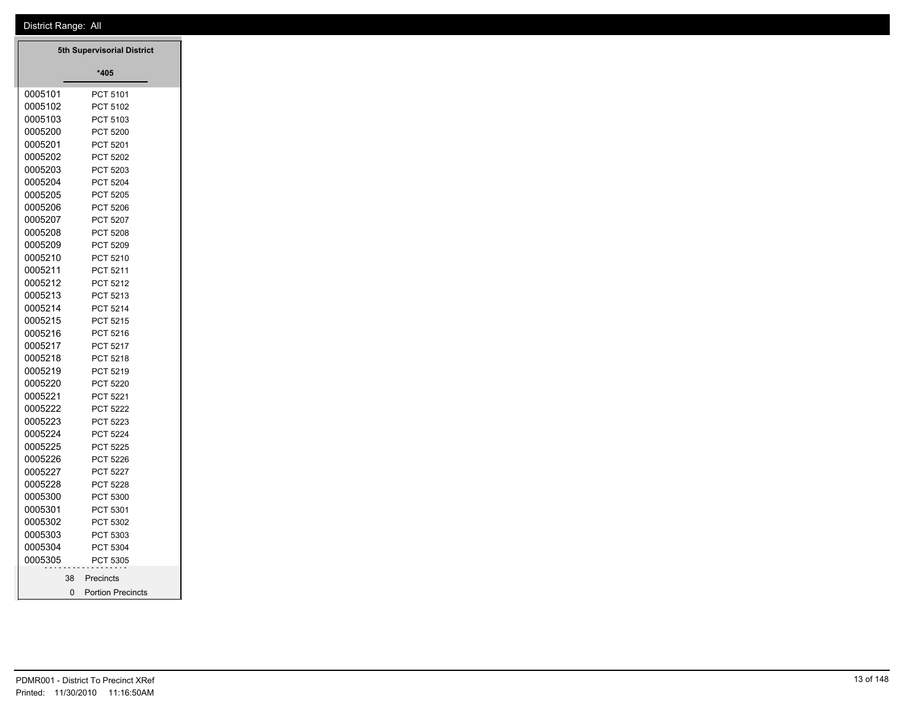| 5th Supervisorial District |          |                          |  |  |  |
|----------------------------|----------|--------------------------|--|--|--|
|                            |          | $*405$                   |  |  |  |
| 0005101                    |          | PCT 5101                 |  |  |  |
| 0005102                    |          | PCT 5102                 |  |  |  |
| 0005103                    |          | PCT 5103                 |  |  |  |
| 0005200                    |          | <b>PCT 5200</b>          |  |  |  |
| 0005201                    |          | PCT 5201                 |  |  |  |
| 0005202                    |          | <b>PCT 5202</b>          |  |  |  |
| 0005203                    |          | PCT 5203                 |  |  |  |
| 0005204                    |          | <b>PCT 5204</b>          |  |  |  |
| 0005205                    |          | <b>PCT 5205</b>          |  |  |  |
| 0005206                    |          | <b>PCT 5206</b>          |  |  |  |
| 0005207                    |          | <b>PCT 5207</b>          |  |  |  |
| 0005208                    |          | <b>PCT 5208</b>          |  |  |  |
| 0005209                    |          | <b>PCT 5209</b>          |  |  |  |
| 0005210                    |          | PCT 5210                 |  |  |  |
| 0005211                    |          | PCT 5211                 |  |  |  |
| 0005212                    |          | <b>PCT 5212</b>          |  |  |  |
| 0005213                    |          | PCT 5213                 |  |  |  |
| 0005214                    |          | <b>PCT 5214</b>          |  |  |  |
| 0005215                    |          | <b>PCT 5215</b>          |  |  |  |
| 0005216                    |          | PCT 5216                 |  |  |  |
| 0005217                    |          | <b>PCT 5217</b>          |  |  |  |
| 0005218                    |          | PCT 5218                 |  |  |  |
| 0005219                    |          | PCT 5219                 |  |  |  |
| 0005220                    |          | <b>PCT 5220</b>          |  |  |  |
| 0005221                    |          | PCT 5221                 |  |  |  |
| 0005222                    |          | <b>PCT 5222</b>          |  |  |  |
| 0005223                    |          | PCT 5223                 |  |  |  |
| 0005224                    |          | <b>PCT 5224</b>          |  |  |  |
| 0005225                    |          | <b>PCT 5225</b>          |  |  |  |
| 0005226                    |          | PCT 5226                 |  |  |  |
| 0005227                    |          | <b>PCT 5227</b>          |  |  |  |
| 0005228                    |          | <b>PCT 5228</b>          |  |  |  |
| 0005300                    |          | <b>PCT 5300</b>          |  |  |  |
| 0005301                    |          | PCT 5301                 |  |  |  |
| 0005302                    |          | PCT 5302                 |  |  |  |
| 0005303                    |          | <b>PCT 5303</b>          |  |  |  |
| 0005304                    |          | <b>PCT 5304</b>          |  |  |  |
| 0005305                    |          | <b>PCT 5305</b>          |  |  |  |
|                            |          | 38 Precincts             |  |  |  |
|                            | $\Omega$ | <b>Portion Precincts</b> |  |  |  |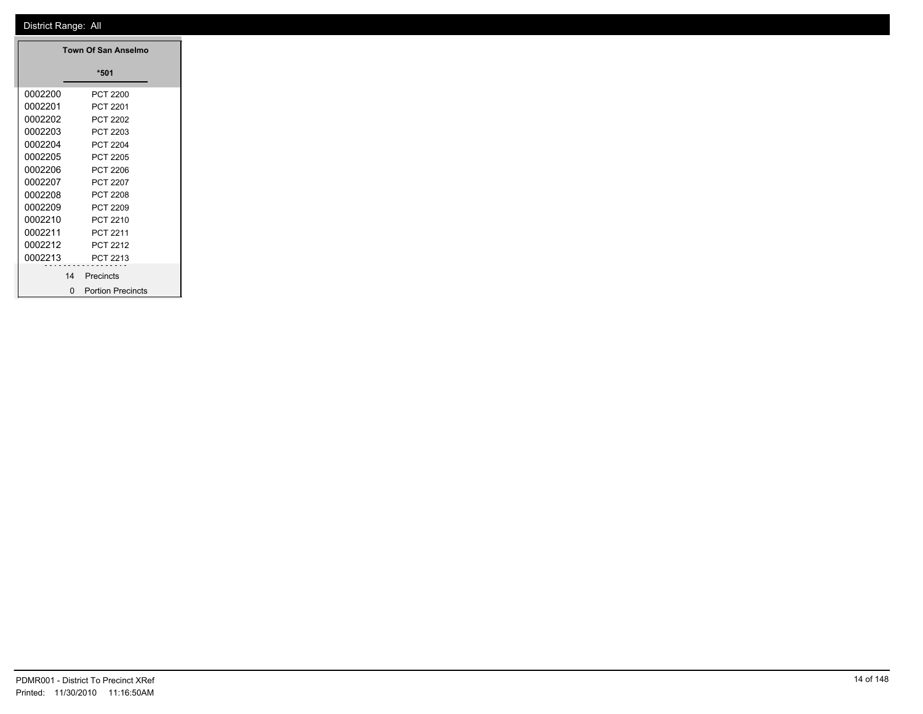|         |                | Town Of San Anselmo      |
|---------|----------------|--------------------------|
|         |                | $*501$                   |
| 0002200 |                | <b>PCT 2200</b>          |
| 0002201 |                | PCT 2201                 |
| 0002202 |                | <b>PCT 2202</b>          |
| 0002203 |                | PCT 2203                 |
| 0002204 |                | <b>PCT 2204</b>          |
| 0002205 |                | <b>PCT 2205</b>          |
| 0002206 |                | <b>PCT 2206</b>          |
| 0002207 |                | PCT 2207                 |
| 0002208 |                | <b>PCT 2208</b>          |
| 0002209 |                | <b>PCT 2209</b>          |
| 0002210 |                | PCT 2210                 |
| 0002211 |                | PCT 2211                 |
| 0002212 |                | PCT 2212                 |
| 0002213 |                | PCT 2213                 |
|         | 14             | .<br>Precincts           |
|         | $\overline{0}$ | <b>Portion Precincts</b> |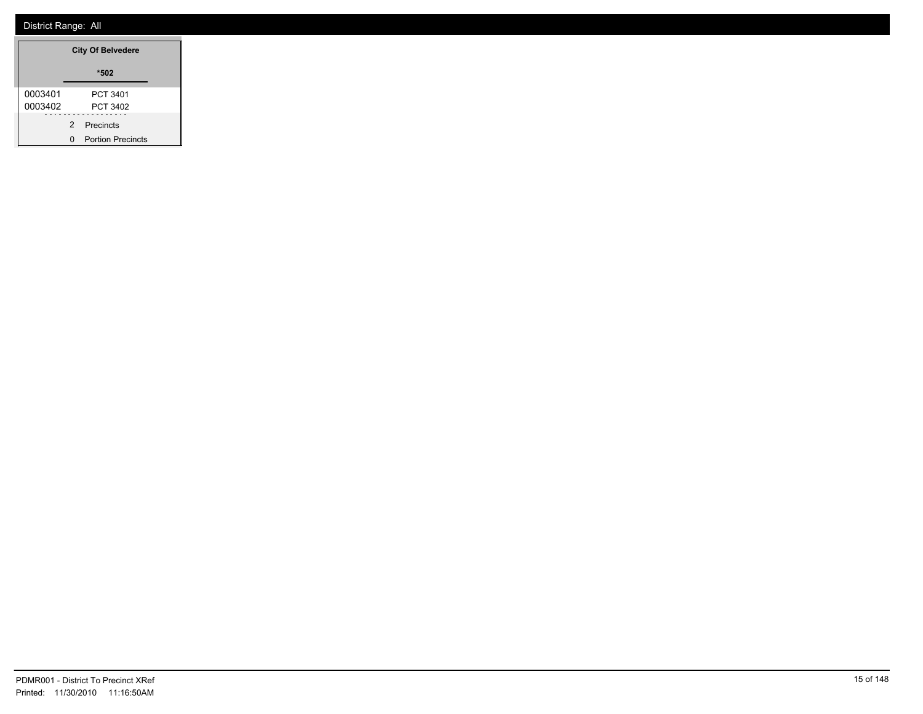|         | <b>City Of Belvedere</b> |                          |  |  |
|---------|--------------------------|--------------------------|--|--|
|         |                          | *502                     |  |  |
| 0003401 |                          | PCT 3401                 |  |  |
| 0003402 |                          | PCT 3402                 |  |  |
|         |                          | 2 Precincts              |  |  |
|         | n                        | <b>Portion Precincts</b> |  |  |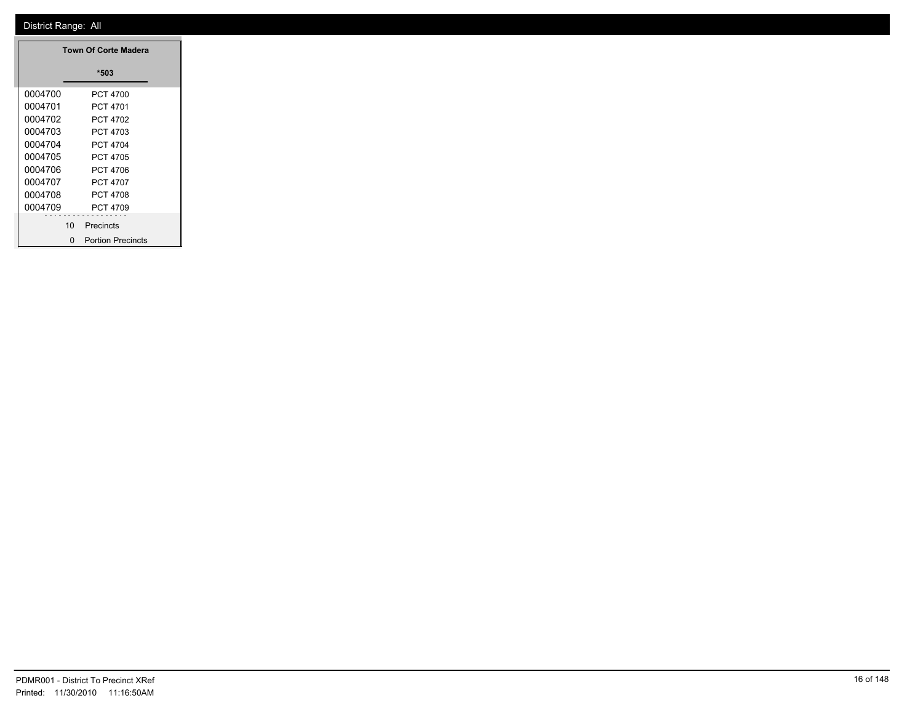| <b>Town Of Corte Madera</b> |   |                          |  |  |
|-----------------------------|---|--------------------------|--|--|
|                             |   | *503                     |  |  |
| 0004700                     |   | PCT 4700                 |  |  |
| 0004701                     |   | PCT 4701                 |  |  |
| 0004702                     |   | PCT 4702                 |  |  |
| 0004703                     |   | PCT 4703                 |  |  |
| 0004704                     |   | PCT 4704                 |  |  |
| 0004705                     |   | PCT 4705                 |  |  |
| 0004706                     |   | PCT 4706                 |  |  |
| 0004707                     |   | PCT 4707                 |  |  |
| 0004708                     |   | PCT 4708                 |  |  |
| 0004709                     |   | PCT 4709                 |  |  |
| 10                          |   | Precincts                |  |  |
|                             | n | <b>Portion Precincts</b> |  |  |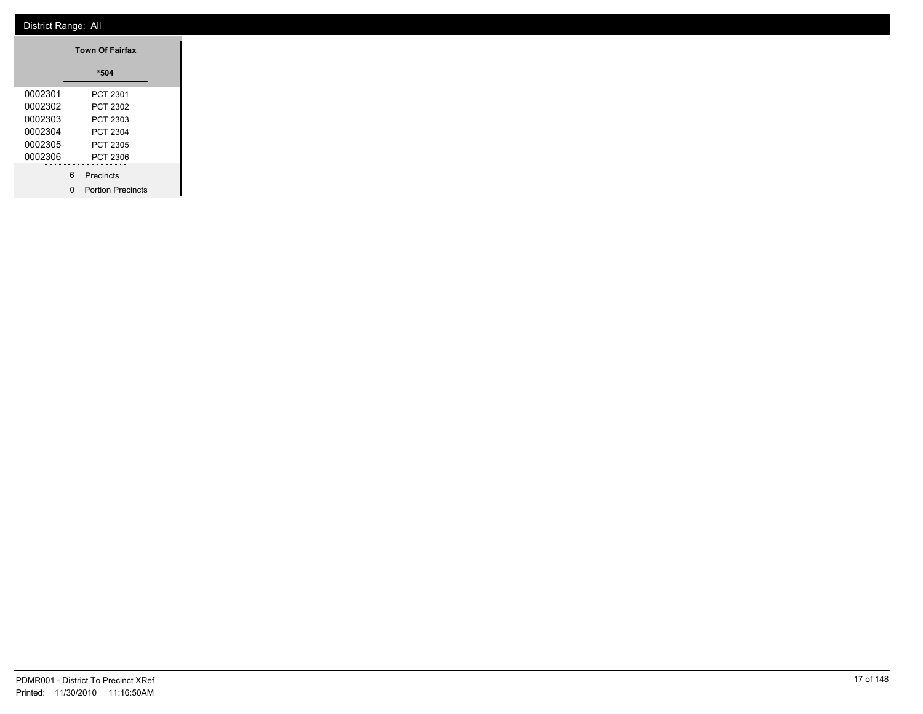| <b>Town Of Fairfax</b> |   |                          |  |  |
|------------------------|---|--------------------------|--|--|
|                        |   | *504                     |  |  |
| 0002301                |   | PCT 2301                 |  |  |
| 0002302                |   | PCT 2302                 |  |  |
| 0002303                |   | PCT 2303                 |  |  |
| 0002304                |   | PCT 2304                 |  |  |
| 0002305                |   | PCT 2305                 |  |  |
| 0002306                |   | PCT 2306                 |  |  |
|                        | 6 | Precincts                |  |  |
|                        | n | <b>Portion Precincts</b> |  |  |

۳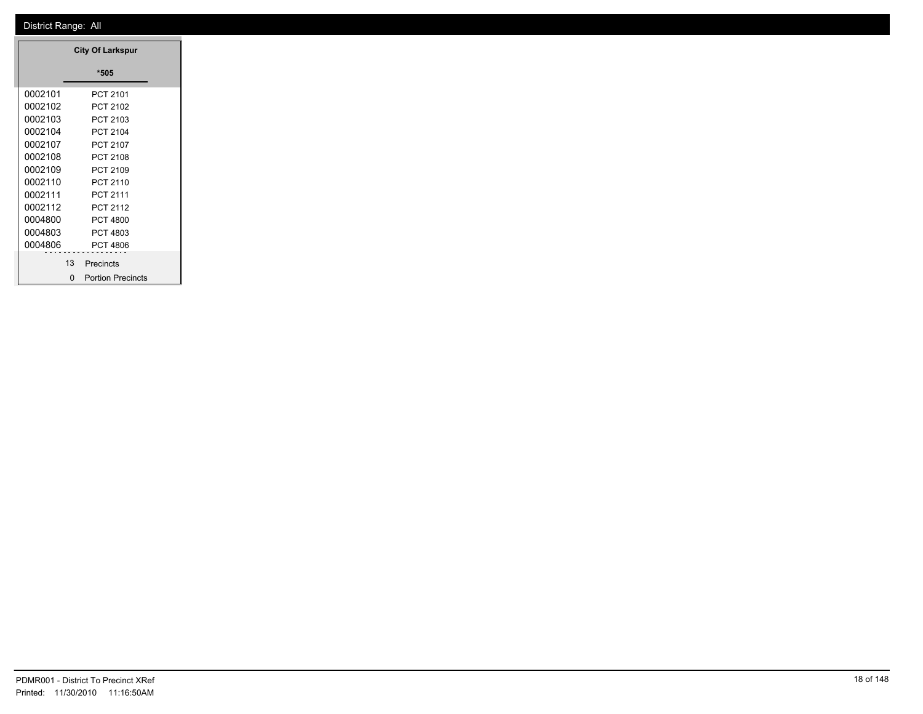| <b>City Of Larkspur</b> |                          |  |  |  |  |
|-------------------------|--------------------------|--|--|--|--|
|                         | *505                     |  |  |  |  |
| 0002101                 | PCT 2101                 |  |  |  |  |
| 0002102                 | PCT 2102                 |  |  |  |  |
| 0002103                 | PCT 2103                 |  |  |  |  |
| 0002104                 | <b>PCT 2104</b>          |  |  |  |  |
| 0002107                 | PCT 2107                 |  |  |  |  |
| 0002108                 | PCT 2108                 |  |  |  |  |
| 0002109                 | PCT 2109                 |  |  |  |  |
| 0002110                 | PCT 2110                 |  |  |  |  |
| 0002111                 | PCT 2111                 |  |  |  |  |
| 0002112                 | <b>PCT 2112</b>          |  |  |  |  |
| 0004800                 | PCT 4800                 |  |  |  |  |
| 0004803                 | PCT 4803                 |  |  |  |  |
| 0004806                 | <b>PCT 4806</b>          |  |  |  |  |
| 13                      | Precincts                |  |  |  |  |
| ŋ                       | <b>Portion Precincts</b> |  |  |  |  |

 $\equiv$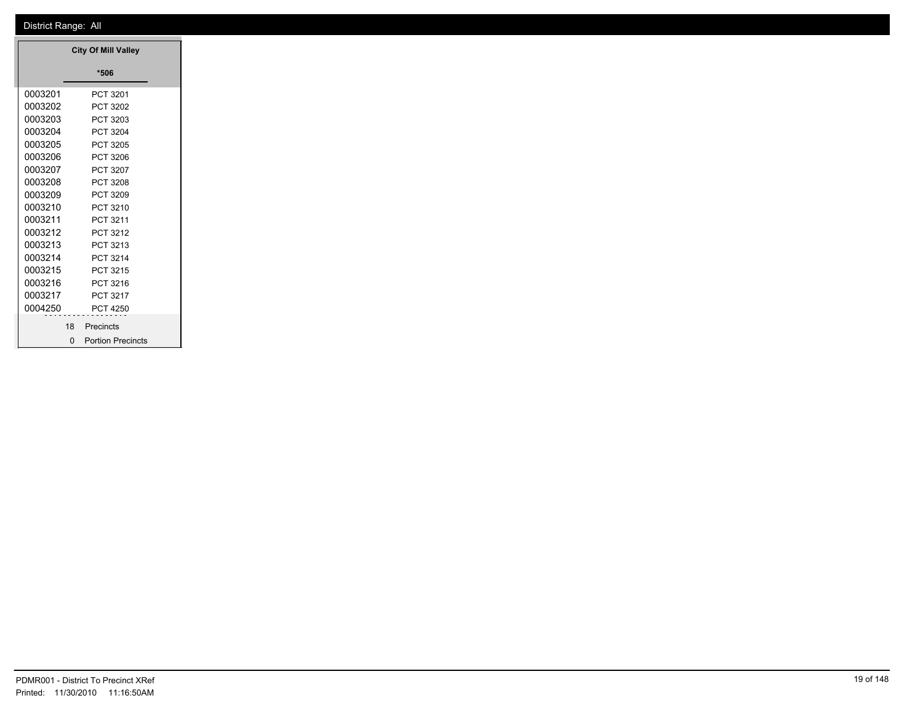|         |          | <b>City Of Mill Valley</b> |  |
|---------|----------|----------------------------|--|
|         |          | *506                       |  |
| 0003201 |          | PCT 3201                   |  |
| 0003202 |          | PCT 3202                   |  |
| 0003203 |          | PCT 3203                   |  |
|         |          | 0003204 PCT 3204           |  |
| 0003205 |          | PCT 3205                   |  |
| 0003206 |          | PCT 3206                   |  |
| 0003207 |          | PCT 3207                   |  |
| 0003208 |          | PCT 3208                   |  |
| 0003209 |          | PCT 3209                   |  |
| 0003210 |          | PCT 3210                   |  |
| 0003211 |          | PCT 3211                   |  |
| 0003212 |          | PCT 3212                   |  |
| 0003213 |          | PCT 3213                   |  |
| 0003214 |          | PCT 3214                   |  |
| 0003215 |          | PCT 3215                   |  |
| 0003216 |          | PCT 3216                   |  |
| 0003217 |          | PCT 3217                   |  |
|         |          | 0004250 PCT 4250           |  |
|         |          | 18 Precincts               |  |
|         | $\Omega$ | <b>Portion Precincts</b>   |  |

┓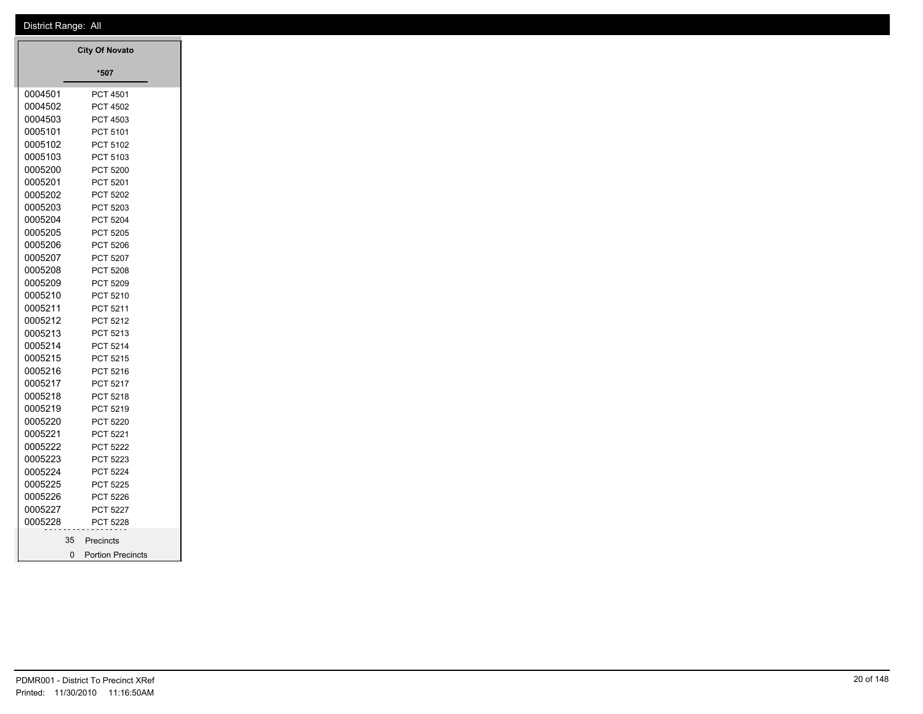|             | <b>City Of Novato</b>    |
|-------------|--------------------------|
|             | $*507$                   |
| 0004501     | PCT 4501                 |
| 0004502     | PCT 4502                 |
| 0004503     | PCT 4503                 |
| 0005101     | PCT 5101                 |
| 0005102     | PCT 5102                 |
| 0005103     | PCT 5103                 |
| 0005200     | PCT 5200                 |
| 0005201     | PCT 5201                 |
| 0005202     | PCT 5202                 |
| 0005203     | PCT 5203                 |
| 0005204     | PCT 5204                 |
| 0005205     | PCT 5205                 |
| 0005206     | PCT 5206                 |
| 0005207     | PCT 5207                 |
| 0005208     | PCT 5208                 |
| 0005209     | PCT 5209                 |
| 0005210     | PCT 5210                 |
| 0005211     | PCT 5211                 |
| 0005212     | PCT 5212                 |
| 0005213     | PCT 5213                 |
| 0005214     | PCT 5214                 |
| 0005215     | PCT 5215                 |
| 0005216     | PCT 5216                 |
| 0005217     | PCT 5217                 |
| 0005218     | PCT 5218                 |
| 0005219     | PCT 5219                 |
| 0005220     | PCT 5220                 |
| 0005221     | PCT 5221                 |
| 0005222     | PCT 5222                 |
| 0005223     | PCT 5223                 |
| 0005224     | PCT 5224                 |
| 0005225     | PCT 5225                 |
| 0005226     | PCT 5226                 |
| 0005227     | PCT 5227                 |
| 0005228     | PCT 5228                 |
| 35          | Precincts                |
| $\mathbf 0$ | <b>Portion Precincts</b> |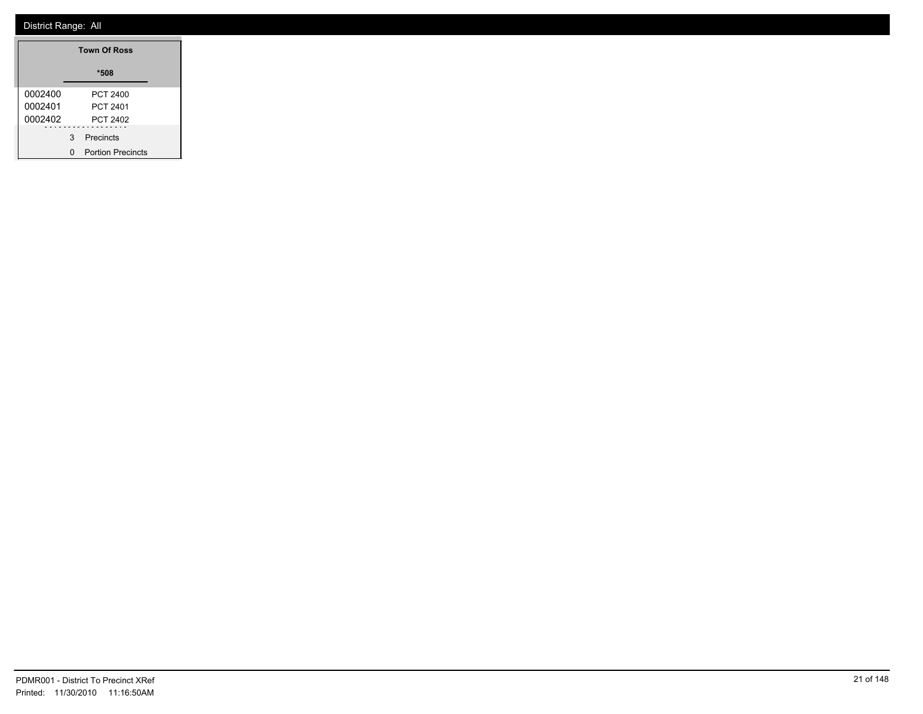| <b>Town Of Ross</b> |   |                          |  |
|---------------------|---|--------------------------|--|
|                     |   | $*508$                   |  |
| 0002400             |   | PCT 2400                 |  |
| 0002401             |   | PCT 2401                 |  |
| 0002402             |   | <b>PCT 2402</b>          |  |
|                     | 3 | Precincts                |  |
|                     |   | <b>Portion Precincts</b> |  |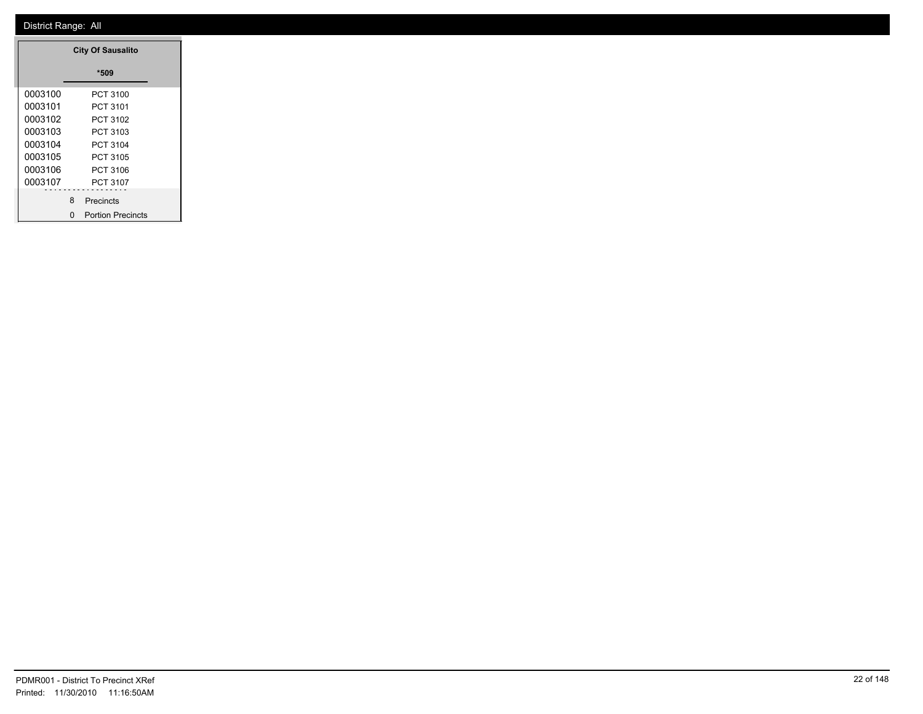| <b>City Of Sausalito</b> |          |                          |  |  |
|--------------------------|----------|--------------------------|--|--|
|                          |          | *509                     |  |  |
| 0003100                  |          | PCT 3100                 |  |  |
| 0003101                  |          | PCT 3101                 |  |  |
| 0003102                  |          | PCT 3102                 |  |  |
| 0003103                  | PCT 3103 |                          |  |  |
| 0003104                  |          | PCT 3104                 |  |  |
| 0003105                  |          | PCT 3105                 |  |  |
| 0003106                  |          | PCT 3106                 |  |  |
| 0003107                  |          | PCT 3107                 |  |  |
|                          | 8        | Precincts                |  |  |
|                          | n        | <b>Portion Precincts</b> |  |  |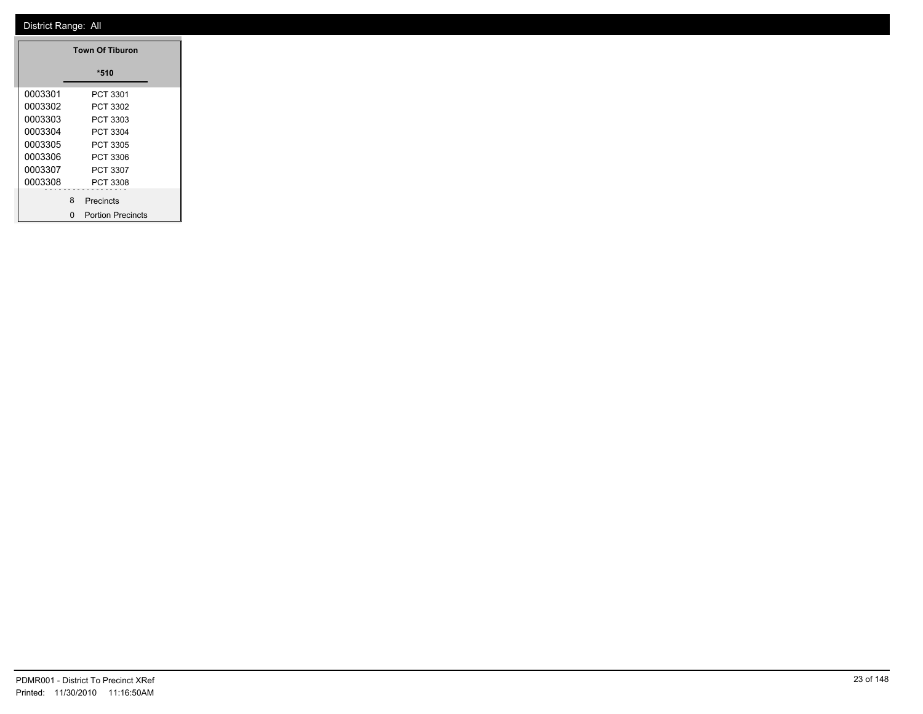| <b>Town Of Tiburon</b> |   |                          |  |  |
|------------------------|---|--------------------------|--|--|
|                        |   | *510                     |  |  |
| 0003301                |   | PCT 3301                 |  |  |
| 0003302                |   | PCT 3302                 |  |  |
| 0003303                |   | PCT 3303                 |  |  |
| 0003304                |   | PCT 3304                 |  |  |
| 0003305                |   | PCT 3305                 |  |  |
| 0003306                |   | PCT 3306                 |  |  |
| 0003307                |   | PCT 3307                 |  |  |
| 0003308                |   | PCT 3308                 |  |  |
|                        | 8 | Precincts                |  |  |
|                        | n | <b>Portion Precincts</b> |  |  |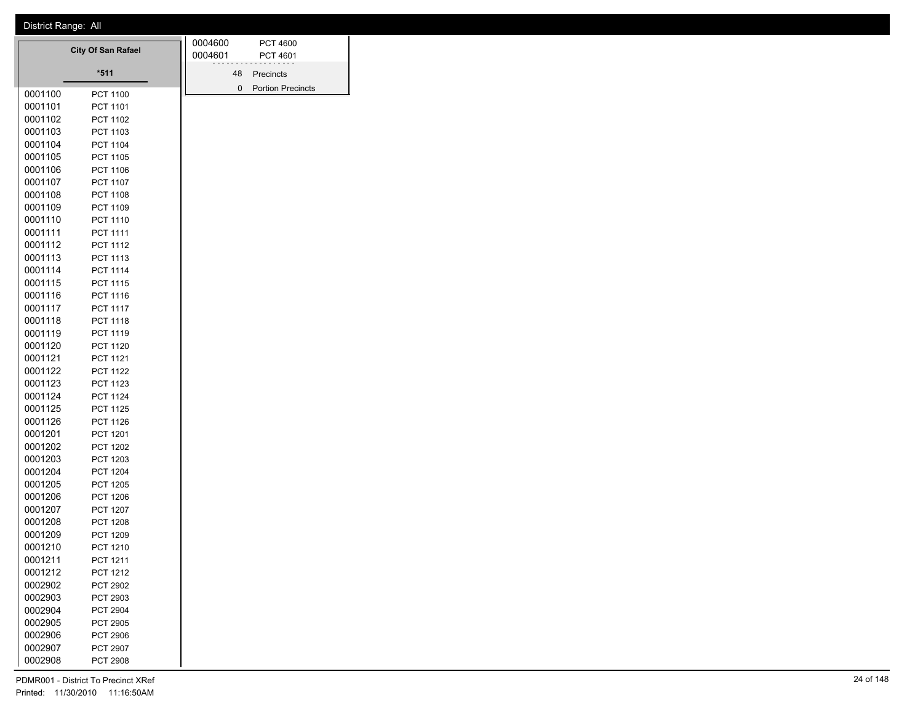|                    | <b>City Of San Rafael</b> |  |         |             | <b>PCT 4600</b><br>PCT 4601 |
|--------------------|---------------------------|--|---------|-------------|-----------------------------|
|                    | $*511$                    |  | 0004601 | 48          | Precincts                   |
|                    |                           |  |         | $\mathbf 0$ | <b>Portion Precincts</b>    |
| 0001100            | <b>PCT 1100</b>           |  |         |             |                             |
| 0001101            | <b>PCT 1101</b>           |  |         |             |                             |
| 0001102            | PCT 1102                  |  |         |             |                             |
| 0001103            | PCT 1103                  |  |         |             |                             |
| 0001104            | PCT 1104                  |  |         |             |                             |
| 0001105            | <b>PCT 1105</b>           |  |         |             |                             |
| 0001106            | <b>PCT 1106</b>           |  |         |             |                             |
| 0001107            | PCT 1107                  |  |         |             |                             |
| 0001108            | PCT 1108                  |  |         |             |                             |
| 0001109            | <b>PCT 1109</b>           |  |         |             |                             |
| 0001110            | PCT 1110                  |  |         |             |                             |
| 0001111            | <b>PCT 1111</b>           |  |         |             |                             |
| 0001112            | PCT 1112                  |  |         |             |                             |
| 0001113            | PCT 1113                  |  |         |             |                             |
| 0001114            | PCT 1114                  |  |         |             |                             |
| 0001115            | PCT 1115                  |  |         |             |                             |
| 0001116            | <b>PCT 1116</b>           |  |         |             |                             |
| 0001117            | PCT 1117                  |  |         |             |                             |
| 0001118<br>0001119 | <b>PCT 1118</b>           |  |         |             |                             |
|                    | PCT 1119                  |  |         |             |                             |
| 0001120            | PCT 1120                  |  |         |             |                             |
| 0001121<br>0001122 | <b>PCT 1121</b>           |  |         |             |                             |
| 0001123            | <b>PCT 1122</b>           |  |         |             |                             |
| 0001124            | PCT 1123<br>PCT 1124      |  |         |             |                             |
| 0001125            | <b>PCT 1125</b>           |  |         |             |                             |
| 0001126            | <b>PCT 1126</b>           |  |         |             |                             |
| 0001201            | PCT 1201                  |  |         |             |                             |
| 0001202            | <b>PCT 1202</b>           |  |         |             |                             |
| 0001203            | PCT 1203                  |  |         |             |                             |
| 0001204            | <b>PCT 1204</b>           |  |         |             |                             |
| 0001205            | <b>PCT 1205</b>           |  |         |             |                             |
| 0001206            | <b>PCT 1206</b>           |  |         |             |                             |
| 0001207            | PCT 1207                  |  |         |             |                             |
| 0001208            | <b>PCT 1208</b>           |  |         |             |                             |
| 0001209            | <b>PCT 1209</b>           |  |         |             |                             |
| 0001210            | <b>PCT 1210</b>           |  |         |             |                             |
| 0001211            | PCT 1211                  |  |         |             |                             |
| 0001212            | PCT 1212                  |  |         |             |                             |
| 0002902            | PCT 2902                  |  |         |             |                             |
| 0002903            | PCT 2903                  |  |         |             |                             |
| 0002904            | PCT 2904                  |  |         |             |                             |
| 0002905            | PCT 2905                  |  |         |             |                             |
| 0002906            | <b>PCT 2906</b>           |  |         |             |                             |
| 0002907            | PCT 2907                  |  |         |             |                             |
| 0002908            | PCT 2908                  |  |         |             |                             |
|                    |                           |  |         |             |                             |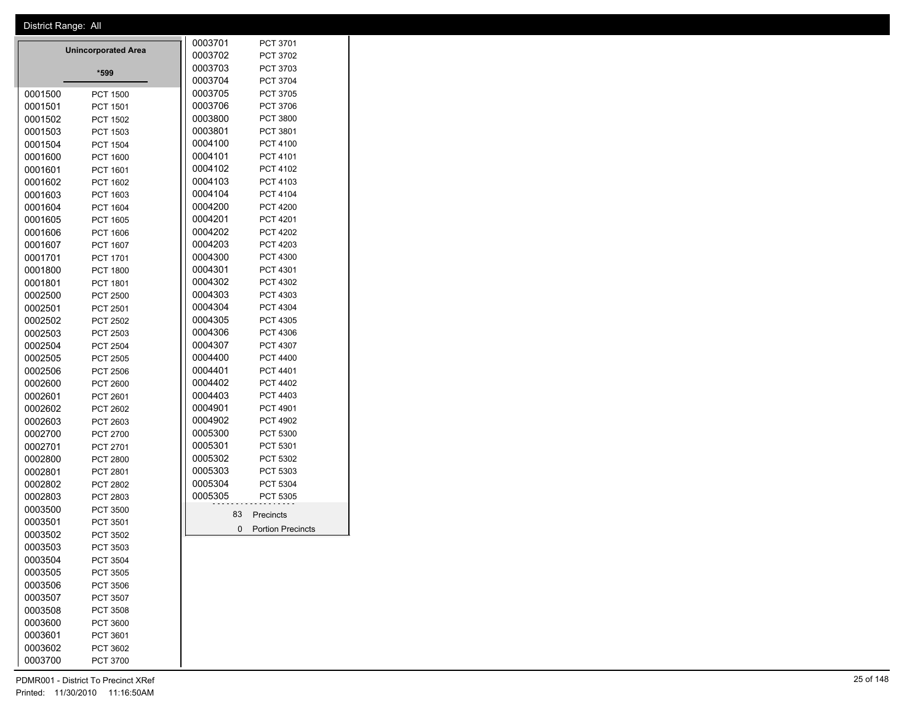| District Range: All                    |              |                          |
|----------------------------------------|--------------|--------------------------|
|                                        | 0003701      | PCT 3701                 |
| <b>Unincorporated Area</b>             | 0003702      | PCT 3702                 |
| $*599$                                 | 0003703      | PCT 3703                 |
|                                        | 0003704      | PCT 3704                 |
| 0001500<br><b>PCT 1500</b>             | 0003705      | PCT 3705                 |
| 0001501<br>PCT 1501                    | 0003706      | PCT 3706                 |
| 0001502<br>PCT 1502                    | 0003800      | PCT 3800                 |
| 0001503<br>PCT 1503                    | 0003801      | PCT 3801                 |
| 0001504<br><b>PCT 1504</b>             | 0004100      | PCT 4100                 |
| 0001600<br>PCT 1600                    | 0004101      | PCT 4101                 |
| 0001601<br>PCT 1601                    | 0004102      | PCT 4102                 |
| 0001602<br>PCT 1602                    | 0004103      | PCT 4103                 |
| 0001603<br>PCT 1603                    | 0004104      | PCT 4104                 |
| 0001604<br>PCT 1604                    | 0004200      | <b>PCT 4200</b>          |
| 0001605<br>PCT 1605                    | 0004201      | PCT 4201                 |
| 0001606<br>PCT 1606                    | 0004202      | PCT 4202                 |
| 0001607<br>PCT 1607                    | 0004203      | PCT 4203                 |
| 0001701<br>PCT 1701                    | 0004300      | PCT 4300                 |
| 0001800<br><b>PCT 1800</b>             | 0004301      | PCT 4301                 |
| 0001801<br>PCT 1801                    | 0004302      | PCT 4302                 |
| 0002500<br><b>PCT 2500</b>             | 0004303      | PCT 4303                 |
| 0002501<br>PCT 2501                    | 0004304      | PCT 4304                 |
| 0002502<br>PCT 2502                    | 0004305      | PCT 4305                 |
| 0002503<br>PCT 2503                    | 0004306      | PCT 4306                 |
| 0002504<br><b>PCT 2504</b>             | 0004307      | PCT 4307                 |
| 0002505<br><b>PCT 2505</b>             | 0004400      | PCT 4400                 |
| 0002506<br><b>PCT 2506</b>             | 0004401      | PCT 4401                 |
| 0002600<br><b>PCT 2600</b>             | 0004402      | PCT 4402                 |
| 0002601<br>PCT 2601                    | 0004403      | PCT 4403                 |
| 0002602<br>PCT 2602                    | 0004901      | PCT 4901                 |
| 0002603<br>PCT 2603                    | 0004902      | PCT 4902                 |
| 0002700<br>PCT 2700                    | 0005300      | PCT 5300                 |
| 0002701<br>PCT 2701                    | 0005301      | PCT 5301                 |
| 0002800                                | 0005302      | PCT 5302                 |
| <b>PCT 2800</b><br>0002801<br>PCT 2801 | 0005303      | PCT 5303                 |
|                                        | 0005304      | PCT 5304                 |
| 0002802<br>PCT 2802                    | 0005305      |                          |
| 0002803<br>PCT 2803                    |              | PCT 5305                 |
| 0003500<br><b>PCT 3500</b>             | 83           | Precincts                |
| 0003501<br>PCT 3501                    | $\mathbf{0}$ | <b>Portion Precincts</b> |
| 0003502<br>PCT 3502                    |              |                          |
| 0003503<br>PCT 3503                    |              |                          |
| 0003504<br><b>PCT 3504</b>             |              |                          |
| 0003505<br>PCT 3505                    |              |                          |
| 0003506<br><b>PCT 3506</b>             |              |                          |
| 0003507<br>PCT 3507                    |              |                          |
| 0003508<br>PCT 3508                    |              |                          |
| 0003600<br><b>PCT 3600</b>             |              |                          |
| 0003601<br>PCT 3601                    |              |                          |
| 0003602<br>PCT 3602                    |              |                          |
| 0003700<br>PCT 3700                    |              |                          |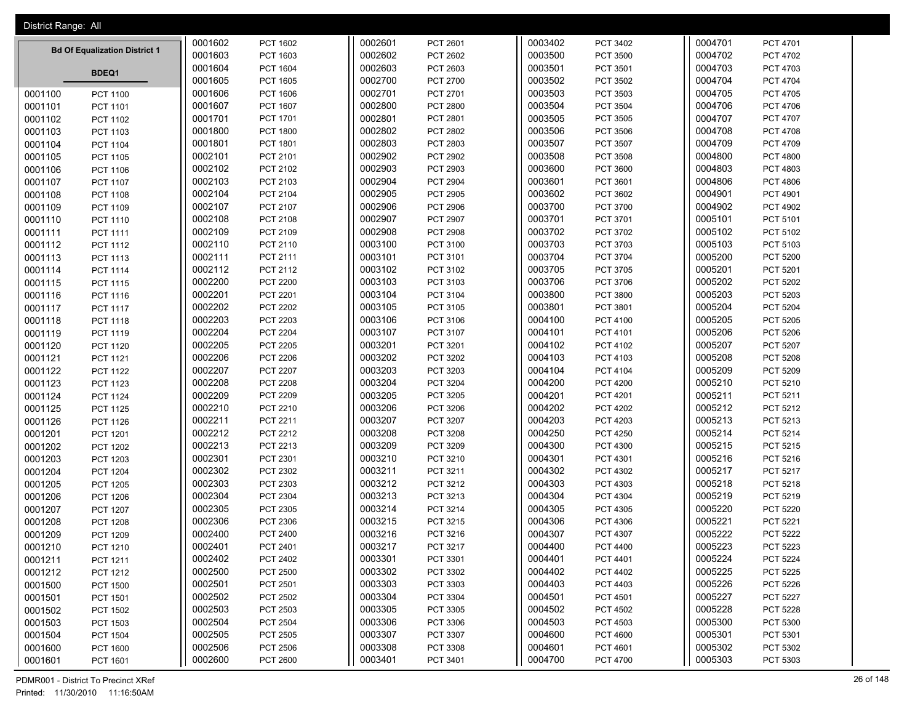| District Range: All |                                      |         |                 |         |                 |         |                 |         |                 |
|---------------------|--------------------------------------|---------|-----------------|---------|-----------------|---------|-----------------|---------|-----------------|
|                     |                                      | 0001602 | PCT 1602        | 0002601 | PCT 2601        | 0003402 | PCT 3402        | 0004701 | PCT 4701        |
|                     | <b>Bd Of Equalization District 1</b> | 0001603 | PCT 1603        | 0002602 | PCT 2602        | 0003500 | <b>PCT 3500</b> | 0004702 | <b>PCT 4702</b> |
|                     |                                      | 0001604 | PCT 1604        | 0002603 | PCT 2603        | 0003501 | PCT 3501        | 0004703 | PCT 4703        |
|                     | BDEQ1                                | 0001605 | <b>PCT 1605</b> | 0002700 | <b>PCT 2700</b> | 0003502 | PCT 3502        | 0004704 | PCT 4704        |
| 0001100             | <b>PCT 1100</b>                      | 0001606 | <b>PCT 1606</b> | 0002701 | PCT 2701        | 0003503 | PCT 3503        | 0004705 | <b>PCT 4705</b> |
| 0001101             | PCT 1101                             | 0001607 | PCT 1607        | 0002800 | PCT 2800        | 0003504 | <b>PCT 3504</b> | 0004706 | PCT 4706        |
| 0001102             | PCT 1102                             | 0001701 | PCT 1701        | 0002801 | PCT 2801        | 0003505 | PCT 3505        | 0004707 | PCT 4707        |
| 0001103             | PCT 1103                             | 0001800 | <b>PCT 1800</b> | 0002802 | PCT 2802        | 0003506 | <b>PCT 3506</b> | 0004708 | <b>PCT 4708</b> |
| 0001104             | <b>PCT 1104</b>                      | 0001801 | PCT 1801        | 0002803 | PCT 2803        | 0003507 | PCT 3507        | 0004709 | PCT 4709        |
| 0001105             | PCT 1105                             | 0002101 | PCT 2101        | 0002902 | PCT 2902        | 0003508 | PCT 3508        | 0004800 | <b>PCT 4800</b> |
| 0001106             | PCT 1106                             | 0002102 | PCT 2102        | 0002903 | PCT 2903        | 0003600 | PCT 3600        | 0004803 | PCT 4803        |
| 0001107             | PCT 1107                             | 0002103 | PCT 2103        | 0002904 | <b>PCT 2904</b> | 0003601 | PCT 3601        | 0004806 | <b>PCT 4806</b> |
| 0001108             | <b>PCT 1108</b>                      | 0002104 | PCT 2104        | 0002905 | PCT 2905        | 0003602 | PCT 3602        | 0004901 | PCT 4901        |
| 0001109             | PCT 1109                             | 0002107 | PCT 2107        | 0002906 | <b>PCT 2906</b> | 0003700 | PCT 3700        | 0004902 | <b>PCT 4902</b> |
| 0001110             | PCT 1110                             | 0002108 | PCT 2108        | 0002907 | PCT 2907        | 0003701 | PCT 3701        | 0005101 | PCT 5101        |
| 0001111             | PCT 1111                             | 0002109 | PCT 2109        | 0002908 | PCT 2908        | 0003702 | PCT 3702        | 0005102 | PCT 5102        |
| 0001112             | PCT 1112                             | 0002110 | PCT 2110        | 0003100 | PCT 3100        | 0003703 | PCT 3703        | 0005103 | PCT 5103        |
| 0001113             | PCT 1113                             | 0002111 | PCT 2111        | 0003101 | PCT 3101        | 0003704 | PCT 3704        | 0005200 | <b>PCT 5200</b> |
| 0001114             | PCT 1114                             | 0002112 | PCT 2112        | 0003102 | PCT 3102        | 0003705 | <b>PCT 3705</b> | 0005201 | PCT 5201        |
| 0001115             | PCT 1115                             | 0002200 | <b>PCT 2200</b> | 0003103 | PCT 3103        | 0003706 | PCT 3706        | 0005202 | PCT 5202        |
| 0001116             | PCT 1116                             | 0002201 | PCT 2201        | 0003104 | PCT 3104        | 0003800 | <b>PCT 3800</b> | 0005203 | PCT 5203        |
| 0001117             | <b>PCT 1117</b>                      | 0002202 | <b>PCT 2202</b> | 0003105 | PCT 3105        | 0003801 | PCT 3801        | 0005204 | <b>PCT 5204</b> |
| 0001118             | <b>PCT 1118</b>                      | 0002203 | <b>PCT 2203</b> | 0003106 | PCT 3106        | 0004100 | PCT 4100        | 0005205 | <b>PCT 5205</b> |
| 0001119             | PCT 1119                             | 0002204 | <b>PCT 2204</b> | 0003107 | PCT 3107        | 0004101 | PCT 4101        | 0005206 | <b>PCT 5206</b> |
| 0001120             | PCT 1120                             | 0002205 | <b>PCT 2205</b> | 0003201 | PCT 3201        | 0004102 | PCT 4102        | 0005207 | PCT 5207        |
| 0001121             | PCT 1121                             | 0002206 | <b>PCT 2206</b> | 0003202 | PCT 3202        | 0004103 | PCT 4103        | 0005208 | <b>PCT 5208</b> |
| 0001122             | <b>PCT 1122</b>                      | 0002207 | <b>PCT 2207</b> | 0003203 | PCT 3203        | 0004104 | PCT 4104        | 0005209 | PCT 5209        |
| 0001123             | PCT 1123                             | 0002208 | <b>PCT 2208</b> | 0003204 | PCT 3204        | 0004200 | <b>PCT 4200</b> | 0005210 | PCT 5210        |
| 0001124             | <b>PCT 1124</b>                      | 0002209 | <b>PCT 2209</b> | 0003205 | PCT 3205        | 0004201 | PCT 4201        | 0005211 | PCT 5211        |
| 0001125             | PCT 1125                             | 0002210 | PCT 2210        | 0003206 | PCT 3206        | 0004202 | <b>PCT 4202</b> | 0005212 | PCT 5212        |
| 0001126             | <b>PCT 1126</b>                      | 0002211 | PCT 2211        | 0003207 | PCT 3207        | 0004203 | PCT 4203        | 0005213 | PCT 5213        |
| 0001201             | PCT 1201                             | 0002212 | PCT 2212        | 0003208 | PCT 3208        | 0004250 | <b>PCT 4250</b> | 0005214 | PCT 5214        |
| 0001202             | <b>PCT 1202</b>                      | 0002213 | PCT 2213        | 0003209 | PCT 3209        | 0004300 | PCT 4300        | 0005215 | PCT 5215        |
| 0001203             | PCT 1203                             | 0002301 | PCT 2301        | 0003210 | PCT 3210        | 0004301 | PCT 4301        | 0005216 | PCT 5216        |
| 0001204             | <b>PCT 1204</b>                      | 0002302 | PCT 2302        | 0003211 | PCT 3211        | 0004302 | PCT 4302        | 0005217 | PCT 5217        |
| 0001205             | <b>PCT 1205</b>                      | 0002303 | PCT 2303        | 0003212 | PCT 3212        | 0004303 | PCT 4303        | 0005218 | PCT 5218        |
| 0001206             | <b>PCT 1206</b>                      | 0002304 | PCT 2304        | 0003213 | PCT 3213        | 0004304 | PCT 4304        | 0005219 | PCT 5219        |
| 0001207             | PCT 1207                             | 0002305 | <b>PCT 2305</b> | 0003214 | PCT 3214        | 0004305 | PCT 4305        | 0005220 | <b>PCT 5220</b> |
| 0001208             | <b>PCT 1208</b>                      | 0002306 | PCT 2306        | 0003215 | PCT 3215        | 0004306 | PCT 4306        | 0005221 | PCT 5221        |
| 0001209             | PCT 1209                             | 0002400 | <b>PCT 2400</b> | 0003216 | PCT 3216        | 0004307 | PCT 4307        | 0005222 | <b>PCT 5222</b> |
| 0001210             | PCT 1210                             | 0002401 | PCT 2401        | 0003217 | PCT 3217        | 0004400 | <b>PCT 4400</b> | 0005223 | <b>PCT 5223</b> |
| 0001211             | PCT 1211                             | 0002402 | PCT 2402        | 0003301 | PCT 3301        | 0004401 | PCT 4401        | 0005224 | <b>PCT 5224</b> |
| 0001212             | PCT 1212                             | 0002500 | <b>PCT 2500</b> | 0003302 | PCT 3302        | 0004402 | PCT 4402        | 0005225 | <b>PCT 5225</b> |
| 0001500             | <b>PCT 1500</b>                      | 0002501 | PCT 2501        | 0003303 | PCT 3303        | 0004403 | PCT 4403        | 0005226 | PCT 5226        |
| 0001501             | PCT 1501                             | 0002502 | PCT 2502        | 0003304 | <b>PCT 3304</b> | 0004501 | PCT 4501        | 0005227 | <b>PCT 5227</b> |
| 0001502             | PCT 1502                             | 0002503 | PCT 2503        | 0003305 | PCT 3305        | 0004502 | <b>PCT 4502</b> | 0005228 | <b>PCT 5228</b> |
| 0001503             | PCT 1503                             | 0002504 | <b>PCT 2504</b> | 0003306 | PCT 3306        | 0004503 | PCT 4503        | 0005300 | PCT 5300        |
| 0001504             | <b>PCT 1504</b>                      | 0002505 | PCT 2505        | 0003307 | PCT 3307        | 0004600 | <b>PCT 4600</b> | 0005301 | PCT 5301        |
| 0001600             | PCT 1600                             | 0002506 | <b>PCT 2506</b> | 0003308 | PCT 3308        | 0004601 | PCT 4601        | 0005302 | PCT 5302        |
| 0001601             | PCT 1601                             | 0002600 | PCT 2600        | 0003401 | PCT 3401        | 0004700 | <b>PCT 4700</b> | 0005303 | PCT 5303        |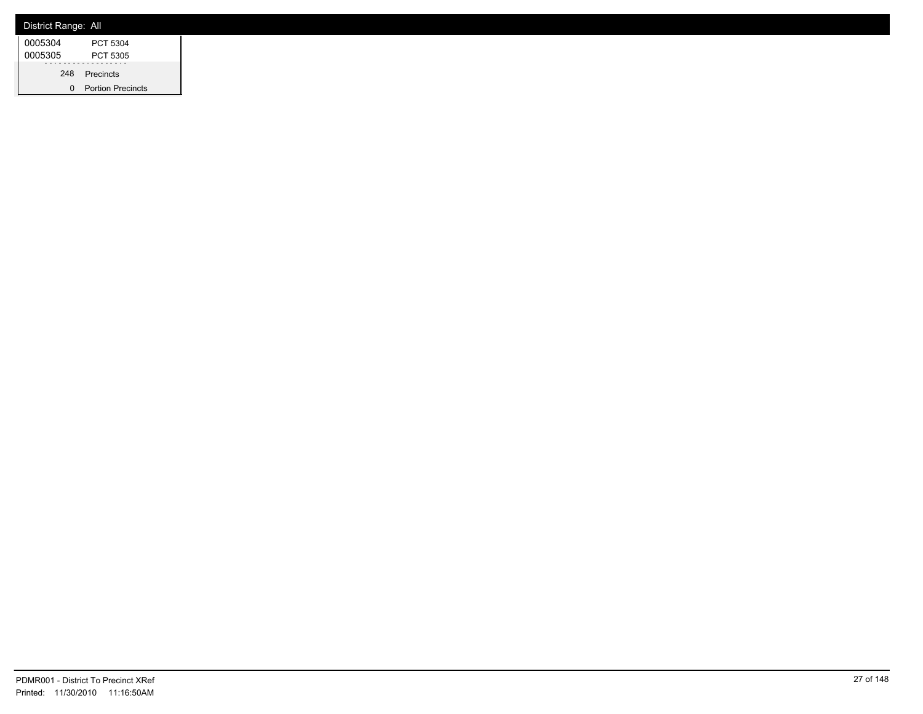| District Range: All |                          |
|---------------------|--------------------------|
| 0005304             | PCT 5304                 |
| 0005305             | PCT 5305                 |
|                     | 248 Precincts            |
|                     | <b>Portion Precincts</b> |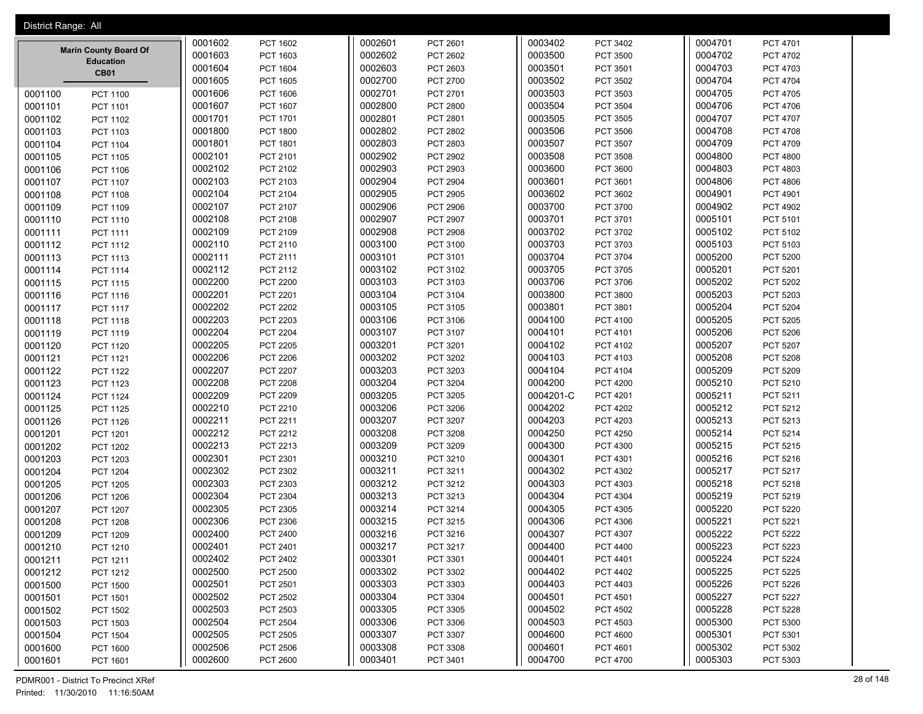| District Range: All |                              |         |                 |         |                 |           |                 |         |                 |
|---------------------|------------------------------|---------|-----------------|---------|-----------------|-----------|-----------------|---------|-----------------|
|                     |                              | 0001602 | PCT 1602        | 0002601 | PCT 2601        | 0003402   | PCT 3402        | 0004701 | PCT 4701        |
|                     | <b>Marin County Board Of</b> | 0001603 | PCT 1603        | 0002602 | PCT 2602        | 0003500   | PCT 3500        | 0004702 | PCT 4702        |
|                     | <b>Education</b>             | 0001604 | PCT 1604        | 0002603 | PCT 2603        | 0003501   | PCT 3501        | 0004703 | PCT 4703        |
|                     | <b>CB01</b>                  | 0001605 | PCT 1605        | 0002700 | PCT 2700        | 0003502   | PCT 3502        | 0004704 | <b>PCT 4704</b> |
| 0001100             | <b>PCT 1100</b>              | 0001606 | PCT 1606        | 0002701 | PCT 2701        | 0003503   | PCT 3503        | 0004705 | <b>PCT 4705</b> |
| 0001101             | PCT 1101                     | 0001607 | PCT 1607        | 0002800 | PCT 2800        | 0003504   | <b>PCT 3504</b> | 0004706 | <b>PCT 4706</b> |
| 0001102             | <b>PCT 1102</b>              | 0001701 | PCT 1701        | 0002801 | PCT 2801        | 0003505   | PCT 3505        | 0004707 | <b>PCT 4707</b> |
| 0001103             | PCT 1103                     | 0001800 | <b>PCT 1800</b> | 0002802 | PCT 2802        | 0003506   | PCT 3506        | 0004708 | <b>PCT 4708</b> |
| 0001104             | <b>PCT 1104</b>              | 0001801 | PCT 1801        | 0002803 | PCT 2803        | 0003507   | PCT 3507        | 0004709 | PCT 4709        |
| 0001105             | PCT 1105                     | 0002101 | PCT 2101        | 0002902 | PCT 2902        | 0003508   | PCT 3508        | 0004800 | <b>PCT 4800</b> |
| 0001106             | PCT 1106                     | 0002102 | PCT 2102        | 0002903 | PCT 2903        | 0003600   | PCT 3600        | 0004803 | <b>PCT 4803</b> |
| 0001107             | <b>PCT 1107</b>              | 0002103 | PCT 2103        | 0002904 | <b>PCT 2904</b> | 0003601   | PCT 3601        | 0004806 | <b>PCT 4806</b> |
| 0001108             | PCT 1108                     | 0002104 | PCT 2104        | 0002905 | PCT 2905        | 0003602   | PCT 3602        | 0004901 | PCT 4901        |
| 0001109             | PCT 1109                     | 0002107 | PCT 2107        | 0002906 | <b>PCT 2906</b> | 0003700   | PCT 3700        | 0004902 | PCT 4902        |
| 0001110             | PCT 1110                     | 0002108 | PCT 2108        | 0002907 | PCT 2907        | 0003701   | PCT 3701        | 0005101 | PCT 5101        |
| 0001111             | PCT 1111                     | 0002109 | PCT 2109        | 0002908 | <b>PCT 2908</b> | 0003702   | PCT 3702        | 0005102 | PCT 5102        |
| 0001112             | PCT 1112                     | 0002110 | PCT 2110        | 0003100 | PCT 3100        | 0003703   | PCT 3703        | 0005103 | PCT 5103        |
| 0001113             | PCT 1113                     | 0002111 | PCT 2111        | 0003101 | PCT 3101        | 0003704   | <b>PCT 3704</b> | 0005200 | <b>PCT 5200</b> |
| 0001114             | PCT 1114                     | 0002112 | PCT 2112        | 0003102 | PCT 3102        | 0003705   | PCT 3705        | 0005201 | PCT 5201        |
| 0001115             | PCT 1115                     | 0002200 | <b>PCT 2200</b> | 0003103 | PCT 3103        | 0003706   | PCT 3706        | 0005202 | <b>PCT 5202</b> |
| 0001116             | PCT 1116                     | 0002201 | PCT 2201        | 0003104 | PCT 3104        | 0003800   | PCT 3800        | 0005203 | <b>PCT 5203</b> |
| 0001117             | <b>PCT 1117</b>              | 0002202 | <b>PCT 2202</b> | 0003105 | PCT 3105        | 0003801   | PCT 3801        | 0005204 | <b>PCT 5204</b> |
| 0001118             | PCT 1118                     | 0002203 | <b>PCT 2203</b> | 0003106 | PCT 3106        | 0004100   | PCT 4100        | 0005205 | <b>PCT 5205</b> |
| 0001119             | PCT 1119                     | 0002204 | <b>PCT 2204</b> | 0003107 | PCT 3107        | 0004101   | PCT 4101        | 0005206 | <b>PCT 5206</b> |
| 0001120             | <b>PCT 1120</b>              | 0002205 | PCT 2205        | 0003201 | PCT 3201        | 0004102   | PCT 4102        | 0005207 | <b>PCT 5207</b> |
| 0001121             | PCT 1121                     | 0002206 | <b>PCT 2206</b> | 0003202 | PCT 3202        | 0004103   | PCT 4103        | 0005208 | <b>PCT 5208</b> |
| 0001122             | <b>PCT 1122</b>              | 0002207 | <b>PCT 2207</b> | 0003203 | PCT 3203        | 0004104   | <b>PCT 4104</b> | 0005209 | PCT 5209        |
| 0001123             | PCT 1123                     | 0002208 | <b>PCT 2208</b> | 0003204 | <b>PCT 3204</b> | 0004200   | <b>PCT 4200</b> | 0005210 | PCT 5210        |
| 0001124             | <b>PCT 1124</b>              | 0002209 | PCT 2209        | 0003205 | PCT 3205        | 0004201-C | PCT 4201        | 0005211 | PCT 5211        |
| 0001125             | PCT 1125                     | 0002210 | PCT 2210        | 0003206 | PCT 3206        | 0004202   | <b>PCT 4202</b> | 0005212 | PCT 5212        |
| 0001126             | PCT 1126                     | 0002211 | PCT 2211        | 0003207 | PCT 3207        | 0004203   | PCT 4203        | 0005213 | PCT 5213        |
| 0001201             | <b>PCT 1201</b>              | 0002212 | PCT 2212        | 0003208 | <b>PCT 3208</b> | 0004250   | <b>PCT 4250</b> | 0005214 | PCT 5214        |
| 0001202             | <b>PCT 1202</b>              | 0002213 | PCT 2213        | 0003209 | PCT 3209        | 0004300   | PCT 4300        | 0005215 | PCT 5215        |
| 0001203             | PCT 1203                     | 0002301 | PCT 2301        | 0003210 | PCT 3210        | 0004301   | PCT 4301        | 0005216 | PCT 5216        |
| 0001204             | <b>PCT 1204</b>              | 0002302 | PCT 2302        | 0003211 | PCT 3211        | 0004302   | PCT 4302        | 0005217 | <b>PCT 5217</b> |
| 0001205             | <b>PCT 1205</b>              | 0002303 | PCT 2303        | 0003212 | PCT 3212        | 0004303   | PCT 4303        | 0005218 | PCT 5218        |
| 0001206             | <b>PCT 1206</b>              | 0002304 | PCT 2304        | 0003213 | PCT 3213        | 0004304   | PCT 4304        | 0005219 | PCT 5219        |
| 0001207             | <b>PCT 1207</b>              | 0002305 | PCT 2305        | 0003214 | PCT 3214        | 0004305   | PCT 4305        | 0005220 | <b>PCT 5220</b> |
| 0001208             | <b>PCT 1208</b>              | 0002306 | PCT 2306        | 0003215 | PCT 3215        | 0004306   | PCT 4306        | 0005221 | <b>PCT 5221</b> |
| 0001209             | <b>PCT 1209</b>              | 0002400 | PCT 2400        | 0003216 | PCT 3216        | 0004307   | <b>PCT 4307</b> | 0005222 | <b>PCT 5222</b> |
| 0001210             | PCT 1210                     | 0002401 | PCT 2401        | 0003217 | PCT 3217        | 0004400   | PCT 4400        | 0005223 | PCT 5223        |
| 0001211             | PCT 1211                     | 0002402 | PCT 2402        | 0003301 | PCT 3301        | 0004401   | PCT 4401        | 0005224 | <b>PCT 5224</b> |
| 0001212             | PCT 1212                     | 0002500 | <b>PCT 2500</b> | 0003302 | PCT 3302        | 0004402   | PCT 4402        | 0005225 | PCT 5225        |
| 0001500             | <b>PCT 1500</b>              | 0002501 | PCT 2501        | 0003303 | PCT 3303        | 0004403   | PCT 4403        | 0005226 | <b>PCT 5226</b> |
| 0001501             | PCT 1501                     | 0002502 | PCT 2502        | 0003304 | PCT 3304        | 0004501   | PCT 4501        | 0005227 | PCT 5227        |
| 0001502             | <b>PCT 1502</b>              | 0002503 | PCT 2503        | 0003305 | PCT 3305        | 0004502   | PCT 4502        | 0005228 | PCT 5228        |
| 0001503             | PCT 1503                     | 0002504 | <b>PCT 2504</b> | 0003306 | PCT 3306        | 0004503   | PCT 4503        | 0005300 | PCT 5300        |
| 0001504             | <b>PCT 1504</b>              | 0002505 | PCT 2505        | 0003307 | PCT 3307        | 0004600   | <b>PCT 4600</b> | 0005301 | PCT 5301        |
| 0001600             | PCT 1600                     | 0002506 | PCT 2506        | 0003308 | PCT 3308        | 0004601   | PCT 4601        | 0005302 | PCT 5302        |
| 0001601             | PCT 1601                     | 0002600 | <b>PCT 2600</b> | 0003401 | PCT 3401        | 0004700   | <b>PCT 4700</b> | 0005303 | PCT 5303        |

PDMR001 - District To Precinct XRef 28 of 148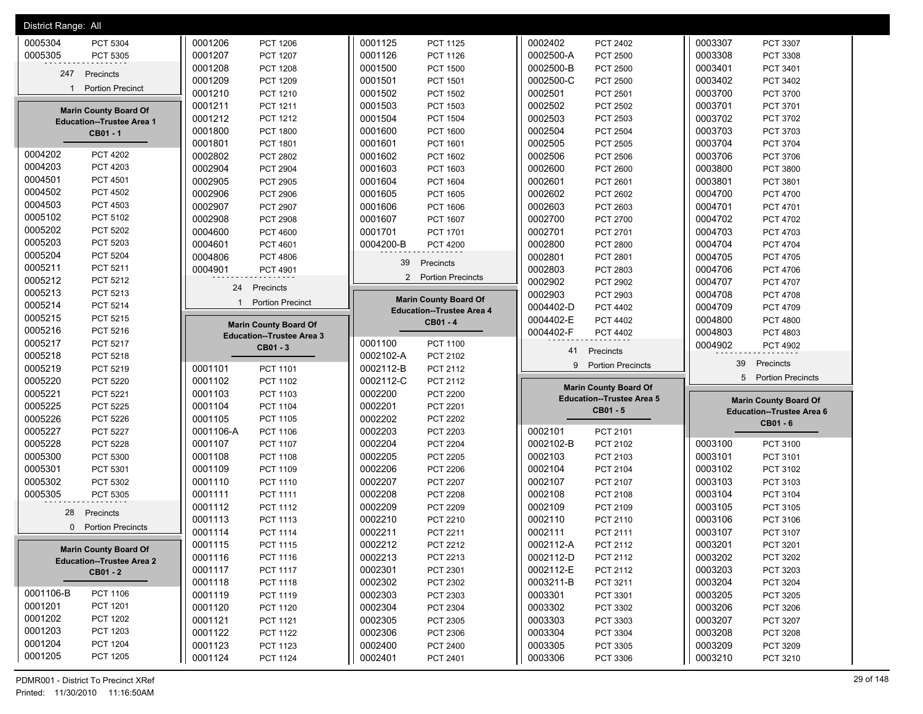| 0002402<br>0005304<br>0001206<br>0001125<br>PCT 2402<br>0003307<br>PCT 5304<br><b>PCT 1206</b><br><b>PCT 1125</b><br>PCT 3307<br>0005305<br>0001207<br>0001126<br>0002500-A<br>0003308<br>PCT 5305<br><b>PCT 1207</b><br>PCT 1126<br>PCT 2500<br>PCT 3308<br>0001208<br><b>PCT 1208</b><br>0001500<br><b>PCT 1500</b><br>0002500-B<br>PCT 2500<br>0003401<br>PCT 3401<br>Precincts<br>247<br>0001209<br>0001501<br>0002500-C<br>0003402<br>PCT 1209<br>PCT 3402<br>PCT 1501<br><b>PCT 2500</b><br>1 Portion Precinct<br>0001210<br>0001502<br>0002501<br>0003700<br><b>PCT 1502</b><br>PCT 2501<br>PCT 3700<br>PCT 1210<br>0001211<br>0001503<br>0002502<br>0003701<br>PCT 1211<br>PCT 1503<br><b>PCT 2502</b><br>PCT 3701<br><b>Marin County Board Of</b><br>0001212<br>0001504<br>0002503<br>0003702<br><b>PCT 1212</b><br><b>PCT 1504</b><br>PCT 2503<br>PCT 3702<br><b>Education--Trustee Area 1</b><br>0001800<br><b>PCT 1800</b><br>0001600<br><b>PCT 1600</b><br>0002504<br><b>PCT 2504</b><br>0003703<br>PCT 3703<br>CB01 - 1<br>0001801<br>0001601<br>0002505<br>0003704<br>PCT 1801<br>PCT 2505<br>PCT 3704<br>PCT 1601<br>0004202<br><b>PCT 4202</b><br>0002802<br>0001602<br>0002506<br>0003706<br>PCT 1602<br>PCT 2506<br>PCT 3706<br>PCT 2802<br>0004203<br>PCT 4203<br>0002904<br>0001603<br><b>PCT 2904</b><br>PCT 1603<br>0002600<br><b>PCT 2600</b><br>0003800<br><b>PCT 3800</b><br>0004501<br><b>PCT 4501</b><br>0002905<br><b>PCT 2905</b><br>0001604<br>0002601<br>0003801<br>PCT 1604<br>PCT 2601<br>PCT 3801<br>0004502<br><b>PCT 4502</b><br>0002906<br><b>PCT 2906</b><br>0001605<br><b>PCT 1605</b><br>0002602<br><b>PCT 2602</b><br>0004700<br>PCT 4700<br>0004503<br>PCT 4503<br>0002907<br>0001606<br>0002603<br>PCT 2907<br>PCT 2603<br>0004701<br>PCT 4701<br>PCT 1606<br>0005102<br>PCT 5102<br>0002908<br>0001607<br>0002700<br>0004702<br><b>PCT 1607</b><br>PCT 2700<br><b>PCT 2908</b><br>PCT 4702<br>0005202<br><b>PCT 5202</b><br>0004600<br>0001701<br>0002701<br><b>PCT 4600</b><br>PCT 1701<br>PCT 2701<br>0004703<br>PCT 4703<br>0005203<br>PCT 5203<br>0004601<br>0004200-B<br>0002800<br>PCT 2800<br>0004704<br><b>PCT 4601</b><br><b>PCT 4200</b><br><b>PCT 4704</b><br>0005204<br>PCT 5204<br>0004806<br><b>PCT 4806</b><br>0002801<br><b>PCT 2801</b><br>0004705<br>PCT 4705<br>39<br>Precincts<br>0005211<br>PCT 5211<br>0004901<br>0002803<br>PCT 2803<br>0004706<br>PCT 4706<br>PCT 4901<br>2 Portion Precincts<br>0005212<br>PCT 5212<br>0002902<br>0004707<br>PCT 4707<br>PCT 2902<br>24<br>Precincts<br>0005213<br>PCT 5213<br>0002903<br>0004708<br>PCT 2903<br><b>PCT 4708</b><br><b>Marin County Board Of</b><br><b>Portion Precinct</b><br>$\mathbf{1}$<br>0005214<br>PCT 5214<br>0004402-D<br>0004709<br><b>PCT 4402</b><br>PCT 4709<br><b>Education--Trustee Area 4</b><br>0005215<br>PCT 5215<br>0004402-E<br><b>PCT 4402</b><br>0004800<br><b>PCT 4800</b><br>CB01-4<br><b>Marin County Board Of</b><br>0005216<br>PCT 5216<br>0004402-F<br>0004803<br>PCT 4803<br>PCT 4402<br><b>Education--Trustee Area 3</b><br>0005217<br>0001100<br>PCT 5217<br><b>PCT 1100</b><br>0004902<br><b>PCT 4902</b><br>CB01 - 3<br>41<br>Precincts<br>0005218<br>0002102-A<br>PCT 5218<br>PCT 2102<br>39<br>Precincts<br><b>Portion Precincts</b><br>9<br>0005219<br>PCT 5219<br>0002112-B<br>PCT 2112<br>0001101<br>PCT 1101<br>5 Portion Precincts<br>0005220<br>PCT 5220<br>0001102<br>PCT 1102<br>0002112-C<br>PCT 2112<br><b>Marin County Board Of</b><br>0005221<br>0001103<br>0002200<br>PCT 5221<br>PCT 1103<br><b>PCT 2200</b><br><b>Education--Trustee Area 5</b><br><b>Marin County Board Of</b><br>0005225<br>0002201<br>PCT 5225<br>0001104<br><b>PCT 1104</b><br>PCT 2201<br>CB01 - 5<br><b>Education--Trustee Area 6</b><br>0005226<br>0001105<br>0002202<br><b>PCT 5226</b><br><b>PCT 1105</b><br><b>PCT 2202</b><br>CB01 - 6<br>0005227<br><b>PCT 5227</b><br>0002203<br>PCT 2203<br>0002101<br>0001106-A<br><b>PCT 1106</b><br>PCT 2101<br>0005228<br>0002204<br><b>PCT 5228</b><br>0001107<br>PCT 1107<br><b>PCT 2204</b><br>0002102-B<br>PCT 2102<br>0003100<br>PCT 3100<br>0002205<br>0005300<br>0001108<br>0002103<br>0003101<br>PCT 5300<br><b>PCT 1108</b><br><b>PCT 2205</b><br>PCT 2103<br>PCT 3101<br>0005301<br>0002206<br>0002104<br>PCT 5301<br>0001109<br><b>PCT 2206</b><br>PCT 2104<br>0003102<br>PCT 1109<br>PCT 3102<br>0005302<br>0001110<br>0002207<br>0002107<br>0003103<br>PCT 5302<br>PCT 1110<br><b>PCT 2207</b><br>PCT 2107<br>PCT 3103<br>0005305<br>0002208<br><b>PCT 2208</b><br>0002108<br>0003104<br>PCT 5305<br>0001111<br><b>PCT 1111</b><br>PCT 2108<br>PCT 3104<br>0001112<br>PCT 1112<br>0002209<br>PCT 2209<br>0002109<br>PCT 2109<br>0003105<br>PCT 3105<br>28<br>Precincts<br>0001113<br>0002210<br>0002110<br>0003106<br>PCT 2210<br>PCT 1113<br>PCT 2110<br>PCT 3106<br>0 Portion Precincts<br>0002211<br>0002111<br>0003107<br>0001114<br><b>PCT 1114</b><br>PCT 2211<br>PCT 2111<br>PCT 3107<br>0002212<br>0002112-A<br>0003201<br>0001115<br>PCT 2212<br>PCT 2112<br>PCT 3201<br>PCT 1115<br><b>Marin County Board Of</b><br>0002213<br>0002112-D<br>0001116<br>PCT 2213<br>0003202<br>PCT 3202<br>PCT 1116<br>PCT 2112<br><b>Education--Trustee Area 2</b><br>0002301<br>0001117<br>PCT 1117<br>PCT 2301<br>0002112-E<br>PCT 2112<br>0003203<br>PCT 3203<br><b>CB01 - 2</b><br>0002302<br>0003211-B<br>0003204<br>0001118<br>PCT 1118<br>PCT 2302<br>PCT 3211<br>PCT 3204<br>0001106-B<br>PCT 1106<br>0001119<br>0002303<br>0003301<br>0003205<br>PCT 1119<br>PCT 2303<br>PCT 3301<br>PCT 3205<br>0001201<br>PCT 1201<br>0002304<br>0001120<br>PCT 2304<br>0003302<br>0003206<br>PCT 1120<br>PCT 3302<br>PCT 3206<br>0001202<br>PCT 1202<br>0001121<br>0002305<br>PCT 2305<br>0003303<br>PCT 3303<br>0003207<br>PCT 3207<br>PCT 1121<br>0001203<br>PCT 1203<br>0002306<br>0003304<br>0001122<br>PCT 1122<br>PCT 2306<br><b>PCT 3304</b><br>0003208<br>PCT 3208<br>0001204<br><b>PCT 1204</b><br>0001123<br>0002400<br>0003209<br>0003305<br>PCT 1123<br>PCT 2400<br>PCT 3305<br>PCT 3209<br>0001205<br>PCT 1205<br>0001124<br>0002401<br>0003306<br>0003210<br>PCT 1124<br>PCT 2401<br>PCT 3306<br>PCT 3210 | District Range: All |  |  |
|-----------------------------------------------------------------------------------------------------------------------------------------------------------------------------------------------------------------------------------------------------------------------------------------------------------------------------------------------------------------------------------------------------------------------------------------------------------------------------------------------------------------------------------------------------------------------------------------------------------------------------------------------------------------------------------------------------------------------------------------------------------------------------------------------------------------------------------------------------------------------------------------------------------------------------------------------------------------------------------------------------------------------------------------------------------------------------------------------------------------------------------------------------------------------------------------------------------------------------------------------------------------------------------------------------------------------------------------------------------------------------------------------------------------------------------------------------------------------------------------------------------------------------------------------------------------------------------------------------------------------------------------------------------------------------------------------------------------------------------------------------------------------------------------------------------------------------------------------------------------------------------------------------------------------------------------------------------------------------------------------------------------------------------------------------------------------------------------------------------------------------------------------------------------------------------------------------------------------------------------------------------------------------------------------------------------------------------------------------------------------------------------------------------------------------------------------------------------------------------------------------------------------------------------------------------------------------------------------------------------------------------------------------------------------------------------------------------------------------------------------------------------------------------------------------------------------------------------------------------------------------------------------------------------------------------------------------------------------------------------------------------------------------------------------------------------------------------------------------------------------------------------------------------------------------------------------------------------------------------------------------------------------------------------------------------------------------------------------------------------------------------------------------------------------------------------------------------------------------------------------------------------------------------------------------------------------------------------------------------------------------------------------------------------------------------------------------------------------------------------------------------------------------------------------------------------------------------------------------------------------------------------------------------------------------------------------------------------------------------------------------------------------------------------------------------------------------------------------------------------------------------------------------------------------------------------------------------------------------------------------------------------------------------------------------------------------------------------------------------------------------------------------------------------------------------------------------------------------------------------------------------------------------------------------------------------------------------------------------------------------------------------------------------------------------------------------------------------------------------------------------------------------------------------------------------------------------------------------------------------------------------------------------------------------------------------------------------------------------------------------------------------------------------------------------------------------------------------------------------------------------------------------------------------------------------------------------------------------------------------------------------------------------------------------------------------------------------------------------------------------------------------------------------------------------------------------------------------------------------------------------------------------------------------------------------------------------------------------------------------------------------------------------------------------------------------------------------------------------------------------------------------------------------------------------------------------------------------------------------------------------------------------------------------------------------------------------------------------------------------------------------------------------------------------------------------------------------------------------------------------------------------------------------------------------------------------------------------------|---------------------|--|--|
|                                                                                                                                                                                                                                                                                                                                                                                                                                                                                                                                                                                                                                                                                                                                                                                                                                                                                                                                                                                                                                                                                                                                                                                                                                                                                                                                                                                                                                                                                                                                                                                                                                                                                                                                                                                                                                                                                                                                                                                                                                                                                                                                                                                                                                                                                                                                                                                                                                                                                                                                                                                                                                                                                                                                                                                                                                                                                                                                                                                                                                                                                                                                                                                                                                                                                                                                                                                                                                                                                                                                                                                                                                                                                                                                                                                                                                                                                                                                                                                                                                                                                                                                                                                                                                                                                                                                                                                                                                                                                                                                                                                                                                                                                                                                                                                                                                                                                                                                                                                                                                                                                                                                                                                                                                                                                                                                                                                                                                                                                                                                                                                                                                                                                                                                                                                                                                                                                                                                                                                                                                                                                                                                                                                                                       |                     |  |  |
|                                                                                                                                                                                                                                                                                                                                                                                                                                                                                                                                                                                                                                                                                                                                                                                                                                                                                                                                                                                                                                                                                                                                                                                                                                                                                                                                                                                                                                                                                                                                                                                                                                                                                                                                                                                                                                                                                                                                                                                                                                                                                                                                                                                                                                                                                                                                                                                                                                                                                                                                                                                                                                                                                                                                                                                                                                                                                                                                                                                                                                                                                                                                                                                                                                                                                                                                                                                                                                                                                                                                                                                                                                                                                                                                                                                                                                                                                                                                                                                                                                                                                                                                                                                                                                                                                                                                                                                                                                                                                                                                                                                                                                                                                                                                                                                                                                                                                                                                                                                                                                                                                                                                                                                                                                                                                                                                                                                                                                                                                                                                                                                                                                                                                                                                                                                                                                                                                                                                                                                                                                                                                                                                                                                                                       |                     |  |  |
|                                                                                                                                                                                                                                                                                                                                                                                                                                                                                                                                                                                                                                                                                                                                                                                                                                                                                                                                                                                                                                                                                                                                                                                                                                                                                                                                                                                                                                                                                                                                                                                                                                                                                                                                                                                                                                                                                                                                                                                                                                                                                                                                                                                                                                                                                                                                                                                                                                                                                                                                                                                                                                                                                                                                                                                                                                                                                                                                                                                                                                                                                                                                                                                                                                                                                                                                                                                                                                                                                                                                                                                                                                                                                                                                                                                                                                                                                                                                                                                                                                                                                                                                                                                                                                                                                                                                                                                                                                                                                                                                                                                                                                                                                                                                                                                                                                                                                                                                                                                                                                                                                                                                                                                                                                                                                                                                                                                                                                                                                                                                                                                                                                                                                                                                                                                                                                                                                                                                                                                                                                                                                                                                                                                                                       |                     |  |  |
|                                                                                                                                                                                                                                                                                                                                                                                                                                                                                                                                                                                                                                                                                                                                                                                                                                                                                                                                                                                                                                                                                                                                                                                                                                                                                                                                                                                                                                                                                                                                                                                                                                                                                                                                                                                                                                                                                                                                                                                                                                                                                                                                                                                                                                                                                                                                                                                                                                                                                                                                                                                                                                                                                                                                                                                                                                                                                                                                                                                                                                                                                                                                                                                                                                                                                                                                                                                                                                                                                                                                                                                                                                                                                                                                                                                                                                                                                                                                                                                                                                                                                                                                                                                                                                                                                                                                                                                                                                                                                                                                                                                                                                                                                                                                                                                                                                                                                                                                                                                                                                                                                                                                                                                                                                                                                                                                                                                                                                                                                                                                                                                                                                                                                                                                                                                                                                                                                                                                                                                                                                                                                                                                                                                                                       |                     |  |  |
|                                                                                                                                                                                                                                                                                                                                                                                                                                                                                                                                                                                                                                                                                                                                                                                                                                                                                                                                                                                                                                                                                                                                                                                                                                                                                                                                                                                                                                                                                                                                                                                                                                                                                                                                                                                                                                                                                                                                                                                                                                                                                                                                                                                                                                                                                                                                                                                                                                                                                                                                                                                                                                                                                                                                                                                                                                                                                                                                                                                                                                                                                                                                                                                                                                                                                                                                                                                                                                                                                                                                                                                                                                                                                                                                                                                                                                                                                                                                                                                                                                                                                                                                                                                                                                                                                                                                                                                                                                                                                                                                                                                                                                                                                                                                                                                                                                                                                                                                                                                                                                                                                                                                                                                                                                                                                                                                                                                                                                                                                                                                                                                                                                                                                                                                                                                                                                                                                                                                                                                                                                                                                                                                                                                                                       |                     |  |  |
|                                                                                                                                                                                                                                                                                                                                                                                                                                                                                                                                                                                                                                                                                                                                                                                                                                                                                                                                                                                                                                                                                                                                                                                                                                                                                                                                                                                                                                                                                                                                                                                                                                                                                                                                                                                                                                                                                                                                                                                                                                                                                                                                                                                                                                                                                                                                                                                                                                                                                                                                                                                                                                                                                                                                                                                                                                                                                                                                                                                                                                                                                                                                                                                                                                                                                                                                                                                                                                                                                                                                                                                                                                                                                                                                                                                                                                                                                                                                                                                                                                                                                                                                                                                                                                                                                                                                                                                                                                                                                                                                                                                                                                                                                                                                                                                                                                                                                                                                                                                                                                                                                                                                                                                                                                                                                                                                                                                                                                                                                                                                                                                                                                                                                                                                                                                                                                                                                                                                                                                                                                                                                                                                                                                                                       |                     |  |  |
|                                                                                                                                                                                                                                                                                                                                                                                                                                                                                                                                                                                                                                                                                                                                                                                                                                                                                                                                                                                                                                                                                                                                                                                                                                                                                                                                                                                                                                                                                                                                                                                                                                                                                                                                                                                                                                                                                                                                                                                                                                                                                                                                                                                                                                                                                                                                                                                                                                                                                                                                                                                                                                                                                                                                                                                                                                                                                                                                                                                                                                                                                                                                                                                                                                                                                                                                                                                                                                                                                                                                                                                                                                                                                                                                                                                                                                                                                                                                                                                                                                                                                                                                                                                                                                                                                                                                                                                                                                                                                                                                                                                                                                                                                                                                                                                                                                                                                                                                                                                                                                                                                                                                                                                                                                                                                                                                                                                                                                                                                                                                                                                                                                                                                                                                                                                                                                                                                                                                                                                                                                                                                                                                                                                                                       |                     |  |  |
|                                                                                                                                                                                                                                                                                                                                                                                                                                                                                                                                                                                                                                                                                                                                                                                                                                                                                                                                                                                                                                                                                                                                                                                                                                                                                                                                                                                                                                                                                                                                                                                                                                                                                                                                                                                                                                                                                                                                                                                                                                                                                                                                                                                                                                                                                                                                                                                                                                                                                                                                                                                                                                                                                                                                                                                                                                                                                                                                                                                                                                                                                                                                                                                                                                                                                                                                                                                                                                                                                                                                                                                                                                                                                                                                                                                                                                                                                                                                                                                                                                                                                                                                                                                                                                                                                                                                                                                                                                                                                                                                                                                                                                                                                                                                                                                                                                                                                                                                                                                                                                                                                                                                                                                                                                                                                                                                                                                                                                                                                                                                                                                                                                                                                                                                                                                                                                                                                                                                                                                                                                                                                                                                                                                                                       |                     |  |  |
|                                                                                                                                                                                                                                                                                                                                                                                                                                                                                                                                                                                                                                                                                                                                                                                                                                                                                                                                                                                                                                                                                                                                                                                                                                                                                                                                                                                                                                                                                                                                                                                                                                                                                                                                                                                                                                                                                                                                                                                                                                                                                                                                                                                                                                                                                                                                                                                                                                                                                                                                                                                                                                                                                                                                                                                                                                                                                                                                                                                                                                                                                                                                                                                                                                                                                                                                                                                                                                                                                                                                                                                                                                                                                                                                                                                                                                                                                                                                                                                                                                                                                                                                                                                                                                                                                                                                                                                                                                                                                                                                                                                                                                                                                                                                                                                                                                                                                                                                                                                                                                                                                                                                                                                                                                                                                                                                                                                                                                                                                                                                                                                                                                                                                                                                                                                                                                                                                                                                                                                                                                                                                                                                                                                                                       |                     |  |  |
|                                                                                                                                                                                                                                                                                                                                                                                                                                                                                                                                                                                                                                                                                                                                                                                                                                                                                                                                                                                                                                                                                                                                                                                                                                                                                                                                                                                                                                                                                                                                                                                                                                                                                                                                                                                                                                                                                                                                                                                                                                                                                                                                                                                                                                                                                                                                                                                                                                                                                                                                                                                                                                                                                                                                                                                                                                                                                                                                                                                                                                                                                                                                                                                                                                                                                                                                                                                                                                                                                                                                                                                                                                                                                                                                                                                                                                                                                                                                                                                                                                                                                                                                                                                                                                                                                                                                                                                                                                                                                                                                                                                                                                                                                                                                                                                                                                                                                                                                                                                                                                                                                                                                                                                                                                                                                                                                                                                                                                                                                                                                                                                                                                                                                                                                                                                                                                                                                                                                                                                                                                                                                                                                                                                                                       |                     |  |  |
|                                                                                                                                                                                                                                                                                                                                                                                                                                                                                                                                                                                                                                                                                                                                                                                                                                                                                                                                                                                                                                                                                                                                                                                                                                                                                                                                                                                                                                                                                                                                                                                                                                                                                                                                                                                                                                                                                                                                                                                                                                                                                                                                                                                                                                                                                                                                                                                                                                                                                                                                                                                                                                                                                                                                                                                                                                                                                                                                                                                                                                                                                                                                                                                                                                                                                                                                                                                                                                                                                                                                                                                                                                                                                                                                                                                                                                                                                                                                                                                                                                                                                                                                                                                                                                                                                                                                                                                                                                                                                                                                                                                                                                                                                                                                                                                                                                                                                                                                                                                                                                                                                                                                                                                                                                                                                                                                                                                                                                                                                                                                                                                                                                                                                                                                                                                                                                                                                                                                                                                                                                                                                                                                                                                                                       |                     |  |  |
|                                                                                                                                                                                                                                                                                                                                                                                                                                                                                                                                                                                                                                                                                                                                                                                                                                                                                                                                                                                                                                                                                                                                                                                                                                                                                                                                                                                                                                                                                                                                                                                                                                                                                                                                                                                                                                                                                                                                                                                                                                                                                                                                                                                                                                                                                                                                                                                                                                                                                                                                                                                                                                                                                                                                                                                                                                                                                                                                                                                                                                                                                                                                                                                                                                                                                                                                                                                                                                                                                                                                                                                                                                                                                                                                                                                                                                                                                                                                                                                                                                                                                                                                                                                                                                                                                                                                                                                                                                                                                                                                                                                                                                                                                                                                                                                                                                                                                                                                                                                                                                                                                                                                                                                                                                                                                                                                                                                                                                                                                                                                                                                                                                                                                                                                                                                                                                                                                                                                                                                                                                                                                                                                                                                                                       |                     |  |  |
|                                                                                                                                                                                                                                                                                                                                                                                                                                                                                                                                                                                                                                                                                                                                                                                                                                                                                                                                                                                                                                                                                                                                                                                                                                                                                                                                                                                                                                                                                                                                                                                                                                                                                                                                                                                                                                                                                                                                                                                                                                                                                                                                                                                                                                                                                                                                                                                                                                                                                                                                                                                                                                                                                                                                                                                                                                                                                                                                                                                                                                                                                                                                                                                                                                                                                                                                                                                                                                                                                                                                                                                                                                                                                                                                                                                                                                                                                                                                                                                                                                                                                                                                                                                                                                                                                                                                                                                                                                                                                                                                                                                                                                                                                                                                                                                                                                                                                                                                                                                                                                                                                                                                                                                                                                                                                                                                                                                                                                                                                                                                                                                                                                                                                                                                                                                                                                                                                                                                                                                                                                                                                                                                                                                                                       |                     |  |  |
|                                                                                                                                                                                                                                                                                                                                                                                                                                                                                                                                                                                                                                                                                                                                                                                                                                                                                                                                                                                                                                                                                                                                                                                                                                                                                                                                                                                                                                                                                                                                                                                                                                                                                                                                                                                                                                                                                                                                                                                                                                                                                                                                                                                                                                                                                                                                                                                                                                                                                                                                                                                                                                                                                                                                                                                                                                                                                                                                                                                                                                                                                                                                                                                                                                                                                                                                                                                                                                                                                                                                                                                                                                                                                                                                                                                                                                                                                                                                                                                                                                                                                                                                                                                                                                                                                                                                                                                                                                                                                                                                                                                                                                                                                                                                                                                                                                                                                                                                                                                                                                                                                                                                                                                                                                                                                                                                                                                                                                                                                                                                                                                                                                                                                                                                                                                                                                                                                                                                                                                                                                                                                                                                                                                                                       |                     |  |  |
|                                                                                                                                                                                                                                                                                                                                                                                                                                                                                                                                                                                                                                                                                                                                                                                                                                                                                                                                                                                                                                                                                                                                                                                                                                                                                                                                                                                                                                                                                                                                                                                                                                                                                                                                                                                                                                                                                                                                                                                                                                                                                                                                                                                                                                                                                                                                                                                                                                                                                                                                                                                                                                                                                                                                                                                                                                                                                                                                                                                                                                                                                                                                                                                                                                                                                                                                                                                                                                                                                                                                                                                                                                                                                                                                                                                                                                                                                                                                                                                                                                                                                                                                                                                                                                                                                                                                                                                                                                                                                                                                                                                                                                                                                                                                                                                                                                                                                                                                                                                                                                                                                                                                                                                                                                                                                                                                                                                                                                                                                                                                                                                                                                                                                                                                                                                                                                                                                                                                                                                                                                                                                                                                                                                                                       |                     |  |  |
|                                                                                                                                                                                                                                                                                                                                                                                                                                                                                                                                                                                                                                                                                                                                                                                                                                                                                                                                                                                                                                                                                                                                                                                                                                                                                                                                                                                                                                                                                                                                                                                                                                                                                                                                                                                                                                                                                                                                                                                                                                                                                                                                                                                                                                                                                                                                                                                                                                                                                                                                                                                                                                                                                                                                                                                                                                                                                                                                                                                                                                                                                                                                                                                                                                                                                                                                                                                                                                                                                                                                                                                                                                                                                                                                                                                                                                                                                                                                                                                                                                                                                                                                                                                                                                                                                                                                                                                                                                                                                                                                                                                                                                                                                                                                                                                                                                                                                                                                                                                                                                                                                                                                                                                                                                                                                                                                                                                                                                                                                                                                                                                                                                                                                                                                                                                                                                                                                                                                                                                                                                                                                                                                                                                                                       |                     |  |  |
|                                                                                                                                                                                                                                                                                                                                                                                                                                                                                                                                                                                                                                                                                                                                                                                                                                                                                                                                                                                                                                                                                                                                                                                                                                                                                                                                                                                                                                                                                                                                                                                                                                                                                                                                                                                                                                                                                                                                                                                                                                                                                                                                                                                                                                                                                                                                                                                                                                                                                                                                                                                                                                                                                                                                                                                                                                                                                                                                                                                                                                                                                                                                                                                                                                                                                                                                                                                                                                                                                                                                                                                                                                                                                                                                                                                                                                                                                                                                                                                                                                                                                                                                                                                                                                                                                                                                                                                                                                                                                                                                                                                                                                                                                                                                                                                                                                                                                                                                                                                                                                                                                                                                                                                                                                                                                                                                                                                                                                                                                                                                                                                                                                                                                                                                                                                                                                                                                                                                                                                                                                                                                                                                                                                                                       |                     |  |  |
|                                                                                                                                                                                                                                                                                                                                                                                                                                                                                                                                                                                                                                                                                                                                                                                                                                                                                                                                                                                                                                                                                                                                                                                                                                                                                                                                                                                                                                                                                                                                                                                                                                                                                                                                                                                                                                                                                                                                                                                                                                                                                                                                                                                                                                                                                                                                                                                                                                                                                                                                                                                                                                                                                                                                                                                                                                                                                                                                                                                                                                                                                                                                                                                                                                                                                                                                                                                                                                                                                                                                                                                                                                                                                                                                                                                                                                                                                                                                                                                                                                                                                                                                                                                                                                                                                                                                                                                                                                                                                                                                                                                                                                                                                                                                                                                                                                                                                                                                                                                                                                                                                                                                                                                                                                                                                                                                                                                                                                                                                                                                                                                                                                                                                                                                                                                                                                                                                                                                                                                                                                                                                                                                                                                                                       |                     |  |  |
|                                                                                                                                                                                                                                                                                                                                                                                                                                                                                                                                                                                                                                                                                                                                                                                                                                                                                                                                                                                                                                                                                                                                                                                                                                                                                                                                                                                                                                                                                                                                                                                                                                                                                                                                                                                                                                                                                                                                                                                                                                                                                                                                                                                                                                                                                                                                                                                                                                                                                                                                                                                                                                                                                                                                                                                                                                                                                                                                                                                                                                                                                                                                                                                                                                                                                                                                                                                                                                                                                                                                                                                                                                                                                                                                                                                                                                                                                                                                                                                                                                                                                                                                                                                                                                                                                                                                                                                                                                                                                                                                                                                                                                                                                                                                                                                                                                                                                                                                                                                                                                                                                                                                                                                                                                                                                                                                                                                                                                                                                                                                                                                                                                                                                                                                                                                                                                                                                                                                                                                                                                                                                                                                                                                                                       |                     |  |  |
|                                                                                                                                                                                                                                                                                                                                                                                                                                                                                                                                                                                                                                                                                                                                                                                                                                                                                                                                                                                                                                                                                                                                                                                                                                                                                                                                                                                                                                                                                                                                                                                                                                                                                                                                                                                                                                                                                                                                                                                                                                                                                                                                                                                                                                                                                                                                                                                                                                                                                                                                                                                                                                                                                                                                                                                                                                                                                                                                                                                                                                                                                                                                                                                                                                                                                                                                                                                                                                                                                                                                                                                                                                                                                                                                                                                                                                                                                                                                                                                                                                                                                                                                                                                                                                                                                                                                                                                                                                                                                                                                                                                                                                                                                                                                                                                                                                                                                                                                                                                                                                                                                                                                                                                                                                                                                                                                                                                                                                                                                                                                                                                                                                                                                                                                                                                                                                                                                                                                                                                                                                                                                                                                                                                                                       |                     |  |  |
|                                                                                                                                                                                                                                                                                                                                                                                                                                                                                                                                                                                                                                                                                                                                                                                                                                                                                                                                                                                                                                                                                                                                                                                                                                                                                                                                                                                                                                                                                                                                                                                                                                                                                                                                                                                                                                                                                                                                                                                                                                                                                                                                                                                                                                                                                                                                                                                                                                                                                                                                                                                                                                                                                                                                                                                                                                                                                                                                                                                                                                                                                                                                                                                                                                                                                                                                                                                                                                                                                                                                                                                                                                                                                                                                                                                                                                                                                                                                                                                                                                                                                                                                                                                                                                                                                                                                                                                                                                                                                                                                                                                                                                                                                                                                                                                                                                                                                                                                                                                                                                                                                                                                                                                                                                                                                                                                                                                                                                                                                                                                                                                                                                                                                                                                                                                                                                                                                                                                                                                                                                                                                                                                                                                                                       |                     |  |  |
|                                                                                                                                                                                                                                                                                                                                                                                                                                                                                                                                                                                                                                                                                                                                                                                                                                                                                                                                                                                                                                                                                                                                                                                                                                                                                                                                                                                                                                                                                                                                                                                                                                                                                                                                                                                                                                                                                                                                                                                                                                                                                                                                                                                                                                                                                                                                                                                                                                                                                                                                                                                                                                                                                                                                                                                                                                                                                                                                                                                                                                                                                                                                                                                                                                                                                                                                                                                                                                                                                                                                                                                                                                                                                                                                                                                                                                                                                                                                                                                                                                                                                                                                                                                                                                                                                                                                                                                                                                                                                                                                                                                                                                                                                                                                                                                                                                                                                                                                                                                                                                                                                                                                                                                                                                                                                                                                                                                                                                                                                                                                                                                                                                                                                                                                                                                                                                                                                                                                                                                                                                                                                                                                                                                                                       |                     |  |  |
|                                                                                                                                                                                                                                                                                                                                                                                                                                                                                                                                                                                                                                                                                                                                                                                                                                                                                                                                                                                                                                                                                                                                                                                                                                                                                                                                                                                                                                                                                                                                                                                                                                                                                                                                                                                                                                                                                                                                                                                                                                                                                                                                                                                                                                                                                                                                                                                                                                                                                                                                                                                                                                                                                                                                                                                                                                                                                                                                                                                                                                                                                                                                                                                                                                                                                                                                                                                                                                                                                                                                                                                                                                                                                                                                                                                                                                                                                                                                                                                                                                                                                                                                                                                                                                                                                                                                                                                                                                                                                                                                                                                                                                                                                                                                                                                                                                                                                                                                                                                                                                                                                                                                                                                                                                                                                                                                                                                                                                                                                                                                                                                                                                                                                                                                                                                                                                                                                                                                                                                                                                                                                                                                                                                                                       |                     |  |  |
|                                                                                                                                                                                                                                                                                                                                                                                                                                                                                                                                                                                                                                                                                                                                                                                                                                                                                                                                                                                                                                                                                                                                                                                                                                                                                                                                                                                                                                                                                                                                                                                                                                                                                                                                                                                                                                                                                                                                                                                                                                                                                                                                                                                                                                                                                                                                                                                                                                                                                                                                                                                                                                                                                                                                                                                                                                                                                                                                                                                                                                                                                                                                                                                                                                                                                                                                                                                                                                                                                                                                                                                                                                                                                                                                                                                                                                                                                                                                                                                                                                                                                                                                                                                                                                                                                                                                                                                                                                                                                                                                                                                                                                                                                                                                                                                                                                                                                                                                                                                                                                                                                                                                                                                                                                                                                                                                                                                                                                                                                                                                                                                                                                                                                                                                                                                                                                                                                                                                                                                                                                                                                                                                                                                                                       |                     |  |  |
|                                                                                                                                                                                                                                                                                                                                                                                                                                                                                                                                                                                                                                                                                                                                                                                                                                                                                                                                                                                                                                                                                                                                                                                                                                                                                                                                                                                                                                                                                                                                                                                                                                                                                                                                                                                                                                                                                                                                                                                                                                                                                                                                                                                                                                                                                                                                                                                                                                                                                                                                                                                                                                                                                                                                                                                                                                                                                                                                                                                                                                                                                                                                                                                                                                                                                                                                                                                                                                                                                                                                                                                                                                                                                                                                                                                                                                                                                                                                                                                                                                                                                                                                                                                                                                                                                                                                                                                                                                                                                                                                                                                                                                                                                                                                                                                                                                                                                                                                                                                                                                                                                                                                                                                                                                                                                                                                                                                                                                                                                                                                                                                                                                                                                                                                                                                                                                                                                                                                                                                                                                                                                                                                                                                                                       |                     |  |  |
|                                                                                                                                                                                                                                                                                                                                                                                                                                                                                                                                                                                                                                                                                                                                                                                                                                                                                                                                                                                                                                                                                                                                                                                                                                                                                                                                                                                                                                                                                                                                                                                                                                                                                                                                                                                                                                                                                                                                                                                                                                                                                                                                                                                                                                                                                                                                                                                                                                                                                                                                                                                                                                                                                                                                                                                                                                                                                                                                                                                                                                                                                                                                                                                                                                                                                                                                                                                                                                                                                                                                                                                                                                                                                                                                                                                                                                                                                                                                                                                                                                                                                                                                                                                                                                                                                                                                                                                                                                                                                                                                                                                                                                                                                                                                                                                                                                                                                                                                                                                                                                                                                                                                                                                                                                                                                                                                                                                                                                                                                                                                                                                                                                                                                                                                                                                                                                                                                                                                                                                                                                                                                                                                                                                                                       |                     |  |  |
|                                                                                                                                                                                                                                                                                                                                                                                                                                                                                                                                                                                                                                                                                                                                                                                                                                                                                                                                                                                                                                                                                                                                                                                                                                                                                                                                                                                                                                                                                                                                                                                                                                                                                                                                                                                                                                                                                                                                                                                                                                                                                                                                                                                                                                                                                                                                                                                                                                                                                                                                                                                                                                                                                                                                                                                                                                                                                                                                                                                                                                                                                                                                                                                                                                                                                                                                                                                                                                                                                                                                                                                                                                                                                                                                                                                                                                                                                                                                                                                                                                                                                                                                                                                                                                                                                                                                                                                                                                                                                                                                                                                                                                                                                                                                                                                                                                                                                                                                                                                                                                                                                                                                                                                                                                                                                                                                                                                                                                                                                                                                                                                                                                                                                                                                                                                                                                                                                                                                                                                                                                                                                                                                                                                                                       |                     |  |  |
|                                                                                                                                                                                                                                                                                                                                                                                                                                                                                                                                                                                                                                                                                                                                                                                                                                                                                                                                                                                                                                                                                                                                                                                                                                                                                                                                                                                                                                                                                                                                                                                                                                                                                                                                                                                                                                                                                                                                                                                                                                                                                                                                                                                                                                                                                                                                                                                                                                                                                                                                                                                                                                                                                                                                                                                                                                                                                                                                                                                                                                                                                                                                                                                                                                                                                                                                                                                                                                                                                                                                                                                                                                                                                                                                                                                                                                                                                                                                                                                                                                                                                                                                                                                                                                                                                                                                                                                                                                                                                                                                                                                                                                                                                                                                                                                                                                                                                                                                                                                                                                                                                                                                                                                                                                                                                                                                                                                                                                                                                                                                                                                                                                                                                                                                                                                                                                                                                                                                                                                                                                                                                                                                                                                                                       |                     |  |  |
|                                                                                                                                                                                                                                                                                                                                                                                                                                                                                                                                                                                                                                                                                                                                                                                                                                                                                                                                                                                                                                                                                                                                                                                                                                                                                                                                                                                                                                                                                                                                                                                                                                                                                                                                                                                                                                                                                                                                                                                                                                                                                                                                                                                                                                                                                                                                                                                                                                                                                                                                                                                                                                                                                                                                                                                                                                                                                                                                                                                                                                                                                                                                                                                                                                                                                                                                                                                                                                                                                                                                                                                                                                                                                                                                                                                                                                                                                                                                                                                                                                                                                                                                                                                                                                                                                                                                                                                                                                                                                                                                                                                                                                                                                                                                                                                                                                                                                                                                                                                                                                                                                                                                                                                                                                                                                                                                                                                                                                                                                                                                                                                                                                                                                                                                                                                                                                                                                                                                                                                                                                                                                                                                                                                                                       |                     |  |  |
|                                                                                                                                                                                                                                                                                                                                                                                                                                                                                                                                                                                                                                                                                                                                                                                                                                                                                                                                                                                                                                                                                                                                                                                                                                                                                                                                                                                                                                                                                                                                                                                                                                                                                                                                                                                                                                                                                                                                                                                                                                                                                                                                                                                                                                                                                                                                                                                                                                                                                                                                                                                                                                                                                                                                                                                                                                                                                                                                                                                                                                                                                                                                                                                                                                                                                                                                                                                                                                                                                                                                                                                                                                                                                                                                                                                                                                                                                                                                                                                                                                                                                                                                                                                                                                                                                                                                                                                                                                                                                                                                                                                                                                                                                                                                                                                                                                                                                                                                                                                                                                                                                                                                                                                                                                                                                                                                                                                                                                                                                                                                                                                                                                                                                                                                                                                                                                                                                                                                                                                                                                                                                                                                                                                                                       |                     |  |  |
|                                                                                                                                                                                                                                                                                                                                                                                                                                                                                                                                                                                                                                                                                                                                                                                                                                                                                                                                                                                                                                                                                                                                                                                                                                                                                                                                                                                                                                                                                                                                                                                                                                                                                                                                                                                                                                                                                                                                                                                                                                                                                                                                                                                                                                                                                                                                                                                                                                                                                                                                                                                                                                                                                                                                                                                                                                                                                                                                                                                                                                                                                                                                                                                                                                                                                                                                                                                                                                                                                                                                                                                                                                                                                                                                                                                                                                                                                                                                                                                                                                                                                                                                                                                                                                                                                                                                                                                                                                                                                                                                                                                                                                                                                                                                                                                                                                                                                                                                                                                                                                                                                                                                                                                                                                                                                                                                                                                                                                                                                                                                                                                                                                                                                                                                                                                                                                                                                                                                                                                                                                                                                                                                                                                                                       |                     |  |  |
|                                                                                                                                                                                                                                                                                                                                                                                                                                                                                                                                                                                                                                                                                                                                                                                                                                                                                                                                                                                                                                                                                                                                                                                                                                                                                                                                                                                                                                                                                                                                                                                                                                                                                                                                                                                                                                                                                                                                                                                                                                                                                                                                                                                                                                                                                                                                                                                                                                                                                                                                                                                                                                                                                                                                                                                                                                                                                                                                                                                                                                                                                                                                                                                                                                                                                                                                                                                                                                                                                                                                                                                                                                                                                                                                                                                                                                                                                                                                                                                                                                                                                                                                                                                                                                                                                                                                                                                                                                                                                                                                                                                                                                                                                                                                                                                                                                                                                                                                                                                                                                                                                                                                                                                                                                                                                                                                                                                                                                                                                                                                                                                                                                                                                                                                                                                                                                                                                                                                                                                                                                                                                                                                                                                                                       |                     |  |  |
|                                                                                                                                                                                                                                                                                                                                                                                                                                                                                                                                                                                                                                                                                                                                                                                                                                                                                                                                                                                                                                                                                                                                                                                                                                                                                                                                                                                                                                                                                                                                                                                                                                                                                                                                                                                                                                                                                                                                                                                                                                                                                                                                                                                                                                                                                                                                                                                                                                                                                                                                                                                                                                                                                                                                                                                                                                                                                                                                                                                                                                                                                                                                                                                                                                                                                                                                                                                                                                                                                                                                                                                                                                                                                                                                                                                                                                                                                                                                                                                                                                                                                                                                                                                                                                                                                                                                                                                                                                                                                                                                                                                                                                                                                                                                                                                                                                                                                                                                                                                                                                                                                                                                                                                                                                                                                                                                                                                                                                                                                                                                                                                                                                                                                                                                                                                                                                                                                                                                                                                                                                                                                                                                                                                                                       |                     |  |  |
|                                                                                                                                                                                                                                                                                                                                                                                                                                                                                                                                                                                                                                                                                                                                                                                                                                                                                                                                                                                                                                                                                                                                                                                                                                                                                                                                                                                                                                                                                                                                                                                                                                                                                                                                                                                                                                                                                                                                                                                                                                                                                                                                                                                                                                                                                                                                                                                                                                                                                                                                                                                                                                                                                                                                                                                                                                                                                                                                                                                                                                                                                                                                                                                                                                                                                                                                                                                                                                                                                                                                                                                                                                                                                                                                                                                                                                                                                                                                                                                                                                                                                                                                                                                                                                                                                                                                                                                                                                                                                                                                                                                                                                                                                                                                                                                                                                                                                                                                                                                                                                                                                                                                                                                                                                                                                                                                                                                                                                                                                                                                                                                                                                                                                                                                                                                                                                                                                                                                                                                                                                                                                                                                                                                                                       |                     |  |  |
|                                                                                                                                                                                                                                                                                                                                                                                                                                                                                                                                                                                                                                                                                                                                                                                                                                                                                                                                                                                                                                                                                                                                                                                                                                                                                                                                                                                                                                                                                                                                                                                                                                                                                                                                                                                                                                                                                                                                                                                                                                                                                                                                                                                                                                                                                                                                                                                                                                                                                                                                                                                                                                                                                                                                                                                                                                                                                                                                                                                                                                                                                                                                                                                                                                                                                                                                                                                                                                                                                                                                                                                                                                                                                                                                                                                                                                                                                                                                                                                                                                                                                                                                                                                                                                                                                                                                                                                                                                                                                                                                                                                                                                                                                                                                                                                                                                                                                                                                                                                                                                                                                                                                                                                                                                                                                                                                                                                                                                                                                                                                                                                                                                                                                                                                                                                                                                                                                                                                                                                                                                                                                                                                                                                                                       |                     |  |  |
|                                                                                                                                                                                                                                                                                                                                                                                                                                                                                                                                                                                                                                                                                                                                                                                                                                                                                                                                                                                                                                                                                                                                                                                                                                                                                                                                                                                                                                                                                                                                                                                                                                                                                                                                                                                                                                                                                                                                                                                                                                                                                                                                                                                                                                                                                                                                                                                                                                                                                                                                                                                                                                                                                                                                                                                                                                                                                                                                                                                                                                                                                                                                                                                                                                                                                                                                                                                                                                                                                                                                                                                                                                                                                                                                                                                                                                                                                                                                                                                                                                                                                                                                                                                                                                                                                                                                                                                                                                                                                                                                                                                                                                                                                                                                                                                                                                                                                                                                                                                                                                                                                                                                                                                                                                                                                                                                                                                                                                                                                                                                                                                                                                                                                                                                                                                                                                                                                                                                                                                                                                                                                                                                                                                                                       |                     |  |  |
|                                                                                                                                                                                                                                                                                                                                                                                                                                                                                                                                                                                                                                                                                                                                                                                                                                                                                                                                                                                                                                                                                                                                                                                                                                                                                                                                                                                                                                                                                                                                                                                                                                                                                                                                                                                                                                                                                                                                                                                                                                                                                                                                                                                                                                                                                                                                                                                                                                                                                                                                                                                                                                                                                                                                                                                                                                                                                                                                                                                                                                                                                                                                                                                                                                                                                                                                                                                                                                                                                                                                                                                                                                                                                                                                                                                                                                                                                                                                                                                                                                                                                                                                                                                                                                                                                                                                                                                                                                                                                                                                                                                                                                                                                                                                                                                                                                                                                                                                                                                                                                                                                                                                                                                                                                                                                                                                                                                                                                                                                                                                                                                                                                                                                                                                                                                                                                                                                                                                                                                                                                                                                                                                                                                                                       |                     |  |  |
|                                                                                                                                                                                                                                                                                                                                                                                                                                                                                                                                                                                                                                                                                                                                                                                                                                                                                                                                                                                                                                                                                                                                                                                                                                                                                                                                                                                                                                                                                                                                                                                                                                                                                                                                                                                                                                                                                                                                                                                                                                                                                                                                                                                                                                                                                                                                                                                                                                                                                                                                                                                                                                                                                                                                                                                                                                                                                                                                                                                                                                                                                                                                                                                                                                                                                                                                                                                                                                                                                                                                                                                                                                                                                                                                                                                                                                                                                                                                                                                                                                                                                                                                                                                                                                                                                                                                                                                                                                                                                                                                                                                                                                                                                                                                                                                                                                                                                                                                                                                                                                                                                                                                                                                                                                                                                                                                                                                                                                                                                                                                                                                                                                                                                                                                                                                                                                                                                                                                                                                                                                                                                                                                                                                                                       |                     |  |  |
|                                                                                                                                                                                                                                                                                                                                                                                                                                                                                                                                                                                                                                                                                                                                                                                                                                                                                                                                                                                                                                                                                                                                                                                                                                                                                                                                                                                                                                                                                                                                                                                                                                                                                                                                                                                                                                                                                                                                                                                                                                                                                                                                                                                                                                                                                                                                                                                                                                                                                                                                                                                                                                                                                                                                                                                                                                                                                                                                                                                                                                                                                                                                                                                                                                                                                                                                                                                                                                                                                                                                                                                                                                                                                                                                                                                                                                                                                                                                                                                                                                                                                                                                                                                                                                                                                                                                                                                                                                                                                                                                                                                                                                                                                                                                                                                                                                                                                                                                                                                                                                                                                                                                                                                                                                                                                                                                                                                                                                                                                                                                                                                                                                                                                                                                                                                                                                                                                                                                                                                                                                                                                                                                                                                                                       |                     |  |  |
|                                                                                                                                                                                                                                                                                                                                                                                                                                                                                                                                                                                                                                                                                                                                                                                                                                                                                                                                                                                                                                                                                                                                                                                                                                                                                                                                                                                                                                                                                                                                                                                                                                                                                                                                                                                                                                                                                                                                                                                                                                                                                                                                                                                                                                                                                                                                                                                                                                                                                                                                                                                                                                                                                                                                                                                                                                                                                                                                                                                                                                                                                                                                                                                                                                                                                                                                                                                                                                                                                                                                                                                                                                                                                                                                                                                                                                                                                                                                                                                                                                                                                                                                                                                                                                                                                                                                                                                                                                                                                                                                                                                                                                                                                                                                                                                                                                                                                                                                                                                                                                                                                                                                                                                                                                                                                                                                                                                                                                                                                                                                                                                                                                                                                                                                                                                                                                                                                                                                                                                                                                                                                                                                                                                                                       |                     |  |  |
|                                                                                                                                                                                                                                                                                                                                                                                                                                                                                                                                                                                                                                                                                                                                                                                                                                                                                                                                                                                                                                                                                                                                                                                                                                                                                                                                                                                                                                                                                                                                                                                                                                                                                                                                                                                                                                                                                                                                                                                                                                                                                                                                                                                                                                                                                                                                                                                                                                                                                                                                                                                                                                                                                                                                                                                                                                                                                                                                                                                                                                                                                                                                                                                                                                                                                                                                                                                                                                                                                                                                                                                                                                                                                                                                                                                                                                                                                                                                                                                                                                                                                                                                                                                                                                                                                                                                                                                                                                                                                                                                                                                                                                                                                                                                                                                                                                                                                                                                                                                                                                                                                                                                                                                                                                                                                                                                                                                                                                                                                                                                                                                                                                                                                                                                                                                                                                                                                                                                                                                                                                                                                                                                                                                                                       |                     |  |  |
|                                                                                                                                                                                                                                                                                                                                                                                                                                                                                                                                                                                                                                                                                                                                                                                                                                                                                                                                                                                                                                                                                                                                                                                                                                                                                                                                                                                                                                                                                                                                                                                                                                                                                                                                                                                                                                                                                                                                                                                                                                                                                                                                                                                                                                                                                                                                                                                                                                                                                                                                                                                                                                                                                                                                                                                                                                                                                                                                                                                                                                                                                                                                                                                                                                                                                                                                                                                                                                                                                                                                                                                                                                                                                                                                                                                                                                                                                                                                                                                                                                                                                                                                                                                                                                                                                                                                                                                                                                                                                                                                                                                                                                                                                                                                                                                                                                                                                                                                                                                                                                                                                                                                                                                                                                                                                                                                                                                                                                                                                                                                                                                                                                                                                                                                                                                                                                                                                                                                                                                                                                                                                                                                                                                                                       |                     |  |  |
|                                                                                                                                                                                                                                                                                                                                                                                                                                                                                                                                                                                                                                                                                                                                                                                                                                                                                                                                                                                                                                                                                                                                                                                                                                                                                                                                                                                                                                                                                                                                                                                                                                                                                                                                                                                                                                                                                                                                                                                                                                                                                                                                                                                                                                                                                                                                                                                                                                                                                                                                                                                                                                                                                                                                                                                                                                                                                                                                                                                                                                                                                                                                                                                                                                                                                                                                                                                                                                                                                                                                                                                                                                                                                                                                                                                                                                                                                                                                                                                                                                                                                                                                                                                                                                                                                                                                                                                                                                                                                                                                                                                                                                                                                                                                                                                                                                                                                                                                                                                                                                                                                                                                                                                                                                                                                                                                                                                                                                                                                                                                                                                                                                                                                                                                                                                                                                                                                                                                                                                                                                                                                                                                                                                                                       |                     |  |  |
|                                                                                                                                                                                                                                                                                                                                                                                                                                                                                                                                                                                                                                                                                                                                                                                                                                                                                                                                                                                                                                                                                                                                                                                                                                                                                                                                                                                                                                                                                                                                                                                                                                                                                                                                                                                                                                                                                                                                                                                                                                                                                                                                                                                                                                                                                                                                                                                                                                                                                                                                                                                                                                                                                                                                                                                                                                                                                                                                                                                                                                                                                                                                                                                                                                                                                                                                                                                                                                                                                                                                                                                                                                                                                                                                                                                                                                                                                                                                                                                                                                                                                                                                                                                                                                                                                                                                                                                                                                                                                                                                                                                                                                                                                                                                                                                                                                                                                                                                                                                                                                                                                                                                                                                                                                                                                                                                                                                                                                                                                                                                                                                                                                                                                                                                                                                                                                                                                                                                                                                                                                                                                                                                                                                                                       |                     |  |  |
|                                                                                                                                                                                                                                                                                                                                                                                                                                                                                                                                                                                                                                                                                                                                                                                                                                                                                                                                                                                                                                                                                                                                                                                                                                                                                                                                                                                                                                                                                                                                                                                                                                                                                                                                                                                                                                                                                                                                                                                                                                                                                                                                                                                                                                                                                                                                                                                                                                                                                                                                                                                                                                                                                                                                                                                                                                                                                                                                                                                                                                                                                                                                                                                                                                                                                                                                                                                                                                                                                                                                                                                                                                                                                                                                                                                                                                                                                                                                                                                                                                                                                                                                                                                                                                                                                                                                                                                                                                                                                                                                                                                                                                                                                                                                                                                                                                                                                                                                                                                                                                                                                                                                                                                                                                                                                                                                                                                                                                                                                                                                                                                                                                                                                                                                                                                                                                                                                                                                                                                                                                                                                                                                                                                                                       |                     |  |  |
|                                                                                                                                                                                                                                                                                                                                                                                                                                                                                                                                                                                                                                                                                                                                                                                                                                                                                                                                                                                                                                                                                                                                                                                                                                                                                                                                                                                                                                                                                                                                                                                                                                                                                                                                                                                                                                                                                                                                                                                                                                                                                                                                                                                                                                                                                                                                                                                                                                                                                                                                                                                                                                                                                                                                                                                                                                                                                                                                                                                                                                                                                                                                                                                                                                                                                                                                                                                                                                                                                                                                                                                                                                                                                                                                                                                                                                                                                                                                                                                                                                                                                                                                                                                                                                                                                                                                                                                                                                                                                                                                                                                                                                                                                                                                                                                                                                                                                                                                                                                                                                                                                                                                                                                                                                                                                                                                                                                                                                                                                                                                                                                                                                                                                                                                                                                                                                                                                                                                                                                                                                                                                                                                                                                                                       |                     |  |  |
|                                                                                                                                                                                                                                                                                                                                                                                                                                                                                                                                                                                                                                                                                                                                                                                                                                                                                                                                                                                                                                                                                                                                                                                                                                                                                                                                                                                                                                                                                                                                                                                                                                                                                                                                                                                                                                                                                                                                                                                                                                                                                                                                                                                                                                                                                                                                                                                                                                                                                                                                                                                                                                                                                                                                                                                                                                                                                                                                                                                                                                                                                                                                                                                                                                                                                                                                                                                                                                                                                                                                                                                                                                                                                                                                                                                                                                                                                                                                                                                                                                                                                                                                                                                                                                                                                                                                                                                                                                                                                                                                                                                                                                                                                                                                                                                                                                                                                                                                                                                                                                                                                                                                                                                                                                                                                                                                                                                                                                                                                                                                                                                                                                                                                                                                                                                                                                                                                                                                                                                                                                                                                                                                                                                                                       |                     |  |  |
|                                                                                                                                                                                                                                                                                                                                                                                                                                                                                                                                                                                                                                                                                                                                                                                                                                                                                                                                                                                                                                                                                                                                                                                                                                                                                                                                                                                                                                                                                                                                                                                                                                                                                                                                                                                                                                                                                                                                                                                                                                                                                                                                                                                                                                                                                                                                                                                                                                                                                                                                                                                                                                                                                                                                                                                                                                                                                                                                                                                                                                                                                                                                                                                                                                                                                                                                                                                                                                                                                                                                                                                                                                                                                                                                                                                                                                                                                                                                                                                                                                                                                                                                                                                                                                                                                                                                                                                                                                                                                                                                                                                                                                                                                                                                                                                                                                                                                                                                                                                                                                                                                                                                                                                                                                                                                                                                                                                                                                                                                                                                                                                                                                                                                                                                                                                                                                                                                                                                                                                                                                                                                                                                                                                                                       |                     |  |  |
|                                                                                                                                                                                                                                                                                                                                                                                                                                                                                                                                                                                                                                                                                                                                                                                                                                                                                                                                                                                                                                                                                                                                                                                                                                                                                                                                                                                                                                                                                                                                                                                                                                                                                                                                                                                                                                                                                                                                                                                                                                                                                                                                                                                                                                                                                                                                                                                                                                                                                                                                                                                                                                                                                                                                                                                                                                                                                                                                                                                                                                                                                                                                                                                                                                                                                                                                                                                                                                                                                                                                                                                                                                                                                                                                                                                                                                                                                                                                                                                                                                                                                                                                                                                                                                                                                                                                                                                                                                                                                                                                                                                                                                                                                                                                                                                                                                                                                                                                                                                                                                                                                                                                                                                                                                                                                                                                                                                                                                                                                                                                                                                                                                                                                                                                                                                                                                                                                                                                                                                                                                                                                                                                                                                                                       |                     |  |  |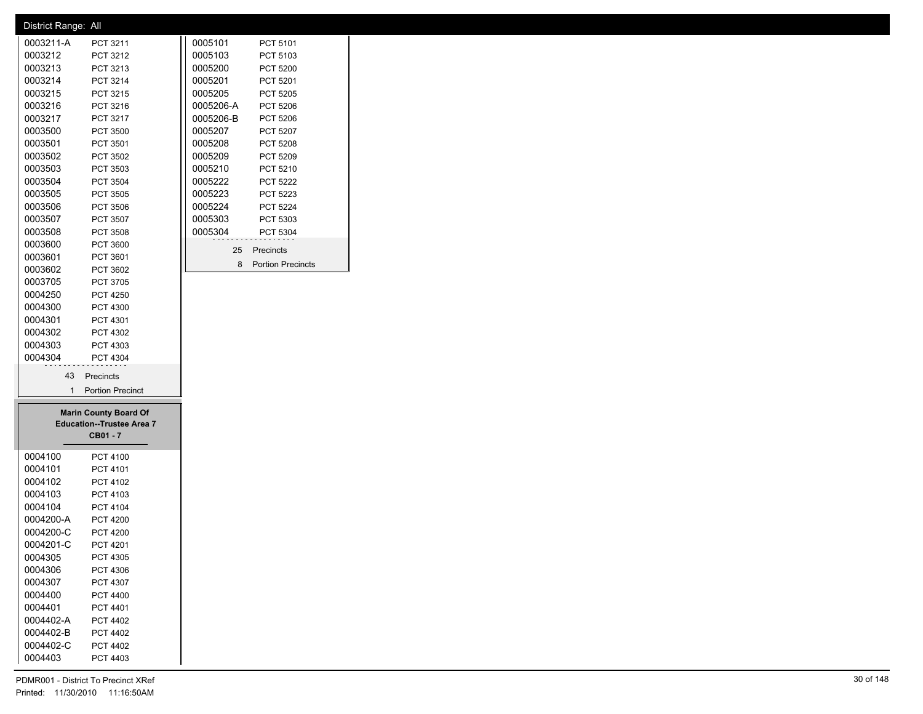| District Range: All<br>0003211-A |                                  |           |                     |
|----------------------------------|----------------------------------|-----------|---------------------|
|                                  | PCT 3211                         | 0005101   | PCT 5101            |
| 0003212                          | PCT 3212                         | 0005103   | PCT 5103            |
| 0003213                          | PCT 3213                         | 0005200   | PCT 5200            |
| 0003214                          | PCT 3214                         | 0005201   | PCT 5201            |
| 0003215                          | PCT 3215                         | 0005205   | PCT 5205            |
| 0003216                          | PCT 3216                         | 0005206-A | PCT 5206            |
| 0003217                          | PCT 3217                         | 0005206-B | PCT 5206            |
| 0003500                          | <b>PCT 3500</b>                  | 0005207   | PCT 5207            |
| 0003501                          | PCT 3501                         | 0005208   | PCT 5208            |
| 0003502                          | PCT 3502                         | 0005209   | PCT 5209            |
| 0003503                          | PCT 3503                         | 0005210   | PCT 5210            |
| 0003504                          | PCT 3504                         | 0005222   | PCT 5222            |
| 0003505                          | PCT 3505                         | 0005223   | PCT 5223            |
| 0003506                          |                                  | 0005224   |                     |
|                                  | PCT 3506                         |           | PCT 5224            |
| 0003507                          | PCT 3507                         | 0005303   | PCT 5303            |
| 0003508                          | PCT 3508                         | 0005304   | PCT 5304            |
| 0003600                          | PCT 3600                         | 25        | Precincts           |
| 0003601                          | PCT 3601                         |           | 8 Portion Precincts |
| 0003602                          | PCT 3602                         |           |                     |
| 0003705                          | PCT 3705                         |           |                     |
| 0004250                          | <b>PCT 4250</b>                  |           |                     |
| 0004300                          | PCT 4300                         |           |                     |
| 0004301                          | PCT 4301                         |           |                     |
| 0004302                          | PCT 4302                         |           |                     |
| 0004303                          | PCT 4303                         |           |                     |
| 0004304                          | PCT 4304                         |           |                     |
|                                  | 43 Precincts                     |           |                     |
|                                  |                                  |           |                     |
|                                  | 1 Portion Precinct               |           |                     |
|                                  |                                  |           |                     |
|                                  | <b>Marin County Board Of</b>     |           |                     |
|                                  | <b>Education--Trustee Area 7</b> |           |                     |
|                                  | CB01-7                           |           |                     |
| 0004100                          | PCT 4100                         |           |                     |
|                                  |                                  |           |                     |
| 0004101                          | PCT 4101                         |           |                     |
| 0004102                          | PCT 4102<br>PCT 4103             |           |                     |
| 0004103                          |                                  |           |                     |
| 0004104                          | PCT 4104                         |           |                     |
| 0004200-A                        | <b>PCT 4200</b>                  |           |                     |
| 0004200-C                        | <b>PCT 4200</b>                  |           |                     |
| 0004201-C                        | PCT 4201                         |           |                     |
| 0004305                          | PCT 4305                         |           |                     |
| 0004306                          | PCT 4306                         |           |                     |
| 0004307                          | PCT 4307                         |           |                     |
| 0004400                          | PCT 4400                         |           |                     |
| 0004401                          | PCT 4401                         |           |                     |
| 0004402-A                        | PCT 4402                         |           |                     |
| 0004402-B                        | PCT 4402                         |           |                     |
| 0004402-C<br>0004403             | PCT 4402<br>PCT 4403             |           |                     |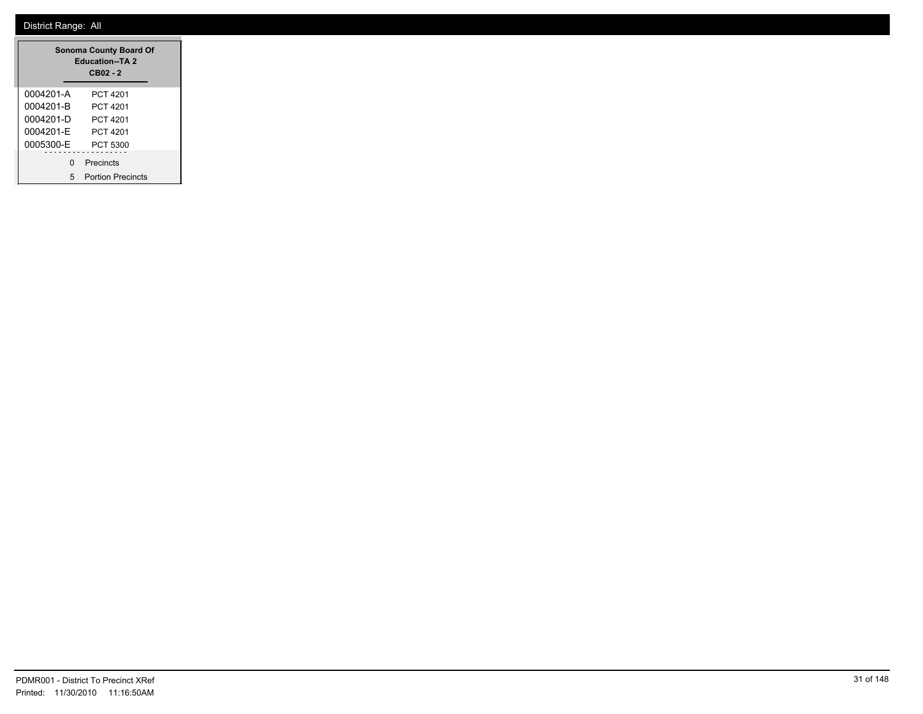|           | <b>Sonoma County Board Of</b><br><b>Education--TA 2</b><br>$CB02 - 2$ |
|-----------|-----------------------------------------------------------------------|
| 0004201-A | PCT 4201                                                              |
| 0004201-B | PCT 4201                                                              |
| 0004201-D | PCT 4201                                                              |
| 0004201-F | PCT 4201                                                              |
| 0005300-E | PCT 5300                                                              |
| ŋ         | Precincts                                                             |
| 5         | <b>Portion Precincts</b>                                              |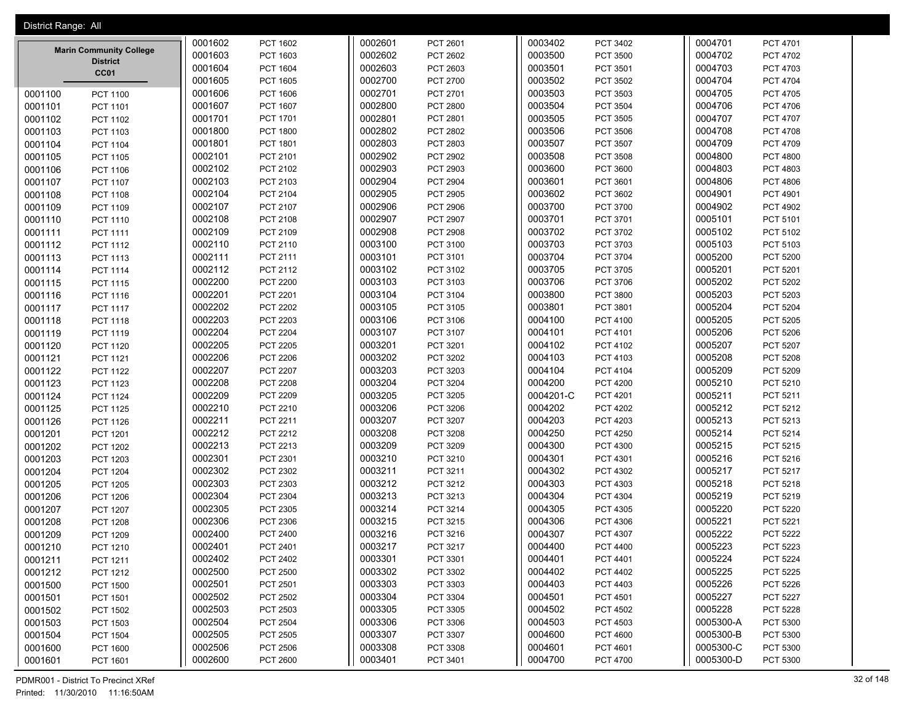| District Range: All            |         |                 |         |                 |           |                 |           |                 |  |
|--------------------------------|---------|-----------------|---------|-----------------|-----------|-----------------|-----------|-----------------|--|
|                                | 0001602 | PCT 1602        | 0002601 | PCT 2601        | 0003402   | PCT 3402        | 0004701   | PCT 4701        |  |
| <b>Marin Community College</b> | 0001603 | PCT 1603        | 0002602 | PCT 2602        | 0003500   | <b>PCT 3500</b> | 0004702   | PCT 4702        |  |
| <b>District</b><br>CC01        | 0001604 | <b>PCT 1604</b> | 0002603 | PCT 2603        | 0003501   | PCT 3501        | 0004703   | PCT 4703        |  |
|                                | 0001605 | PCT 1605        | 0002700 | PCT 2700        | 0003502   | PCT 3502        | 0004704   | <b>PCT 4704</b> |  |
| 0001100<br><b>PCT 1100</b>     | 0001606 | PCT 1606        | 0002701 | PCT 2701        | 0003503   | PCT 3503        | 0004705   | <b>PCT 4705</b> |  |
| 0001101<br><b>PCT 1101</b>     | 0001607 | PCT 1607        | 0002800 | PCT 2800        | 0003504   | PCT 3504        | 0004706   | PCT 4706        |  |
| 0001102<br>PCT 1102            | 0001701 | <b>PCT 1701</b> | 0002801 | PCT 2801        | 0003505   | <b>PCT 3505</b> | 0004707   | PCT 4707        |  |
| 0001103<br>PCT 1103            | 0001800 | <b>PCT 1800</b> | 0002802 | PCT 2802        | 0003506   | PCT 3506        | 0004708   | <b>PCT 4708</b> |  |
| 0001104<br><b>PCT 1104</b>     | 0001801 | PCT 1801        | 0002803 | PCT 2803        | 0003507   | PCT 3507        | 0004709   | PCT 4709        |  |
| 0001105<br><b>PCT 1105</b>     | 0002101 | PCT 2101        | 0002902 | PCT 2902        | 0003508   | <b>PCT 3508</b> | 0004800   | <b>PCT 4800</b> |  |
| 0001106<br>PCT 1106            | 0002102 | PCT 2102        | 0002903 | PCT 2903        | 0003600   | PCT 3600        | 0004803   | PCT 4803        |  |
| 0001107<br><b>PCT 1107</b>     | 0002103 | PCT 2103        | 0002904 | <b>PCT 2904</b> | 0003601   | PCT 3601        | 0004806   | PCT 4806        |  |
| 0001108<br>PCT 1108            | 0002104 | PCT 2104        | 0002905 | PCT 2905        | 0003602   | PCT 3602        | 0004901   | PCT 4901        |  |
| 0001109<br>PCT 1109            | 0002107 | PCT 2107        | 0002906 | <b>PCT 2906</b> | 0003700   | PCT 3700        | 0004902   | <b>PCT 4902</b> |  |
| 0001110<br>PCT 1110            | 0002108 | PCT 2108        | 0002907 | PCT 2907        | 0003701   | PCT 3701        | 0005101   | PCT 5101        |  |
| 0001111<br><b>PCT 1111</b>     | 0002109 | PCT 2109        | 0002908 | <b>PCT 2908</b> | 0003702   | PCT 3702        | 0005102   | PCT 5102        |  |
| 0001112<br>PCT 1112            | 0002110 | PCT 2110        | 0003100 | PCT 3100        | 0003703   | PCT 3703        | 0005103   | PCT 5103        |  |
| 0001113<br>PCT 1113            | 0002111 | PCT 2111        | 0003101 | PCT 3101        | 0003704   | PCT 3704        | 0005200   | <b>PCT 5200</b> |  |
| 0001114<br>PCT 1114            | 0002112 | PCT 2112        | 0003102 | PCT 3102        | 0003705   | PCT 3705        | 0005201   | PCT 5201        |  |
| 0001115<br><b>PCT 1115</b>     | 0002200 | <b>PCT 2200</b> | 0003103 | PCT 3103        | 0003706   | PCT 3706        | 0005202   | <b>PCT 5202</b> |  |
| 0001116<br>PCT 1116            | 0002201 | PCT 2201        | 0003104 | PCT 3104        | 0003800   | PCT 3800        | 0005203   | PCT 5203        |  |
| 0001117<br><b>PCT 1117</b>     | 0002202 | <b>PCT 2202</b> | 0003105 | PCT 3105        | 0003801   | PCT 3801        | 0005204   | PCT 5204        |  |
| 0001118<br>PCT 1118            | 0002203 | PCT 2203        | 0003106 | PCT 3106        | 0004100   | PCT 4100        | 0005205   | <b>PCT 5205</b> |  |
| 0001119<br>PCT 1119            | 0002204 | <b>PCT 2204</b> | 0003107 | PCT 3107        | 0004101   | PCT 4101        | 0005206   | <b>PCT 5206</b> |  |
| 0001120<br>PCT 1120            | 0002205 | PCT 2205        | 0003201 | PCT 3201        | 0004102   | PCT 4102        | 0005207   | PCT 5207        |  |
| 0001121<br><b>PCT 1121</b>     | 0002206 | <b>PCT 2206</b> | 0003202 | PCT 3202        | 0004103   | PCT 4103        | 0005208   | <b>PCT 5208</b> |  |
| 0001122<br><b>PCT 1122</b>     | 0002207 | <b>PCT 2207</b> | 0003203 | PCT 3203        | 0004104   | PCT 4104        | 0005209   | <b>PCT 5209</b> |  |
| 0001123<br>PCT 1123            | 0002208 | <b>PCT 2208</b> | 0003204 | <b>PCT 3204</b> | 0004200   | <b>PCT 4200</b> | 0005210   | PCT 5210        |  |
| 0001124<br><b>PCT 1124</b>     | 0002209 | PCT 2209        | 0003205 | PCT 3205        | 0004201-C | PCT 4201        | 0005211   | PCT 5211        |  |
| 0001125<br><b>PCT 1125</b>     | 0002210 | PCT 2210        | 0003206 | PCT 3206        | 0004202   | <b>PCT 4202</b> | 0005212   | PCT 5212        |  |
| 0001126<br>PCT 1126            | 0002211 | PCT 2211        | 0003207 | PCT 3207        | 0004203   | PCT 4203        | 0005213   | PCT 5213        |  |
| 0001201<br>PCT 1201            | 0002212 | PCT 2212        | 0003208 | PCT 3208        | 0004250   | <b>PCT 4250</b> | 0005214   | <b>PCT 5214</b> |  |
| 0001202<br><b>PCT 1202</b>     | 0002213 | PCT 2213        | 0003209 | PCT 3209        | 0004300   | PCT 4300        | 0005215   | PCT 5215        |  |
| 0001203<br>PCT 1203            | 0002301 | PCT 2301        | 0003210 | PCT 3210        | 0004301   | PCT 4301        | 0005216   | PCT 5216        |  |
| 0001204<br><b>PCT 1204</b>     | 0002302 | PCT 2302        | 0003211 | PCT 3211        | 0004302   | PCT 4302        | 0005217   | PCT 5217        |  |
| 0001205<br><b>PCT 1205</b>     | 0002303 | PCT 2303        | 0003212 | PCT 3212        | 0004303   | PCT 4303        | 0005218   | PCT 5218        |  |
| 0001206<br><b>PCT 1206</b>     | 0002304 | PCT 2304        | 0003213 | PCT 3213        | 0004304   | <b>PCT 4304</b> | 0005219   | PCT 5219        |  |
| 0001207<br><b>PCT 1207</b>     | 0002305 | PCT 2305        | 0003214 | PCT 3214        | 0004305   | PCT 4305        | 0005220   | <b>PCT 5220</b> |  |
| 0001208<br><b>PCT 1208</b>     | 0002306 | PCT 2306        | 0003215 | PCT 3215        | 0004306   | PCT 4306        | 0005221   | <b>PCT 5221</b> |  |
| 0001209<br>PCT 1209            | 0002400 | PCT 2400        | 0003216 | PCT 3216        | 0004307   | PCT 4307        | 0005222   | <b>PCT 5222</b> |  |
| 0001210<br>PCT 1210            | 0002401 | PCT 2401        | 0003217 | PCT 3217        | 0004400   | <b>PCT 4400</b> | 0005223   | PCT 5223        |  |
| 0001211<br>PCT 1211            | 0002402 | PCT 2402        | 0003301 | PCT 3301        | 0004401   | PCT 4401        | 0005224   | PCT 5224        |  |
| 0001212<br>PCT 1212            | 0002500 | <b>PCT 2500</b> | 0003302 | PCT 3302        | 0004402   | <b>PCT 4402</b> | 0005225   | PCT 5225        |  |
| 0001500<br>PCT 1500            | 0002501 | PCT 2501        | 0003303 | PCT 3303        | 0004403   | PCT 4403        | 0005226   | <b>PCT 5226</b> |  |
| 0001501<br>PCT 1501            | 0002502 | PCT 2502        | 0003304 | PCT 3304        | 0004501   | PCT 4501        | 0005227   | PCT 5227        |  |
| 0001502<br><b>PCT 1502</b>     | 0002503 | PCT 2503        | 0003305 | PCT 3305        | 0004502   | PCT 4502        | 0005228   | PCT 5228        |  |
| 0001503<br>PCT 1503            | 0002504 | PCT 2504        | 0003306 | PCT 3306        | 0004503   | PCT 4503        | 0005300-A | PCT 5300        |  |
| 0001504<br><b>PCT 1504</b>     | 0002505 | PCT 2505        | 0003307 | PCT 3307        | 0004600   | <b>PCT 4600</b> | 0005300-B | PCT 5300        |  |
| 0001600<br>PCT 1600            | 0002506 | PCT 2506        | 0003308 | PCT 3308        | 0004601   | PCT 4601        | 0005300-C | PCT 5300        |  |
| 0001601<br>PCT 1601            | 0002600 | <b>PCT 2600</b> | 0003401 | PCT 3401        | 0004700   | PCT 4700        | 0005300-D | PCT 5300        |  |

PDMR001 - District To Precinct XRef 32 of 148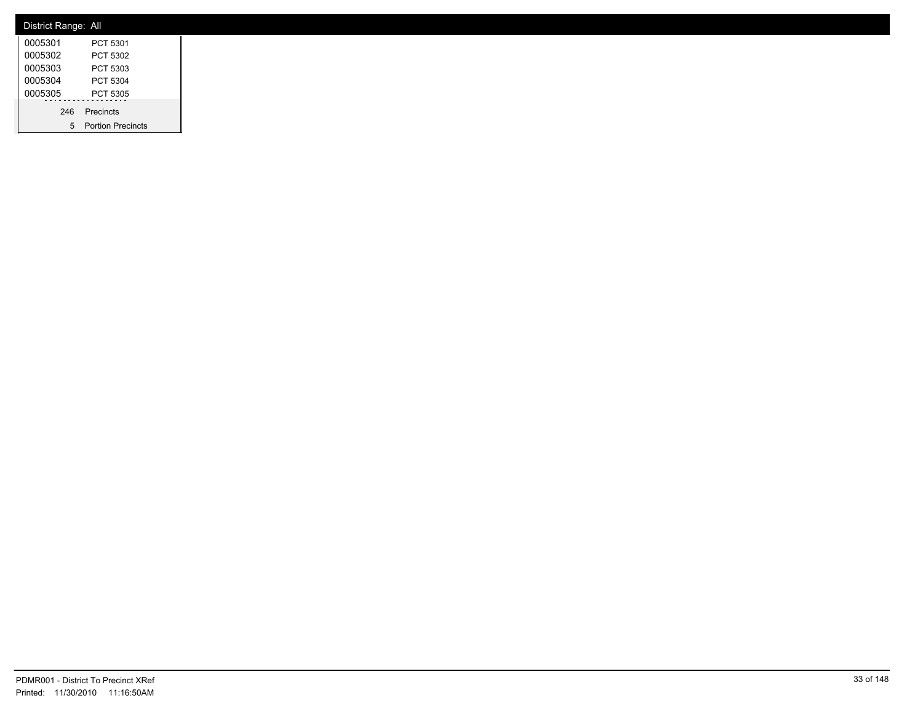| District Range: All |                     |
|---------------------|---------------------|
| 0005301             | PCT 5301            |
| 0005302             | PCT 5302            |
| 0005303             | PCT 5303            |
| 0005304             | PCT 5304            |
| 0005305             | PCT 5305            |
|                     | 246 Precincts       |
|                     | 5 Portion Precincts |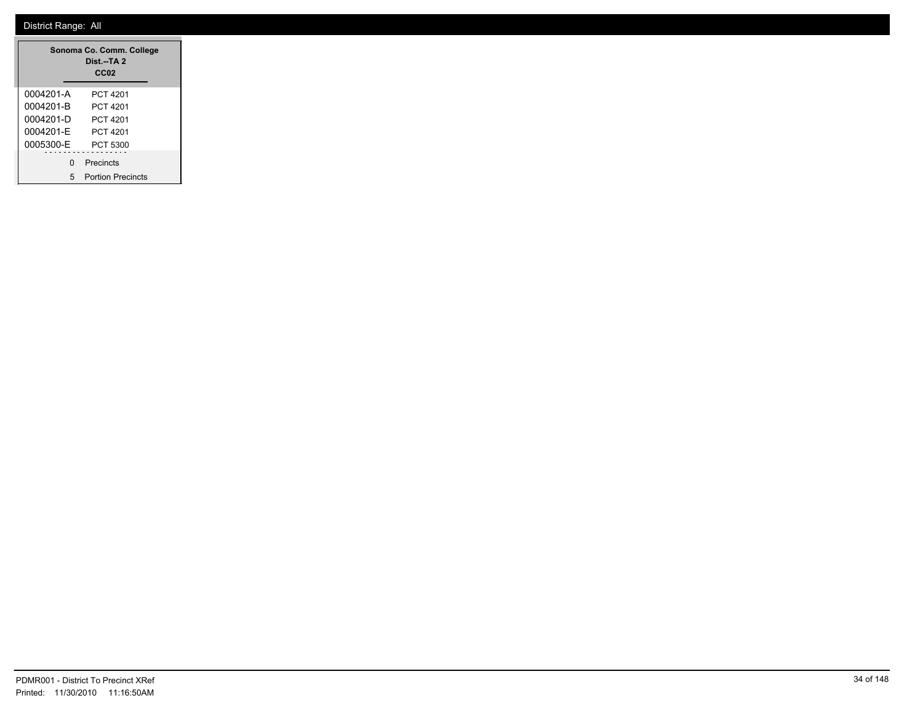|           | Sonoma Co. Comm. College<br>Dist.--TA 2<br>CC <sub>02</sub> |
|-----------|-------------------------------------------------------------|
| 0004201-A | PCT 4201                                                    |
| 0004201-B | PCT 4201                                                    |
| 0004201-D | PCT 4201                                                    |
| 0004201-F | PCT 4201                                                    |
| 0005300-E | PCT 5300                                                    |
| U         | Precincts                                                   |
| 5         | <b>Portion Precincts</b>                                    |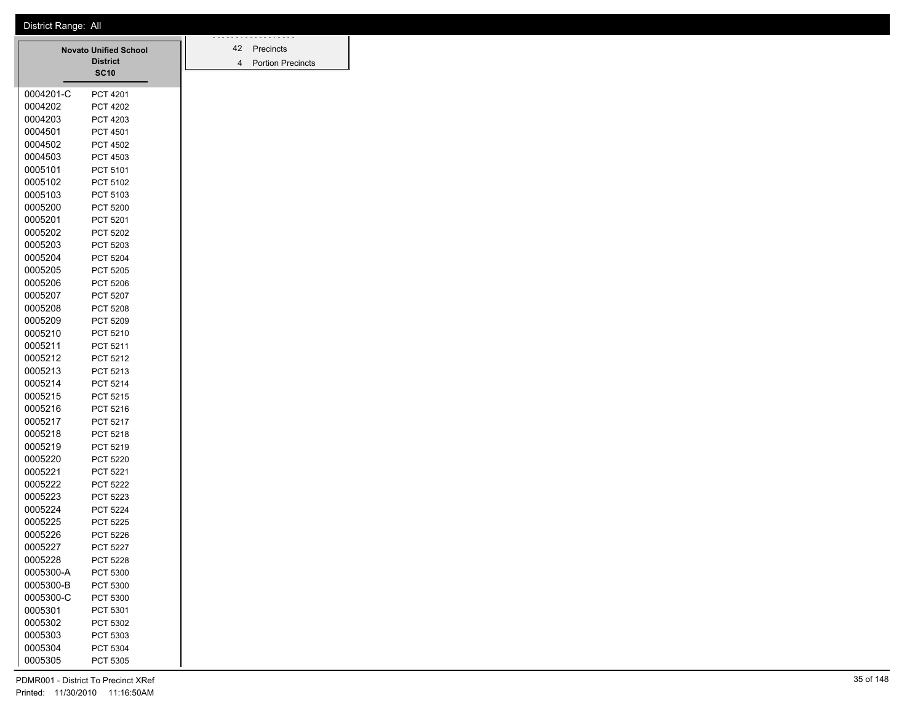|           | <b>Novato Unified School</b> |  | 42             | Precincts                |
|-----------|------------------------------|--|----------------|--------------------------|
|           | <b>District</b>              |  | $\overline{4}$ | <b>Portion Precincts</b> |
|           | <b>SC10</b>                  |  |                |                          |
| 0004201-C | <b>PCT 4201</b>              |  |                |                          |
| 0004202   | <b>PCT 4202</b>              |  |                |                          |
| 0004203   | PCT 4203                     |  |                |                          |
| 0004501   | <b>PCT 4501</b>              |  |                |                          |
| 0004502   | <b>PCT 4502</b>              |  |                |                          |
| 0004503   | PCT 4503                     |  |                |                          |
| 0005101   | PCT 5101                     |  |                |                          |
| 0005102   | PCT 5102                     |  |                |                          |
| 0005103   | PCT 5103                     |  |                |                          |
| 0005200   | <b>PCT 5200</b>              |  |                |                          |
| 0005201   | PCT 5201                     |  |                |                          |
| 0005202   | <b>PCT 5202</b>              |  |                |                          |
| 0005203   | PCT 5203                     |  |                |                          |
| 0005204   | <b>PCT 5204</b>              |  |                |                          |
| 0005205   | <b>PCT 5205</b>              |  |                |                          |
| 0005206   | <b>PCT 5206</b>              |  |                |                          |
| 0005207   | PCT 5207                     |  |                |                          |
| 0005208   | <b>PCT 5208</b>              |  |                |                          |
| 0005209   | PCT 5209                     |  |                |                          |
| 0005210   | PCT 5210                     |  |                |                          |
| 0005211   | PCT 5211                     |  |                |                          |
| 0005212   | PCT 5212                     |  |                |                          |
| 0005213   | PCT 5213                     |  |                |                          |
| 0005214   | PCT 5214                     |  |                |                          |
| 0005215   | PCT 5215                     |  |                |                          |
| 0005216   | PCT 5216                     |  |                |                          |
| 0005217   | PCT 5217                     |  |                |                          |
| 0005218   | PCT 5218                     |  |                |                          |
| 0005219   | PCT 5219                     |  |                |                          |
| 0005220   | <b>PCT 5220</b>              |  |                |                          |
| 0005221   | <b>PCT 5221</b>              |  |                |                          |
| 0005222   | <b>PCT 5222</b>              |  |                |                          |
| 0005223   | PCT 5223                     |  |                |                          |
| 0005224   | <b>PCT 5224</b>              |  |                |                          |
| 0005225   | <b>PCT 5225</b>              |  |                |                          |
| 0005226   | <b>PCT 5226</b>              |  |                |                          |
| 0005227   | <b>PCT 5227</b>              |  |                |                          |
| 0005228   | <b>PCT 5228</b>              |  |                |                          |
| 0005300-A | PCT 5300                     |  |                |                          |
| 0005300-B | PCT 5300                     |  |                |                          |
| 0005300-C | PCT 5300                     |  |                |                          |
| 0005301   | PCT 5301                     |  |                |                          |
| 0005302   | PCT 5302                     |  |                |                          |
| 0005303   | PCT 5303                     |  |                |                          |
| 0005304   | PCT 5304                     |  |                |                          |
| 0005305   | PCT 5305                     |  |                |                          |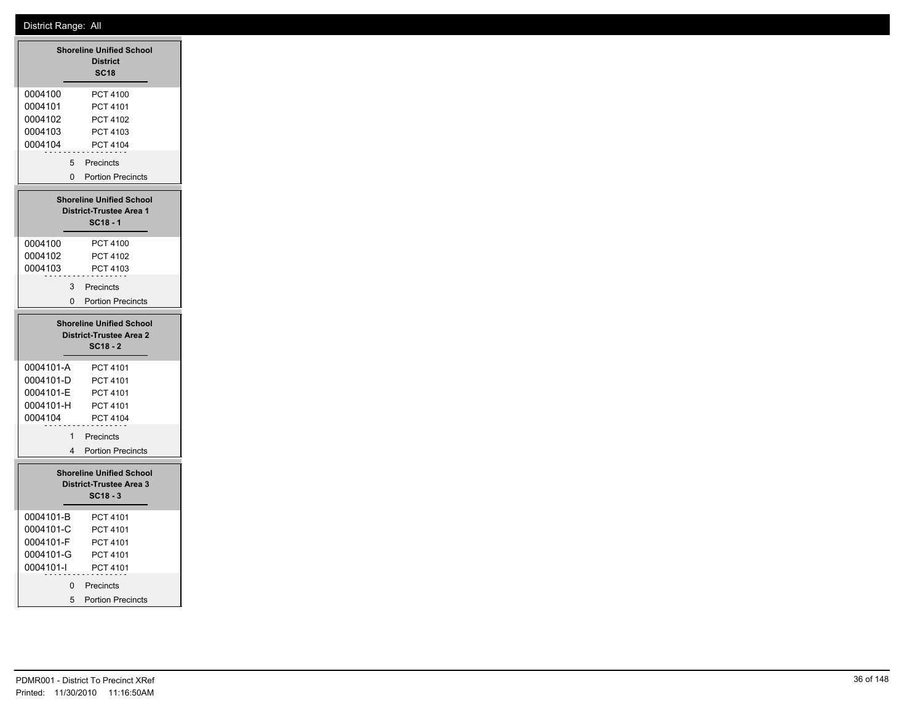|                                                               | <b>Shoreline Unified School</b><br><b>District</b><br><b>SC18</b>               |
|---------------------------------------------------------------|---------------------------------------------------------------------------------|
| 0004100<br>0004101<br>0004102                                 | PCT 4100<br>PCT 4101<br>PCT 4102                                                |
| 0004103<br>0004104                                            | PCT 4103<br>PCT 4104                                                            |
| 5<br>0                                                        | Precincts<br><b>Portion Precincts</b>                                           |
|                                                               |                                                                                 |
|                                                               | <b>Shoreline Unified School</b><br><b>District-Trustee Area 1</b><br>$SC18 - 1$ |
| 0004100<br>0004102                                            | PCT 4100<br>PCT 4102                                                            |
| 0004103                                                       | PCT 4103                                                                        |
| 3                                                             | Precincts                                                                       |
| 0                                                             | <b>Portion Precincts</b>                                                        |
|                                                               | <b>Shoreline Unified School</b><br><b>District-Trustee Area 2</b><br>$SC18 - 2$ |
| 0004101-A                                                     | PCT 4101                                                                        |
| 0004101-D<br>0004101-E                                        | PCT 4101<br>PCT 4101                                                            |
| 0004101-H                                                     | PCT 4101                                                                        |
| 0004104                                                       | PCT 4104                                                                        |
| 1                                                             | Precincts                                                                       |
| 4                                                             | <b>Portion Precincts</b>                                                        |
|                                                               | <b>Shoreline Unified School</b><br><b>District-Trustee Area 3</b><br>$SC18 - 3$ |
| 0004101-B<br>0004101-C<br>0004101-F<br>0004101-G<br>0004101-l | PCT 4101<br>PCT 4101<br>PCT 4101<br>PCT 4101<br>PCT 4101                        |
| 0<br>5                                                        | Precincts<br><b>Portion Precincts</b>                                           |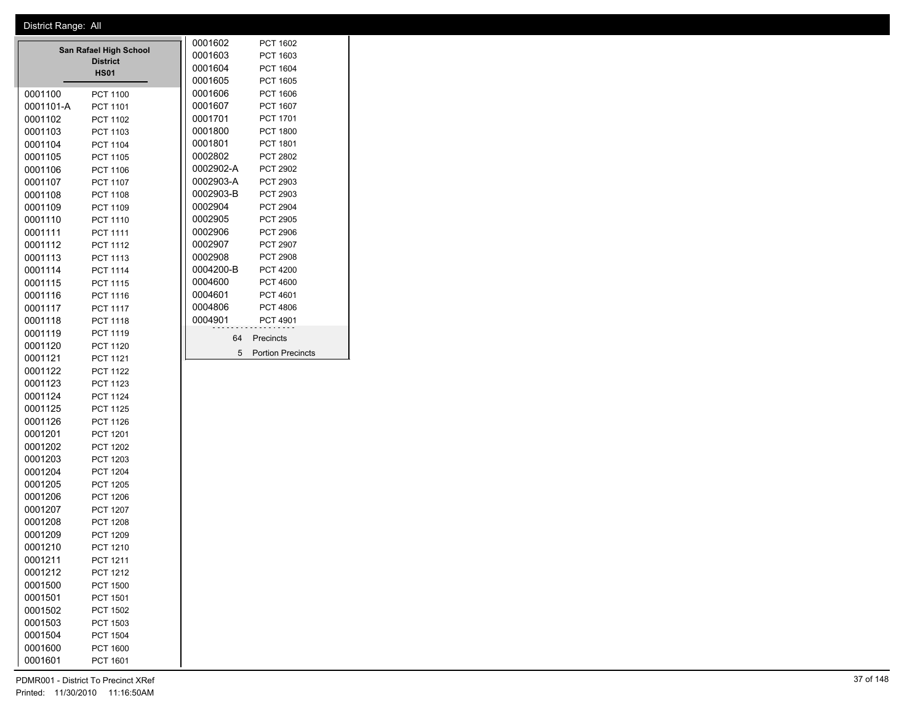|                 |                                                                                                                                                            | 0001602   | PCT 1602                 |
|-----------------|------------------------------------------------------------------------------------------------------------------------------------------------------------|-----------|--------------------------|
|                 |                                                                                                                                                            | 0001603   | PCT 1603                 |
|                 |                                                                                                                                                            | 0001604   | PCT 1604                 |
|                 |                                                                                                                                                            | 0001605   | <b>PCT 1605</b>          |
| <b>PCT 1100</b> |                                                                                                                                                            | 0001606   | PCT 1606                 |
| <b>PCT 1101</b> |                                                                                                                                                            | 0001607   | PCT 1607                 |
| PCT 1102        |                                                                                                                                                            | 0001701   | PCT 1701                 |
| PCT 1103        |                                                                                                                                                            | 0001800   | <b>PCT 1800</b>          |
| PCT 1104        |                                                                                                                                                            | 0001801   | PCT 1801                 |
| <b>PCT 1105</b> |                                                                                                                                                            | 0002802   | PCT 2802                 |
| <b>PCT 1106</b> |                                                                                                                                                            | 0002902-A | <b>PCT 2902</b>          |
| <b>PCT 1107</b> |                                                                                                                                                            | 0002903-A | PCT 2903                 |
| PCT 1108        |                                                                                                                                                            | 0002903-B | PCT 2903                 |
| <b>PCT 1109</b> |                                                                                                                                                            | 0002904   | <b>PCT 2904</b>          |
| PCT 1110        |                                                                                                                                                            | 0002905   | PCT 2905                 |
| <b>PCT 1111</b> |                                                                                                                                                            | 0002906   | PCT 2906                 |
|                 |                                                                                                                                                            | 0002907   | PCT 2907                 |
| PCT 1113        |                                                                                                                                                            | 0002908   | PCT 2908                 |
|                 |                                                                                                                                                            | 0004200-B | <b>PCT 4200</b>          |
|                 |                                                                                                                                                            | 0004600   | PCT 4600                 |
| <b>PCT 1116</b> |                                                                                                                                                            | 0004601   | PCT 4601                 |
|                 |                                                                                                                                                            | 0004806   | <b>PCT 4806</b>          |
|                 |                                                                                                                                                            | 0004901   | PCT 4901                 |
|                 |                                                                                                                                                            |           |                          |
| <b>PCT 1120</b> |                                                                                                                                                            |           | Precincts                |
| <b>PCT 1121</b> |                                                                                                                                                            |           | <b>Portion Precincts</b> |
| <b>PCT 1122</b> |                                                                                                                                                            |           |                          |
| PCT 1123        |                                                                                                                                                            |           |                          |
|                 |                                                                                                                                                            |           |                          |
| <b>PCT 1125</b> |                                                                                                                                                            |           |                          |
| PCT 1126        |                                                                                                                                                            |           |                          |
| <b>PCT 1201</b> |                                                                                                                                                            |           |                          |
| <b>PCT 1202</b> |                                                                                                                                                            |           |                          |
| PCT 1203        |                                                                                                                                                            |           |                          |
| <b>PCT 1204</b> |                                                                                                                                                            |           |                          |
| <b>PCT 1205</b> |                                                                                                                                                            |           |                          |
| <b>PCT 1206</b> |                                                                                                                                                            |           |                          |
| <b>PCT 1207</b> |                                                                                                                                                            |           |                          |
| <b>PCT 1208</b> |                                                                                                                                                            |           |                          |
| <b>PCT 1209</b> |                                                                                                                                                            |           |                          |
| <b>PCT 1210</b> |                                                                                                                                                            |           |                          |
| PCT 1211        |                                                                                                                                                            |           |                          |
| PCT 1212        |                                                                                                                                                            |           |                          |
| <b>PCT 1500</b> |                                                                                                                                                            |           |                          |
| PCT 1501        |                                                                                                                                                            |           |                          |
| <b>PCT 1502</b> |                                                                                                                                                            |           |                          |
| PCT 1503        |                                                                                                                                                            |           |                          |
| PCT 1504        |                                                                                                                                                            |           |                          |
| PCT 1600        |                                                                                                                                                            |           |                          |
| PCT 1601        |                                                                                                                                                            |           |                          |
|                 | San Rafael High School<br><b>District</b><br><b>HS01</b><br>PCT 1112<br>PCT 1114<br>PCT 1115<br><b>PCT 1117</b><br>PCT 1118<br>PCT 1119<br><b>PCT 1124</b> |           | 64<br>5                  |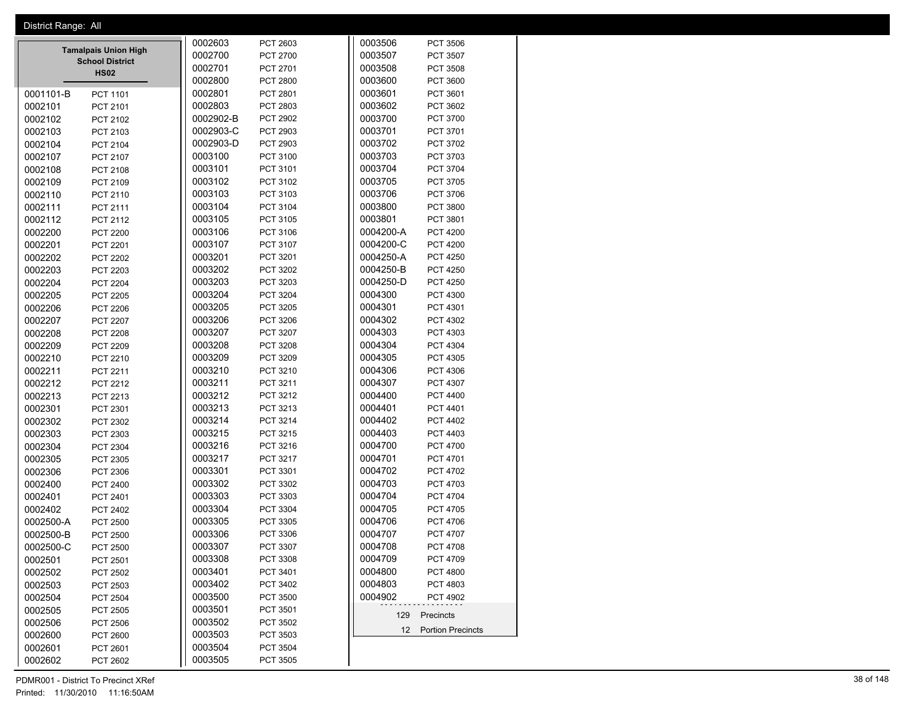|         | District Range: All |                                                       |           |                 |           |                      |  |
|---------|---------------------|-------------------------------------------------------|-----------|-----------------|-----------|----------------------|--|
|         |                     |                                                       | 0002603   | PCT 2603        | 0003506   | <b>PCT 3506</b>      |  |
|         |                     | <b>Tamalpais Union High</b><br><b>School District</b> | 0002700   | PCT 2700        | 0003507   | PCT 3507             |  |
|         |                     | <b>HS02</b>                                           | 0002701   | PCT 2701        | 0003508   | PCT 3508             |  |
|         |                     |                                                       | 0002800   | <b>PCT 2800</b> | 0003600   | PCT 3600             |  |
|         | 0001101-B           | PCT 1101                                              | 0002801   | PCT 2801        | 0003601   | PCT 3601             |  |
| 0002101 |                     | PCT 2101                                              | 0002803   | PCT 2803        | 0003602   | PCT 3602             |  |
|         | 0002102             | PCT 2102                                              | 0002902-B | PCT 2902        | 0003700   | PCT 3700             |  |
|         | 0002103             | PCT 2103                                              | 0002903-C | PCT 2903        | 0003701   | PCT 3701             |  |
|         | 0002104             | PCT 2104                                              | 0002903-D | PCT 2903        | 0003702   | PCT 3702             |  |
|         | 0002107             | PCT 2107                                              | 0003100   | PCT 3100        | 0003703   | PCT 3703             |  |
|         | 0002108             | PCT 2108                                              | 0003101   | PCT 3101        | 0003704   | PCT 3704             |  |
|         | 0002109             | PCT 2109                                              | 0003102   | PCT 3102        | 0003705   | PCT 3705             |  |
|         | 0002110             | PCT 2110                                              | 0003103   | PCT 3103        | 0003706   | PCT 3706             |  |
|         | 0002111             | PCT 2111                                              | 0003104   | PCT 3104        | 0003800   | PCT 3800             |  |
|         |                     |                                                       | 0003105   | PCT 3105        | 0003801   | PCT 3801             |  |
|         | 0002112             | PCT 2112                                              |           |                 | 0004200-A |                      |  |
|         | 0002200             | <b>PCT 2200</b>                                       | 0003106   | PCT 3106        |           | <b>PCT 4200</b>      |  |
| 0002201 |                     | <b>PCT 2201</b>                                       | 0003107   | PCT 3107        | 0004200-C | <b>PCT 4200</b>      |  |
|         | 0002202             | PCT 2202                                              | 0003201   | PCT 3201        | 0004250-A | <b>PCT 4250</b>      |  |
|         | 0002203             | PCT 2203                                              | 0003202   | PCT 3202        | 0004250-B | <b>PCT 4250</b>      |  |
|         | 0002204             | PCT 2204                                              | 0003203   | PCT 3203        | 0004250-D | <b>PCT 4250</b>      |  |
|         | 0002205             | <b>PCT 2205</b>                                       | 0003204   | <b>PCT 3204</b> | 0004300   | PCT 4300             |  |
|         | 0002206             | PCT 2206                                              | 0003205   | PCT 3205        | 0004301   | PCT 4301             |  |
|         | 0002207             | PCT 2207                                              | 0003206   | PCT 3206        | 0004302   | PCT 4302             |  |
|         | 0002208             | PCT 2208                                              | 0003207   | PCT 3207        | 0004303   | PCT 4303             |  |
|         | 0002209             | PCT 2209                                              | 0003208   | PCT 3208        | 0004304   | PCT 4304             |  |
|         | 0002210             | PCT 2210                                              | 0003209   | PCT 3209        | 0004305   | PCT 4305             |  |
|         | 0002211             | PCT 2211                                              | 0003210   | PCT 3210        | 0004306   | PCT 4306             |  |
|         | 0002212             | PCT 2212                                              | 0003211   | PCT 3211        | 0004307   | PCT 4307             |  |
|         | 0002213             | PCT 2213                                              | 0003212   | PCT 3212        | 0004400   | PCT 4400             |  |
|         | 0002301             | PCT 2301                                              | 0003213   | PCT 3213        | 0004401   | PCT 4401             |  |
|         | 0002302             | PCT 2302                                              | 0003214   | PCT 3214        | 0004402   | PCT 4402             |  |
|         | 0002303             | PCT 2303                                              | 0003215   | PCT 3215        | 0004403   | PCT 4403             |  |
|         | 0002304             | PCT 2304                                              | 0003216   | PCT 3216        | 0004700   | PCT 4700             |  |
|         | 0002305             |                                                       | 0003217   | PCT 3217        | 0004701   | PCT 4701             |  |
|         |                     | PCT 2305                                              | 0003301   | PCT 3301        | 0004702   | PCT 4702             |  |
|         | 0002306             | PCT 2306                                              |           |                 | 0004703   |                      |  |
|         | 0002400             | PCT 2400                                              | 0003302   | PCT 3302        |           | PCT 4703             |  |
| 0002401 |                     | PCT 2401                                              | 0003303   | PCT 3303        | 0004704   | PCT 4704             |  |
|         | 0002402             | PCT 2402                                              | 0003304   | PCT 3304        | 0004705   | PCT 4705             |  |
|         | 0002500-A           | PCT 2500                                              | 0003305   | PCT 3305        | 0004706   | PCT 4706             |  |
|         | 0002500-B           | <b>PCT 2500</b>                                       | 0003306   | PCT 3306        | 0004707   | PCT 4707             |  |
|         | 0002500-C           | PCT 2500                                              | 0003307   | PCT 3307        | 0004708   | PCT 4708             |  |
|         | 0002501             | PCT 2501                                              | 0003308   | PCT 3308        | 0004709   | PCT 4709             |  |
|         | 0002502             | PCT 2502                                              | 0003401   | PCT 3401        | 0004800   | <b>PCT 4800</b>      |  |
|         | 0002503             | PCT 2503                                              | 0003402   | PCT 3402        | 0004803   | PCT 4803             |  |
|         | 0002504             | PCT 2504                                              | 0003500   | PCT 3500        | 0004902   | PCT 4902             |  |
|         | 0002505             | PCT 2505                                              | 0003501   | PCT 3501        | 129       | Precincts            |  |
|         | 0002506             | PCT 2506                                              | 0003502   | PCT 3502        |           |                      |  |
|         | 0002600             | <b>PCT 2600</b>                                       | 0003503   | PCT 3503        |           | 12 Portion Precincts |  |
|         | 0002601             | PCT 2601                                              | 0003504   | PCT 3504        |           |                      |  |
|         | 0002602             | PCT 2602                                              | 0003505   | PCT 3505        |           |                      |  |
|         |                     |                                                       |           |                 |           |                      |  |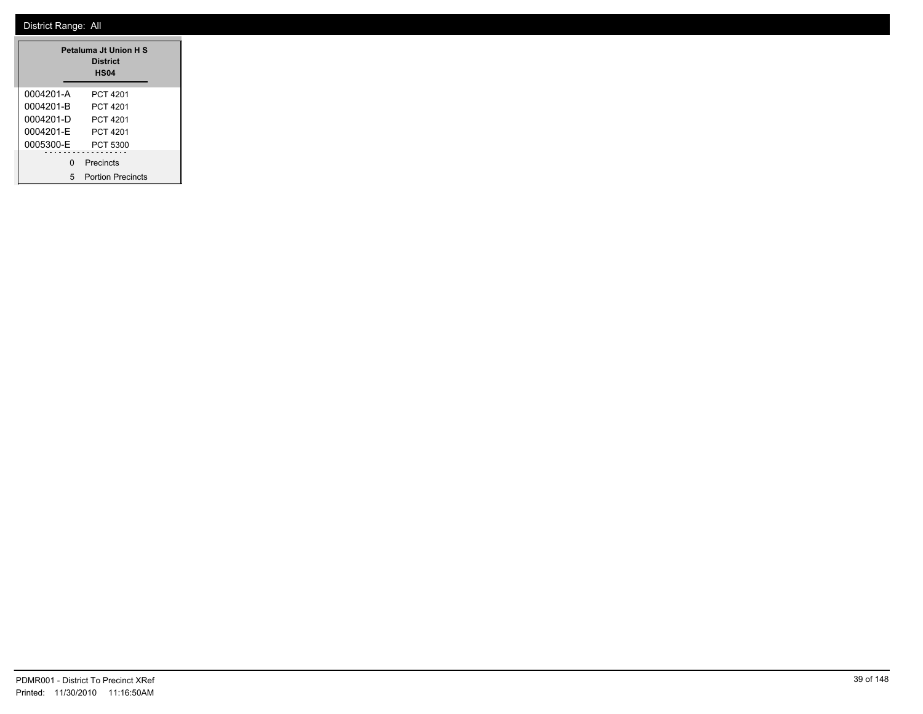|           | Petaluma Jt Union H S<br><b>District</b><br>HS <sub>04</sub> |
|-----------|--------------------------------------------------------------|
| 0004201-A | PCT 4201                                                     |
| 0004201-B | PCT 4201                                                     |
| 0004201-D | PCT 4201                                                     |
| 0004201-F | PCT 4201                                                     |
| 0005300-E | PCT 5300                                                     |
| n         | Precincts                                                    |
| 5         | <b>Portion Precincts</b>                                     |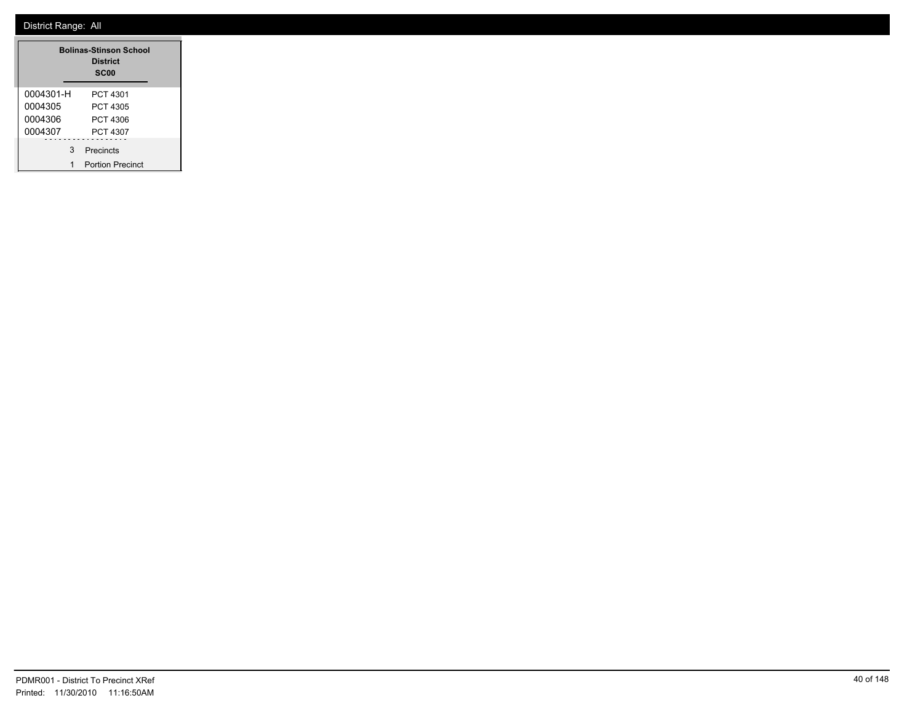|           | <b>Bolinas-Stinson School</b><br><b>District</b><br><b>SC00</b> |
|-----------|-----------------------------------------------------------------|
| 0004301-H | PCT 4301                                                        |
| 0004305   | PCT 4305                                                        |
| 0004306   | PCT 4306                                                        |
| 0004307   | PCT 4307                                                        |
| 3         | Precincts                                                       |
| 1         | <b>Portion Precinct</b>                                         |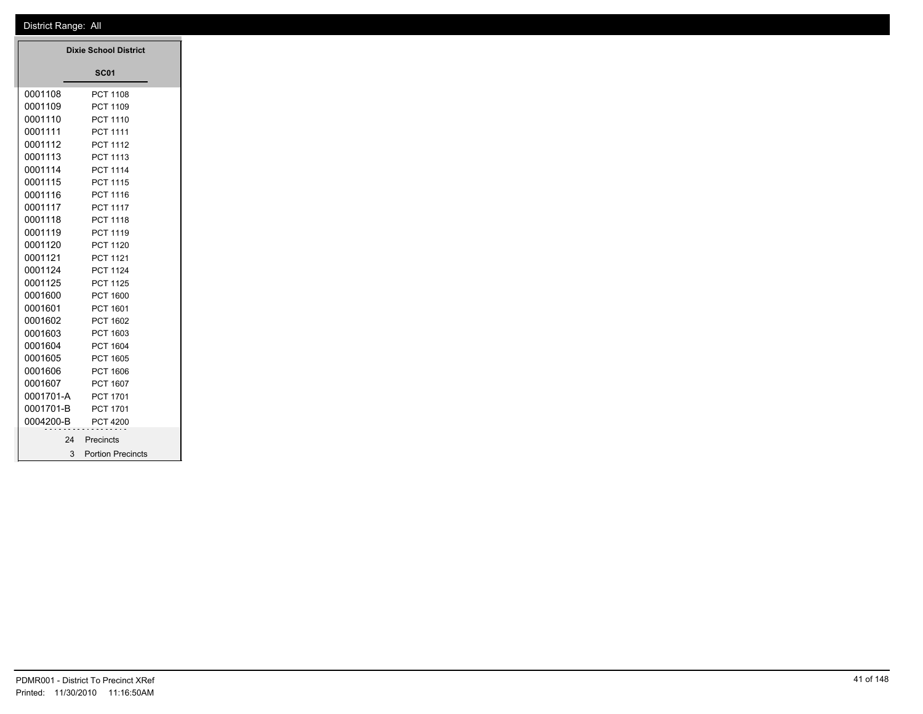|           | <b>Dixie School District</b> |
|-----------|------------------------------|
|           | <b>SC01</b>                  |
|           |                              |
| 0001108   | PCT 1108                     |
| 0001109   | PCT 1109                     |
| 0001110   | PCT 1110                     |
| 0001111   | PCT 1111                     |
| 0001112   | PCT 1112                     |
| 0001113   | PCT 1113                     |
| 0001114   | PCT 1114                     |
| 0001115   | PCT 1115                     |
| 0001116   | PCT 1116                     |
| 0001117   | <b>PCT 1117</b>              |
| 0001118   | PCT 1118                     |
| 0001119   | PCT 1119                     |
| 0001120   | PCT 1120                     |
| 0001121   | PCT 1121                     |
| 0001124   | PCT 1124                     |
| 0001125   | PCT 1125                     |
| 0001600   | PCT 1600                     |
| 0001601   | PCT 1601                     |
| 0001602   | PCT 1602                     |
| 0001603   | PCT 1603                     |
| 0001604   | PCT 1604                     |
| 0001605   | PCT 1605                     |
| 0001606   | PCT 1606                     |
| 0001607   | PCT 1607                     |
| 0001701-A | PCT 1701                     |
| 0001701-B | PCT 1701                     |
| 0004200-B | <b>PCT 4200</b>              |
|           | Precincts<br>24              |
|           | 3 Portion Precincts          |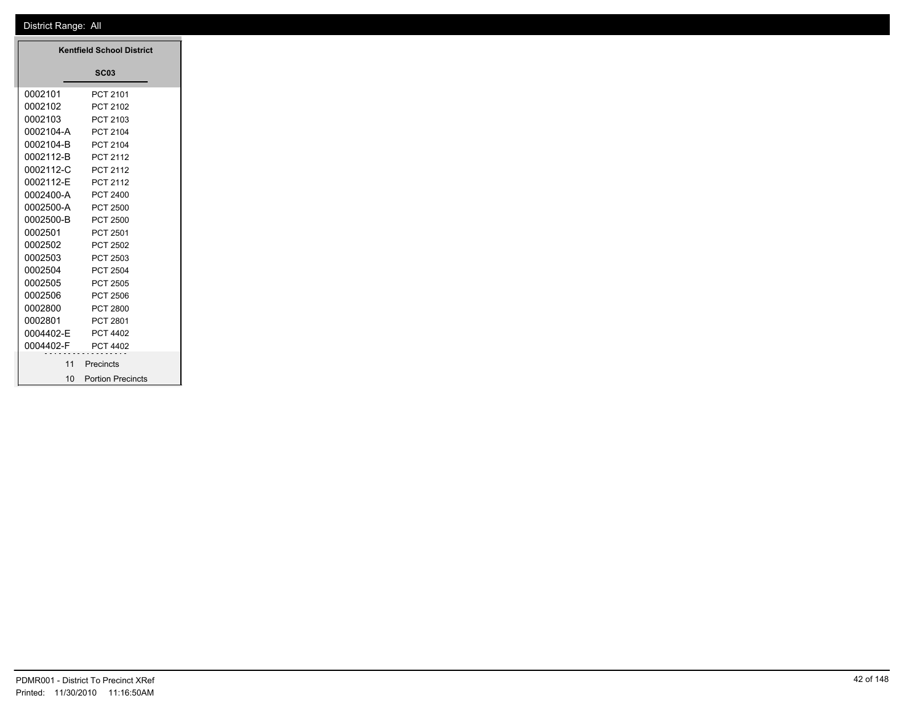|           | <b>Kentfield School District</b> |
|-----------|----------------------------------|
|           | <b>SC03</b>                      |
| 0002101   | PCT 2101                         |
| 0002102   | PCT 2102                         |
| 0002103   | PCT 2103                         |
| 0002104-A | PCT 2104                         |
| 0002104-B | PCT 2104                         |
| 0002112-B | PCT 2112                         |
| 0002112-C | PCT 2112                         |
| 0002112-E | PCT 2112                         |
| 0002400-A | PCT 2400                         |
| 0002500-A | <b>PCT 2500</b>                  |
| 0002500-B | <b>PCT 2500</b>                  |
| 0002501   | PCT 2501                         |
| 0002502   | PCT 2502                         |
| 0002503   | PCT 2503                         |
| 0002504   | <b>PCT 2504</b>                  |
| 0002505   | PCT 2505                         |
| 0002506   | <b>PCT 2506</b>                  |
| 0002800   | PCT 2800                         |
| 0002801   | PCT 2801                         |
| 0004402-E | PCT 4402                         |
| 0004402-F | PCT 4402                         |
| 11        | Precincts                        |
| 10        | <b>Portion Precincts</b>         |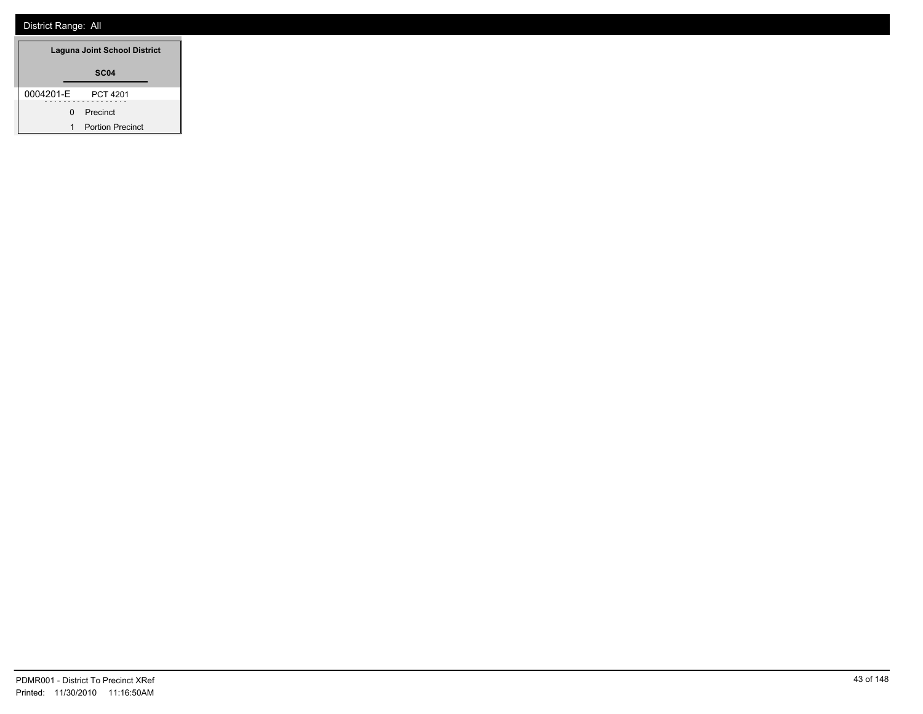| Laguna Joint School District |   |                         |  |
|------------------------------|---|-------------------------|--|
|                              |   | SC <sub>04</sub>        |  |
| 0004201-E                    |   | PCT 4201                |  |
|                              | 0 | Precinct                |  |
|                              | 1 | <b>Portion Precinct</b> |  |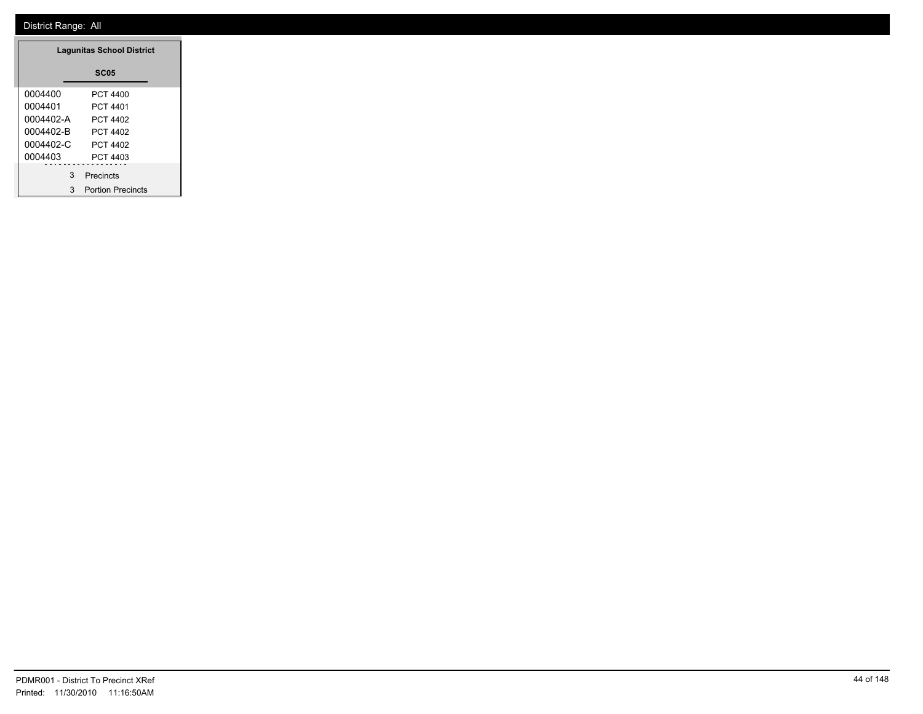| <b>Lagunitas School District</b> |                          |  |  |
|----------------------------------|--------------------------|--|--|
|                                  | <b>SC05</b>              |  |  |
| 0004400                          | PCT 4400                 |  |  |
| 0004401                          | PCT 4401                 |  |  |
| 0004402-A                        | PCT 4402                 |  |  |
| 0004402-B                        | PCT 4402                 |  |  |
| $0004402 - C$                    | PCT 4402                 |  |  |
| 0004403                          | PCT 4403                 |  |  |
| 3                                | Precincts                |  |  |
| 3                                | <b>Portion Precincts</b> |  |  |

L.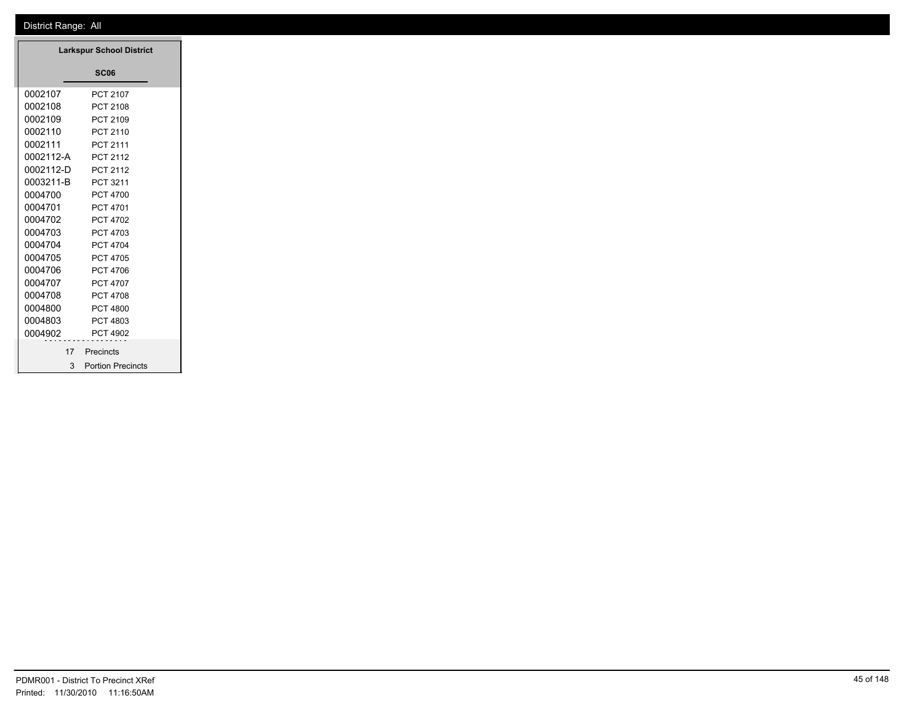|           | <b>Larkspur School District</b> |
|-----------|---------------------------------|
|           | <b>SC06</b>                     |
| 0002107   | PCT 2107                        |
| 0002108   | PCT 2108                        |
| 0002109   | PCT 2109                        |
| 0002110   | PCT 2110                        |
| 0002111   | PCT 2111                        |
| 0002112-A | PCT 2112                        |
| 0002112-D | PCT 2112                        |
| 0003211-B | PCT 3211                        |
| 0004700   | <b>PCT 4700</b>                 |
| 0004701   | PCT 4701                        |
| 0004702   | PCT 4702                        |
| 0004703   | PCT 4703                        |
| 0004704   | PCT 4704                        |
| 0004705   | PCT 4705                        |
| 0004706   | PCT 4706                        |
| 0004707   | PCT 4707                        |
| 0004708   | PCT 4708                        |
| 0004800   | <b>PCT 4800</b>                 |
| 0004803   | PCT 4803                        |
| 0004902   | PCT 4902                        |
| 17        | Precincts                       |
| 3         | <b>Portion Precincts</b>        |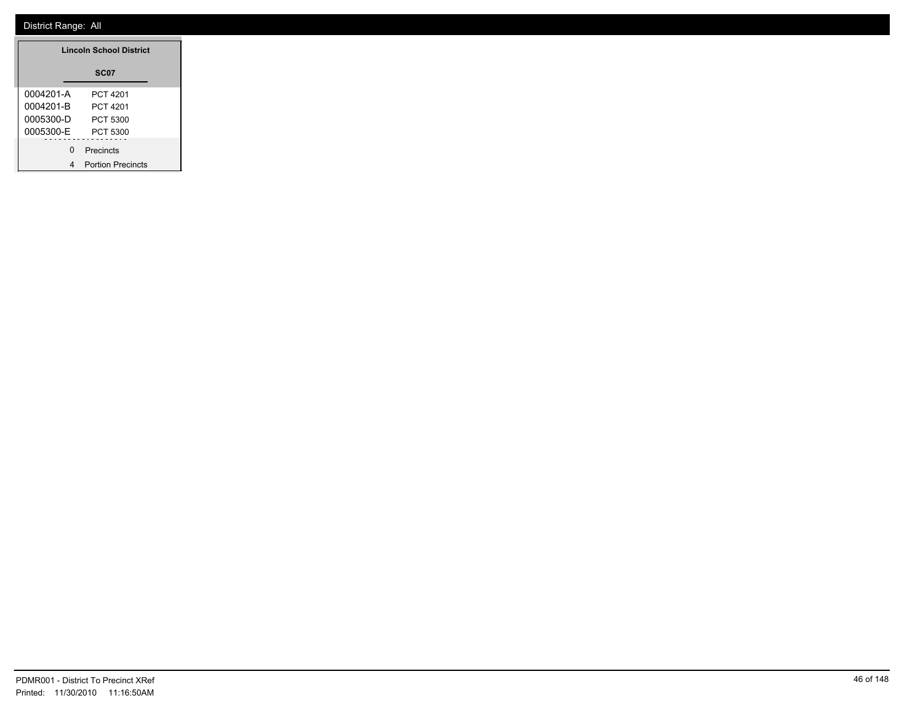| <b>Lincoln School District</b> |                          |  |  |
|--------------------------------|--------------------------|--|--|
|                                | SC <sub>07</sub>         |  |  |
| 0004201-A                      | PCT 4201                 |  |  |
| 0004201-B                      | PCT 4201                 |  |  |
| 0005300-D                      | PCT 5300                 |  |  |
| 0005300-E                      | PCT 5300                 |  |  |
| O                              | Precincts                |  |  |
|                                | <b>Portion Precincts</b> |  |  |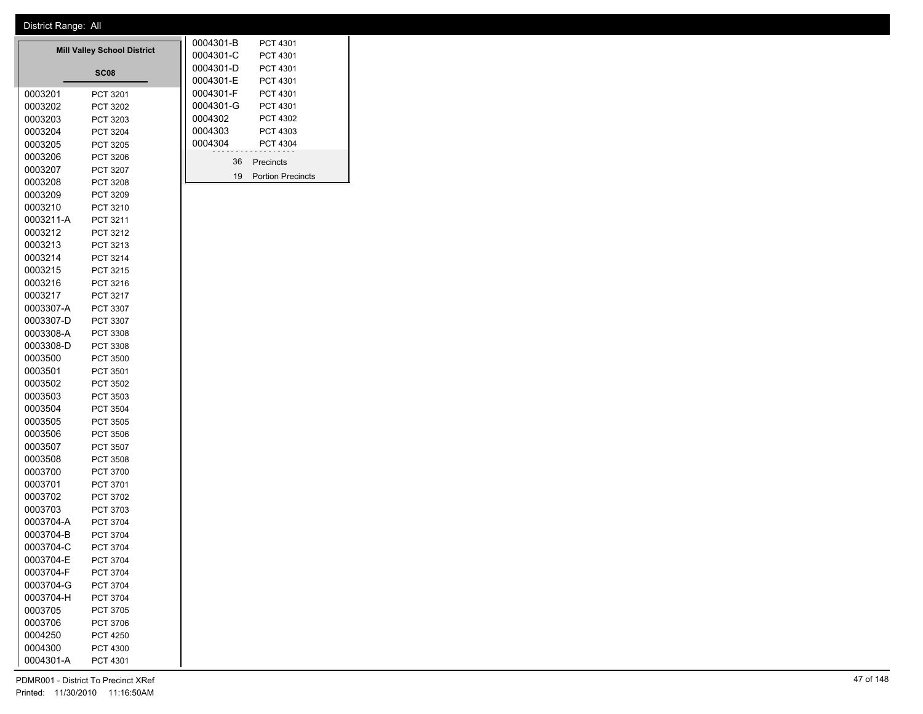| <b>Mill Valley School District</b> |                  |  | 0004301-B | PCT 4301            |
|------------------------------------|------------------|--|-----------|---------------------|
|                                    |                  |  | 0004301-C | PCT 4301            |
|                                    | SC <sub>08</sub> |  | 0004301-D | PCT 4301            |
|                                    |                  |  | 0004301-E | PCT 4301            |
| 0003201                            | PCT 3201         |  | 0004301-F | PCT 4301            |
| 0003202                            | PCT 3202         |  | 0004301-G | PCT 4301            |
| 0003203                            | PCT 3203         |  | 0004302   | PCT 4302            |
| 0003204                            | PCT 3204         |  | 0004303   | PCT 4303            |
| 0003205                            | PCT 3205         |  | 0004304   | PCT 4304            |
| 0003206                            | PCT 3206         |  | 36        | Precincts           |
| 0003207                            | PCT 3207         |  | 19        | <b>Portion Prec</b> |
| 0003208                            | PCT 3208         |  |           |                     |
| 0003209                            | <b>PCT 3209</b>  |  |           |                     |
| 0003210                            | PCT 3210         |  |           |                     |
| 0003211-A                          | PCT 3211         |  |           |                     |
| 0003212                            | PCT 3212         |  |           |                     |
| 0003213                            | PCT 3213         |  |           |                     |
| 0003214                            | PCT 3214         |  |           |                     |
| 0003215                            | PCT 3215         |  |           |                     |
| 0003216                            | PCT 3216         |  |           |                     |
| 0003217                            | <b>PCT 3217</b>  |  |           |                     |
| 0003307-A                          | PCT 3307         |  |           |                     |
| 0003307-D                          | PCT 3307         |  |           |                     |
| 0003308-A                          | <b>PCT 3308</b>  |  |           |                     |
| 0003308-D                          | PCT 3308         |  |           |                     |
| 0003500                            | PCT 3500         |  |           |                     |
| 0003501                            | PCT 3501         |  |           |                     |
| 0003502                            | <b>PCT 3502</b>  |  |           |                     |
| 0003503                            | PCT 3503         |  |           |                     |
| 0003504                            | PCT 3504         |  |           |                     |
| 0003505                            | <b>PCT 3505</b>  |  |           |                     |
| 0003506                            | <b>PCT 3506</b>  |  |           |                     |
| 0003507                            | <b>PCT 3507</b>  |  |           |                     |
| 0003508                            | <b>PCT 3508</b>  |  |           |                     |
| 0003700                            | PCT 3700         |  |           |                     |
| 0003701                            | PCT 3701         |  |           |                     |
| 0003702                            | PCT 3702         |  |           |                     |
| 0003703                            | PCT 3703         |  |           |                     |
| 0003704-A                          | <b>PCT 3704</b>  |  |           |                     |
| 0003704-B                          | PCT 3704         |  |           |                     |
| 0003704-C                          | PCT 3704         |  |           |                     |
| 0003704-E                          | PCT 3704         |  |           |                     |
| 0003704-F                          | <b>PCT 3704</b>  |  |           |                     |
| 0003704-G                          | PCT 3704         |  |           |                     |
| 0003704-H                          | PCT 3704         |  |           |                     |
| 0003705                            | PCT 3705         |  |           |                     |
| 0003706                            | <b>PCT 3706</b>  |  |           |                     |
| 0004250                            | <b>PCT 4250</b>  |  |           |                     |
| 0004300                            | PCT 4300         |  |           |                     |
| 0004301-A                          | PCT 4301         |  |           |                     |
|                                    |                  |  |           |                     |

Precincts Portion Precincts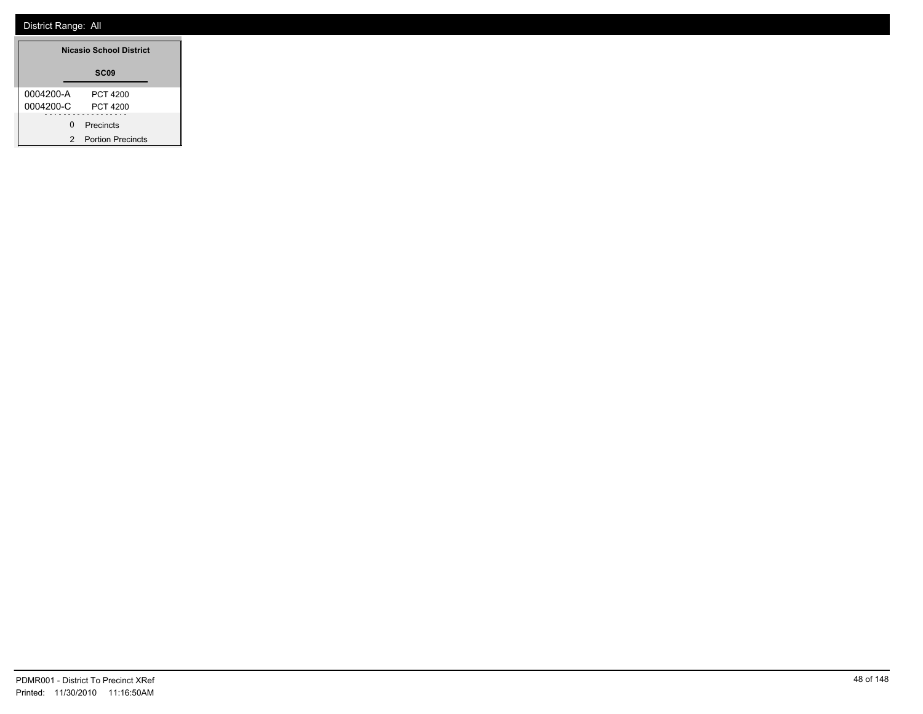| <b>Nicasio School District</b> |                          |  |
|--------------------------------|--------------------------|--|
|                                | SC <sub>09</sub>         |  |
| 0004200-A                      | PCT 4200                 |  |
| 0004200-C                      | PCT 4200                 |  |
| U                              | Precincts                |  |
| 2                              | <b>Portion Precincts</b> |  |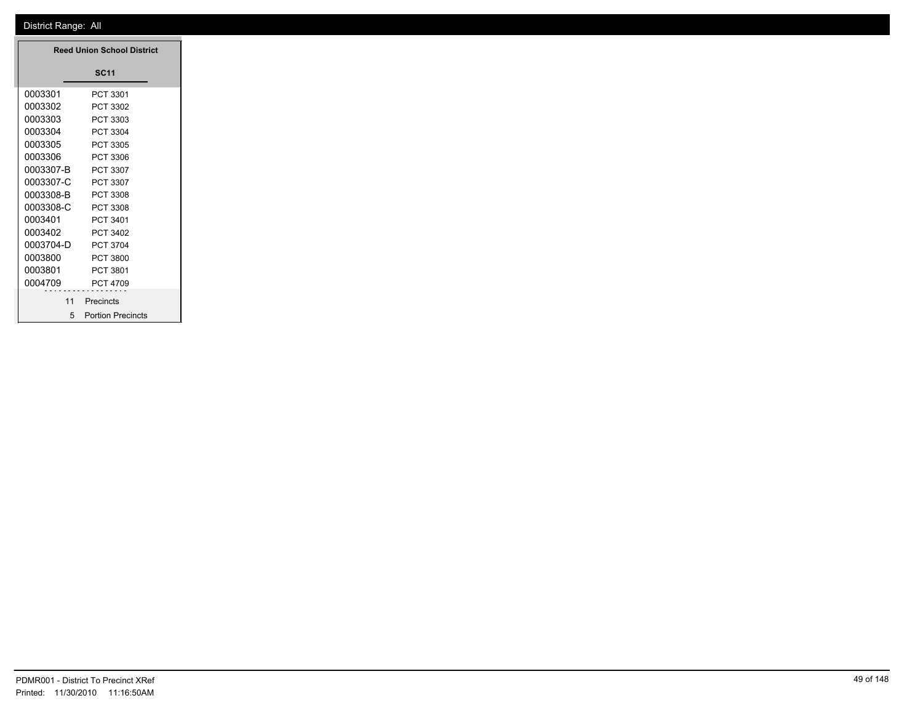| <b>Reed Union School District</b> |                     |
|-----------------------------------|---------------------|
|                                   | <b>SC11</b>         |
| 0003301                           | PCT 3301            |
| 0003302                           | PCT 3302            |
| 0003303                           | PCT 3303            |
| 0003304                           | PCT 3304            |
| 0003305                           | PCT 3305            |
| 0003306                           | PCT 3306            |
| 0003307-B                         | PCT 3307            |
| 0003307-C                         | PCT 3307            |
| 0003308-B                         | PCT 3308            |
| 0003308-C                         | PCT 3308            |
| 0003401                           | PCT 3401            |
| 0003402                           | PCT 3402            |
| 0003704-D                         | PCT 3704            |
| 0003800                           | <b>PCT 3800</b>     |
| 0003801                           | PCT 3801            |
| 0004709                           | PCT 4709            |
| 11                                | Precincts           |
|                                   | 5 Portion Precincts |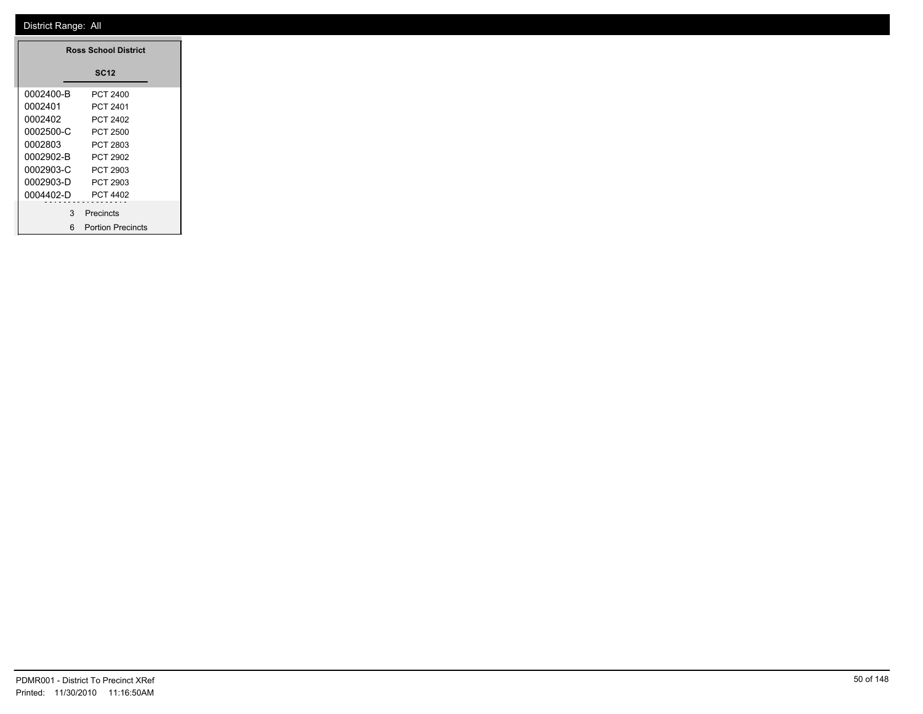| <b>Ross School District</b> |                          |  |  |  |
|-----------------------------|--------------------------|--|--|--|
| <b>SC12</b>                 |                          |  |  |  |
| 0002400-B                   | PCT 2400                 |  |  |  |
| 0002401                     | PCT 2401                 |  |  |  |
| 0002402                     | PCT 2402                 |  |  |  |
| 0002500-C                   | PCT 2500                 |  |  |  |
| 0002803                     | PCT 2803                 |  |  |  |
| 0002902-B                   | PCT 2902                 |  |  |  |
| 0002903-C                   | PCT 2903                 |  |  |  |
| 0002903-D                   | PCT 2903                 |  |  |  |
| 0004402-D                   | PCT 4402                 |  |  |  |
| 3                           | Precincts                |  |  |  |
| 6                           | <b>Portion Precincts</b> |  |  |  |

۳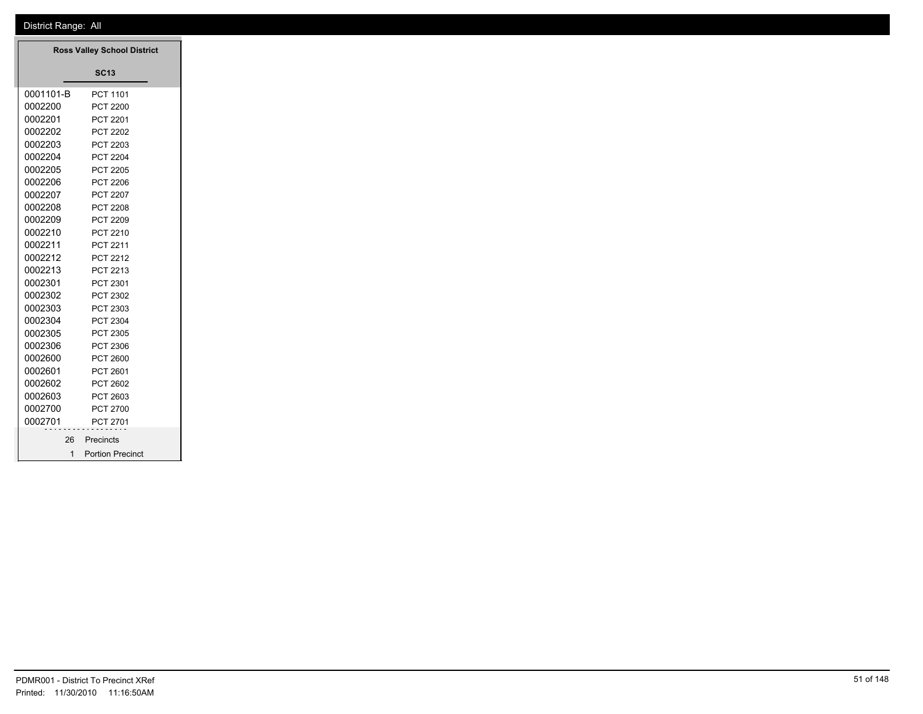| <b>Ross Valley School District</b> |                         |
|------------------------------------|-------------------------|
|                                    | <b>SC13</b>             |
| 0001101-B                          | PCT 1101                |
| 0002200                            | <b>PCT 2200</b>         |
| 0002201                            | PCT 2201                |
| 0002202                            | <b>PCT 2202</b>         |
| 0002203                            | PCT 2203                |
| 0002204                            | <b>PCT 2204</b>         |
| 0002205                            | PCT 2205                |
| 0002206                            | PCT 2206                |
| 0002207                            | <b>PCT 2207</b>         |
| 0002208                            | <b>PCT 2208</b>         |
| 0002209                            | PCT 2209                |
| 0002210                            | PCT 2210                |
| 0002211                            | PCT 2211                |
| 0002212                            | PCT 2212                |
| 0002213                            | PCT 2213                |
| 0002301                            | PCT 2301                |
| 0002302                            | PCT 2302                |
| 0002303                            | PCT 2303                |
| 0002304                            | PCT 2304                |
| 0002305                            | PCT 2305                |
| 0002306                            | PCT 2306                |
| 0002600                            | <b>PCT 2600</b>         |
| 0002601                            | PCT 2601                |
| 0002602                            | PCT 2602                |
| 0002603                            | PCT 2603                |
| 0002700                            | PCT 2700                |
| 0002701                            | PCT 2701                |
| 26                                 | Precincts               |
| $\overline{1}$                     | <b>Portion Precinct</b> |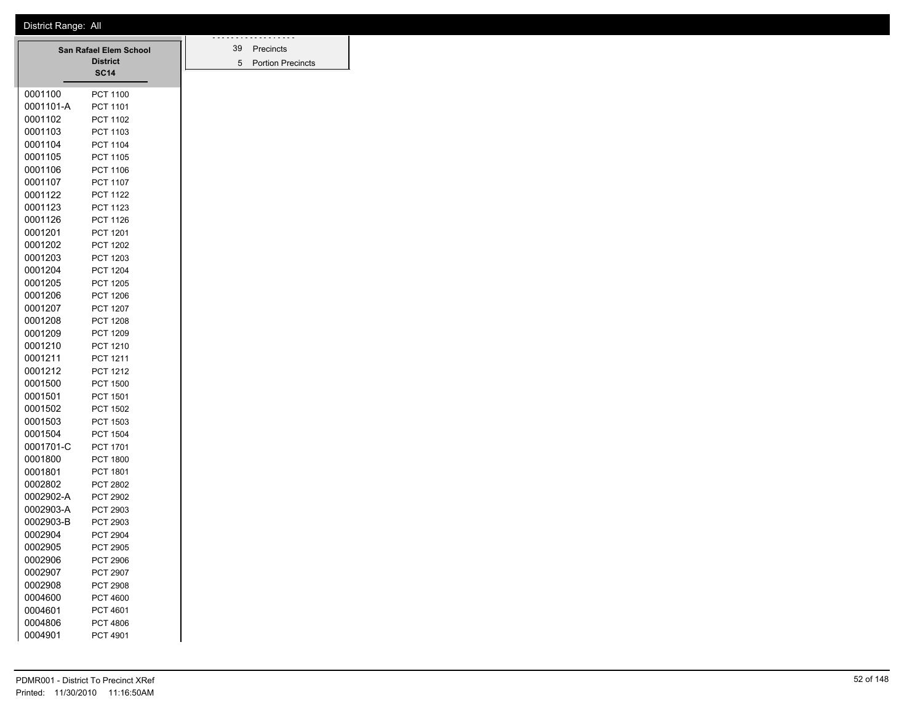| <b>San Rafael Elem School</b> |                                | 39 | .<br>Precincts           |
|-------------------------------|--------------------------------|----|--------------------------|
|                               | <b>District</b><br><b>SC14</b> | 5  | <b>Portion Precincts</b> |
| 0001100                       |                                |    |                          |
| 0001101-A                     | <b>PCT 1100</b><br>PCT 1101    |    |                          |
| 0001102                       | PCT 1102                       |    |                          |
| 0001103                       | PCT 1103                       |    |                          |
| 0001104                       | PCT 1104                       |    |                          |
| 0001105                       | <b>PCT 1105</b>                |    |                          |
| 0001106                       | PCT 1106                       |    |                          |
| 0001107                       | <b>PCT 1107</b>                |    |                          |
| 0001122                       | <b>PCT 1122</b>                |    |                          |
| 0001123                       | PCT 1123                       |    |                          |
| 0001126                       | <b>PCT 1126</b>                |    |                          |
| 0001201                       | PCT 1201                       |    |                          |
| 0001202                       | <b>PCT 1202</b>                |    |                          |
| 0001203                       | PCT 1203                       |    |                          |
| 0001204                       | <b>PCT 1204</b>                |    |                          |
| 0001205                       | <b>PCT 1205</b>                |    |                          |
| 0001206                       | <b>PCT 1206</b>                |    |                          |
| 0001207                       | <b>PCT 1207</b>                |    |                          |
| 0001208                       | <b>PCT 1208</b>                |    |                          |
| 0001209                       | PCT 1209                       |    |                          |
| 0001210                       | PCT 1210                       |    |                          |
| 0001211                       | PCT 1211                       |    |                          |
| 0001212                       | PCT 1212                       |    |                          |
| 0001500                       | <b>PCT 1500</b>                |    |                          |
| 0001501                       | PCT 1501                       |    |                          |
| 0001502                       | <b>PCT 1502</b>                |    |                          |
| 0001503                       | PCT 1503                       |    |                          |
| 0001504                       | <b>PCT 1504</b>                |    |                          |
| 0001701-C                     | PCT 1701                       |    |                          |
| 0001800                       | <b>PCT 1800</b>                |    |                          |
| 0001801                       | PCT 1801                       |    |                          |
| 0002802                       | <b>PCT 2802</b>                |    |                          |
| 0002902-A                     | PCT 2902                       |    |                          |
| 0002903-A                     | PCT 2903                       |    |                          |
| 0002903-B                     | PCT 2903                       |    |                          |
| 0002904                       | <b>PCT 2904</b>                |    |                          |
| 0002905                       | <b>PCT 2905</b>                |    |                          |
| 0002906                       | PCT 2906                       |    |                          |
| 0002907                       | PCT 2907                       |    |                          |
| 0002908                       | PCT 2908                       |    |                          |
| 0004600                       | <b>PCT 4600</b>                |    |                          |
| 0004601                       | PCT 4601                       |    |                          |
| 0004806                       | <b>PCT 4806</b>                |    |                          |
| 0004901                       | PCT 4901                       |    |                          |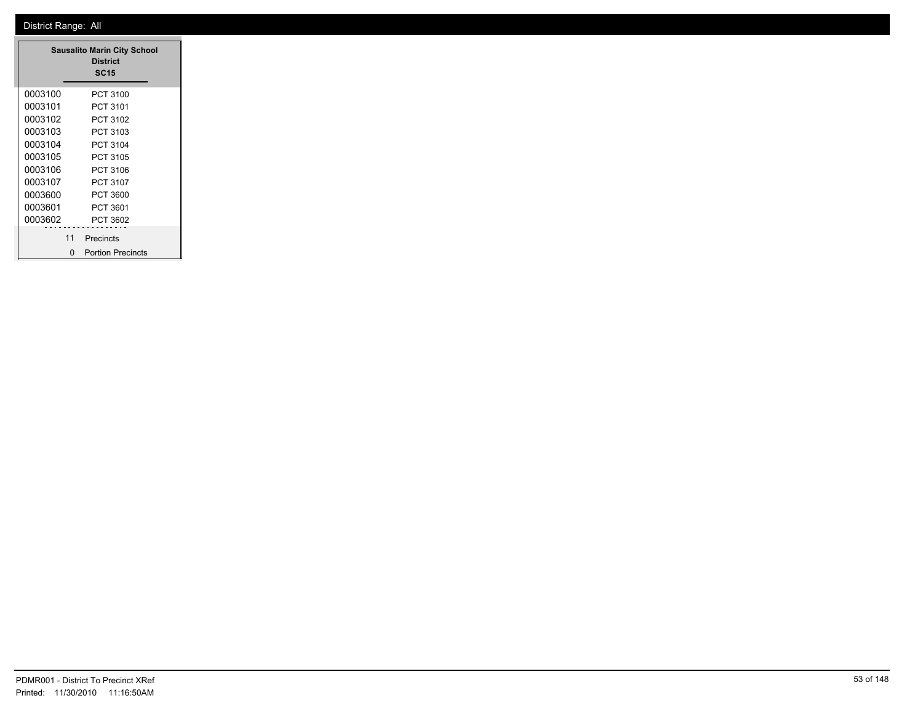| <b>Sausalito Marin City School</b><br><b>District</b><br><b>SC15</b> |    |                          |  |
|----------------------------------------------------------------------|----|--------------------------|--|
| 0003100                                                              |    | PCT 3100                 |  |
| 0003101                                                              |    | PCT 3101                 |  |
| 0003102                                                              |    | PCT 3102                 |  |
| 0003103                                                              |    | PCT 3103                 |  |
| 0003104                                                              |    | PCT 3104                 |  |
| 0003105                                                              |    | PCT 3105                 |  |
| 0003106                                                              |    | PCT 3106                 |  |
| 0003107                                                              |    | PCT 3107                 |  |
| 0003600                                                              |    | PCT 3600                 |  |
| 0003601                                                              |    | PCT 3601                 |  |
| 0003602                                                              |    | PCT 3602                 |  |
|                                                                      | 11 | Precincts                |  |
|                                                                      | n  | <b>Portion Precincts</b> |  |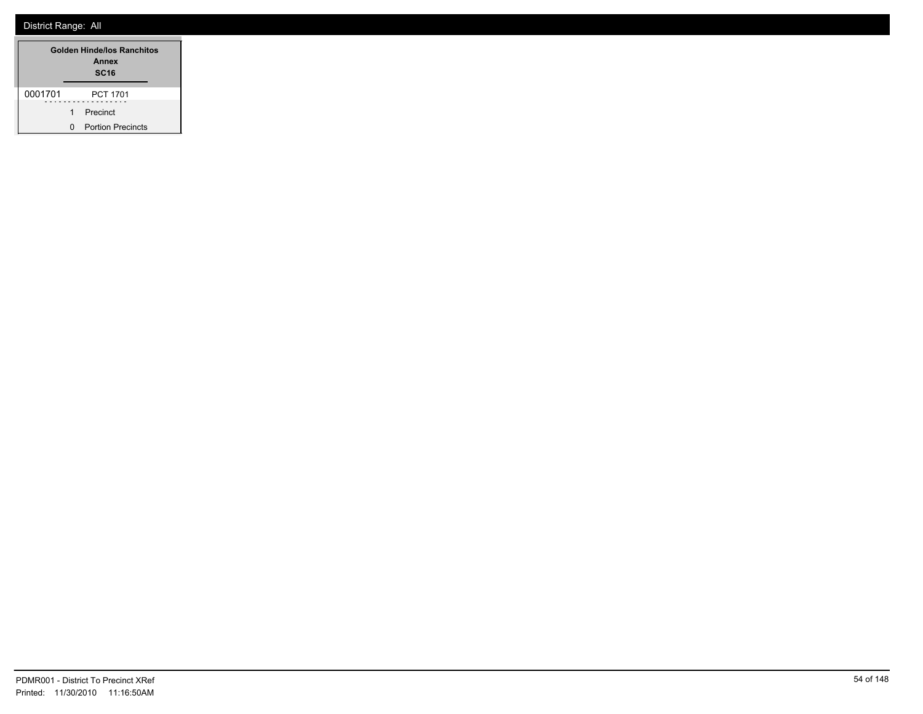| <b>Golden Hinde/los Ranchitos</b><br>Annex<br><b>SC16</b> |   |                          |
|-----------------------------------------------------------|---|--------------------------|
| 0001701                                                   |   | <b>PCT 1701</b>          |
|                                                           | 1 | Precinct                 |
|                                                           | n | <b>Portion Precincts</b> |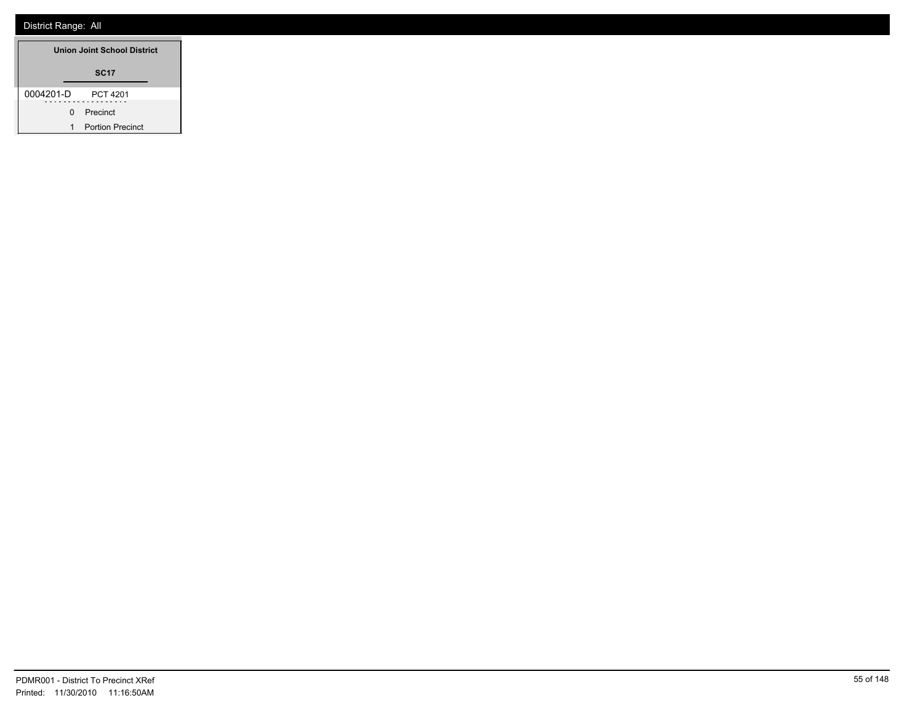| Union Joint School District |                         |  |
|-----------------------------|-------------------------|--|
|                             | <b>SC17</b>             |  |
| 0004201-D                   | <b>PCT 4201</b>         |  |
| 0                           | Precinct                |  |
| 1                           | <b>Portion Precinct</b> |  |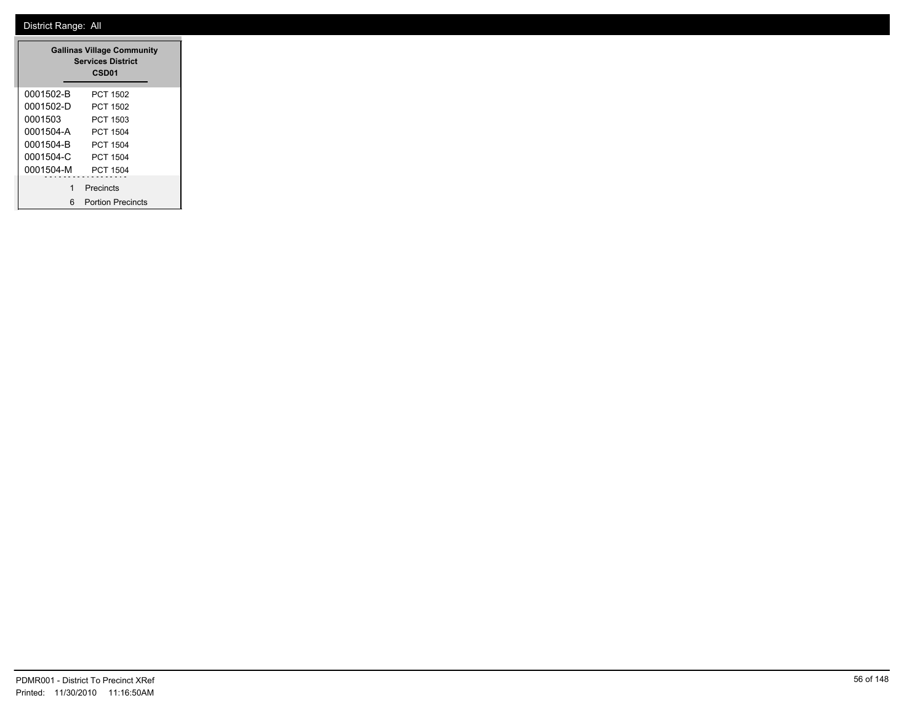| <b>Gallinas Village Community</b><br><b>Services District</b><br>CSD <sub>01</sub> |                          |  |
|------------------------------------------------------------------------------------|--------------------------|--|
| 0001502-B                                                                          | PCT 1502                 |  |
| 0001502-D                                                                          | PCT 1502                 |  |
| 0001503                                                                            | PCT 1503                 |  |
| 0001504-A                                                                          | PCT 1504                 |  |
| 0001504-B                                                                          | PCT 1504                 |  |
| 0001504-C                                                                          | PCT 1504                 |  |
| 0001504-M                                                                          | PCT 1504                 |  |
| 1                                                                                  | Precincts                |  |
| 6                                                                                  | <b>Portion Precincts</b> |  |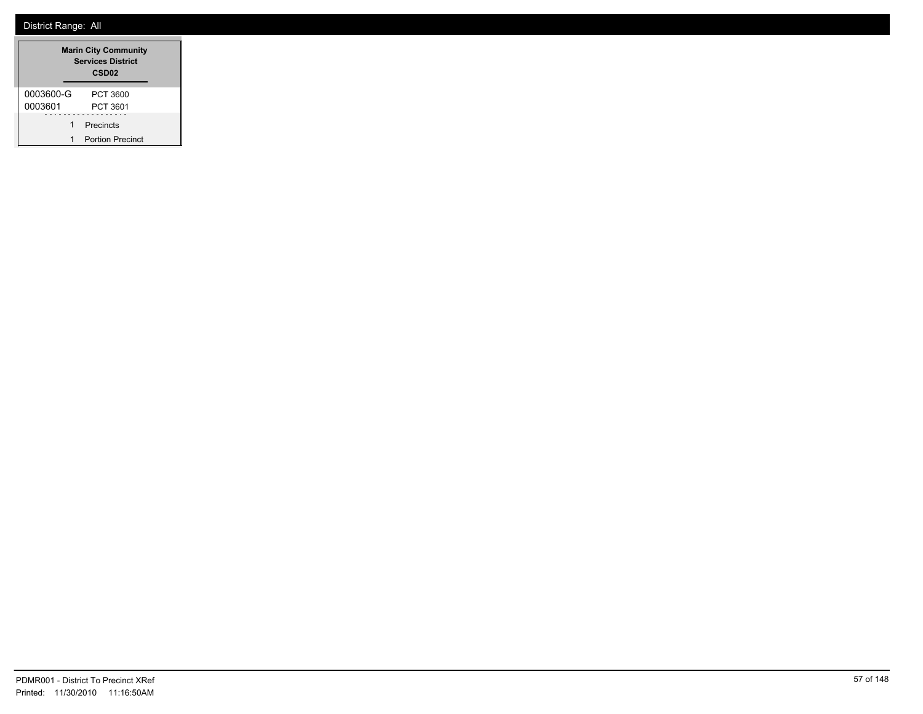| <b>Marin City Community</b><br><b>Services District</b><br>CSD <sub>02</sub> |                         |  |
|------------------------------------------------------------------------------|-------------------------|--|
| 0003600-G                                                                    | PCT 3600                |  |
| 0003601                                                                      | PCT 3601                |  |
| 1                                                                            | Precincts               |  |
| 1                                                                            | <b>Portion Precinct</b> |  |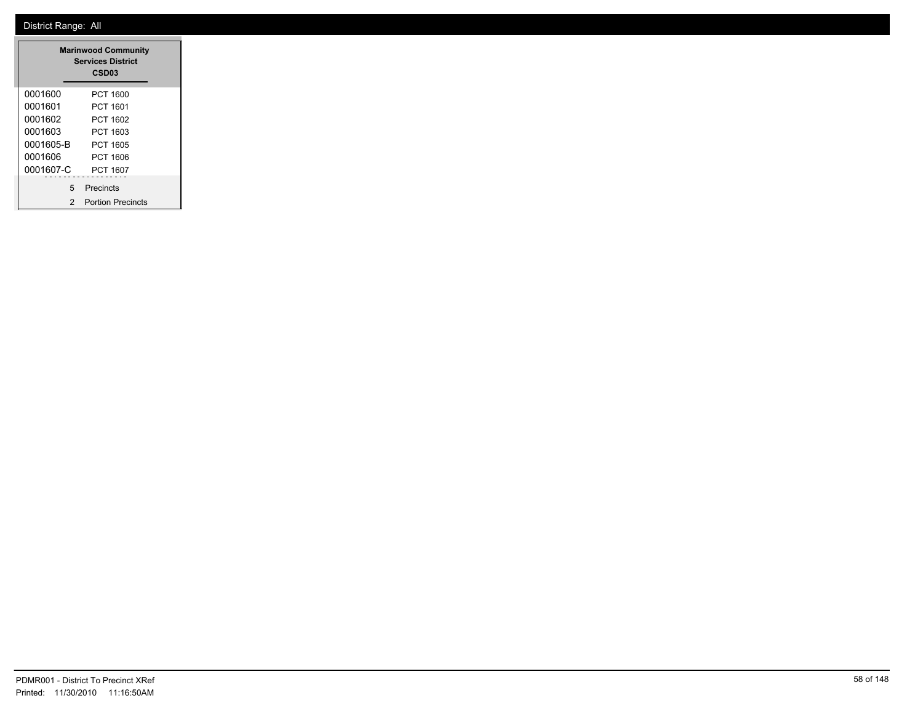|           | <b>Marinwood Community</b><br><b>Services District</b><br>CSD <sub>03</sub> |  |
|-----------|-----------------------------------------------------------------------------|--|
| 0001600   | PCT 1600                                                                    |  |
| 0001601   | PCT 1601                                                                    |  |
| 0001602   | PCT 1602                                                                    |  |
| 0001603   | PCT 1603                                                                    |  |
| 0001605-B | PCT 1605                                                                    |  |
| 0001606   | PCT 1606                                                                    |  |
| 0001607-C | PCT 1607                                                                    |  |
| 5         | Precincts                                                                   |  |
| 2         | <b>Portion Precincts</b>                                                    |  |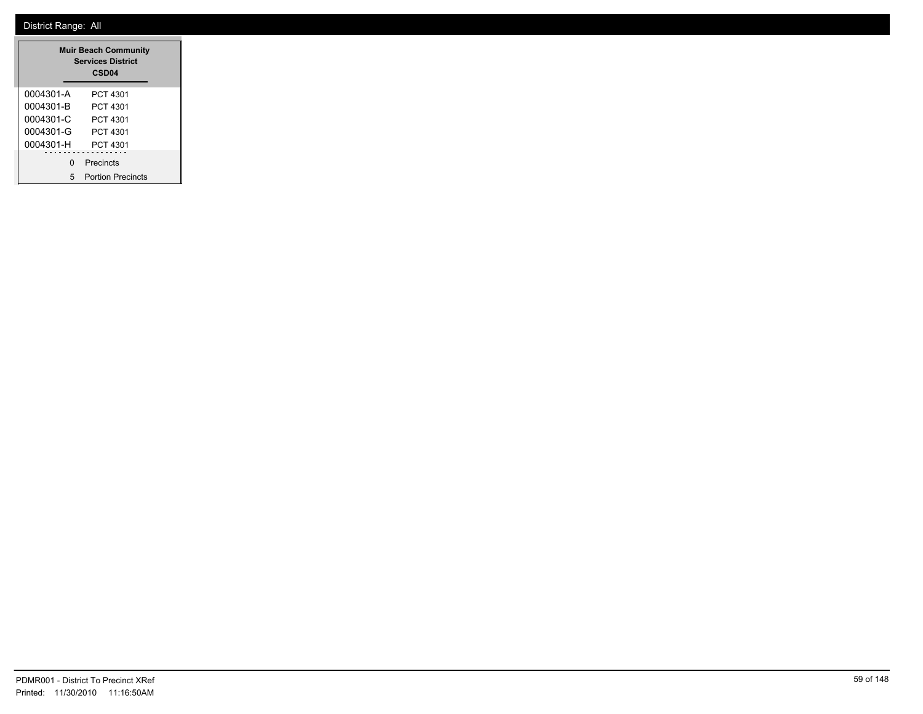|           | <b>Muir Beach Community</b><br><b>Services District</b><br>CSD <sub>04</sub> |
|-----------|------------------------------------------------------------------------------|
| 0004301-A | PCT 4301                                                                     |
| 0004301-B | PCT 4301                                                                     |
| 0004301-C | PCT 4301                                                                     |
| 0004301-G | PCT 4301                                                                     |
| 0004301-H | PCT 4301                                                                     |
| ŋ         | Precincts                                                                    |
| 5         | <b>Portion Precincts</b>                                                     |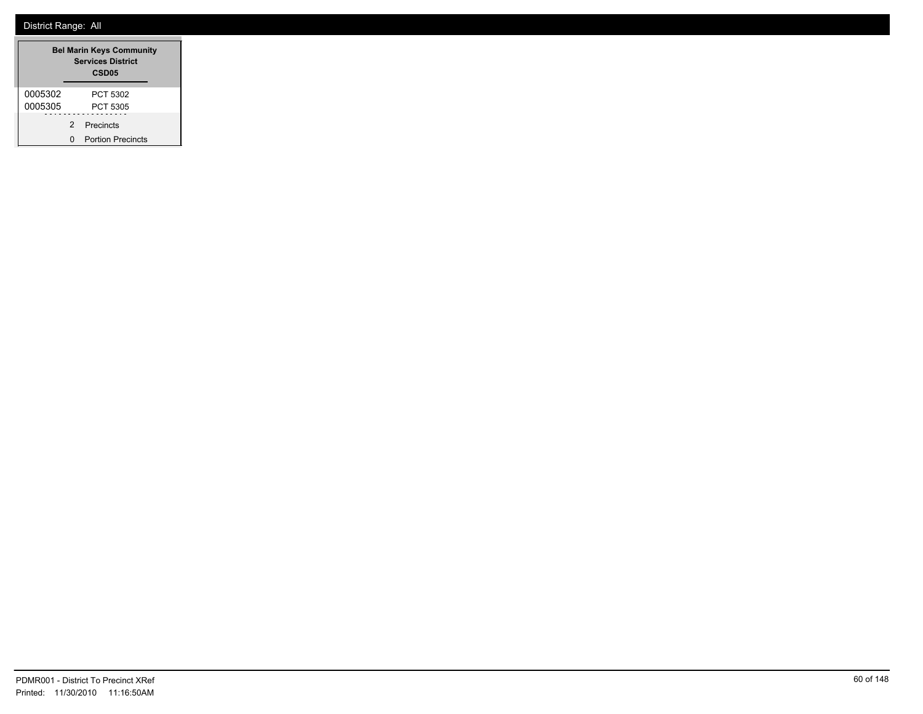| <b>Bel Marin Keys Community</b><br><b>Services District</b><br><b>CSD05</b> |   |                          |
|-----------------------------------------------------------------------------|---|--------------------------|
| 0005302                                                                     |   | PCT 5302                 |
| 0005305                                                                     |   | PCT 5305                 |
|                                                                             | 2 | Precincts                |
|                                                                             | ŋ | <b>Portion Precincts</b> |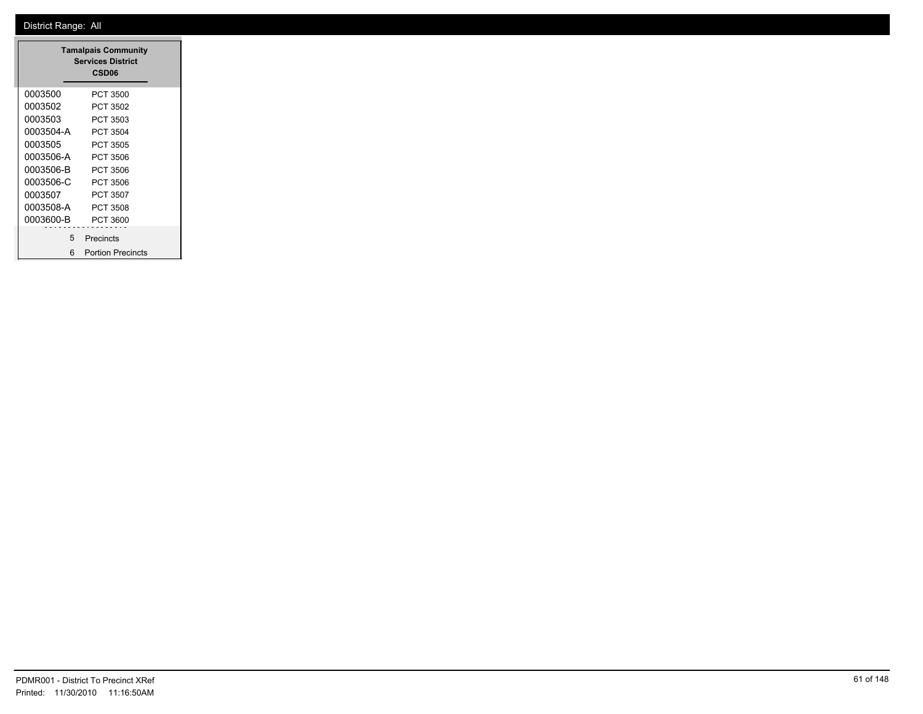|           | <b>Tamalpais Community</b><br><b>Services District</b><br>CSD <sub>06</sub> |
|-----------|-----------------------------------------------------------------------------|
| 0003500   | PCT 3500                                                                    |
| 0003502   | PCT 3502                                                                    |
| 0003503   | PCT 3503                                                                    |
| 0003504-A | PCT 3504                                                                    |
| 0003505   | PCT 3505                                                                    |
| 0003506-A | PCT 3506                                                                    |
| 0003506-B | PCT 3506                                                                    |
| 0003506-C | PCT 3506                                                                    |
| 0003507   | PCT 3507                                                                    |
| 0003508-A | PCT 3508                                                                    |
| 0003600-B | PCT 3600                                                                    |
| 5         | Precincts                                                                   |
| ี่ค       | <b>Portion Precincts</b>                                                    |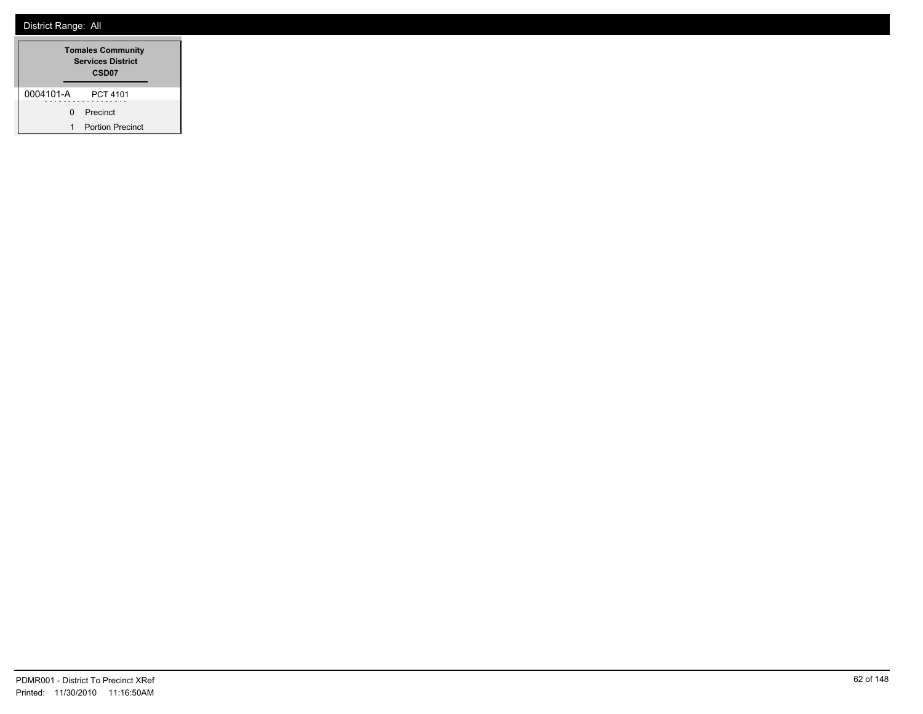|           |   | <b>Tomales Community</b><br><b>Services District</b><br>CSD <sub>07</sub> |  |
|-----------|---|---------------------------------------------------------------------------|--|
| 0004101-A |   | PCT 4101                                                                  |  |
|           | 0 | Precinct                                                                  |  |
|           | 1 | <b>Portion Precinct</b>                                                   |  |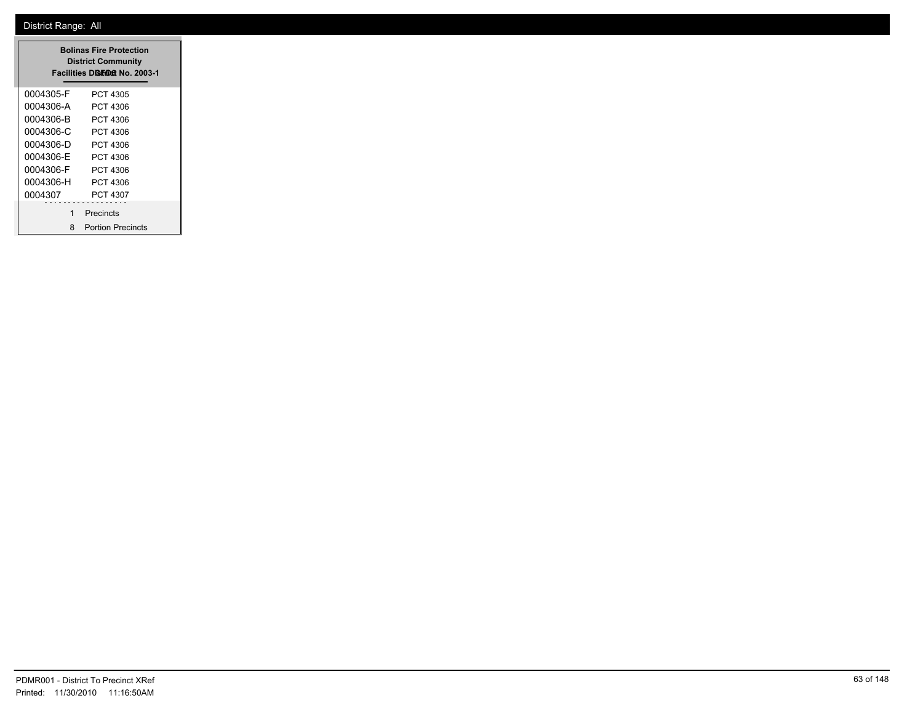|           | <b>Bolinas Fire Protection</b><br><b>District Community</b><br>Facilities Disfinat No. 2003-1 |
|-----------|-----------------------------------------------------------------------------------------------|
| 0004305-F | PCT 4305                                                                                      |
| 0004306-A | PCT 4306                                                                                      |
| 0004306-B | PCT 4306                                                                                      |
| 0004306-C | PCT 4306                                                                                      |
| 0004306-D | PCT 4306                                                                                      |
| 0004306-F | PCT 4306                                                                                      |
| 0004306-F | PCT 4306                                                                                      |
| 0004306-H | PCT 4306                                                                                      |
| 0004307   | PCT 4307                                                                                      |
| 1         | Precincts                                                                                     |
| 8         | <b>Portion Precincts</b>                                                                      |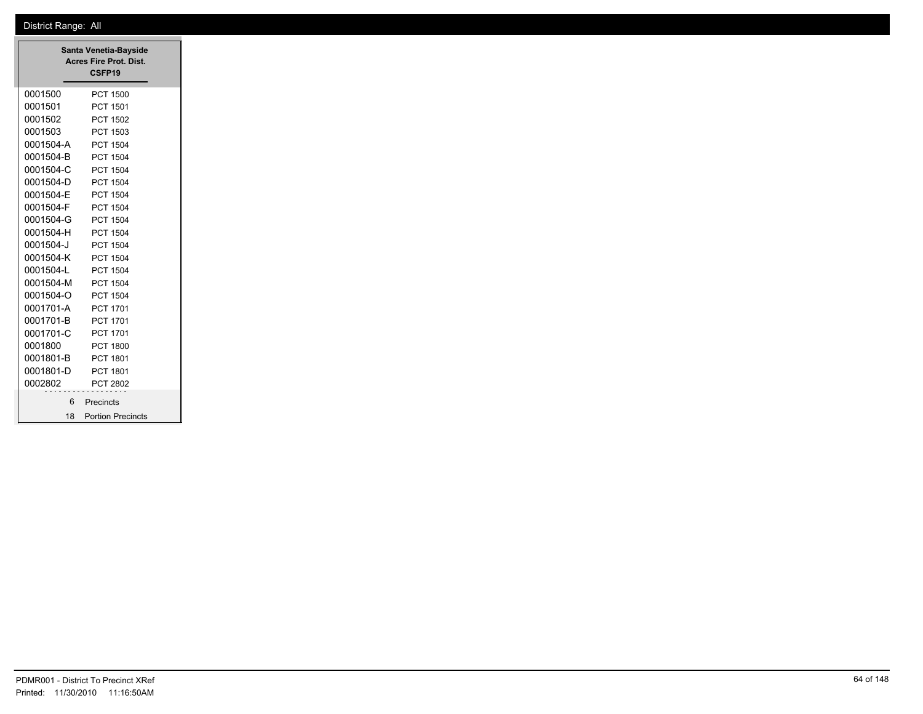|           | Santa Venetia-Bayside<br>Acres Fire Prot. Dist.<br>CSFP19 |
|-----------|-----------------------------------------------------------|
| 0001500   | <b>PCT 1500</b>                                           |
| 0001501   | PCT 1501                                                  |
| 0001502   | <b>PCT 1502</b>                                           |
| 0001503   | PCT 1503                                                  |
| 0001504-A | <b>PCT 1504</b>                                           |
| 0001504-B | <b>PCT 1504</b>                                           |
| 0001504-C | <b>PCT 1504</b>                                           |
| 0001504-D | <b>PCT 1504</b>                                           |
| 0001504-E | <b>PCT 1504</b>                                           |
| 0001504-F | <b>PCT 1504</b>                                           |
| 0001504-G | <b>PCT 1504</b>                                           |
| 0001504-H | <b>PCT 1504</b>                                           |
| 0001504-J | <b>PCT 1504</b>                                           |
| 0001504-K | <b>PCT 1504</b>                                           |
| 0001504-L | <b>PCT 1504</b>                                           |
| 0001504-M | <b>PCT 1504</b>                                           |
| 0001504-O | PCT 1504                                                  |
| 0001701-A | PCT 1701                                                  |
| 0001701-B | PCT 1701                                                  |
| 0001701-C | PCT 1701                                                  |
| 0001800   | <b>PCT 1800</b>                                           |
| 0001801-B | PCT 1801                                                  |
| 0001801-D | PCT 1801                                                  |
| 0002802   | PCT 2802                                                  |
|           | 6 Precincts                                               |
|           | 18 Portion Precincts                                      |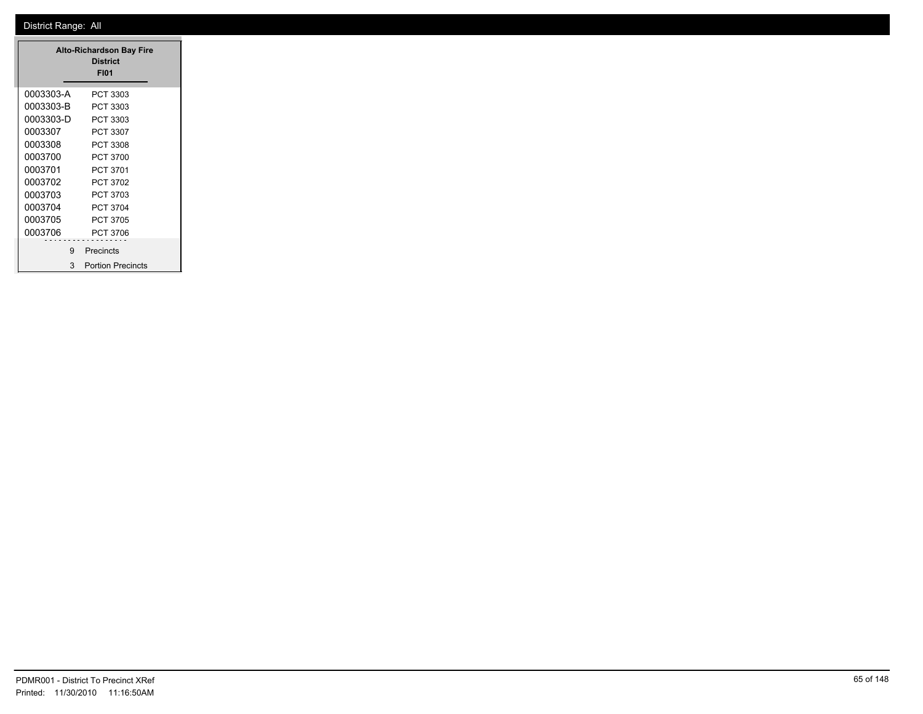|           | <b>Alto-Richardson Bay Fire</b><br><b>District</b><br><b>FI01</b> |  |
|-----------|-------------------------------------------------------------------|--|
| 0003303-A | PCT 3303                                                          |  |
| 0003303-B | PCT 3303                                                          |  |
| 0003303-D | PCT 3303                                                          |  |
| 0003307   | PCT 3307                                                          |  |
| 0003308   | PCT 3308                                                          |  |
| 0003700   | <b>PCT 3700</b>                                                   |  |
| 0003701   | PCT 3701                                                          |  |
| 0003702   | PCT 3702                                                          |  |
| 0003703   | PCT 3703                                                          |  |
| 0003704   | <b>PCT 3704</b>                                                   |  |
| 0003705   | PCT 3705                                                          |  |
| 0003706   | <b>PCT 3706</b>                                                   |  |
| 9         | Precincts                                                         |  |
| 3         | <b>Portion Precincts</b>                                          |  |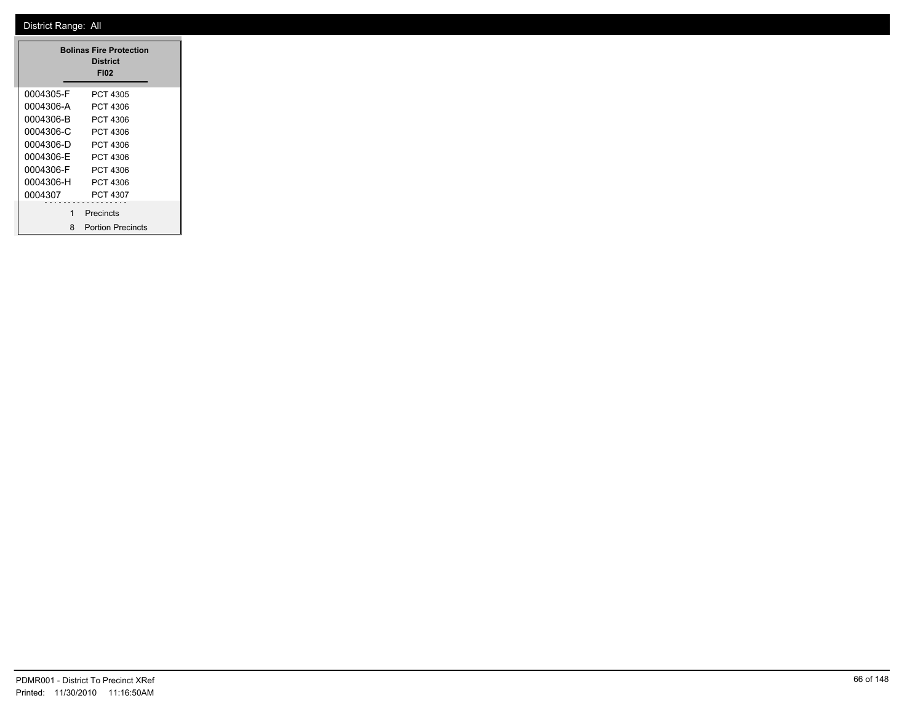|           | <b>Bolinas Fire Protection</b><br><b>District</b><br><b>FI02</b> |
|-----------|------------------------------------------------------------------|
| 0004305-F | PCT 4305                                                         |
| 0004306-A | PCT 4306                                                         |
| 0004306-B | PCT 4306                                                         |
| 0004306-C | PCT 4306                                                         |
| 0004306-D | PCT 4306                                                         |
| 0004306-F | PCT 4306                                                         |
| 0004306-F | PCT 4306                                                         |
| 0004306-H | PCT 4306                                                         |
| 0004307   | PCT 4307                                                         |
| 1         | Precincts                                                        |
| 8         | <b>Portion Precincts</b>                                         |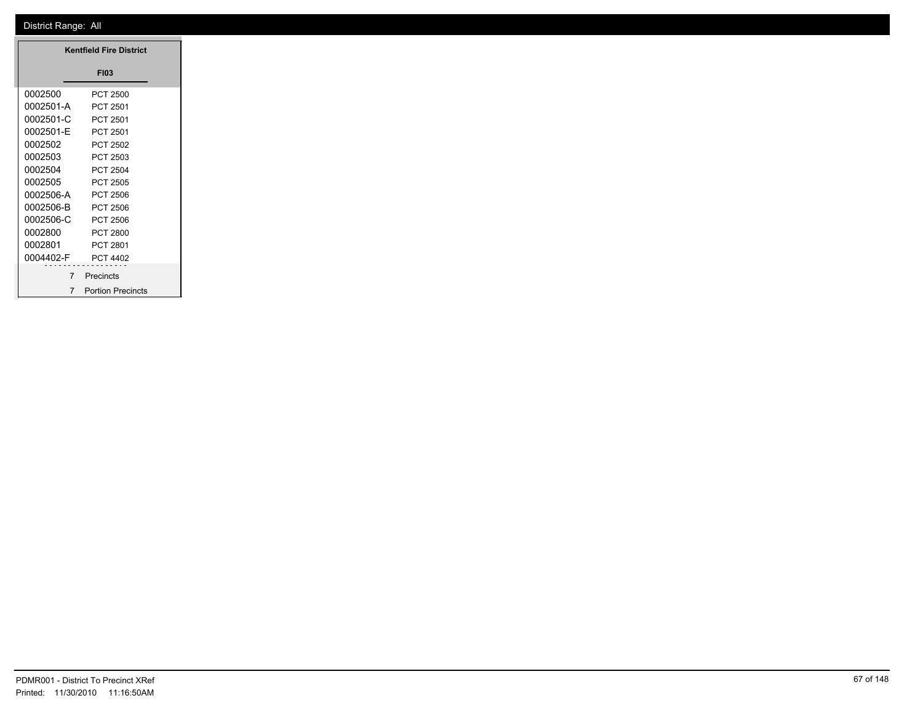|           | <b>Kentfield Fire District</b> |
|-----------|--------------------------------|
|           | <b>FI03</b>                    |
| 0002500   | <b>PCT 2500</b>                |
| 0002501-A | PCT 2501                       |
| 0002501-C | PCT 2501                       |
| 0002501-E | PCT 2501                       |
| 0002502   | PCT 2502                       |
| 0002503   | PCT 2503                       |
| 0002504   | PCT 2504                       |
| 0002505   | PCT 2505                       |
| 0002506-A | <b>PCT 2506</b>                |
| 0002506-B | <b>PCT 2506</b>                |
| 0002506-C | <b>PCT 2506</b>                |
| 0002800   | <b>PCT 2800</b>                |
| 0002801   | PCT 2801                       |
| 0004402-F | PCT 4402                       |
|           | .<br>Precincts                 |
|           | 7 Portion Precincts            |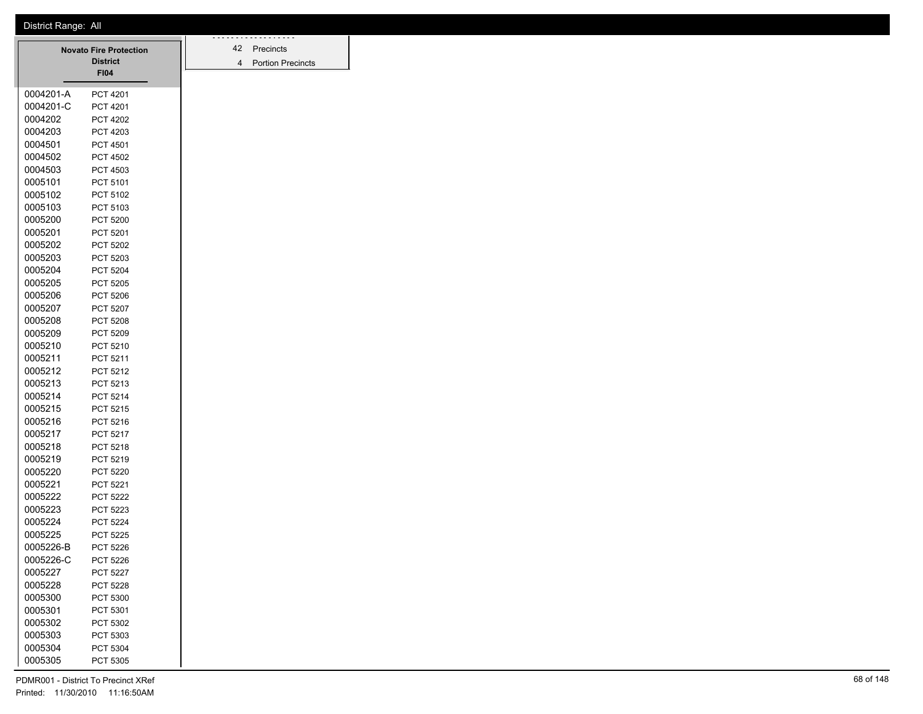|           | <b>Novato Fire Protection</b> |  | 42             | Precincts                |
|-----------|-------------------------------|--|----------------|--------------------------|
|           | <b>District</b>               |  | $\overline{4}$ | <b>Portion Precincts</b> |
|           | <b>FI04</b>                   |  |                |                          |
| 0004201-A | <b>PCT 4201</b>               |  |                |                          |
| 0004201-C | <b>PCT 4201</b>               |  |                |                          |
| 0004202   | <b>PCT 4202</b>               |  |                |                          |
| 0004203   | PCT 4203                      |  |                |                          |
| 0004501   | <b>PCT 4501</b>               |  |                |                          |
| 0004502   | <b>PCT 4502</b>               |  |                |                          |
| 0004503   | PCT 4503                      |  |                |                          |
| 0005101   | PCT 5101                      |  |                |                          |
| 0005102   | PCT 5102                      |  |                |                          |
| 0005103   | PCT 5103                      |  |                |                          |
| 0005200   | <b>PCT 5200</b>               |  |                |                          |
| 0005201   | PCT 5201                      |  |                |                          |
| 0005202   | <b>PCT 5202</b>               |  |                |                          |
| 0005203   | PCT 5203                      |  |                |                          |
| 0005204   | <b>PCT 5204</b>               |  |                |                          |
| 0005205   | <b>PCT 5205</b>               |  |                |                          |
| 0005206   | PCT 5206                      |  |                |                          |
| 0005207   | <b>PCT 5207</b>               |  |                |                          |
| 0005208   | <b>PCT 5208</b>               |  |                |                          |
| 0005209   | <b>PCT 5209</b>               |  |                |                          |
| 0005210   | PCT 5210                      |  |                |                          |
| 0005211   | <b>PCT 5211</b>               |  |                |                          |
| 0005212   | PCT 5212                      |  |                |                          |
| 0005213   | PCT 5213                      |  |                |                          |
| 0005214   | PCT 5214                      |  |                |                          |
| 0005215   | <b>PCT 5215</b>               |  |                |                          |
| 0005216   | PCT 5216                      |  |                |                          |
| 0005217   | PCT 5217                      |  |                |                          |
| 0005218   | PCT 5218                      |  |                |                          |
| 0005219   | PCT 5219                      |  |                |                          |
| 0005220   | <b>PCT 5220</b>               |  |                |                          |
| 0005221   | PCT 5221                      |  |                |                          |
| 0005222   | <b>PCT 5222</b>               |  |                |                          |
| 0005223   | PCT 5223                      |  |                |                          |
| 0005224   | <b>PCT 5224</b>               |  |                |                          |
| 0005225   | <b>PCT 5225</b>               |  |                |                          |
| 0005226-B | <b>PCT 5226</b>               |  |                |                          |
| 0005226-C | <b>PCT 5226</b>               |  |                |                          |
| 0005227   | <b>PCT 5227</b>               |  |                |                          |
| 0005228   | PCT 5228                      |  |                |                          |
| 0005300   | PCT 5300                      |  |                |                          |
| 0005301   | PCT 5301                      |  |                |                          |
| 0005302   | PCT 5302                      |  |                |                          |
| 0005303   | PCT 5303                      |  |                |                          |
| 0005304   | PCT 5304                      |  |                |                          |
| 0005305   | PCT 5305                      |  |                |                          |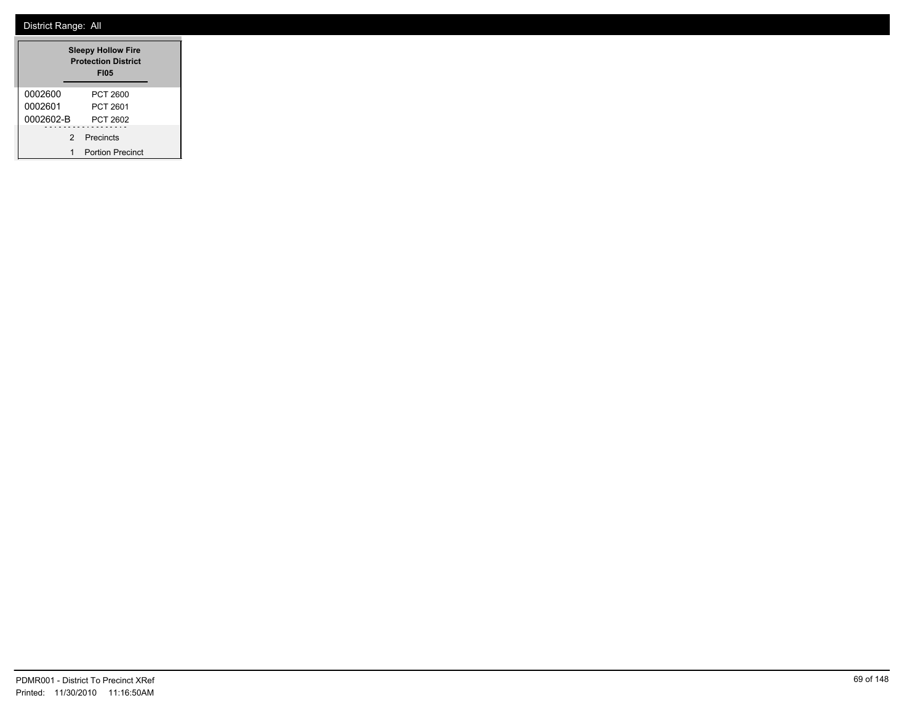|           | <b>Sleepy Hollow Fire</b><br><b>Protection District</b><br><b>FI05</b> |
|-----------|------------------------------------------------------------------------|
| 0002600   | PCT 2600                                                               |
| 0002601   | PCT 2601                                                               |
| 0002602-B | PCT 2602                                                               |
| 2         | Precincts                                                              |
|           | <b>Portion Precinct</b>                                                |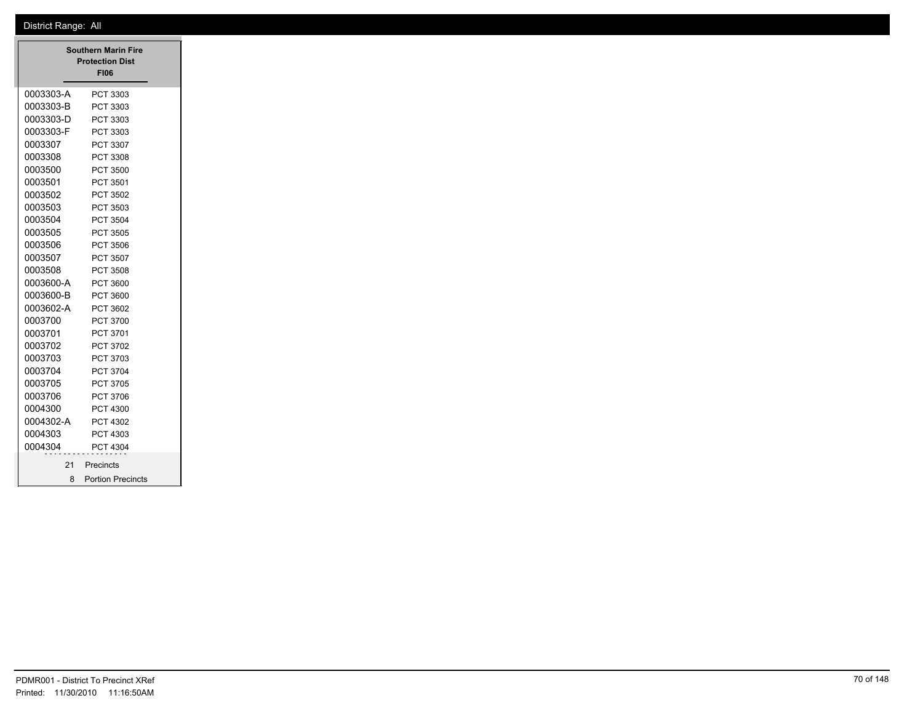|           | <b>Southern Marin Fire</b><br><b>Protection Dist</b><br><b>FI06</b> |
|-----------|---------------------------------------------------------------------|
| 0003303-A | PCT 3303                                                            |
| 0003303-B | PCT 3303                                                            |
| 0003303-D | PCT 3303                                                            |
| 0003303-F | PCT 3303                                                            |
| 0003307   | PCT 3307                                                            |
| 0003308   | PCT 3308                                                            |
| 0003500   | PCT 3500                                                            |
| 0003501   | PCT 3501                                                            |
| 0003502   | PCT 3502                                                            |
| 0003503   | PCT 3503                                                            |
| 0003504   | PCT 3504                                                            |
| 0003505   | PCT 3505                                                            |
| 0003506   | PCT 3506                                                            |
| 0003507   | PCT 3507                                                            |
| 0003508   | PCT 3508                                                            |
| 0003600-A | PCT 3600                                                            |
| 0003600-B | PCT 3600                                                            |
| 0003602-A | PCT 3602                                                            |
| 0003700   | PCT 3700                                                            |
| 0003701   | PCT 3701                                                            |
| 0003702   | PCT 3702                                                            |
| 0003703   | PCT 3703                                                            |
| 0003704   | PCT 3704                                                            |
| 0003705   | PCT 3705                                                            |
| 0003706   | PCT 3706                                                            |
| 0004300   | <b>PCT 4300</b>                                                     |
| 0004302-A | PCT 4302                                                            |
| 0004303   | PCT 4303                                                            |
| 0004304   | PCT 4304                                                            |
| 21        | Precincts                                                           |
|           |                                                                     |
|           | 8 Portion Precincts                                                 |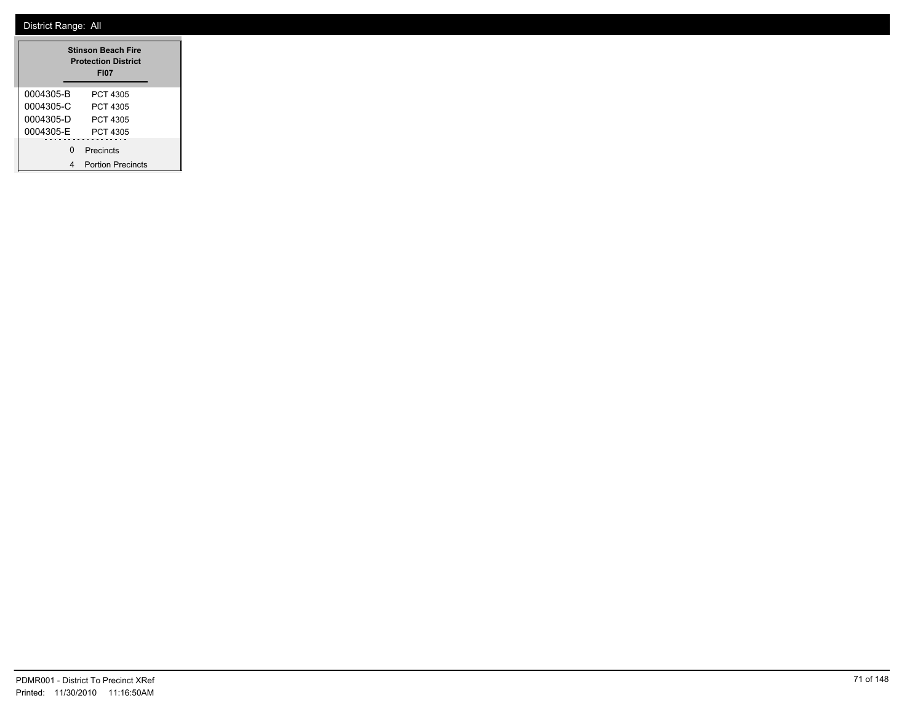|           | <b>Stinson Beach Fire</b><br><b>Protection District</b><br><b>FI07</b> |
|-----------|------------------------------------------------------------------------|
| 0004305-B | PCT 4305                                                               |
| 0004305-C | PCT 4305                                                               |
| 0004305-D | PCT 4305                                                               |
| 0004305-E | PCT 4305                                                               |
| U         | Precincts                                                              |
|           | <b>Portion Precincts</b>                                               |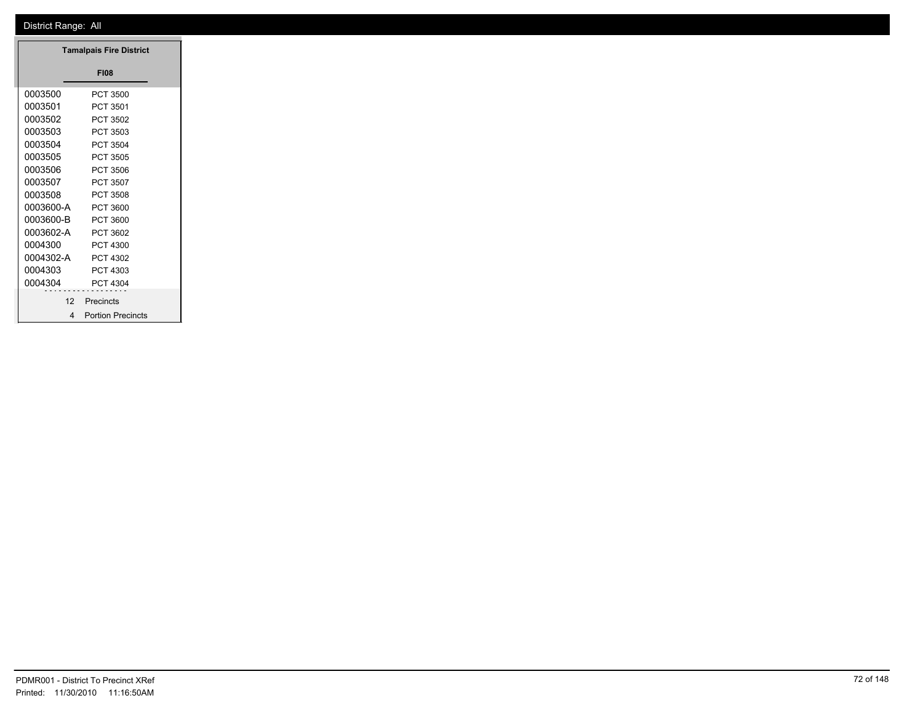|           | <b>Tamalpais Fire District</b> |
|-----------|--------------------------------|
|           | <b>FI08</b>                    |
| 0003500   | PCT 3500                       |
| 0003501   | PCT 3501                       |
| 0003502   | PCT 3502                       |
| 0003503   | PCT 3503                       |
| 0003504   | PCT 3504                       |
| 0003505   | PCT 3505                       |
| 0003506   | PCT 3506                       |
| 0003507   | PCT 3507                       |
| 0003508   | PCT 3508                       |
| 0003600-A | PCT 3600                       |
| 0003600-B | PCT 3600                       |
| 0003602-A | PCT 3602                       |
| 0004300   | PCT 4300                       |
| 0004302-A | PCT 4302                       |
| 0004303   | PCT 4303                       |
| 0004304   | PCT 4304                       |
| .<br>12   | Precincts                      |
|           | 4 Portion Precincts            |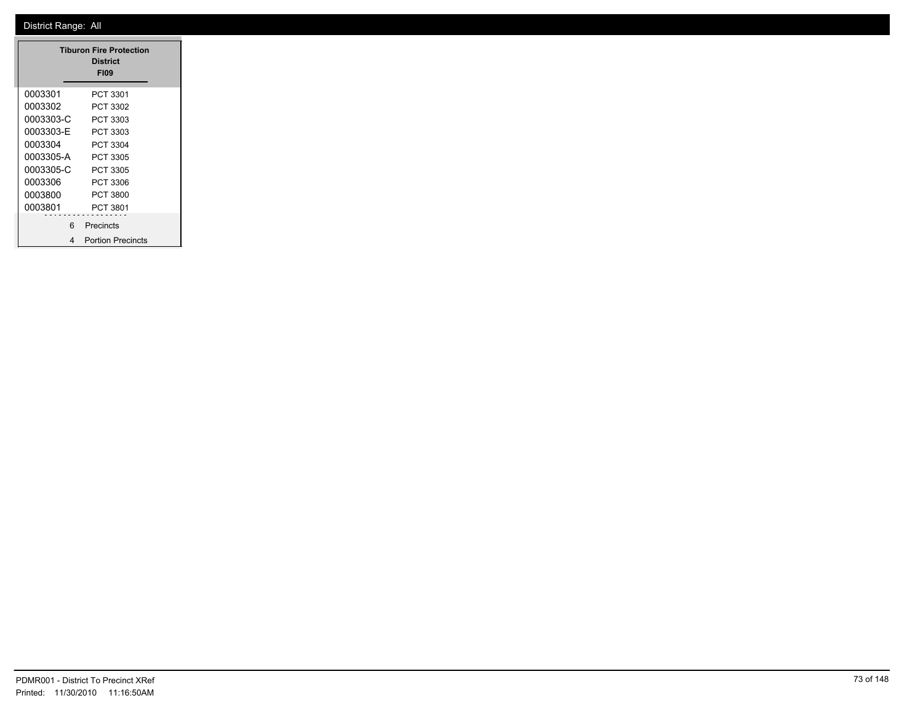|           | <b>Tiburon Fire Protection</b><br><b>District</b><br><b>FI09</b> |
|-----------|------------------------------------------------------------------|
| 0003301   | PCT 3301                                                         |
| 0003302   | PCT 3302                                                         |
| 0003303-C | PCT 3303                                                         |
| 0003303-E | PCT 3303                                                         |
| 0003304   | PCT 3304                                                         |
| 0003305-A | PCT 3305                                                         |
| 0003305-C | PCT 3305                                                         |
| 0003306   | PCT 3306                                                         |
| 0003800   | PCT 3800                                                         |
| 0003801   | PCT 3801                                                         |
| 6         | Precincts                                                        |
| 4         | <b>Portion Precincts</b>                                         |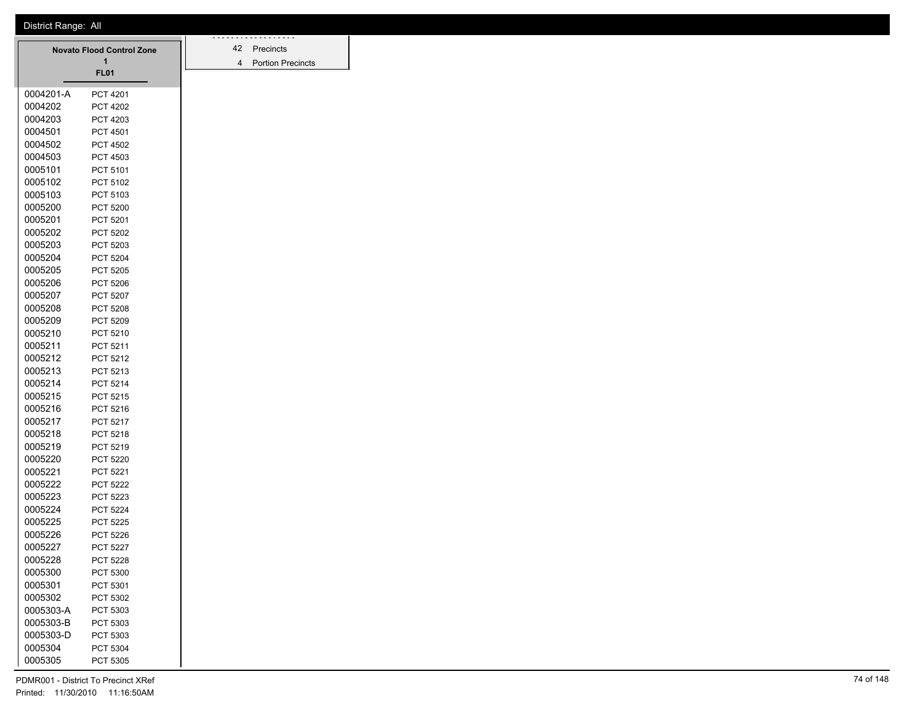|           | <b>Novato Flood Control Zone</b> |  |
|-----------|----------------------------------|--|
|           | 1<br><b>FL01</b>                 |  |
|           |                                  |  |
| 0004201-A | PCT 4201                         |  |
| 0004202   | <b>PCT 4202</b>                  |  |
| 0004203   | PCT 4203                         |  |
| 0004501   | PCT 4501                         |  |
| 0004502   | <b>PCT 4502</b>                  |  |
| 0004503   | PCT 4503                         |  |
| 0005101   | PCT 5101                         |  |
| 0005102   | PCT 5102                         |  |
| 0005103   | PCT 5103                         |  |
| 0005200   | <b>PCT 5200</b>                  |  |
| 0005201   | PCT 5201                         |  |
| 0005202   | PCT 5202                         |  |
| 0005203   | PCT 5203                         |  |
| 0005204   | <b>PCT 5204</b>                  |  |
| 0005205   | <b>PCT 5205</b>                  |  |
| 0005206   | <b>PCT 5206</b>                  |  |
| 0005207   | PCT 5207                         |  |
| 0005208   | <b>PCT 5208</b>                  |  |
| 0005209   | PCT 5209                         |  |
| 0005210   | PCT 5210                         |  |
| 0005211   | PCT 5211                         |  |
| 0005212   | PCT 5212                         |  |
| 0005213   | PCT 5213                         |  |
| 0005214   | PCT 5214                         |  |
| 0005215   | PCT 5215                         |  |
| 0005216   | PCT 5216                         |  |
| 0005217   | PCT 5217                         |  |
| 0005218   | PCT 5218                         |  |
| 0005219   | PCT 5219                         |  |
| 0005220   | PCT 5220                         |  |
| 0005221   | PCT 5221                         |  |
| 0005222   | <b>PCT 5222</b>                  |  |
| 0005223   | PCT 5223                         |  |
| 0005224   | <b>PCT 5224</b>                  |  |
| 0005225   | <b>PCT 5225</b>                  |  |
| 0005226   | <b>PCT 5226</b>                  |  |
| 0005227   | <b>PCT 5227</b>                  |  |
| 0005228   | <b>PCT 5228</b>                  |  |
| 0005300   | PCT 5300                         |  |
| 0005301   | PCT 5301                         |  |
| 0005302   | PCT 5302                         |  |
| 0005303-A | PCT 5303                         |  |
| 0005303-B | PCT 5303                         |  |
| 0005303-D | PCT 5303                         |  |
| 0005304   | PCT 5304                         |  |
| 0005305   | PCT 5305                         |  |

42 Precincts Portion Precincts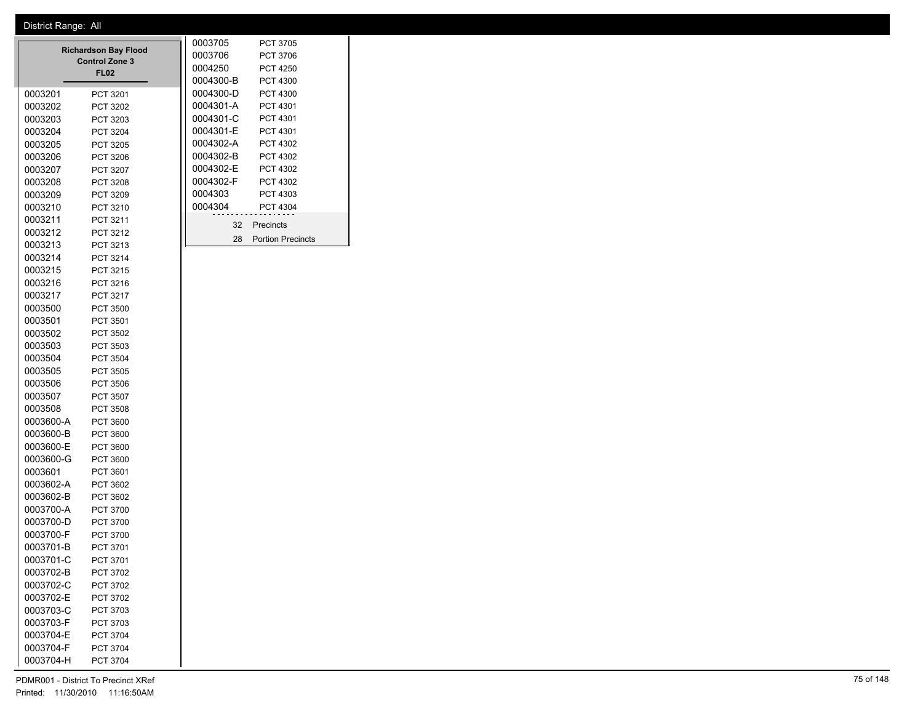| 0003201<br>0003202<br>0003203 | <b>Richardson Bay Flood</b><br><b>Control Zone 3</b><br><b>FL02</b><br>PCT 3201<br>PCT 3202<br>PCT 3203 | 0003705<br>0003706<br>0004250<br>0004300-B<br>0004300-D<br>0004301-A<br>0004301-C | <b>PCT 3705</b><br><b>PCT 3706</b><br><b>PCT 4250</b><br><b>PCT 4300</b><br>PCT 4300<br>PCT 4301<br>PCT 4301 |
|-------------------------------|---------------------------------------------------------------------------------------------------------|-----------------------------------------------------------------------------------|--------------------------------------------------------------------------------------------------------------|
| 0003204                       | PCT 3204                                                                                                | 0004301-E                                                                         | PCT 4301                                                                                                     |
| 0003205                       | PCT 3205                                                                                                | 0004302-A                                                                         | PCT 4302                                                                                                     |
| 0003206                       | PCT 3206                                                                                                | 0004302-B                                                                         | PCT 4302                                                                                                     |
| 0003207                       | PCT 3207                                                                                                | 0004302-E                                                                         | PCT 4302                                                                                                     |
| 0003208                       | <b>PCT 3208</b>                                                                                         | 0004302-F                                                                         | PCT 4302                                                                                                     |
| 0003209                       | PCT 3209                                                                                                | 0004303                                                                           | PCT 4303                                                                                                     |
| 0003210                       | PCT 3210                                                                                                | 0004304                                                                           | <b>PCT 4304</b>                                                                                              |
| 0003211                       | PCT 3211                                                                                                |                                                                                   | 32 Precincts                                                                                                 |
| 0003212                       | PCT 3212                                                                                                |                                                                                   |                                                                                                              |
| 0003213                       | PCT 3213                                                                                                | 28                                                                                | <b>Portion Precincts</b>                                                                                     |
| 0003214                       | PCT 3214                                                                                                |                                                                                   |                                                                                                              |
| 0003215                       | PCT 3215                                                                                                |                                                                                   |                                                                                                              |
| 0003216                       | PCT 3216                                                                                                |                                                                                   |                                                                                                              |
| 0003217                       | <b>PCT 3217</b>                                                                                         |                                                                                   |                                                                                                              |
| 0003500                       | <b>PCT 3500</b>                                                                                         |                                                                                   |                                                                                                              |
| 0003501                       | PCT 3501                                                                                                |                                                                                   |                                                                                                              |
| 0003502                       | PCT 3502                                                                                                |                                                                                   |                                                                                                              |
| 0003503                       | PCT 3503                                                                                                |                                                                                   |                                                                                                              |
| 0003504                       | <b>PCT 3504</b>                                                                                         |                                                                                   |                                                                                                              |
| 0003505                       | <b>PCT 3505</b>                                                                                         |                                                                                   |                                                                                                              |
| 0003506                       | <b>PCT 3506</b>                                                                                         |                                                                                   |                                                                                                              |
| 0003507                       | PCT 3507                                                                                                |                                                                                   |                                                                                                              |
| 0003508                       | <b>PCT 3508</b>                                                                                         |                                                                                   |                                                                                                              |
| 0003600-A                     | <b>PCT 3600</b>                                                                                         |                                                                                   |                                                                                                              |
| 0003600-B                     | <b>PCT 3600</b>                                                                                         |                                                                                   |                                                                                                              |
| 0003600-E                     | PCT 3600                                                                                                |                                                                                   |                                                                                                              |
| 0003600-G                     | PCT 3600                                                                                                |                                                                                   |                                                                                                              |
| 0003601                       | PCT 3601                                                                                                |                                                                                   |                                                                                                              |
| 0003602-A<br>0003602-B        | PCT 3602<br>PCT 3602                                                                                    |                                                                                   |                                                                                                              |
| 0003700-A                     | PCT 3700                                                                                                |                                                                                   |                                                                                                              |
| 0003700-D                     | PCT 3700                                                                                                |                                                                                   |                                                                                                              |
| 0003700-F                     | PCT 3700                                                                                                |                                                                                   |                                                                                                              |
| 0003701-B                     | PCT 3701                                                                                                |                                                                                   |                                                                                                              |
| 0003701-C                     | PCT 3701                                                                                                |                                                                                   |                                                                                                              |
| 0003702-B                     | PCT 3702                                                                                                |                                                                                   |                                                                                                              |
| 0003702-C                     | PCT 3702                                                                                                |                                                                                   |                                                                                                              |
| 0003702-E                     | PCT 3702                                                                                                |                                                                                   |                                                                                                              |
| 0003703-C                     | PCT 3703                                                                                                |                                                                                   |                                                                                                              |
| 0003703-F                     | PCT 3703                                                                                                |                                                                                   |                                                                                                              |
| 0003704-E                     | PCT 3704                                                                                                |                                                                                   |                                                                                                              |
| 0003704-F                     | PCT 3704                                                                                                |                                                                                   |                                                                                                              |
| 0003704-H                     | <b>PCT 3704</b>                                                                                         |                                                                                   |                                                                                                              |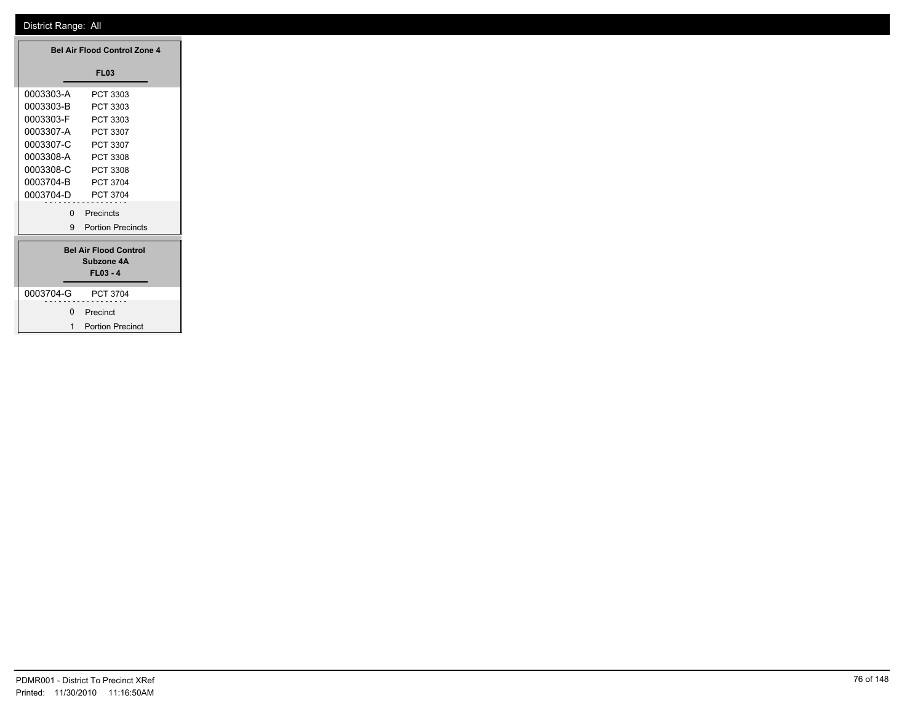|                    | <b>Bel Air Flood Control Zone 4</b>                      |  |
|--------------------|----------------------------------------------------------|--|
|                    | <b>FL03</b>                                              |  |
| 0003303-A          | PCT 3303                                                 |  |
| 0003303-B          | PCT 3303                                                 |  |
| 0003303-F          | PCT 3303                                                 |  |
| 0003307-A          | PCT 3307                                                 |  |
| 0003307-C          | PCT 3307                                                 |  |
| 0003308-A          | PCT 3308                                                 |  |
| 0003308-C          | PCT 3308                                                 |  |
| 0003704-B          | PCT 3704                                                 |  |
| 0003704-D PCT 3704 |                                                          |  |
| $\mathbf{0}$       | Precincts                                                |  |
| 9                  | <b>Portion Precincts</b>                                 |  |
|                    | <b>Bel Air Flood Control</b><br>Subzone 4A<br>$FL03 - 4$ |  |
| 0003704-G          | PCT 3704                                                 |  |
| $\mathbf{0}$       | Precinct                                                 |  |
| 1                  | <b>Portion Precinct</b>                                  |  |

 $\overline{\phantom{0}}$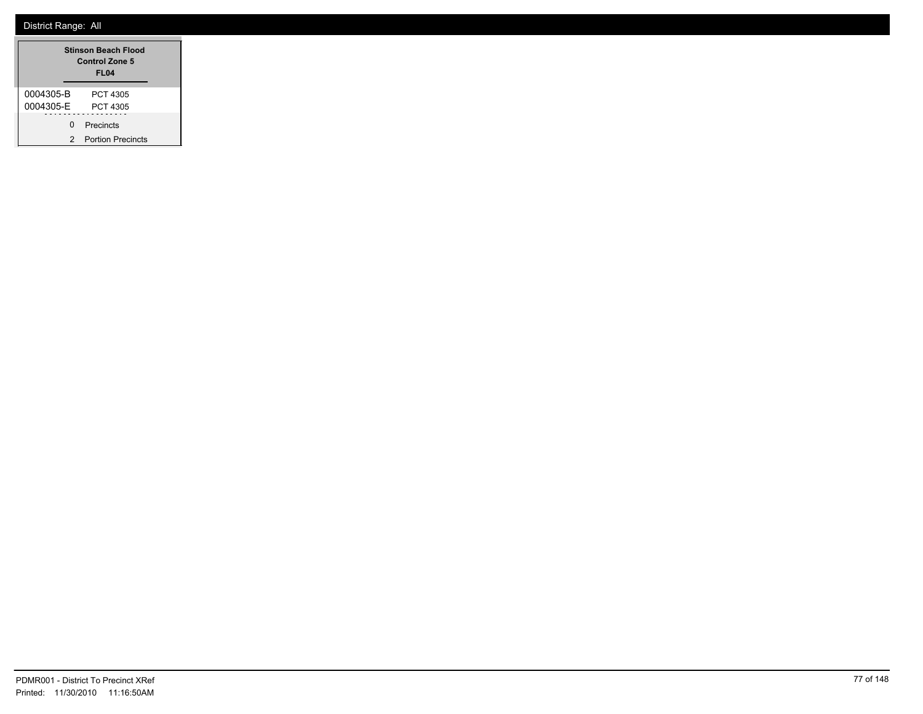| <b>Stinson Beach Flood</b><br><b>Control Zone 5</b><br>FL <sub>04</sub> |                          |  |
|-------------------------------------------------------------------------|--------------------------|--|
| 0004305-B                                                               | PCT 4305                 |  |
| 0004305-F                                                               | PCT 4305                 |  |
| <sup>n</sup>                                                            | Precincts                |  |
| 2                                                                       | <b>Portion Precincts</b> |  |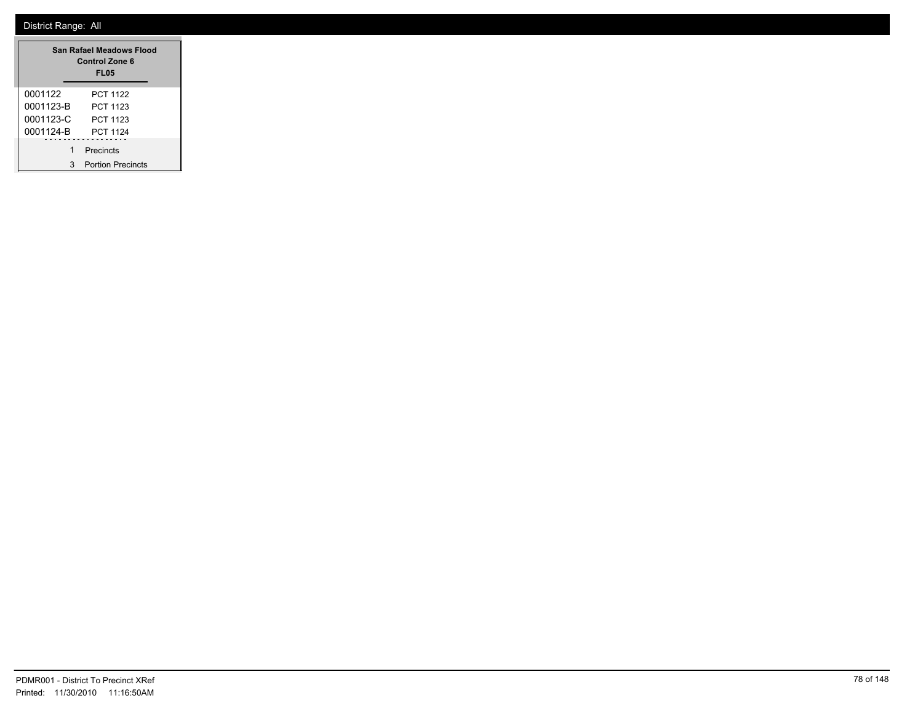| San Rafael Meadows Flood<br><b>Control Zone 6</b><br><b>FL05</b> |                          |  |  |
|------------------------------------------------------------------|--------------------------|--|--|
| 0001122                                                          | <b>PCT 1122</b>          |  |  |
| 0001123-B                                                        | PCT 1123                 |  |  |
| 0001123-C                                                        | PCT 1123                 |  |  |
| 0001124-B                                                        | <b>PCT 1124</b>          |  |  |
|                                                                  | Precincts                |  |  |
| 3                                                                | <b>Portion Precincts</b> |  |  |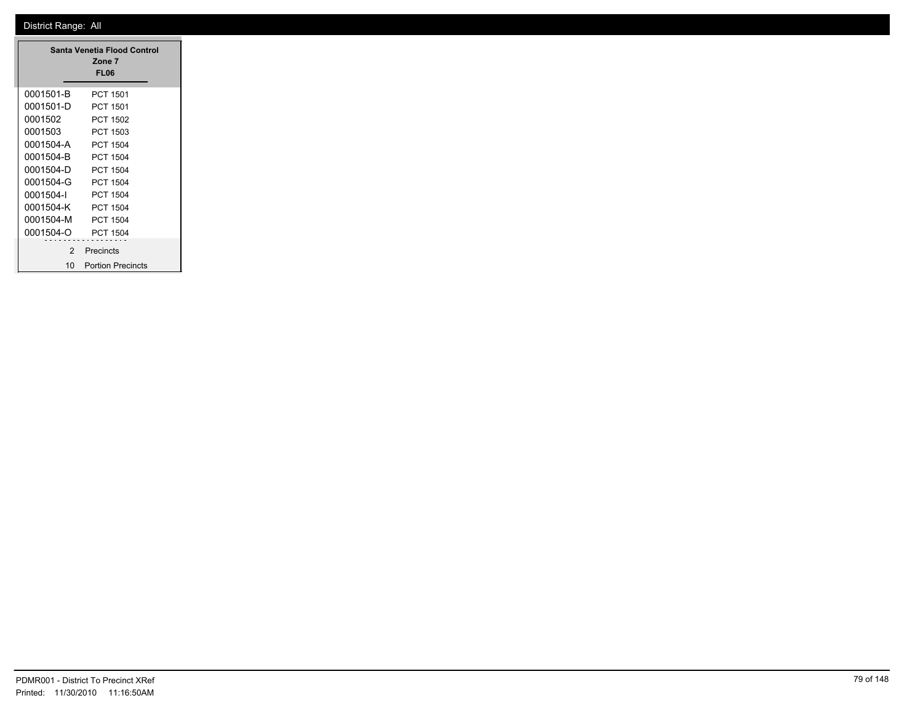|               | Santa Venetia Flood Control<br>Zone 7<br><b>FL06</b> |
|---------------|------------------------------------------------------|
| 0001501-B     | PCT 1501                                             |
| 0001501-D     | <b>PCT 1501</b>                                      |
| 0001502       | PCT 1502                                             |
| 0001503       | PCT 1503                                             |
| 0001504-A     | PCT 1504                                             |
| 0001504-B     | PCT 1504                                             |
| 0001504-D     | PCT 1504                                             |
| 0001504-G     | PCT 1504                                             |
| 0001504-I     | PCT 1504                                             |
| 0001504-K     | PCT 1504                                             |
| 0001504-M     | <b>PCT 1504</b>                                      |
| 0001504-O     | PCT 1504                                             |
| $\mathcal{P}$ | Precincts                                            |
| 10            | <b>Portion Precincts</b>                             |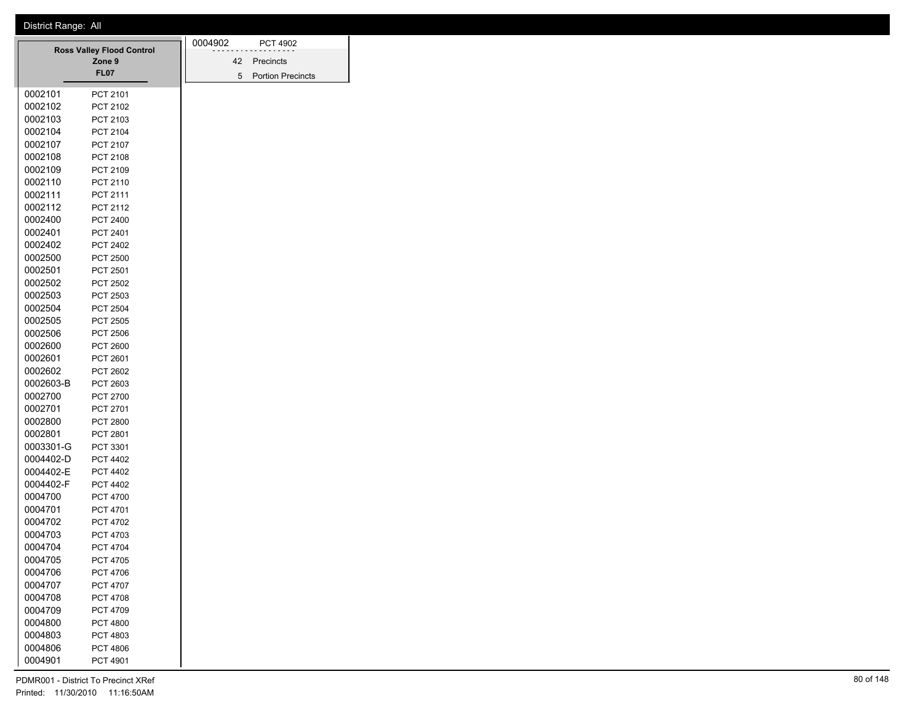|           |                                            | 0004902 | <b>PCT 4902</b>          |
|-----------|--------------------------------------------|---------|--------------------------|
|           | <b>Ross Valley Flood Control</b><br>Zone 9 | 42      | Precincts                |
|           | <b>FL07</b>                                |         | <b>Portion Precincts</b> |
|           |                                            | 5       |                          |
| 0002101   | PCT 2101                                   |         |                          |
| 0002102   | PCT 2102                                   |         |                          |
| 0002103   | PCT 2103                                   |         |                          |
| 0002104   | PCT 2104                                   |         |                          |
| 0002107   | PCT 2107                                   |         |                          |
| 0002108   | PCT 2108                                   |         |                          |
| 0002109   | PCT 2109                                   |         |                          |
| 0002110   | PCT 2110                                   |         |                          |
| 0002111   | PCT 2111                                   |         |                          |
| 0002112   | PCT 2112                                   |         |                          |
| 0002400   | PCT 2400                                   |         |                          |
| 0002401   | PCT 2401                                   |         |                          |
| 0002402   | PCT 2402                                   |         |                          |
| 0002500   | <b>PCT 2500</b>                            |         |                          |
| 0002501   | PCT 2501                                   |         |                          |
| 0002502   | PCT 2502                                   |         |                          |
| 0002503   | PCT 2503                                   |         |                          |
| 0002504   | <b>PCT 2504</b>                            |         |                          |
| 0002505   | <b>PCT 2505</b>                            |         |                          |
| 0002506   | <b>PCT 2506</b>                            |         |                          |
| 0002600   | <b>PCT 2600</b>                            |         |                          |
| 0002601   | <b>PCT 2601</b>                            |         |                          |
| 0002602   | PCT 2602                                   |         |                          |
| 0002603-B | PCT 2603                                   |         |                          |
| 0002700   | PCT 2700                                   |         |                          |
| 0002701   | PCT 2701                                   |         |                          |
| 0002800   | PCT 2800                                   |         |                          |
| 0002801   | PCT 2801                                   |         |                          |
| 0003301-G | PCT 3301                                   |         |                          |
| 0004402-D | <b>PCT 4402</b>                            |         |                          |
| 0004402-E | <b>PCT 4402</b>                            |         |                          |
| 0004402-F | <b>PCT 4402</b>                            |         |                          |
| 0004700   | <b>PCT 4700</b>                            |         |                          |
| 0004701   | <b>PCT 4701</b>                            |         |                          |
| 0004702   | <b>PCT 4702</b>                            |         |                          |
| 0004703   | PCT 4703                                   |         |                          |
| 0004704   | <b>PCT 4704</b>                            |         |                          |
| 0004705   | PCT 4705                                   |         |                          |
| 0004706   | PCT 4706                                   |         |                          |
| 0004707   | PCT 4707                                   |         |                          |
| 0004708   | PCT 4708                                   |         |                          |
| 0004709   | PCT 4709                                   |         |                          |
| 0004800   | PCT 4800                                   |         |                          |
| 0004803   | PCT 4803                                   |         |                          |
| 0004806   | PCT 4806                                   |         |                          |
| 0004901   | PCT 4901                                   |         |                          |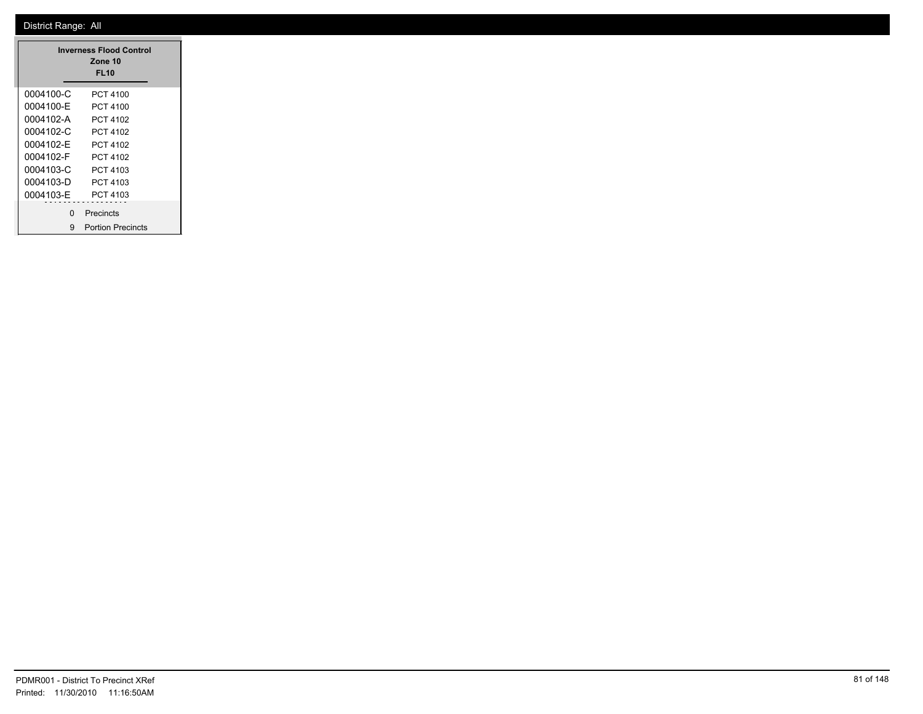|           | <b>Inverness Flood Control</b><br>Zone 10<br><b>FL10</b> |
|-----------|----------------------------------------------------------|
| 0004100-C | PCT 4100                                                 |
| 0004100-F | PCT 4100                                                 |
| 0004102-A | PCT 4102                                                 |
| 0004102-C | PCT 4102                                                 |
| 0004102-F | PCT 4102                                                 |
| 0004102-F | PCT 4102                                                 |
| 0004103-C | PCT 4103                                                 |
| 0004103-D | PCT 4103                                                 |
| 0004103-F | PCT 4103                                                 |
| O         | Precincts                                                |
| 9         | <b>Portion Precincts</b>                                 |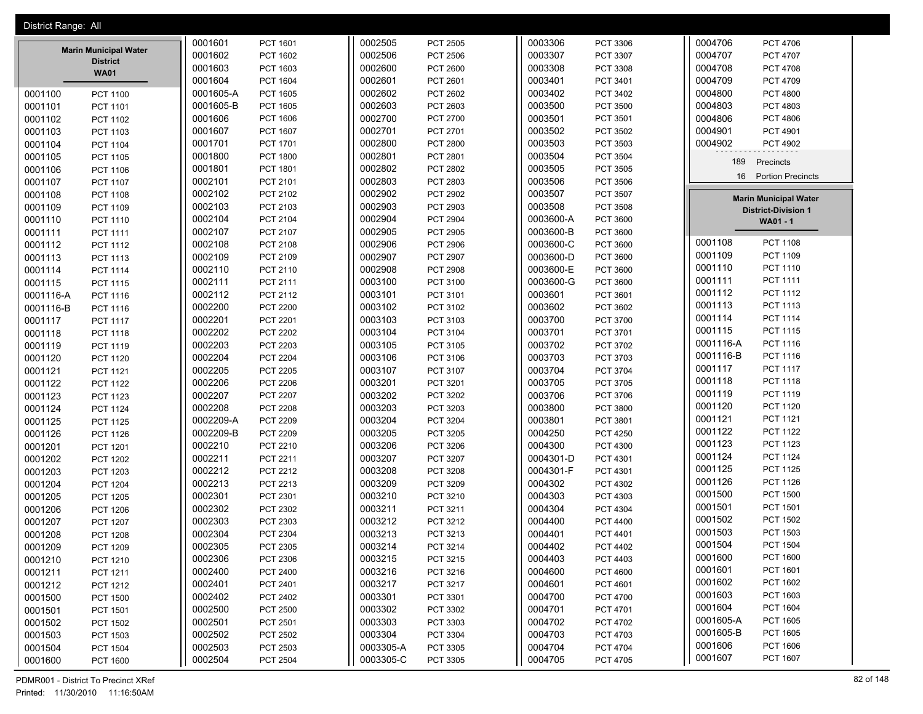| District Range: All            |                              |           |                 |           |                 |                                                            |
|--------------------------------|------------------------------|-----------|-----------------|-----------|-----------------|------------------------------------------------------------|
|                                | 0001601<br>PCT 1601          | 0002505   | <b>PCT 2505</b> | 0003306   | PCT 3306        | 0004706<br>PCT 4706                                        |
| <b>Marin Municipal Water</b>   | 0001602<br><b>PCT 1602</b>   | 0002506   | PCT 2506        | 0003307   | <b>PCT 3307</b> | 0004707<br><b>PCT 4707</b>                                 |
| <b>District</b><br><b>WA01</b> | 0001603<br>PCT 1603          | 0002600   | PCT 2600        | 0003308   | PCT 3308        | 0004708<br><b>PCT 4708</b>                                 |
|                                | 0001604<br>PCT 1604          | 0002601   | PCT 2601        | 0003401   | PCT 3401        | 0004709<br>PCT 4709                                        |
| <b>PCT 1100</b><br>0001100     | 0001605-A<br>PCT 1605        | 0002602   | PCT 2602        | 0003402   | PCT 3402        | 0004800<br><b>PCT 4800</b>                                 |
| 0001101<br>PCT 1101            | 0001605-B<br><b>PCT 1605</b> | 0002603   | PCT 2603        | 0003500   | <b>PCT 3500</b> | 0004803<br>PCT 4803                                        |
| 0001102<br><b>PCT 1102</b>     | 0001606<br><b>PCT 1606</b>   | 0002700   | PCT 2700        | 0003501   | PCT 3501        | 0004806<br><b>PCT 4806</b>                                 |
| 0001103<br>PCT 1103            | 0001607<br>PCT 1607          | 0002701   | PCT 2701        | 0003502   | PCT 3502        | 0004901<br>PCT 4901                                        |
| 0001104<br><b>PCT 1104</b>     | 0001701<br>PCT 1701          | 0002800   | <b>PCT 2800</b> | 0003503   | PCT 3503        | 0004902<br><b>PCT 4902</b>                                 |
| 0001105<br><b>PCT 1105</b>     | 0001800<br><b>PCT 1800</b>   | 0002801   | PCT 2801        | 0003504   | <b>PCT 3504</b> |                                                            |
| 0001106<br>PCT 1106            | 0001801<br>PCT 1801          | 0002802   | PCT 2802        | 0003505   | PCT 3505        | 189<br>Precincts                                           |
| 0001107<br><b>PCT 1107</b>     | 0002101<br>PCT 2101          | 0002803   | PCT 2803        | 0003506   | <b>PCT 3506</b> | 16<br><b>Portion Precincts</b>                             |
| 0001108<br><b>PCT 1108</b>     | 0002102<br>PCT 2102          | 0002902   | PCT 2902        | 0003507   | PCT 3507        |                                                            |
| 0001109<br>PCT 1109            | 0002103<br>PCT 2103          | 0002903   | PCT 2903        | 0003508   | <b>PCT 3508</b> | <b>Marin Municipal Water</b><br><b>District-Division 1</b> |
| 0001110<br><b>PCT 1110</b>     | 0002104<br>PCT 2104          | 0002904   | <b>PCT 2904</b> | 0003600-A | <b>PCT 3600</b> | WA01 - 1                                                   |
| 0001111<br>PCT 1111            | 0002107<br>PCT 2107          | 0002905   | PCT 2905        | 0003600-B | <b>PCT 3600</b> |                                                            |
| 0001112<br>PCT 1112            | 0002108<br>PCT 2108          | 0002906   | PCT 2906        | 0003600-C | <b>PCT 3600</b> | 0001108<br><b>PCT 1108</b>                                 |
| 0001113<br>PCT 1113            | 0002109<br>PCT 2109          | 0002907   | PCT 2907        | 0003600-D | <b>PCT 3600</b> | 0001109<br>PCT 1109                                        |
| 0001114<br><b>PCT 1114</b>     | 0002110<br>PCT 2110          | 0002908   | PCT 2908        | 0003600-E | <b>PCT 3600</b> | 0001110<br>PCT 1110                                        |
| 0001115<br><b>PCT 1115</b>     | 0002111<br>PCT 2111          | 0003100   | PCT 3100        | 0003600-G | PCT 3600        | 0001111<br>PCT 1111                                        |
| 0001116-A<br>PCT 1116          | 0002112<br>PCT 2112          | 0003101   | PCT 3101        | 0003601   | PCT 3601        | 0001112<br><b>PCT 1112</b>                                 |
| 0001116-B<br>PCT 1116          | 0002200<br><b>PCT 2200</b>   | 0003102   | PCT 3102        | 0003602   | PCT 3602        | 0001113<br>PCT 1113                                        |
| 0001117<br><b>PCT 1117</b>     | 0002201<br>PCT 2201          | 0003103   | PCT 3103        | 0003700   | PCT 3700        | 0001114<br>PCT 1114                                        |
| 0001118<br>PCT 1118            | 0002202<br><b>PCT 2202</b>   | 0003104   | PCT 3104        | 0003701   | PCT 3701        | 0001115<br>PCT 1115                                        |
| 0001119<br><b>PCT 1119</b>     | 0002203<br>PCT 2203          | 0003105   | PCT 3105        | 0003702   | PCT 3702        | 0001116-A<br>PCT 1116                                      |
| 0001120<br><b>PCT 1120</b>     | 0002204<br><b>PCT 2204</b>   | 0003106   | PCT 3106        | 0003703   | PCT 3703        | 0001116-B<br>PCT 1116                                      |
| 0001121<br><b>PCT 1121</b>     | 0002205<br><b>PCT 2205</b>   | 0003107   | PCT 3107        | 0003704   | <b>PCT 3704</b> | 0001117<br><b>PCT 1117</b>                                 |
| 0001122<br><b>PCT 1122</b>     | 0002206<br><b>PCT 2206</b>   | 0003201   | PCT 3201        | 0003705   | PCT 3705        | 0001118<br><b>PCT 1118</b>                                 |
| 0001123<br>PCT 1123            | 0002207<br><b>PCT 2207</b>   | 0003202   | PCT 3202        | 0003706   | PCT 3706        | 0001119<br>PCT 1119                                        |
| 0001124<br><b>PCT 1124</b>     | 0002208<br><b>PCT 2208</b>   | 0003203   | PCT 3203        | 0003800   | PCT 3800        | 0001120<br><b>PCT 1120</b>                                 |
| 0001125<br><b>PCT 1125</b>     | 0002209-A<br><b>PCT 2209</b> | 0003204   | PCT 3204        | 0003801   | PCT 3801        | 0001121<br>PCT 1121                                        |
| 0001126<br><b>PCT 1126</b>     | 0002209-B<br>PCT 2209        | 0003205   | PCT 3205        | 0004250   | <b>PCT 4250</b> | 0001122<br><b>PCT 1122</b>                                 |
| 0001201<br>PCT 1201            | 0002210<br>PCT 2210          | 0003206   | PCT 3206        | 0004300   | PCT 4300        | 0001123<br><b>PCT 1123</b>                                 |
| 0001202<br><b>PCT 1202</b>     | 0002211<br>PCT 2211          | 0003207   | PCT 3207        | 0004301-D | PCT 4301        | 0001124<br><b>PCT 1124</b>                                 |
| 0001203<br><b>PCT 1203</b>     | 0002212<br>PCT 2212          | 0003208   | PCT 3208        | 0004301-F | PCT 4301        | 0001125<br><b>PCT 1125</b>                                 |
| 0001204<br><b>PCT 1204</b>     | 0002213<br>PCT 2213          | 0003209   | PCT 3209        | 0004302   | PCT 4302        | 0001126<br><b>PCT 1126</b>                                 |
| 0001205<br><b>PCT 1205</b>     | 0002301<br>PCT 2301          | 0003210   | PCT 3210        | 0004303   | PCT 4303        | 0001500<br><b>PCT 1500</b>                                 |
| 0001206<br><b>PCT 1206</b>     | 0002302<br>PCT 2302          | 0003211   | PCT 3211        | 0004304   | PCT 4304        | 0001501<br><b>PCT 1501</b>                                 |
| 0001207<br><b>PCT 1207</b>     | 0002303<br>PCT 2303          | 0003212   | PCT 3212        | 0004400   | <b>PCT 4400</b> | 0001502<br><b>PCT 1502</b>                                 |
| 0001208<br><b>PCT 1208</b>     | 0002304<br>PCT 2304          | 0003213   | PCT 3213        | 0004401   | PCT 4401        | 0001503<br><b>PCT 1503</b>                                 |
| 0001209<br>PCT 1209            | 0002305<br>PCT 2305          | 0003214   | PCT 3214        | 0004402   | PCT 4402        | 0001504<br><b>PCT 1504</b>                                 |
| 0001210<br>PCT 1210            | 0002306<br>PCT 2306          | 0003215   | PCT 3215        | 0004403   | PCT 4403        | 0001600<br><b>PCT 1600</b>                                 |
| 0001211<br>PCT 1211            | 0002400<br>PCT 2400          | 0003216   | PCT 3216        | 0004600   | <b>PCT 4600</b> | 0001601<br>PCT 1601                                        |
| 0001212<br>PCT 1212            | 0002401<br>PCT 2401          | 0003217   | PCT 3217        | 0004601   | PCT 4601        | 0001602<br>PCT 1602                                        |
| 0001500<br><b>PCT 1500</b>     | 0002402<br>PCT 2402          | 0003301   | PCT 3301        | 0004700   | <b>PCT 4700</b> | 0001603<br>PCT 1603                                        |
| 0001501<br>PCT 1501            | 0002500<br>PCT 2500          | 0003302   | PCT 3302        | 0004701   | PCT 4701        | 0001604<br>PCT 1604                                        |
| 0001502<br><b>PCT 1502</b>     | 0002501<br>PCT 2501          | 0003303   | PCT 3303        | 0004702   | PCT 4702        | 0001605-A<br>PCT 1605                                      |
| 0001503<br>PCT 1503            | 0002502<br>PCT 2502          | 0003304   | PCT 3304        | 0004703   | PCT 4703        | 0001605-B<br>PCT 1605                                      |
| 0001504<br><b>PCT 1504</b>     | 0002503<br>PCT 2503          | 0003305-A | PCT 3305        | 0004704   | <b>PCT 4704</b> | 0001606<br>PCT 1606                                        |
| 0001600<br>PCT 1600            | 0002504<br><b>PCT 2504</b>   | 0003305-C | PCT 3305        | 0004705   | PCT 4705        | 0001607<br>PCT 1607                                        |
|                                |                              |           |                 |           |                 |                                                            |

PDMR001 - District To Precinct XRef 82 of 148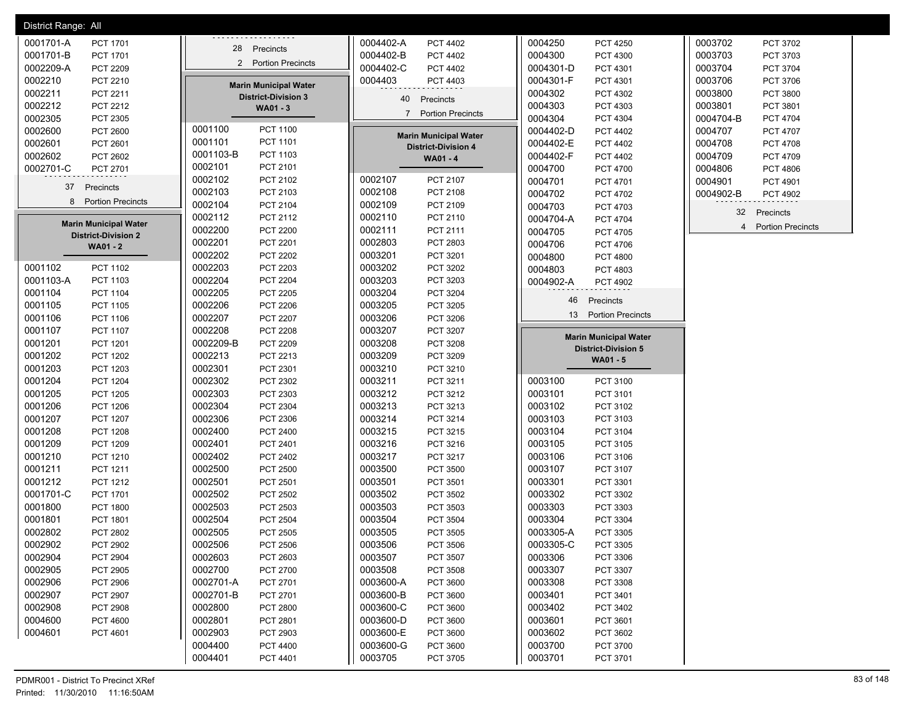| District Range: All          |                              |                              |                              |                              |
|------------------------------|------------------------------|------------------------------|------------------------------|------------------------------|
| 0001701-A                    |                              | 0004402-A                    | 0004250                      | 0003702                      |
| PCT 1701                     |                              | PCT 4402                     | <b>PCT 4250</b>              | PCT 3702                     |
| 0001701-B                    | 28 Precincts                 | 0004402-B                    | 0004300                      | 0003703                      |
| <b>PCT 1701</b>              |                              | PCT 4402                     | PCT 4300                     | PCT 3703                     |
| 0002209-A                    | 2 Portion Precincts          | 0004402-C                    | 0004301-D                    | 0003704                      |
| PCT 2209                     |                              | PCT 4402                     | PCT 4301                     | PCT 3704                     |
| 0002210                      |                              | 0004403                      | 0004301-F                    | 0003706                      |
| PCT 2210                     |                              | PCT 4403                     | PCT 4301                     | PCT 3706                     |
| 0002211                      | <b>Marin Municipal Water</b> |                              | 0004302                      | 0003800                      |
| PCT 2211                     | <b>District-Division 3</b>   |                              | PCT 4302                     | <b>PCT 3800</b>              |
| 0002212                      | WA01 - 3                     | 40                           | 0004303                      | 0003801                      |
| PCT 2212                     |                              | Precincts                    | PCT 4303                     | PCT 3801                     |
| 0002305<br>PCT 2305          |                              | 7 Portion Precincts          | 0004304<br>PCT 4304          | 0004704-B<br><b>PCT 4704</b> |
| 0002600                      | <b>PCT 1100</b>              |                              | 0004402-D                    | 0004707                      |
| PCT 2600                     | 0001100                      |                              | PCT 4402                     | <b>PCT 4707</b>              |
| 0002601                      | 0001101                      | <b>Marin Municipal Water</b> | 0004402-E                    | 0004708                      |
| PCT 2601                     | PCT 1101                     | <b>District-Division 4</b>   | PCT 4402                     | <b>PCT 4708</b>              |
| 0002602                      | 0001103-B                    | WA01 - 4                     | 0004402-F                    | 0004709                      |
| PCT 2602                     | PCT 1103                     |                              | PCT 4402                     | PCT 4709                     |
| 0002701-C                    | 0002101                      |                              | 0004700                      | 0004806                      |
| PCT 2701                     | PCT 2101                     |                              | PCT 4700                     | <b>PCT 4806</b>              |
|                              | 0002102                      | 0002107                      | 0004701                      | 0004901                      |
|                              | PCT 2102                     | PCT 2107                     | PCT 4701                     | PCT 4901                     |
| 37                           | 0002103                      | 0002108                      | 0004702                      | 0004902-B                    |
| Precincts                    | PCT 2103                     | PCT 2108                     | PCT 4702                     | <b>PCT 4902</b>              |
| <b>Portion Precincts</b>     | 0002104                      | 0002109                      | 0004703                      |                              |
| 8                            | PCT 2104                     | PCT 2109                     | PCT 4703                     |                              |
|                              | 0002112                      | 0002110                      | 0004704-A                    | 32                           |
|                              | PCT 2112                     | PCT 2110                     | PCT 4704                     | Precincts                    |
| <b>Marin Municipal Water</b> | 0002200                      | 0002111                      | 0004705                      | <b>Portion Precincts</b>     |
| <b>District-Division 2</b>   | <b>PCT 2200</b>              | PCT 2111                     | PCT 4705                     | 4                            |
| <b>WA01 - 2</b>              | 0002201<br>PCT 2201          | 0002803<br>PCT 2803          | 0004706<br>PCT 4706          |                              |
|                              | 0002202<br><b>PCT 2202</b>   | 0003201<br>PCT 3201          | 0004800<br><b>PCT 4800</b>   |                              |
| 0001102                      | 0002203                      | 0003202                      | 0004803                      |                              |
| PCT 1102                     | PCT 2203                     | PCT 3202                     | PCT 4803                     |                              |
| 0001103-A                    | 0002204                      | 0003203                      | 0004902-A                    |                              |
| PCT 1103                     | <b>PCT 2204</b>              | PCT 3203                     | PCT 4902                     |                              |
| 0001104<br><b>PCT 1104</b>   | 0002205<br><b>PCT 2205</b>   | 0003204<br>PCT 3204          |                              |                              |
| 0001105                      | 0002206                      | 0003205                      | 46                           |                              |
| PCT 1105                     | <b>PCT 2206</b>              | PCT 3205                     | Precincts                    |                              |
| 0001106                      | 0002207                      | 0003206                      | 13                           |                              |
| PCT 1106                     | <b>PCT 2207</b>              | PCT 3206                     | <b>Portion Precincts</b>     |                              |
| 0001107<br><b>PCT 1107</b>   | 0002208<br><b>PCT 2208</b>   | 0003207<br>PCT 3207          |                              |                              |
| 0001201<br>PCT 1201          | 0002209-B<br><b>PCT 2209</b> | 0003208<br>PCT 3208          | <b>Marin Municipal Water</b> |                              |
| 0001202<br>PCT 1202          | 0002213<br>PCT 2213          | 0003209<br>PCT 3209          | <b>District-Division 5</b>   |                              |
| 0001203<br>PCT 1203          | 0002301<br>PCT 2301          | 0003210<br>PCT 3210          | WA01 - 5                     |                              |
| 0001204                      | 0002302                      | 0003211                      | 0003100                      |                              |
| <b>PCT 1204</b>              | PCT 2302                     | PCT 3211                     | PCT 3100                     |                              |
| 0001205                      | 0002303                      | 0003212                      | 0003101                      |                              |
| <b>PCT 1205</b>              | PCT 2303                     | PCT 3212                     | PCT 3101                     |                              |
| 0001206                      | 0002304                      | 0003213                      | 0003102                      |                              |
| <b>PCT 1206</b>              | PCT 2304                     | PCT 3213                     | PCT 3102                     |                              |
| 0001207                      | 0002306                      | 0003214                      | 0003103                      |                              |
| <b>PCT 1207</b>              | PCT 2306                     | PCT 3214                     | PCT 3103                     |                              |
| 0001208                      | 0002400                      | 0003215                      | 0003104                      |                              |
| <b>PCT 1208</b>              | <b>PCT 2400</b>              | PCT 3215                     | PCT 3104                     |                              |
| 0001209                      | 0002401                      | 0003216                      | 0003105                      |                              |
| PCT 1209                     | PCT 2401                     | PCT 3216                     | PCT 3105                     |                              |
| 0001210                      | 0002402                      | 0003217                      | 0003106                      |                              |
| PCT 1210                     | <b>PCT 2402</b>              | PCT 3217                     | PCT 3106                     |                              |
| 0001211                      | 0002500                      | 0003500                      | 0003107                      |                              |
| PCT 1211                     | <b>PCT 2500</b>              | PCT 3500                     | PCT 3107                     |                              |
| 0001212                      | 0002501                      | 0003501                      | 0003301                      |                              |
| PCT 1212                     | PCT 2501                     | PCT 3501                     | PCT 3301                     |                              |
| 0001701-C                    | 0002502                      | 0003502                      | 0003302                      |                              |
| PCT 1701                     | <b>PCT 2502</b>              | PCT 3502                     | PCT 3302                     |                              |
| 0001800                      | 0002503                      | 0003503                      | 0003303                      |                              |
| <b>PCT 1800</b>              | PCT 2503                     | PCT 3503                     | PCT 3303                     |                              |
| 0001801                      | 0002504                      | 0003504                      | 0003304                      |                              |
| <b>PCT 1801</b>              | <b>PCT 2504</b>              | PCT 3504                     | PCT 3304                     |                              |
| 0002802                      | 0002505                      | 0003505                      | 0003305-A                    |                              |
| PCT 2802                     | <b>PCT 2505</b>              | PCT 3505                     | PCT 3305                     |                              |
| 0002902                      | 0002506                      | 0003506                      | 0003305-C                    |                              |
| PCT 2902                     | <b>PCT 2506</b>              | PCT 3506                     | <b>PCT 3305</b>              |                              |
| 0002904                      | 0002603                      | 0003507                      | 0003306                      |                              |
| PCT 2904                     | PCT 2603                     | PCT 3507                     | PCT 3306                     |                              |
| 0002905                      | 0002700                      | 0003508                      | 0003307                      |                              |
| PCT 2905                     | PCT 2700                     | PCT 3508                     | PCT 3307                     |                              |
| 0002906                      | 0002701-A                    | 0003600-A                    | 0003308                      |                              |
| PCT 2906                     | PCT 2701                     | PCT 3600                     | PCT 3308                     |                              |
| 0002907                      | 0002701-B                    | 0003600-B                    | 0003401                      |                              |
| PCT 2907                     | PCT 2701                     | PCT 3600                     | PCT 3401                     |                              |
| 0002908                      | 0002800                      | 0003600-C                    | 0003402                      |                              |
| <b>PCT 2908</b>              | PCT 2800                     | PCT 3600                     | PCT 3402                     |                              |
| 0004600                      | 0002801                      | 0003600-D                    | 0003601                      |                              |
| <b>PCT 4600</b>              | PCT 2801                     | PCT 3600                     | PCT 3601                     |                              |
| 0004601                      | 0002903                      | 0003600-E                    | 0003602                      |                              |
| PCT 4601                     | PCT 2903                     | PCT 3600                     | PCT 3602                     |                              |
|                              | 0004400<br><b>PCT 4400</b>   | 0003600-G<br>PCT 3600        | 0003700<br>PCT 3700          |                              |
|                              | 0004401<br>PCT 4401          | 0003705<br>PCT 3705          | 0003701<br>PCT 3701          |                              |
|                              |                              |                              |                              |                              |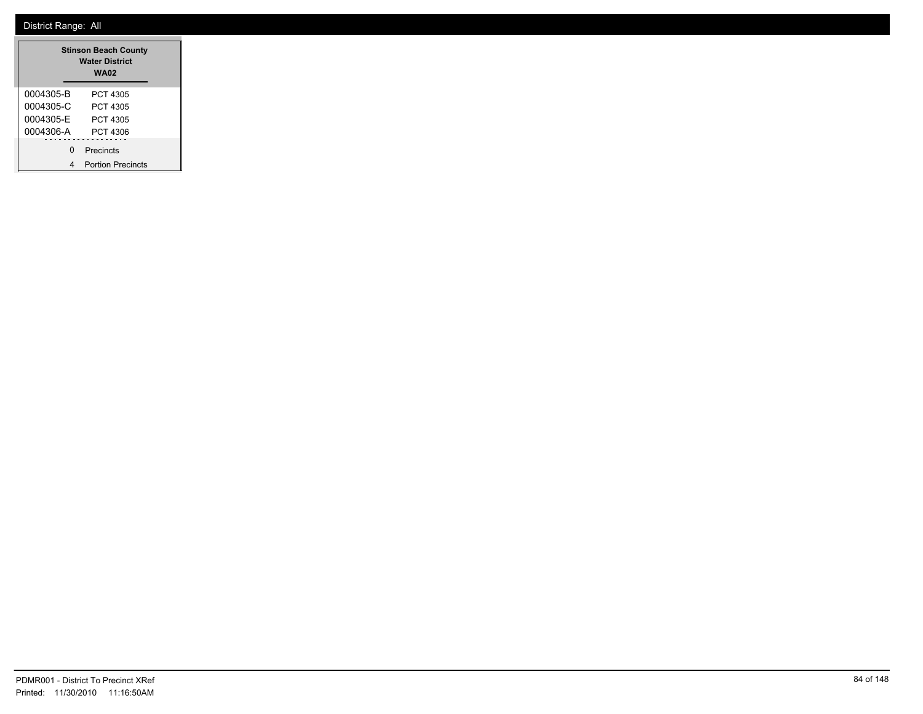| <b>Stinson Beach County</b><br><b>Water District</b><br><b>WA02</b> |                          |  |  |
|---------------------------------------------------------------------|--------------------------|--|--|
| 0004305-B                                                           | PCT 4305                 |  |  |
| 0004305-C                                                           | PCT 4305                 |  |  |
| 0004305-F                                                           | PCT 4305                 |  |  |
| 0004306-A                                                           | PCT 4306                 |  |  |
| U                                                                   | Precincts                |  |  |
|                                                                     | <b>Portion Precincts</b> |  |  |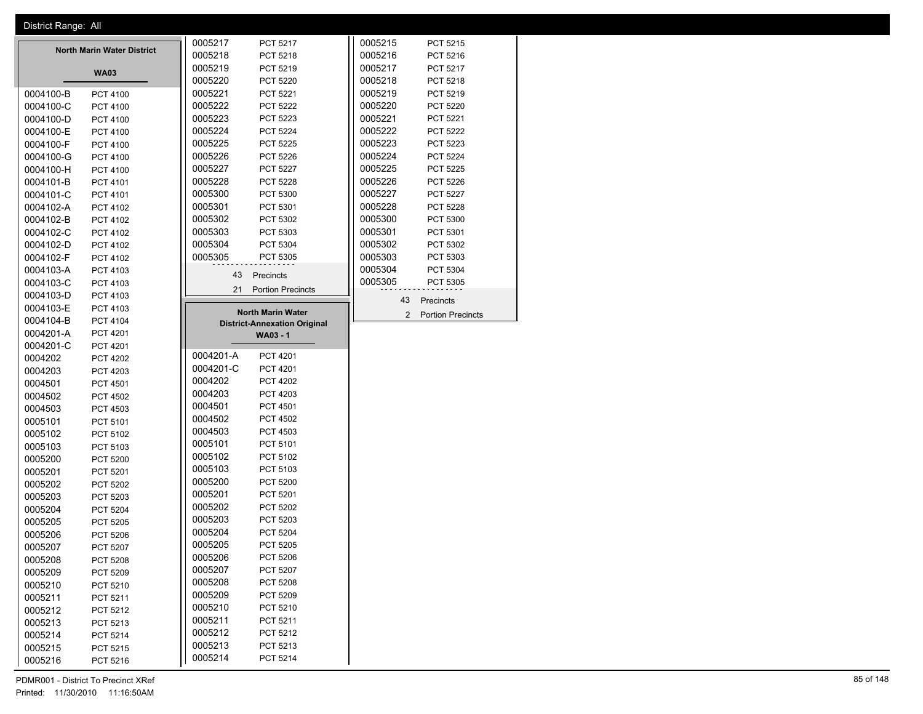| District Range: All |                                   |           |                                     |                |                          |
|---------------------|-----------------------------------|-----------|-------------------------------------|----------------|--------------------------|
|                     |                                   | 0005217   | <b>PCT 5217</b>                     | 0005215        | PCT 5215                 |
|                     | <b>North Marin Water District</b> | 0005218   | PCT 5218                            | 0005216        | PCT 5216                 |
|                     | <b>WA03</b>                       | 0005219   | PCT 5219                            | 0005217        | <b>PCT 5217</b>          |
|                     |                                   | 0005220   | <b>PCT 5220</b>                     | 0005218        | PCT 5218                 |
| 0004100-B           | <b>PCT 4100</b>                   | 0005221   | <b>PCT 5221</b>                     | 0005219        | PCT 5219                 |
| 0004100-C           | PCT 4100                          | 0005222   | <b>PCT 5222</b>                     | 0005220        | <b>PCT 5220</b>          |
| 0004100-D           | <b>PCT 4100</b>                   | 0005223   | PCT 5223                            | 0005221        | <b>PCT 5221</b>          |
| 0004100-E           | <b>PCT 4100</b>                   | 0005224   | <b>PCT 5224</b>                     | 0005222        | <b>PCT 5222</b>          |
| 0004100-F           | PCT 4100                          | 0005225   | <b>PCT 5225</b>                     | 0005223        | PCT 5223                 |
| 0004100-G           | PCT 4100                          | 0005226   | <b>PCT 5226</b>                     | 0005224        | <b>PCT 5224</b>          |
| 0004100-H           | <b>PCT 4100</b>                   | 0005227   | <b>PCT 5227</b>                     | 0005225        | <b>PCT 5225</b>          |
| 0004101-B           | PCT 4101                          | 0005228   | <b>PCT 5228</b>                     | 0005226        | <b>PCT 5226</b>          |
| 0004101-C           | <b>PCT 4101</b>                   | 0005300   | PCT 5300                            | 0005227        | PCT 5227                 |
| 0004102-A           | PCT 4102                          | 0005301   | PCT 5301                            | 0005228        | <b>PCT 5228</b>          |
| 0004102-B           | PCT 4102                          | 0005302   | PCT 5302                            | 0005300        | PCT 5300                 |
| 0004102-C           | PCT 4102                          | 0005303   | PCT 5303                            | 0005301        | PCT 5301                 |
| 0004102-D           | PCT 4102                          | 0005304   | <b>PCT 5304</b>                     | 0005302        | PCT 5302                 |
| 0004102-F           | PCT 4102                          | 0005305   | PCT 5305                            | 0005303        | PCT 5303                 |
| 0004103-A           | PCT 4103                          | 43        | Precincts                           | 0005304        | PCT 5304                 |
| 0004103-C           | PCT 4103                          |           |                                     | 0005305        | PCT 5305                 |
| 0004103-D           | PCT 4103                          | 21        | <b>Portion Precincts</b>            | 43             | Precincts                |
| 0004103-E           | PCT 4103                          |           | <b>North Marin Water</b>            |                |                          |
| 0004104-B           | <b>PCT 4104</b>                   |           | <b>District-Annexation Original</b> | $\overline{2}$ | <b>Portion Precincts</b> |
| 0004201-A           | PCT 4201                          |           | WA03 - 1                            |                |                          |
| 0004201-C           | <b>PCT 4201</b>                   |           |                                     |                |                          |
| 0004202             | <b>PCT 4202</b>                   | 0004201-A | <b>PCT 4201</b>                     |                |                          |
| 0004203             | PCT 4203                          | 0004201-C | <b>PCT 4201</b>                     |                |                          |
| 0004501             | <b>PCT 4501</b>                   | 0004202   | <b>PCT 4202</b>                     |                |                          |
| 0004502             | <b>PCT 4502</b>                   | 0004203   | PCT 4203                            |                |                          |
| 0004503             | PCT 4503                          | 0004501   | <b>PCT 4501</b>                     |                |                          |
| 0005101             | <b>PCT 5101</b>                   | 0004502   | <b>PCT 4502</b>                     |                |                          |
| 0005102             | PCT 5102                          | 0004503   | PCT 4503                            |                |                          |
| 0005103             | PCT 5103                          | 0005101   | PCT 5101                            |                |                          |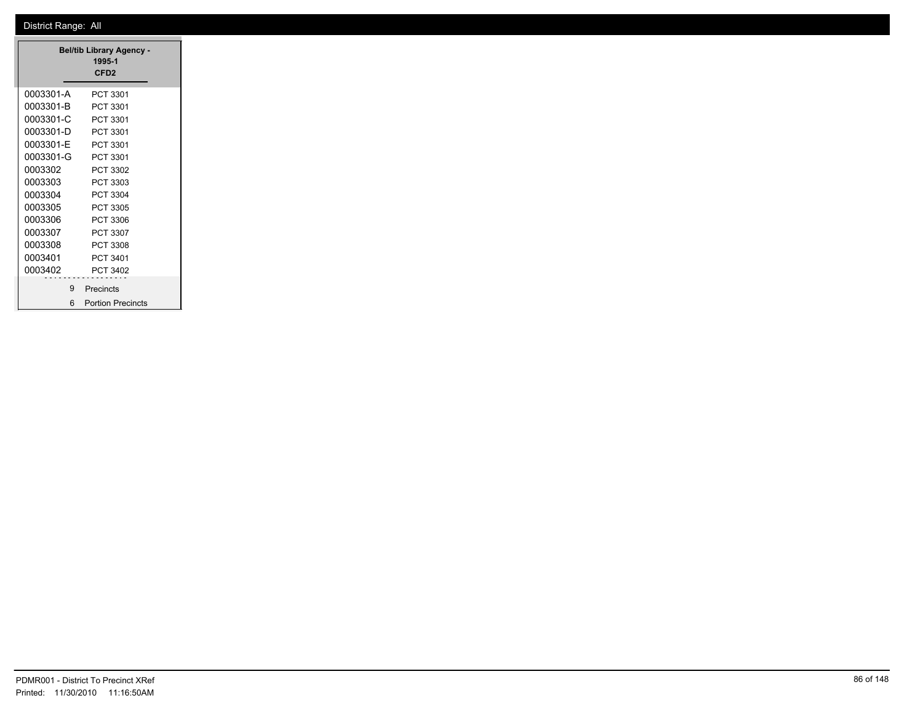|           | <b>Bel/tib Library Agency -</b><br>1995-1 |
|-----------|-------------------------------------------|
|           | CFD <sub>2</sub>                          |
|           |                                           |
| 0003301-A | PCT 3301                                  |
| 0003301-B | PCT 3301                                  |
| 0003301-C | PCT 3301                                  |
| 0003301-D | PCT 3301                                  |
| 0003301-E | PCT 3301                                  |
| 0003301-G | PCT 3301                                  |
| 0003302   | PCT 3302                                  |
| 0003303   | PCT 3303                                  |
| 0003304   | PCT 3304                                  |
| 0003305   | PCT 3305                                  |
| 0003306   | PCT 3306                                  |
| 0003307   | PCT 3307                                  |
| 0003308   | PCT 3308                                  |
| 0003401   | PCT 3401                                  |
| 0003402   | PCT 3402                                  |
|           |                                           |
| 9         | Precincts                                 |
|           | 6 Portion Precincts                       |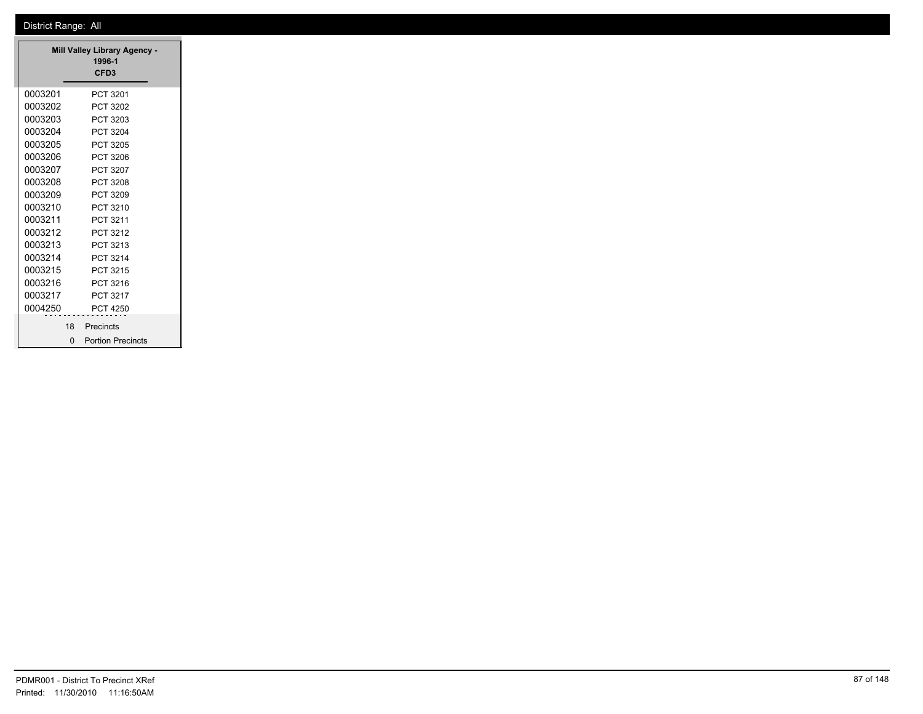|         |    | Mill Valley Library Agency -<br>1996-1<br>CFD <sub>3</sub> |
|---------|----|------------------------------------------------------------|
| 0003201 |    | PCT 3201                                                   |
| 0003202 |    | PCT 3202                                                   |
| 0003203 |    | PCT 3203                                                   |
| 0003204 |    | PCT 3204                                                   |
| 0003205 |    | PCT 3205                                                   |
| 0003206 |    | PCT 3206                                                   |
| 0003207 |    | PCT 3207                                                   |
| 0003208 |    | PCT 3208                                                   |
| 0003209 |    | PCT 3209                                                   |
| 0003210 |    | PCT 3210                                                   |
| 0003211 |    | PCT 3211                                                   |
| 0003212 |    | PCT 3212                                                   |
| 0003213 |    | PCT 3213                                                   |
| 0003214 |    | PCT 3214                                                   |
| 0003215 |    | PCT 3215                                                   |
| 0003216 |    | PCT 3216                                                   |
| 0003217 |    | PCT 3217                                                   |
| 0004250 |    | PCT 4250                                                   |
|         | 18 | Precincts                                                  |
|         | O  | <b>Portion Precincts</b>                                   |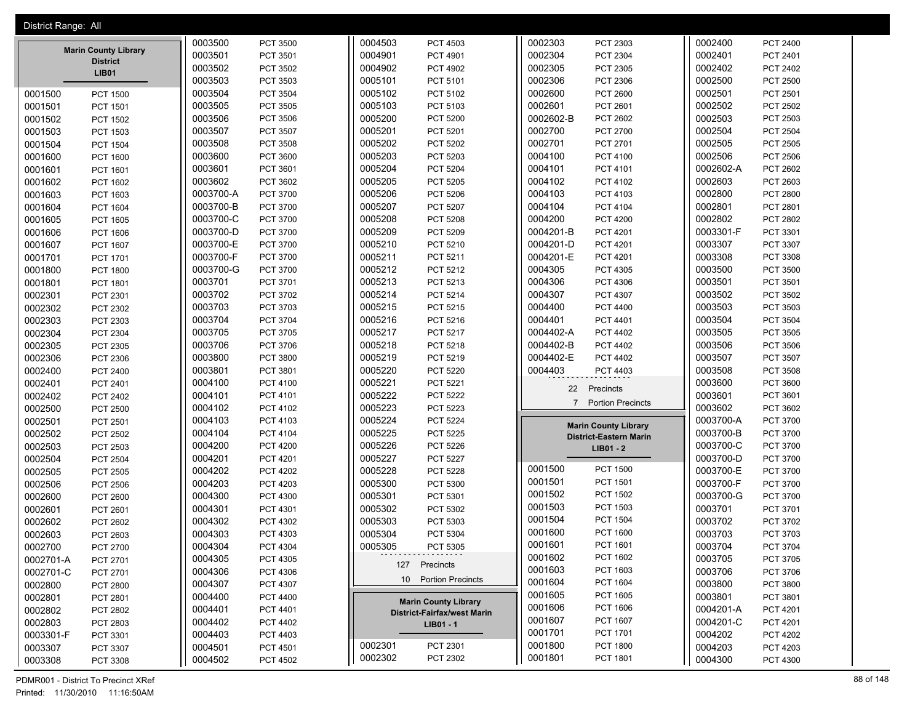| 0002303<br>0003500<br>0004503<br>PCT 4503<br>PCT 2303<br>0002400<br>PCT 3500<br>PCT 2400<br><b>Marin County Library</b><br>0003501<br>0002304<br>0002401<br>0004901<br>PCT 3501<br>PCT 4901<br>PCT 2304<br>PCT 2401<br><b>District</b> |  |
|----------------------------------------------------------------------------------------------------------------------------------------------------------------------------------------------------------------------------------------|--|
|                                                                                                                                                                                                                                        |  |
|                                                                                                                                                                                                                                        |  |
| 0003502<br>0002305<br>PCT 3502<br>0004902<br><b>PCT 4902</b><br>PCT 2305<br>0002402<br>PCT 2402<br><b>LIB01</b>                                                                                                                        |  |
| 0003503<br>0005101<br>0002306<br>0002500<br>PCT 3503<br>PCT 5101<br>PCT 2306<br><b>PCT 2500</b>                                                                                                                                        |  |
| 0003504<br><b>PCT 3504</b><br>0005102<br>0002600<br>0002501<br>PCT 2501<br>PCT 5102<br>PCT 2600<br>0001500<br><b>PCT 1500</b>                                                                                                          |  |
| 0003505<br>PCT 3505<br>0005103<br>PCT 5103<br>0002601<br>0002502<br>PCT 2502<br>PCT 2601<br>0001501<br>PCT 1501                                                                                                                        |  |
| 0002503<br>0003506<br>0005200<br>0002602-B<br>PCT 3506<br><b>PCT 5200</b><br>PCT 2602<br>PCT 2503<br>0001502<br><b>PCT 1502</b>                                                                                                        |  |
| 0002700<br>0001503<br>0003507<br>PCT 3507<br>0005201<br>PCT 5201<br>PCT 2700<br>0002504<br><b>PCT 2504</b><br>PCT 1503                                                                                                                 |  |
| 0003508<br>0005202<br>0002701<br>0002505<br><b>PCT 3508</b><br>PCT 5202<br>PCT 2701<br>PCT 2505<br>0001504<br><b>PCT 1504</b>                                                                                                          |  |
| 0003600<br>0005203<br>0004100<br>0002506<br><b>PCT 2506</b><br>0001600<br><b>PCT 3600</b><br>PCT 5203<br>PCT 4100<br><b>PCT 1600</b>                                                                                                   |  |
| 0003601<br>PCT 3601<br>0005204<br><b>PCT 5204</b><br>0004101<br>PCT 4101<br>0002602-A<br>PCT 2602<br>0001601<br>PCT 1601                                                                                                               |  |
| 0003602<br>0005205<br>0004102<br>0002603<br>PCT 3602<br>PCT 5205<br>PCT 4102<br>PCT 2603<br>0001602<br>PCT 1602                                                                                                                        |  |
| 0003700-A<br>0001603<br>PCT 3700<br>0005206<br><b>PCT 5206</b><br>0004103<br>PCT 4103<br>0002800<br><b>PCT 2800</b><br>PCT 1603                                                                                                        |  |
| 0003700-B<br>0005207<br>0004104<br>0002801<br>PCT 3700<br>PCT 5207<br>PCT 4104<br>PCT 2801<br>0001604<br>PCT 1604                                                                                                                      |  |
| 0003700-C<br>0005208<br>0004200<br>0002802<br>PCT 2802<br>0001605<br><b>PCT 3700</b><br><b>PCT 5208</b><br><b>PCT 4200</b><br>PCT 1605                                                                                                 |  |
| 0003700-D<br><b>PCT 3700</b><br>0005209<br>PCT 5209<br>0004201-B<br>PCT 4201<br>0003301-F<br>PCT 3301<br>0001606<br>PCT 1606                                                                                                           |  |
| 0003700-E<br>0005210<br>0004201-D<br>0003307<br>PCT 3700<br>PCT 5210<br>PCT 4201<br>PCT 3307<br>0001607<br><b>PCT 1607</b>                                                                                                             |  |
| 0003700-F<br>0001701<br>PCT 3700<br>0005211<br>PCT 5211<br>0004201-E<br>PCT 4201<br>0003308<br>PCT 3308<br><b>PCT 1701</b>                                                                                                             |  |
| 0003700-G<br>0005212<br>0004305<br>0003500<br>PCT 3700<br>PCT 5212<br>PCT 4305<br>PCT 3500<br>0001800<br><b>PCT 1800</b>                                                                                                               |  |
| 0003701<br>0005213<br>0004306<br>0003501<br>PCT 3501<br>0001801<br>PCT 3701<br>PCT 5213<br>PCT 4306<br>PCT 1801                                                                                                                        |  |
| 0003702<br>0005214<br>PCT 5214<br>0004307<br>0003502<br>0002301<br>PCT 3702<br>PCT 4307<br>PCT 3502<br>PCT 2301                                                                                                                        |  |
| 0003703<br>0005215<br>0004400<br>0003503<br>0002302<br>PCT 3703<br>PCT 5215<br>PCT 4400<br>PCT 3503<br>PCT 2302                                                                                                                        |  |
| 0003704<br>0002303<br><b>PCT 3704</b><br>0005216<br>PCT 5216<br>0004401<br>PCT 4401<br>0003504<br><b>PCT 3504</b><br>PCT 2303                                                                                                          |  |
| 0003705<br>0005217<br>0003505<br>0002304<br>PCT 3705<br>PCT 5217<br>0004402-A<br>PCT 4402<br>PCT 3505<br>PCT 2304                                                                                                                      |  |
| 0003706<br><b>PCT 3706</b><br>0005218<br>PCT 5218<br>0004402-B<br><b>PCT 4402</b><br>0003506<br>PCT 3506<br>0002305<br>PCT 2305                                                                                                        |  |
| 0003800<br><b>PCT 3800</b><br>0005219<br>PCT 5219<br>0004402-E<br>0003507<br>0002306<br><b>PCT 4402</b><br>PCT 3507<br>PCT 2306                                                                                                        |  |
| 0003801<br>0005220<br>0004403<br>0003508<br>PCT 3801<br><b>PCT 5220</b><br>PCT 4403<br><b>PCT 3508</b><br>0002400<br>PCT 2400                                                                                                          |  |
| 0002401<br>0004100<br>PCT 4100<br>0005221<br>PCT 5221<br>0003600<br>PCT 3600<br>PCT 2401                                                                                                                                               |  |
| Precincts<br>22<br>0004101<br>0005222<br>0003601<br>PCT 4101<br><b>PCT 5222</b><br>PCT 3601<br>0002402<br>PCT 2402                                                                                                                     |  |
| 7 Portion Precincts<br>0004102<br>PCT 4102<br>0005223<br>PCT 5223<br>0003602<br>PCT 3602<br>0002500<br><b>PCT 2500</b>                                                                                                                 |  |
| 0004103<br>PCT 4103<br>0005224<br>PCT 5224<br>0003700-A<br>PCT 3700<br>0002501<br><b>PCT 2501</b>                                                                                                                                      |  |
| <b>Marin County Library</b><br>0003700-B<br>0004104<br>0005225<br>0002502<br>PCT 4104<br><b>PCT 5225</b><br>PCT 3700<br>PCT 2502<br><b>District-Eastern Marin</b>                                                                      |  |
| 0003700-C<br>0002503<br>0004200<br><b>PCT 4200</b><br>0005226<br><b>PCT 5226</b><br>PCT 3700<br>PCT 2503<br>LIB01 - 2                                                                                                                  |  |
| 0003700-D<br>0004201<br>0005227<br>0002504<br>PCT 4201<br><b>PCT 5227</b><br>PCT 3700<br><b>PCT 2504</b>                                                                                                                               |  |
| 0001500<br><b>PCT 1500</b><br>0003700-E<br>0004202<br>0005228<br>PCT 3700<br>0002505<br><b>PCT 4202</b><br><b>PCT 5228</b><br>PCT 2505                                                                                                 |  |
| 0001501<br>PCT 1501<br>0003700-F<br>0004203<br>PCT 4203<br>0005300<br>PCT 5300<br>PCT 3700<br>0002506<br><b>PCT 2506</b>                                                                                                               |  |
| 0001502<br><b>PCT 1502</b><br>0003700-G<br>0004300<br>0005301<br>PCT 4300<br>PCT 5301<br>PCT 3700<br>0002600<br><b>PCT 2600</b>                                                                                                        |  |
| 0001503<br>PCT 1503<br>0004301<br>PCT 4301<br>0005302<br>PCT 5302<br>0003701<br>PCT 3701<br>0002601<br><b>PCT 2601</b>                                                                                                                 |  |
| 0001504<br><b>PCT 1504</b><br>0004302<br>0005303<br>0003702<br>PCT 4302<br>PCT 5303<br>PCT 3702<br>0002602<br>PCT 2602                                                                                                                 |  |
| 0001600<br><b>PCT 1600</b><br>0004303<br>0005304<br>0003703<br>PCT 4303<br>PCT 5304<br>PCT 3703<br>0002603<br>PCT 2603                                                                                                                 |  |
| 0001601<br>0004304<br>PCT 4304<br>0005305<br>PCT 1601<br>0003704<br><b>PCT 3704</b><br>0002700<br>PCT 5305<br>PCT 2700                                                                                                                 |  |
| 0001602<br>PCT 1602<br>0004305<br>0003705<br>PCT 4305<br>PCT 3705<br>0002701-A<br>PCT 2701                                                                                                                                             |  |
| 127 Precincts<br>0001603<br>PCT 1603<br>0004306<br>0002701-C<br>PCT 4306<br>0003706<br>PCT 3706<br>PCT 2701                                                                                                                            |  |
| 10 Portion Precincts<br>0001604<br>PCT 1604<br>0004307<br>0003800<br>0002800<br>PCT 4307<br>PCT 3800<br>PCT 2800                                                                                                                       |  |
| 0001605<br>PCT 1605<br>0003801<br>0004400<br>PCT 4400<br>PCT 3801<br>0002801<br>PCT 2801                                                                                                                                               |  |
| <b>Marin County Library</b><br>0001606<br>PCT 1606<br>0004201-A<br>0004401<br>PCT 4401<br>0002802<br><b>PCT 4201</b><br>PCT 2802<br><b>District-Fairfax/west Marin</b>                                                                 |  |
| 0001607<br>PCT 1607<br>0004201-C<br>0004402<br>0002803<br>PCT 4402<br>PCT 4201<br>PCT 2803<br>LIB01 - 1                                                                                                                                |  |
| 0001701<br>PCT 1701<br>0004403<br>0004202<br>0003301-F<br>PCT 4403<br><b>PCT 4202</b><br>PCT 3301                                                                                                                                      |  |
| 0002301<br>0001800<br>PCT 2301<br><b>PCT 1800</b><br>0004203<br>0004501<br>0003307<br>PCT 4501<br>PCT 4203<br>PCT 3307                                                                                                                 |  |
| 0002302<br>PCT 2302<br>0001801<br>PCT 1801<br>0004300<br>0004502<br>PCT 4502<br>PCT 4300<br>0003308<br>PCT 3308                                                                                                                        |  |

PDMR001 - District To Precinct XRef 88 of 148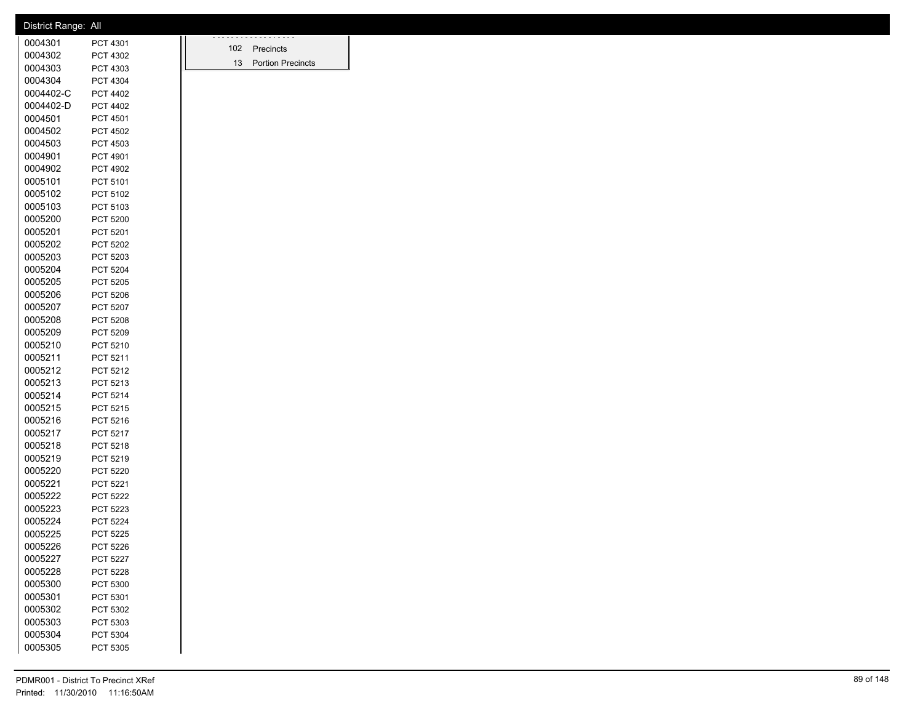| District Range: All |                 |                      |
|---------------------|-----------------|----------------------|
| 0004301             | PCT 4301        | .                    |
| 0004302             | PCT 4302        | 102 Precincts        |
| 0004303             | PCT 4303        | 13 Portion Precincts |
| 0004304             | PCT 4304        |                      |
| 0004402-C           | PCT 4402        |                      |
| 0004402-D           | PCT 4402        |                      |
| 0004501             | PCT 4501        |                      |
| 0004502             | PCT 4502        |                      |
| 0004503             | PCT 4503        |                      |
| 0004901             | PCT 4901        |                      |
| 0004902             | PCT 4902        |                      |
| 0005101             | PCT 5101        |                      |
| 0005102             | PCT 5102        |                      |
| 0005103             | PCT 5103        |                      |
| 0005200             | PCT 5200        |                      |
| 0005201             | PCT 5201        |                      |
| 0005202             | PCT 5202        |                      |
| 0005203             | PCT 5203        |                      |
| 0005204             | PCT 5204        |                      |
| 0005205             | PCT 5205        |                      |
| 0005206             | PCT 5206        |                      |
| 0005207             | PCT 5207        |                      |
| 0005208             | PCT 5208        |                      |
| 0005209             | PCT 5209        |                      |
| 0005210             | PCT 5210        |                      |
| 0005211             | PCT 5211        |                      |
| 0005212             | PCT 5212        |                      |
| 0005213             | PCT 5213        |                      |
| 0005214             | PCT 5214        |                      |
| 0005215             | PCT 5215        |                      |
| 0005216             | PCT 5216        |                      |
| 0005217             | PCT 5217        |                      |
| 0005218             | PCT 5218        |                      |
| 0005219             | PCT 5219        |                      |
| 0005220             | PCT 5220        |                      |
| 0005221             | PCT 5221        |                      |
| 0005222             | PCT 5222        |                      |
| 0005223             | PCT 5223        |                      |
| 0005224             | PCT 5224        |                      |
| 0005225             | PCT 5225        |                      |
| 0005226             | PCT 5226        |                      |
| 0005227             | <b>PCT 5227</b> |                      |
| 0005228             | PCT 5228        |                      |
| 0005300             | PCT 5300        |                      |
| 0005301             | PCT 5301        |                      |
| 0005302             | PCT 5302        |                      |
| 0005303             | PCT 5303        |                      |
| 0005304             |                 |                      |
| 0005305             | PCT 5304        |                      |
|                     | PCT 5305        |                      |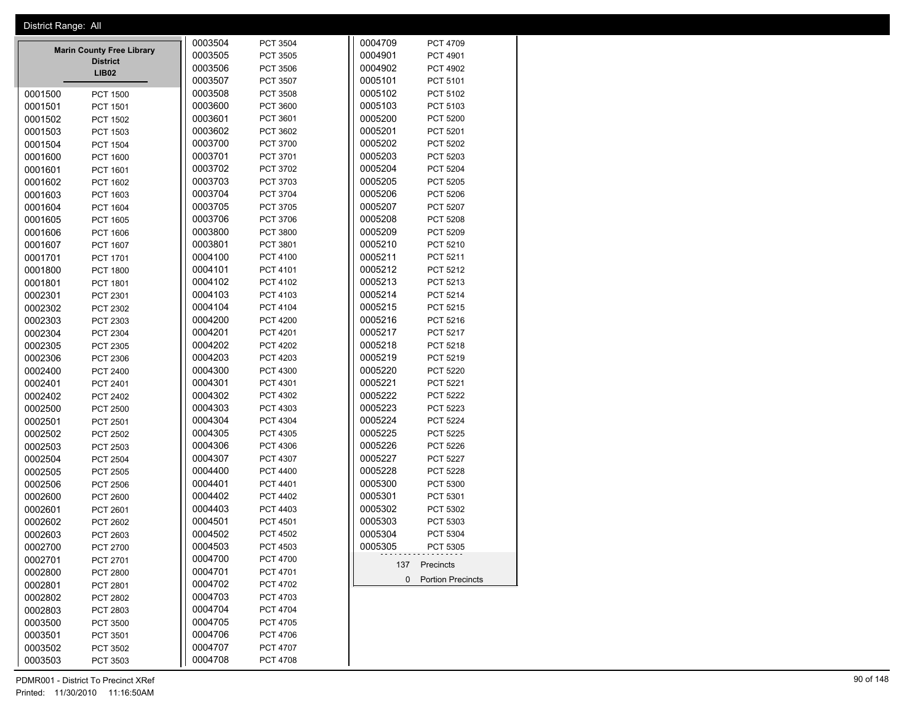| District Range: All |                                                     |         |                 |         |                     |
|---------------------|-----------------------------------------------------|---------|-----------------|---------|---------------------|
|                     |                                                     | 0003504 | PCT 3504        | 0004709 | PCT 4709            |
|                     | <b>Marin County Free Library</b><br><b>District</b> | 0003505 | PCT 3505        | 0004901 | PCT 4901            |
|                     | LIB02                                               | 0003506 | PCT 3506        | 0004902 | PCT 4902            |
|                     |                                                     | 0003507 | PCT 3507        | 0005101 | PCT 5101            |
| 0001500             | PCT 1500                                            | 0003508 | PCT 3508        | 0005102 | PCT 5102            |
| 0001501             | PCT 1501                                            | 0003600 | PCT 3600        | 0005103 | PCT 5103            |
| 0001502             | <b>PCT 1502</b>                                     | 0003601 | PCT 3601        | 0005200 | PCT 5200            |
| 0001503             | PCT 1503                                            | 0003602 | PCT 3602        | 0005201 | PCT 5201            |
| 0001504             | <b>PCT 1504</b>                                     | 0003700 | PCT 3700        | 0005202 | PCT 5202            |
| 0001600             | <b>PCT 1600</b>                                     | 0003701 | PCT 3701        | 0005203 | PCT 5203            |
| 0001601             | PCT 1601                                            | 0003702 | PCT 3702        | 0005204 | PCT 5204            |
| 0001602             | PCT 1602                                            | 0003703 | PCT 3703        | 0005205 | PCT 5205            |
| 0001603             | PCT 1603                                            | 0003704 | PCT 3704        | 0005206 | PCT 5206            |
| 0001604             | PCT 1604                                            | 0003705 | PCT 3705        | 0005207 | <b>PCT 5207</b>     |
| 0001605             | <b>PCT 1605</b>                                     | 0003706 | PCT 3706        | 0005208 | PCT 5208            |
| 0001606             |                                                     | 0003800 | PCT 3800        | 0005209 | PCT 5209            |
|                     | PCT 1606                                            | 0003801 | PCT 3801        | 0005210 | PCT 5210            |
| 0001607             | PCT 1607                                            |         |                 |         |                     |
| 0001701             | PCT 1701                                            | 0004100 | PCT 4100        | 0005211 | PCT 5211            |
| 0001800             | <b>PCT 1800</b>                                     | 0004101 | PCT 4101        | 0005212 | PCT 5212            |
| 0001801             | PCT 1801                                            | 0004102 | PCT 4102        | 0005213 | PCT 5213            |
| 0002301             | PCT 2301                                            | 0004103 | PCT 4103        | 0005214 | PCT 5214            |
| 0002302             | PCT 2302                                            | 0004104 | PCT 4104        | 0005215 | PCT 5215            |
| 0002303             | PCT 2303                                            | 0004200 | <b>PCT 4200</b> | 0005216 | PCT 5216            |
| 0002304             | PCT 2304                                            | 0004201 | PCT 4201        | 0005217 | PCT 5217            |
| 0002305             | PCT 2305                                            | 0004202 | <b>PCT 4202</b> | 0005218 | PCT 5218            |
| 0002306             | PCT 2306                                            | 0004203 | PCT 4203        | 0005219 | PCT 5219            |
| 0002400             | PCT 2400                                            | 0004300 | PCT 4300        | 0005220 | <b>PCT 5220</b>     |
| 0002401             | PCT 2401                                            | 0004301 | PCT 4301        | 0005221 | PCT 5221            |
| 0002402             | PCT 2402                                            | 0004302 | PCT 4302        | 0005222 | <b>PCT 5222</b>     |
| 0002500             | <b>PCT 2500</b>                                     | 0004303 | PCT 4303        | 0005223 | PCT 5223            |
| 0002501             | PCT 2501                                            | 0004304 | PCT 4304        | 0005224 | <b>PCT 5224</b>     |
| 0002502             | PCT 2502                                            | 0004305 | PCT 4305        | 0005225 | PCT 5225            |
| 0002503             | PCT 2503                                            | 0004306 | PCT 4306        | 0005226 | PCT 5226            |
| 0002504             | <b>PCT 2504</b>                                     | 0004307 | PCT 4307        | 0005227 | <b>PCT 5227</b>     |
| 0002505             | PCT 2505                                            | 0004400 | PCT 4400        | 0005228 | PCT 5228            |
|                     |                                                     | 0004401 | PCT 4401        | 0005300 | PCT 5300            |
| 0002506             | PCT 2506                                            | 0004402 | PCT 4402        | 0005301 | PCT 5301            |
| 0002600             | PCT 2600                                            |         |                 |         |                     |
| 0002601             | PCT 2601                                            | 0004403 | PCT 4403        | 0005302 | PCT 5302            |
| 0002602             | PCT 2602                                            | 0004501 | PCT 4501        | 0005303 | PCT 5303            |
| 0002603             | PCT 2603                                            | 0004502 | PCT 4502        | 0005304 | PCT 5304            |
| 0002700             | PCT 2700                                            | 0004503 | PCT 4503        | 0005305 | PCT 5305            |
| 0002701             | PCT 2701                                            | 0004700 | PCT 4700        |         | 137 Precincts       |
| 0002800             | <b>PCT 2800</b>                                     | 0004701 | PCT 4701        |         | 0 Portion Precincts |
| 0002801             | PCT 2801                                            | 0004702 | PCT 4702        |         |                     |
| 0002802             | PCT 2802                                            | 0004703 | PCT 4703        |         |                     |
| 0002803             | PCT 2803                                            | 0004704 | PCT 4704        |         |                     |
| 0003500             | PCT 3500                                            | 0004705 | PCT 4705        |         |                     |
| 0003501             | PCT 3501                                            | 0004706 | PCT 4706        |         |                     |
| 0003502             | PCT 3502                                            | 0004707 | PCT 4707        |         |                     |
| 0003503             | PCT 3503                                            | 0004708 | PCT 4708        |         |                     |

PDMR001 - District To Precinct XRef 90 of 148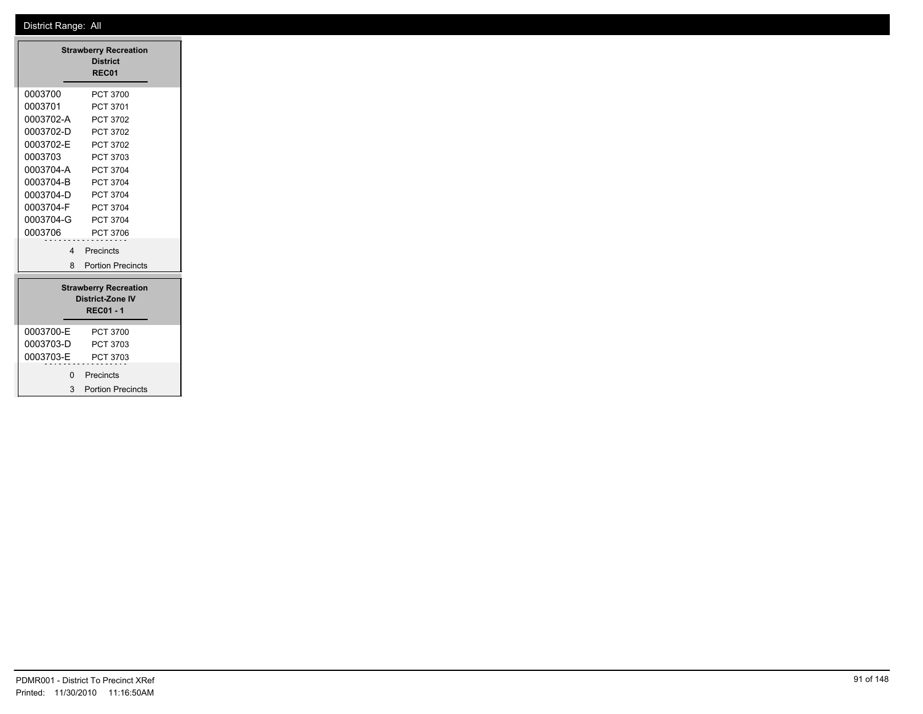| <b>Strawberry Recreation</b> |                              |  |  |  |
|------------------------------|------------------------------|--|--|--|
|                              | <b>District</b><br>REC01     |  |  |  |
|                              |                              |  |  |  |
| 0003700                      | PCT 3700                     |  |  |  |
| 0003701                      | PCT 3701                     |  |  |  |
| 0003702-A                    | <b>PCT 3702</b>              |  |  |  |
| 0003702-D                    | <b>PCT 3702</b>              |  |  |  |
| 0003702-E                    | <b>PCT 3702</b>              |  |  |  |
| 0003703                      | <b>PCT 3703</b>              |  |  |  |
| 0003704-A                    | PCT 3704                     |  |  |  |
| 0003704-B                    | PCT 3704                     |  |  |  |
| 0003704-D                    | <b>PCT 3704</b>              |  |  |  |
| 0003704-F                    | PCT 3704                     |  |  |  |
| 0003704-G                    | <b>PCT 3704</b>              |  |  |  |
| 0003706                      | PCT 3706                     |  |  |  |
| $\overline{a}$               | Precincts                    |  |  |  |
| 8                            | <b>Portion Precincts</b>     |  |  |  |
|                              | <b>Strawberry Recreation</b> |  |  |  |
|                              | <b>District-Zone IV</b>      |  |  |  |
|                              | <b>REC01-1</b>               |  |  |  |
| 0003700-E                    | <b>PCT 3700</b>              |  |  |  |
| 0003703-D                    | PCT 3703                     |  |  |  |
| 0003703-E                    | PCT 3703                     |  |  |  |
|                              |                              |  |  |  |
| 0                            | Precincts                    |  |  |  |
| 3                            | <b>Portion Precincts</b>     |  |  |  |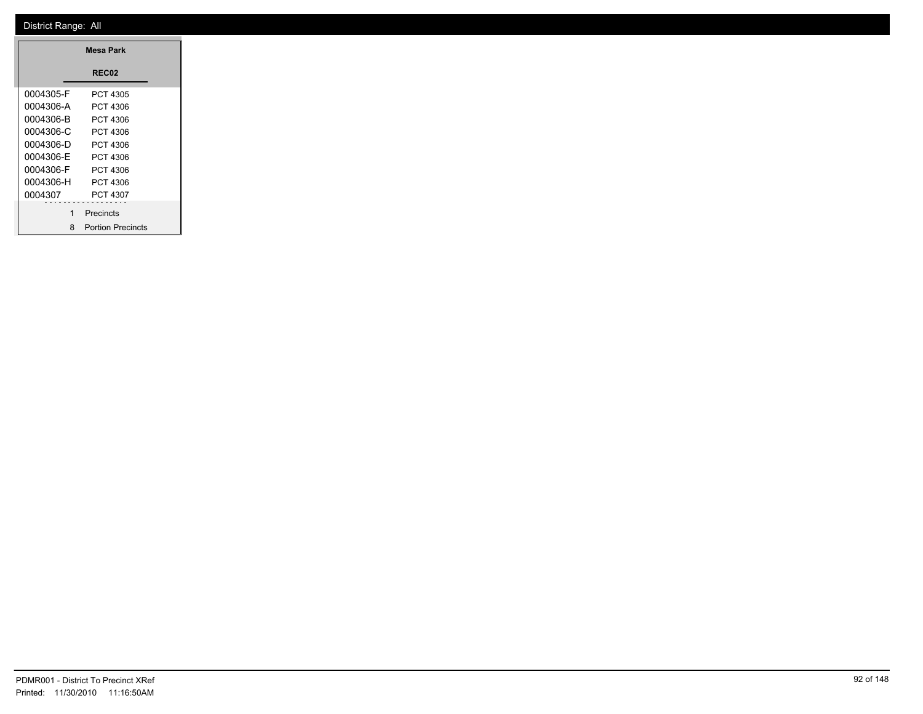| Mesa Park |                          |  |  |  |
|-----------|--------------------------|--|--|--|
|           | <b>REC02</b>             |  |  |  |
| 0004305-F | PCT 4305                 |  |  |  |
| 0004306-A | PCT 4306                 |  |  |  |
| 0004306-B | PCT 4306                 |  |  |  |
| 0004306-C | PCT 4306                 |  |  |  |
| 0004306-D | PCT 4306                 |  |  |  |
| 0004306-F | PCT 4306                 |  |  |  |
| 0004306-F | PCT 4306                 |  |  |  |
| 0004306-H | PCT 4306                 |  |  |  |
| 0004307   | PCT 4307                 |  |  |  |
| 1         | Precincts                |  |  |  |
| 8         | <b>Portion Precincts</b> |  |  |  |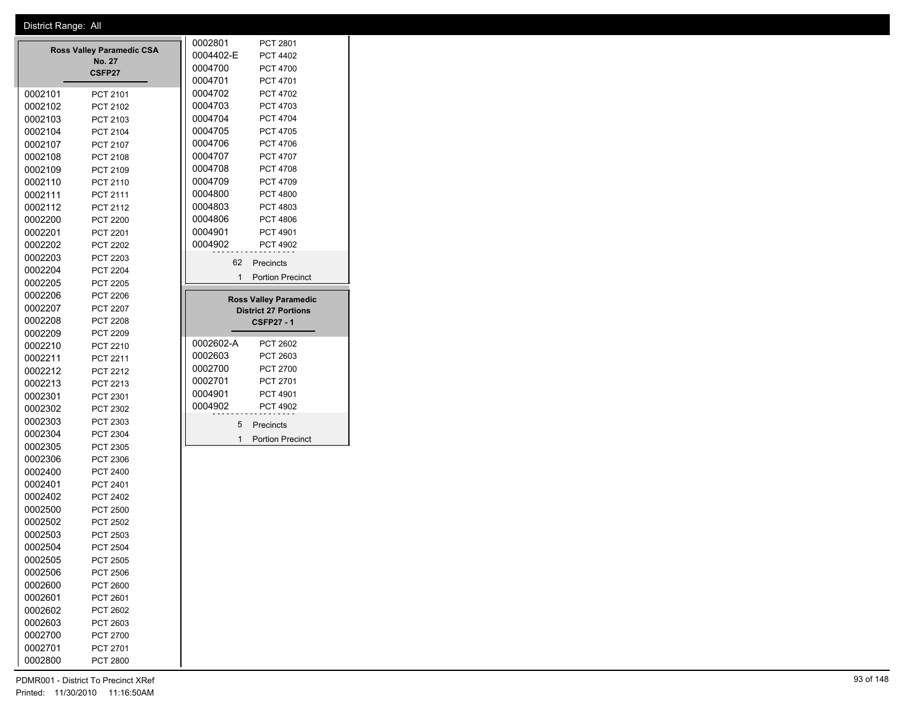|                                            |         |                 |  | 0002801            |    | PCT 2801                     |
|--------------------------------------------|---------|-----------------|--|--------------------|----|------------------------------|
| <b>Ross Valley Paramedic CSA</b><br>No. 27 |         |                 |  | 0004402-E          |    | <b>PCT 4402</b>              |
| CSFP27                                     |         |                 |  | 0004700            |    | <b>PCT 4700</b>              |
|                                            |         |                 |  | 0004701            |    | PCT 4701                     |
|                                            | 0002101 | PCT 2101        |  | 0004702            |    | <b>PCT 4702</b>              |
|                                            | 0002102 | PCT 2102        |  | 0004703            |    | PCT 4703                     |
|                                            | 0002103 | PCT 2103        |  | 0004704            |    | <b>PCT 4704</b>              |
|                                            | 0002104 | PCT 2104        |  | 0004705            |    | <b>PCT 4705</b>              |
|                                            | 0002107 | PCT 2107        |  | 0004706            |    | <b>PCT 4706</b>              |
|                                            | 0002108 | PCT 2108        |  | 0004707            |    | <b>PCT 4707</b>              |
|                                            | 0002109 | PCT 2109        |  | 0004708            |    | <b>PCT 4708</b>              |
|                                            | 0002110 | PCT 2110        |  | 0004709            |    | PCT 4709                     |
|                                            | 0002111 | PCT 2111        |  | 0004800            |    | <b>PCT 4800</b>              |
|                                            | 0002112 | PCT 2112        |  | 0004803            |    | PCT 4803                     |
|                                            | 0002200 | <b>PCT 2200</b> |  | 0004806            |    | <b>PCT 4806</b>              |
|                                            | 0002201 | PCT 2201        |  | 0004901            |    | PCT 4901                     |
|                                            | 0002202 | <b>PCT 2202</b> |  | 0004902            |    | <b>PCT 4902</b>              |
|                                            | 0002203 | PCT 2203        |  |                    | 62 | Precincts                    |
|                                            | 0002204 | <b>PCT 2204</b> |  |                    | 1  | <b>Portion Precinct</b>      |
|                                            | 0002205 | <b>PCT 2205</b> |  |                    |    |                              |
|                                            | 0002206 | <b>PCT 2206</b> |  |                    |    | <b>Ross Valley Paramedic</b> |
|                                            | 0002207 | <b>PCT 2207</b> |  |                    |    | <b>District 27 Portions</b>  |
|                                            | 0002208 | PCT 2208        |  |                    |    | <b>CSFP27 - 1</b>            |
|                                            | 0002209 | PCT 2209        |  |                    |    |                              |
|                                            | 0002210 | PCT 2210        |  | 0002602-A          |    | <b>PCT 2602</b>              |
|                                            | 0002211 | PCT 2211        |  | 0002603            |    | PCT 2603                     |
|                                            | 0002212 | PCT 2212        |  | 0002700            |    | PCT 2700                     |
|                                            | 0002213 | PCT 2213        |  | 0002701<br>0004901 |    | PCT 2701                     |
|                                            | 0002301 | PCT 2301        |  | 0004902            |    | PCT 4901                     |
|                                            | 0002302 | PCT 2302        |  |                    |    | <b>PCT 4902</b>              |
|                                            | 0002303 | PCT 2303        |  |                    | 5  | Precincts                    |
|                                            | 0002304 | PCT 2304        |  |                    | 1  | <b>Portion Precinct</b>      |
|                                            | 0002305 | PCT 2305        |  |                    |    |                              |
|                                            | 0002306 | PCT 2306        |  |                    |    |                              |
|                                            | 0002400 | PCT 2400        |  |                    |    |                              |
|                                            | 0002401 | PCT 2401        |  |                    |    |                              |
|                                            | 0002402 | PCT 2402        |  |                    |    |                              |
|                                            | 0002500 | <b>PCT 2500</b> |  |                    |    |                              |
|                                            | 0002502 | PCT 2502        |  |                    |    |                              |
|                                            | 0002503 | PCT 2503        |  |                    |    |                              |
|                                            | 0002504 | <b>PCT 2504</b> |  |                    |    |                              |
|                                            | 0002505 | PCT 2505        |  |                    |    |                              |
|                                            | 0002506 | PCT 2506        |  |                    |    |                              |
|                                            | 0002600 | PCT 2600        |  |                    |    |                              |
|                                            | 0002601 | PCT 2601        |  |                    |    |                              |
|                                            | 0002602 | <b>PCT 2602</b> |  |                    |    |                              |
|                                            | 0002603 | PCT 2603        |  |                    |    |                              |
|                                            | 0002700 | PCT 2700        |  |                    |    |                              |
|                                            | 0002701 | PCT 2701        |  |                    |    |                              |
|                                            | 0002800 | PCT 2800        |  |                    |    |                              |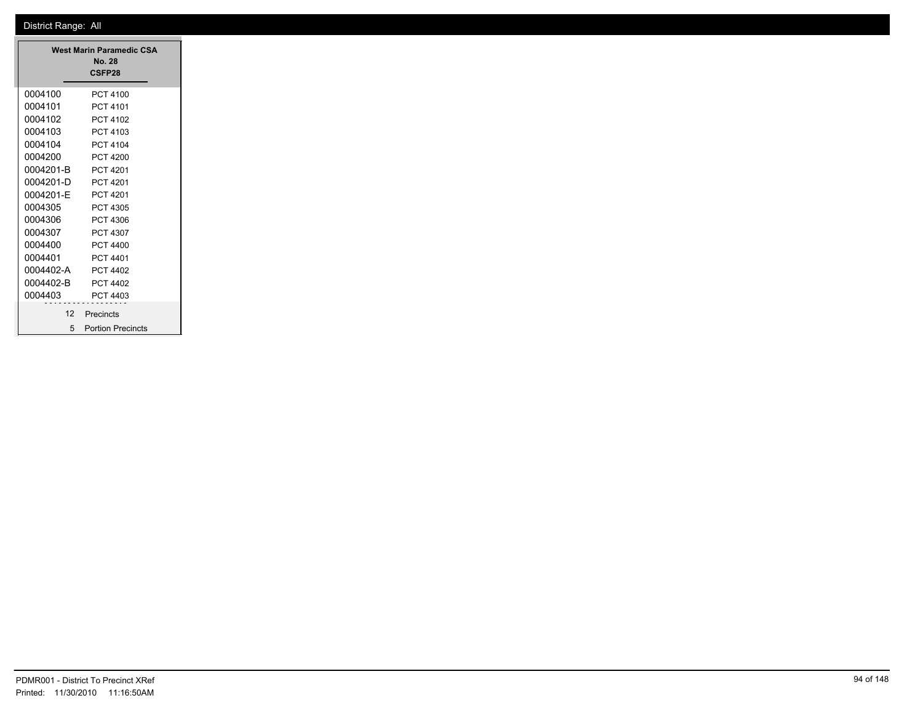| <b>West Marin Paramedic CSA</b><br><b>No. 28</b><br>CSFP28 |                          |  |  |  |
|------------------------------------------------------------|--------------------------|--|--|--|
| 0004100                                                    | PCT 4100                 |  |  |  |
| 0004101                                                    | PCT 4101                 |  |  |  |
| 0004102                                                    | PCT 4102                 |  |  |  |
| 0004103                                                    | PCT 4103                 |  |  |  |
| 0004104                                                    | PCT 4104                 |  |  |  |
| 0004200                                                    | PCT 4200                 |  |  |  |
| 0004201-B                                                  | PCT 4201                 |  |  |  |
| 0004201-D                                                  | PCT 4201                 |  |  |  |
| 0004201-F                                                  | <b>PCT 4201</b>          |  |  |  |
| 0004305                                                    | PCT 4305                 |  |  |  |
| 0004306                                                    | PCT 4306                 |  |  |  |
| 0004307                                                    | PCT 4307                 |  |  |  |
| 0004400                                                    | PCT 4400                 |  |  |  |
| 0004401                                                    | PCT 4401                 |  |  |  |
| 0004402-A                                                  | PCT 4402                 |  |  |  |
| 0004402-B                                                  | PCT 4402                 |  |  |  |
| 0004403                                                    | PCT 4403                 |  |  |  |
|                                                            | 12 Precincts             |  |  |  |
| 5                                                          | <b>Portion Precincts</b> |  |  |  |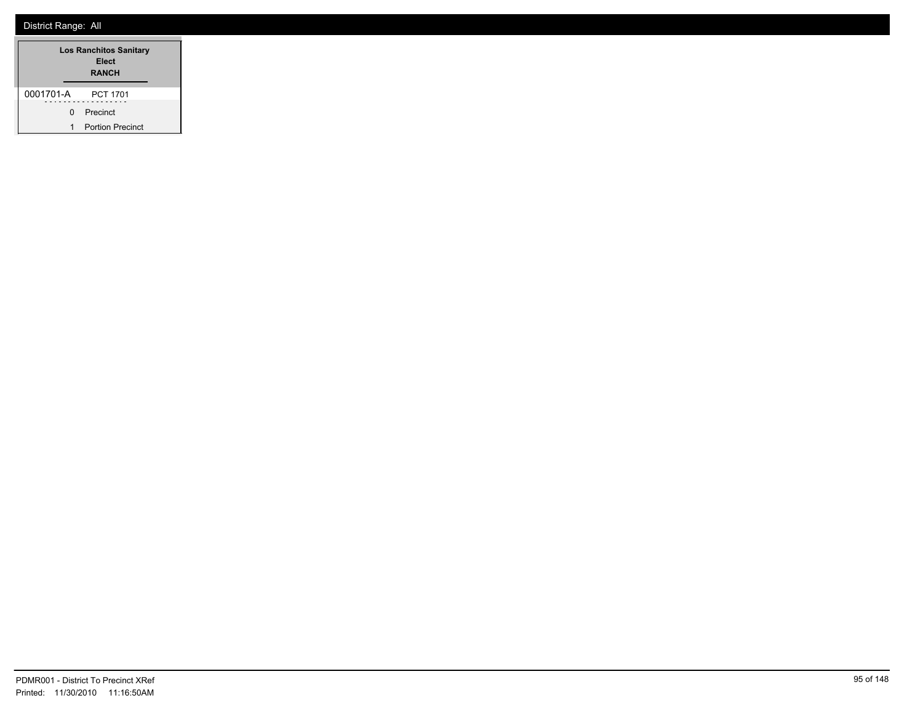|           |    | <b>Los Ranchitos Sanitary</b><br>Elect<br><b>RANCH</b> |  |  |
|-----------|----|--------------------------------------------------------|--|--|
| 0001701-A |    | <b>PCT 1701</b>                                        |  |  |
|           | 0. | Precinct                                               |  |  |
| 1         |    | <b>Portion Precinct</b>                                |  |  |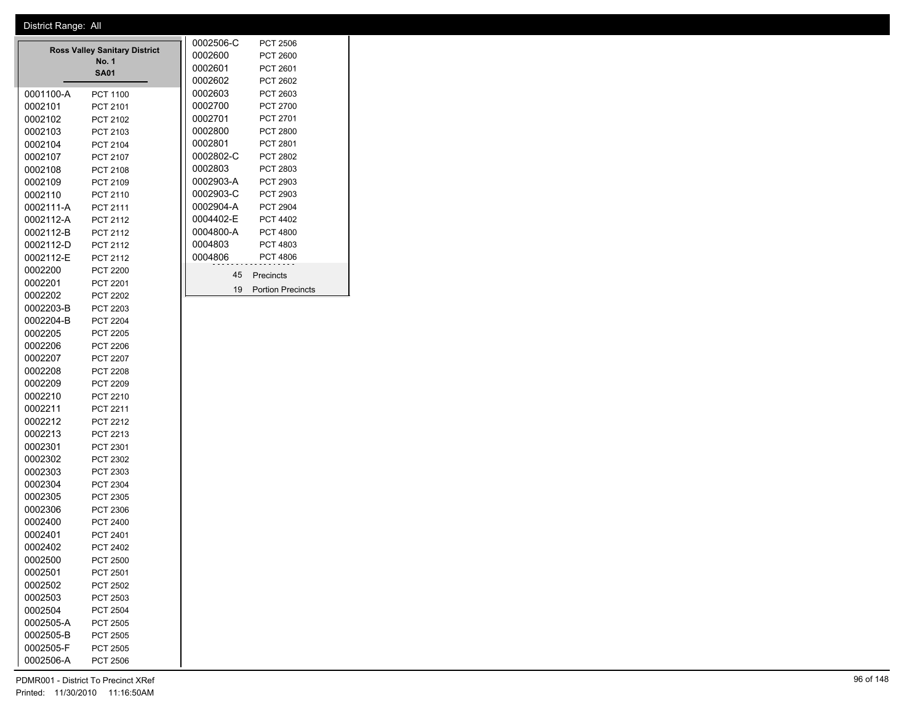|           |                                      |         | 0002506-C | <b>PCT 2506</b>          |
|-----------|--------------------------------------|---------|-----------|--------------------------|
|           | <b>Ross Valley Sanitary District</b> | 0002600 | PCT 2600  |                          |
|           | <b>No. 1</b>                         |         | 0002601   | <b>PCT 2601</b>          |
|           | <b>SA01</b>                          |         | 0002602   | <b>PCT 2602</b>          |
| 0001100-A | <b>PCT 1100</b>                      |         | 0002603   | PCT 2603                 |
| 0002101   | PCT 2101                             |         | 0002700   | <b>PCT 2700</b>          |
| 0002102   | PCT 2102                             |         | 0002701   | PCT 2701                 |
| 0002103   | PCT 2103                             |         | 0002800   | <b>PCT 2800</b>          |
| 0002104   | PCT 2104                             |         | 0002801   | <b>PCT 2801</b>          |
| 0002107   | PCT 2107                             |         | 0002802-C | <b>PCT 2802</b>          |
| 0002108   | PCT 2108                             |         | 0002803   | PCT 2803                 |
| 0002109   | PCT 2109                             |         | 0002903-A | PCT 2903                 |
| 0002110   | PCT 2110                             |         | 0002903-C | PCT 2903                 |
| 0002111-A | PCT 2111                             |         | 0002904-A | <b>PCT 2904</b>          |
| 0002112-A | <b>PCT 2112</b>                      |         | 0004402-E | <b>PCT 4402</b>          |
| 0002112-B | PCT 2112                             |         | 0004800-A | <b>PCT 4800</b>          |
| 0002112-D | PCT 2112                             |         | 0004803   | PCT 4803                 |
| 0002112-E | PCT 2112                             |         | 0004806   | <b>PCT 4806</b>          |
| 0002200   | <b>PCT 2200</b>                      |         | 45        | Precincts                |
| 0002201   | <b>PCT 2201</b>                      |         |           |                          |
| 0002202   | <b>PCT 2202</b>                      |         | 19        | <b>Portion Precincts</b> |
| 0002203-B | <b>PCT 2203</b>                      |         |           |                          |
| 0002204-B | <b>PCT 2204</b>                      |         |           |                          |
| 0002205   | <b>PCT 2205</b>                      |         |           |                          |
| 0002206   | <b>PCT 2206</b>                      |         |           |                          |
| 0002207   | <b>PCT 2207</b>                      |         |           |                          |
| 0002208   | <b>PCT 2208</b>                      |         |           |                          |
| 0002209   | <b>PCT 2209</b>                      |         |           |                          |
| 0002210   | <b>PCT 2210</b>                      |         |           |                          |
| 0002211   | <b>PCT 2211</b>                      |         |           |                          |
| 0002212   | <b>PCT 2212</b>                      |         |           |                          |
| 0002213   | PCT 2213                             |         |           |                          |
| 0002301   | PCT 2301                             |         |           |                          |
| 0002302   | PCT 2302                             |         |           |                          |

 PCT 2303 PCT 2304 PCT 2305 PCT 2306 PCT 2400 PCT 2401 PCT 2402 PCT 2500 PCT 2501 PCT 2502 PCT 2503 PCT 2504 0002505-A PCT 2505 0002505-B PCT 2505 0002505-F PCT 2505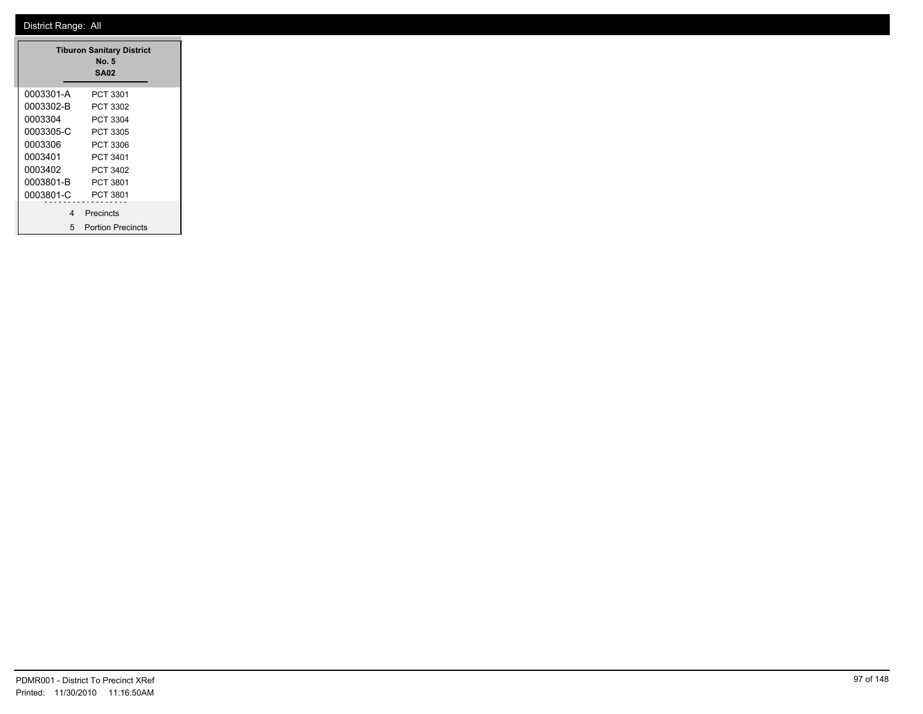|           | <b>Tiburon Sanitary District</b><br>No. 5<br><b>SA02</b> |
|-----------|----------------------------------------------------------|
| 0003301-A | PCT 3301                                                 |
| 0003302-B | PCT 3302                                                 |
| 0003304   | PCT 3304                                                 |
| 0003305-C | PCT 3305                                                 |
| 0003306   | PCT 3306                                                 |
| 0003401   | PCT 3401                                                 |
| 0003402   | PCT 3402                                                 |
| 0003801-B | PCT 3801                                                 |
| 0003801-C | PCT 3801                                                 |
| 4         | Precincts                                                |
| 5         | <b>Portion Precincts</b>                                 |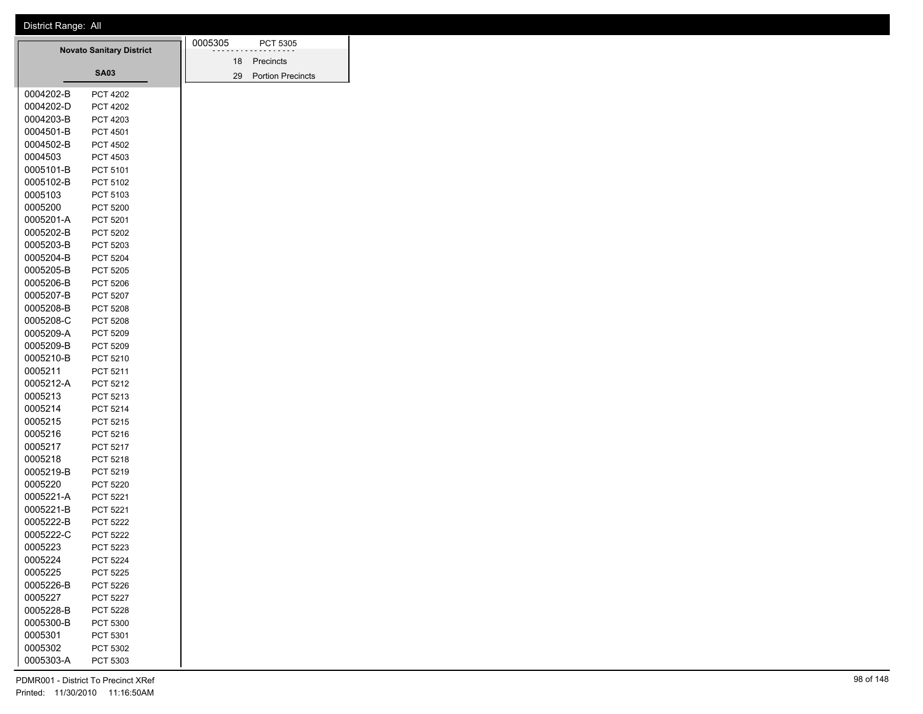|                                 |                 |  | 0005305 |           | PCT 5305                 |
|---------------------------------|-----------------|--|---------|-----------|--------------------------|
| <b>Novato Sanitary District</b> |                 |  | 18      | Precincts |                          |
|                                 | <b>SA03</b>     |  |         | 29        | <b>Portion Precincts</b> |
| 0004202-B                       | <b>PCT 4202</b> |  |         |           |                          |
| 0004202-D                       | <b>PCT 4202</b> |  |         |           |                          |
| 0004203-B                       | PCT 4203        |  |         |           |                          |
| 0004501-B                       | <b>PCT 4501</b> |  |         |           |                          |
| 0004502-B                       | <b>PCT 4502</b> |  |         |           |                          |
| 0004503                         | PCT 4503        |  |         |           |                          |
| 0005101-B                       | PCT 5101        |  |         |           |                          |
| 0005102-B                       | PCT 5102        |  |         |           |                          |
| 0005103                         | PCT 5103        |  |         |           |                          |
| 0005200                         | PCT 5200        |  |         |           |                          |
| 0005201-A                       | PCT 5201        |  |         |           |                          |
| 0005202-B                       | PCT 5202        |  |         |           |                          |
| 0005203-B                       | PCT 5203        |  |         |           |                          |
| 0005204-B                       | <b>PCT 5204</b> |  |         |           |                          |
| 0005205-B                       | PCT 5205        |  |         |           |                          |
| 0005206-B                       | PCT 5206        |  |         |           |                          |
| 0005207-B                       | <b>PCT 5207</b> |  |         |           |                          |
| 0005208-B                       | <b>PCT 5208</b> |  |         |           |                          |
| 0005208-C                       | PCT 5208        |  |         |           |                          |
| 0005209-A                       | PCT 5209        |  |         |           |                          |
| 0005209-B                       | PCT 5209        |  |         |           |                          |
| 0005210-B                       | PCT 5210        |  |         |           |                          |
| 0005211                         | PCT 5211        |  |         |           |                          |
| 0005212-A                       | PCT 5212        |  |         |           |                          |
| 0005213                         | PCT 5213        |  |         |           |                          |
| 0005214                         | PCT 5214        |  |         |           |                          |
| 0005215                         | PCT 5215        |  |         |           |                          |
| 0005216                         | PCT 5216        |  |         |           |                          |
| 0005217                         | PCT 5217        |  |         |           |                          |
| 0005218                         | PCT 5218        |  |         |           |                          |
| 0005219-B                       | PCT 5219        |  |         |           |                          |
| 0005220                         | PCT 5220        |  |         |           |                          |
| 0005221-A                       | PCT 5221        |  |         |           |                          |
| 0005221-B                       | PCT 5221        |  |         |           |                          |
| 0005222-B                       | PCT 5222        |  |         |           |                          |
| 0005222-C                       | <b>PCT 5222</b> |  |         |           |                          |
| 0005223                         | PCT 5223        |  |         |           |                          |
| 0005224                         | <b>PCT 5224</b> |  |         |           |                          |
| 0005225                         | PCT 5225        |  |         |           |                          |
| 0005226-B                       | PCT 5226        |  |         |           |                          |
| 0005227                         | PCT 5227        |  |         |           |                          |
| 0005228-B                       | <b>PCT 5228</b> |  |         |           |                          |
| 0005300-B                       | PCT 5300        |  |         |           |                          |
| 0005301                         | PCT 5301        |  |         |           |                          |
| 0005302                         | PCT 5302        |  |         |           |                          |
| 0005303-A                       | PCT 5303        |  |         |           |                          |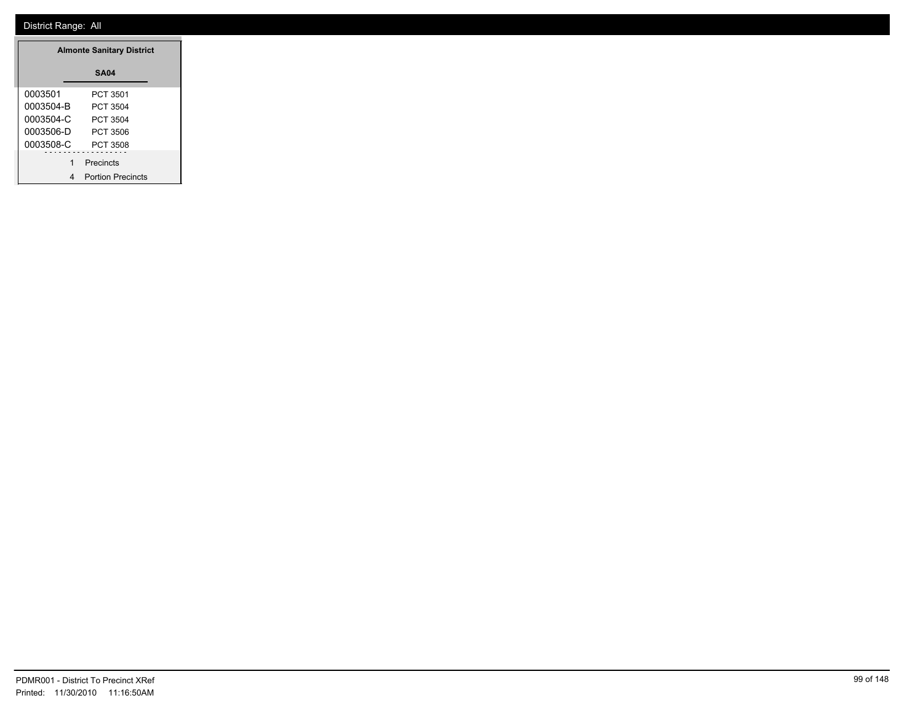|           | <b>Almonte Sanitary District</b> |  |
|-----------|----------------------------------|--|
|           | <b>SA04</b>                      |  |
| 0003501   | PCT 3501                         |  |
| 0003504-B | PCT 3504                         |  |
| 0003504-C | PCT 3504                         |  |
| 0003506-D | PCT 3506                         |  |
| 0003508-C | PCT 3508                         |  |
|           | Precincts                        |  |
|           | 4 Portion Precincts              |  |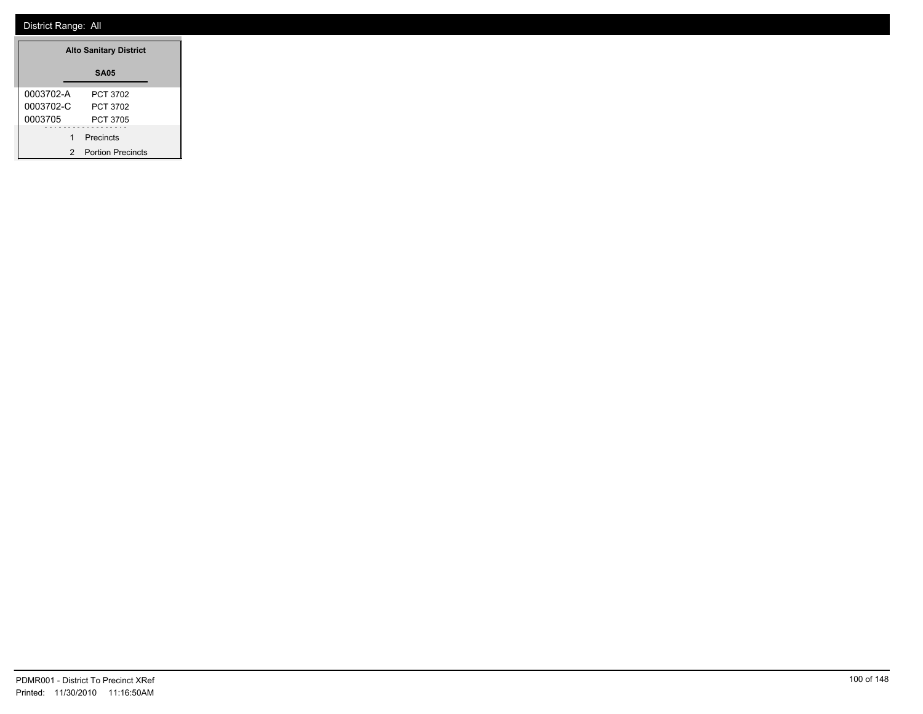| <b>Alto Sanitary District</b> |                          |  |  |
|-------------------------------|--------------------------|--|--|
|                               | <b>SA05</b>              |  |  |
| 0003702-A                     | PCT 3702                 |  |  |
| 0003702-C                     | PCT 3702                 |  |  |
| 0003705                       | PCT 3705                 |  |  |
| 1                             | Precincts                |  |  |
| 2                             | <b>Portion Precincts</b> |  |  |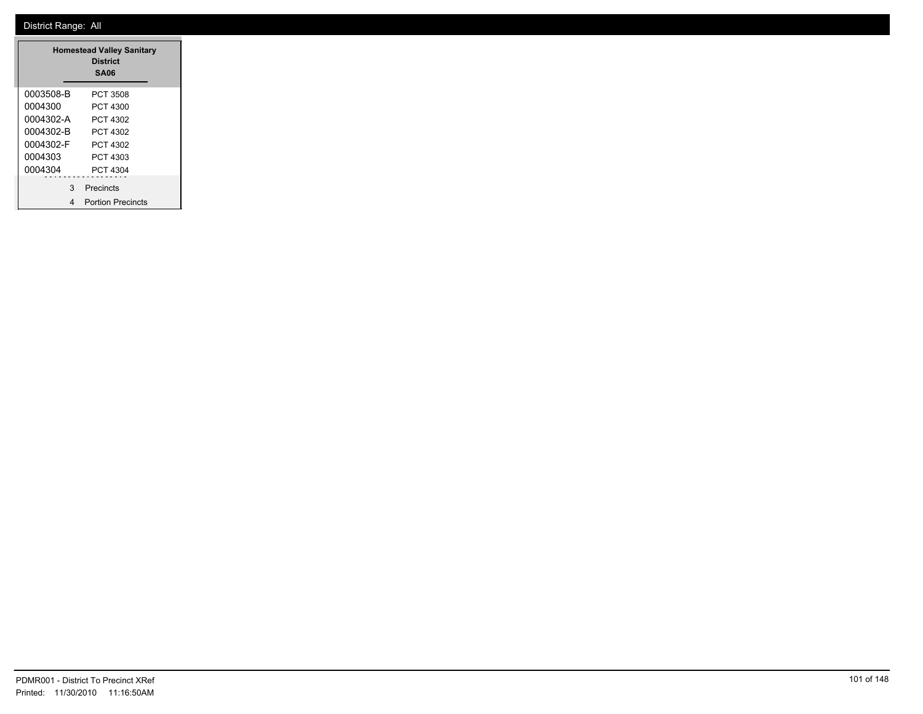| <b>Homestead Valley Sanitary</b><br><b>District</b><br><b>SA06</b> |                          |  |
|--------------------------------------------------------------------|--------------------------|--|
| 0003508-B                                                          | PCT 3508                 |  |
| 0004300                                                            | PCT 4300                 |  |
| 0004302-A                                                          | PCT 4302                 |  |
| 0004302-B                                                          | PCT 4302                 |  |
| 0004302-F                                                          | PCT 4302                 |  |
| 0004303                                                            | PCT 4303                 |  |
| 0004304                                                            | PCT 4304                 |  |
| 3                                                                  | Precincts                |  |
| 4                                                                  | <b>Portion Precincts</b> |  |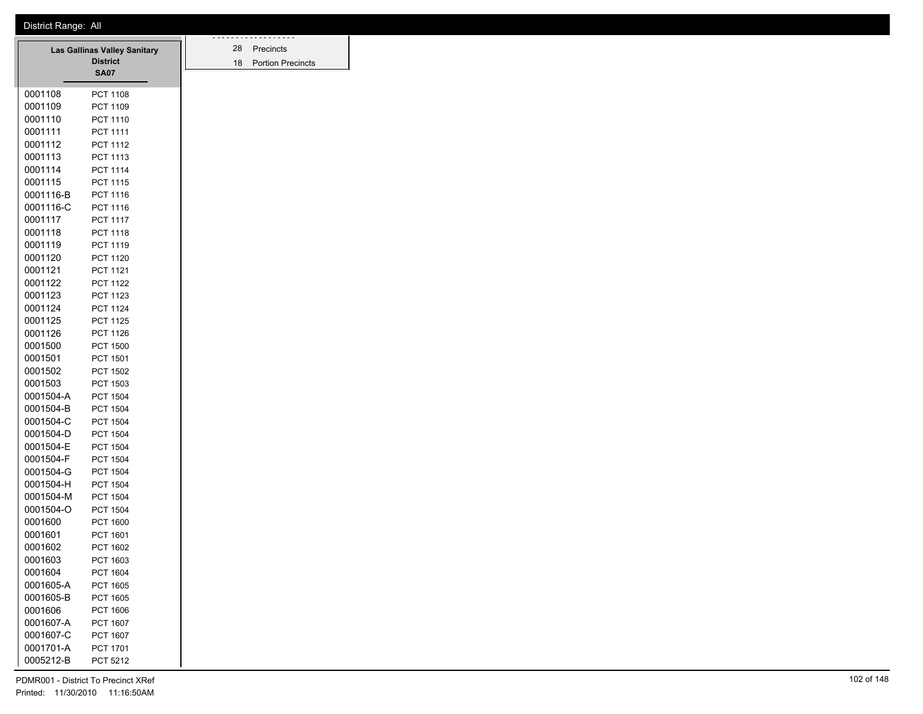|           | Las Gallinas Valley Sanitary | 28 | Precincts                |
|-----------|------------------------------|----|--------------------------|
|           | <b>District</b>              | 18 | <b>Portion Precincts</b> |
|           | SA07                         |    |                          |
| 0001108   | <b>PCT 1108</b>              |    |                          |
| 0001109   | PCT 1109                     |    |                          |
| 0001110   | <b>PCT 1110</b>              |    |                          |
| 0001111   | PCT 1111                     |    |                          |
| 0001112   | PCT 1112                     |    |                          |
| 0001113   | PCT 1113                     |    |                          |
| 0001114   | <b>PCT 1114</b>              |    |                          |
| 0001115   | <b>PCT 1115</b>              |    |                          |
| 0001116-B | PCT 1116                     |    |                          |
| 0001116-C | <b>PCT 1116</b>              |    |                          |
| 0001117   | <b>PCT 1117</b>              |    |                          |
| 0001118   | PCT 1118                     |    |                          |
| 0001119   | PCT 1119                     |    |                          |
| 0001120   | <b>PCT 1120</b>              |    |                          |
| 0001121   | PCT 1121                     |    |                          |
| 0001122   | <b>PCT 1122</b>              |    |                          |
| 0001123   | PCT 1123                     |    |                          |
| 0001124   | <b>PCT 1124</b>              |    |                          |
| 0001125   | <b>PCT 1125</b>              |    |                          |
| 0001126   | <b>PCT 1126</b>              |    |                          |
| 0001500   | <b>PCT 1500</b>              |    |                          |
| 0001501   | PCT 1501                     |    |                          |
| 0001502   | <b>PCT 1502</b>              |    |                          |
| 0001503   | PCT 1503                     |    |                          |
| 0001504-A | <b>PCT 1504</b>              |    |                          |
| 0001504-B | <b>PCT 1504</b>              |    |                          |
| 0001504-C | <b>PCT 1504</b>              |    |                          |
| 0001504-D | <b>PCT 1504</b>              |    |                          |
| 0001504-E | <b>PCT 1504</b>              |    |                          |
| 0001504-F | <b>PCT 1504</b>              |    |                          |
| 0001504-G | <b>PCT 1504</b>              |    |                          |
| 0001504-H | <b>PCT 1504</b>              |    |                          |
| 0001504-M | <b>PCT 1504</b>              |    |                          |
| 0001504-O | <b>PCT 1504</b>              |    |                          |
| 0001600   | <b>PCT 1600</b>              |    |                          |
| 0001601   | PCT 1601                     |    |                          |
| 0001602   | <b>PCT 1602</b>              |    |                          |
| 0001603   | PCT 1603                     |    |                          |
| 0001604   | PCT 1604                     |    |                          |
| 0001605-A | <b>PCT 1605</b>              |    |                          |
| 0001605-B | PCT 1605                     |    |                          |
| 0001606   | PCT 1606                     |    |                          |
| 0001607-A | PCT 1607                     |    |                          |
| 0001607-C | PCT 1607                     |    |                          |
| 0001701-A | PCT 1701                     |    |                          |
| 0005212-B | PCT 5212                     |    |                          |

\_|<br>\_|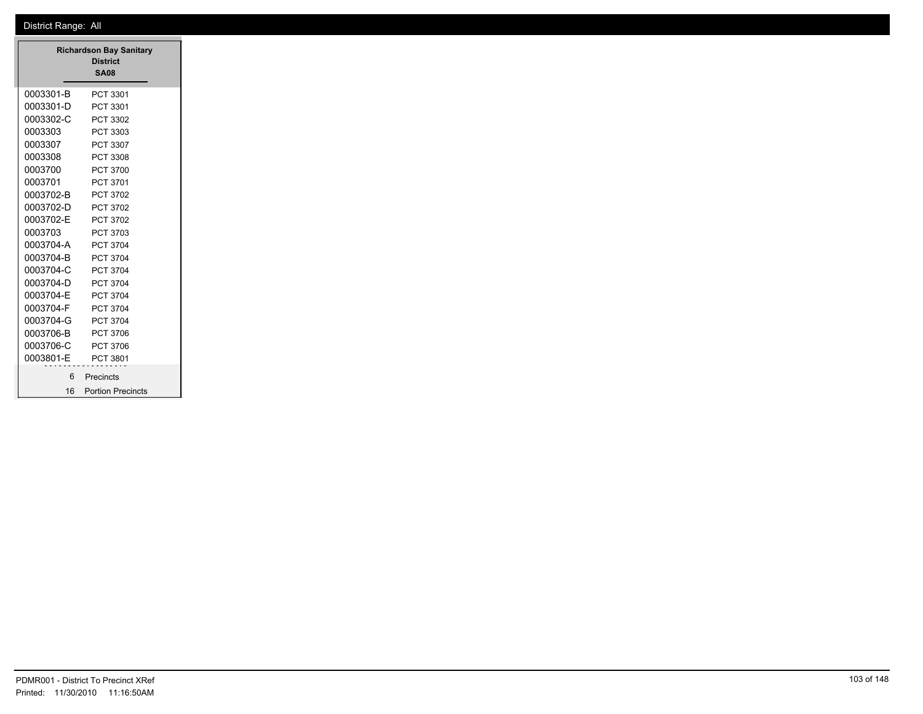$\equiv$ 

|           | <b>Richardson Bay Sanitary</b><br><b>District</b><br><b>SA08</b> |
|-----------|------------------------------------------------------------------|
| 0003301-B | PCT 3301                                                         |
| 0003301-D | PCT 3301                                                         |
| 0003302-C | PCT 3302                                                         |
| 0003303   | PCT 3303                                                         |
| 0003307   | PCT 3307                                                         |
| 0003308   | PCT 3308                                                         |
| 0003700   | PCT 3700                                                         |
| 0003701   | PCT 3701                                                         |
| 0003702-B | PCT 3702                                                         |
| 0003702-D | PCT 3702                                                         |
| 0003702-E | PCT 3702                                                         |
| 0003703   | PCT 3703                                                         |
| 0003704-A | PCT 3704                                                         |
| 0003704-B | PCT 3704                                                         |
| 0003704-C | PCT 3704                                                         |
| 0003704-D | PCT 3704                                                         |
| 0003704-E | PCT 3704                                                         |
| 0003704-F | PCT 3704                                                         |
| 0003704-G | PCT 3704                                                         |
| 0003706-B | PCT 3706                                                         |
| 0003706-C | PCT 3706                                                         |
| 0003801-E | PCT 3801                                                         |
| 6         | Precincts                                                        |
| 16        | <b>Portion Precincts</b>                                         |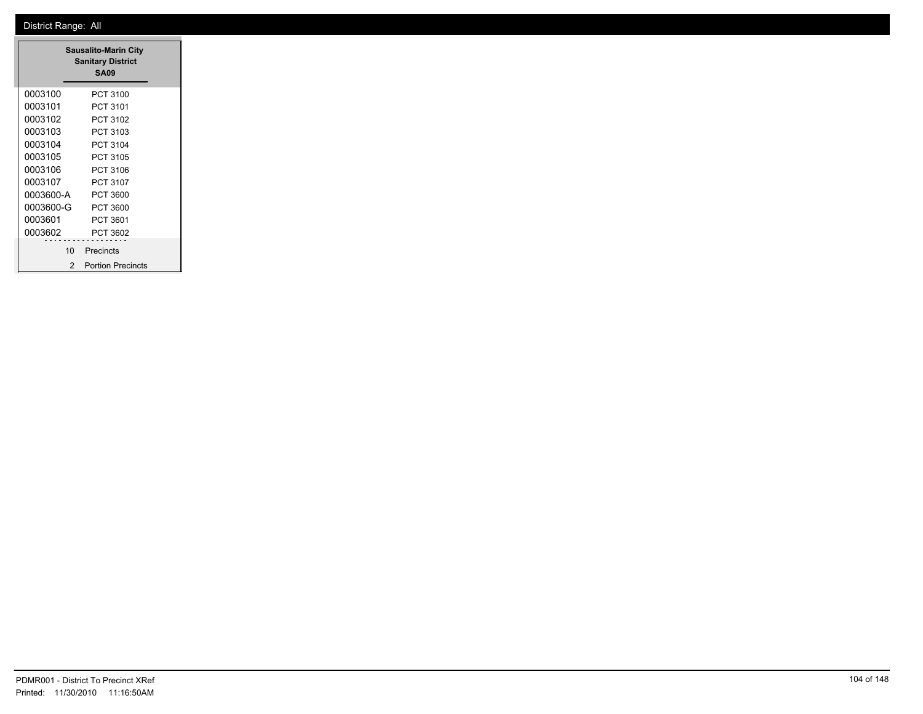| <b>Sausalito-Marin City</b><br><b>Sanitary District</b><br><b>SA09</b> |                          |  |
|------------------------------------------------------------------------|--------------------------|--|
| 0003100                                                                | PCT 3100                 |  |
| 0003101                                                                | PCT 3101                 |  |
| 0003102                                                                | PCT 3102                 |  |
| 0003103                                                                | PCT 3103                 |  |
| 0003104                                                                | PCT 3104                 |  |
| 0003105                                                                | PCT 3105                 |  |
| 0003106                                                                | PCT 3106                 |  |
| 0003107                                                                | PCT 3107                 |  |
| 0003600-A                                                              | PCT 3600                 |  |
| 0003600-G                                                              | PCT 3600                 |  |
| 0003601                                                                | PCT 3601                 |  |
| 0003602                                                                | PCT 3602                 |  |
| 10                                                                     | Precincts                |  |
| $\mathcal{P}$                                                          | <b>Portion Precincts</b> |  |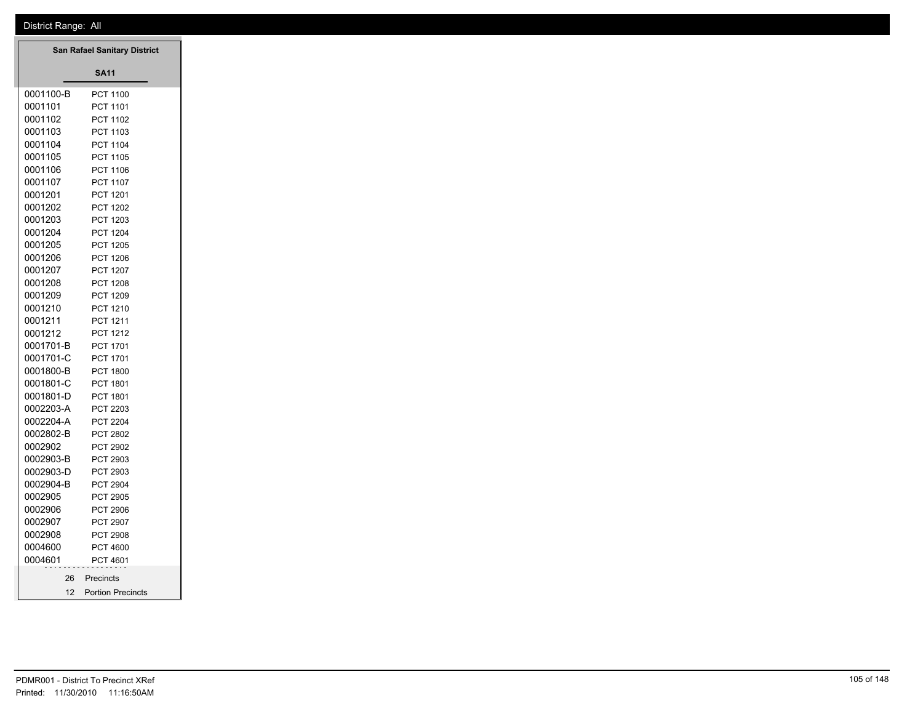| San Rafael Sanitary District |                                    |  |  |  |
|------------------------------|------------------------------------|--|--|--|
|                              | <b>SA11</b>                        |  |  |  |
| 0001100-B                    | <b>PCT 1100</b>                    |  |  |  |
| 0001101                      | <b>PCT 1101</b>                    |  |  |  |
| 0001102                      | <b>PCT 1102</b>                    |  |  |  |
| 0001103                      | <b>PCT 1103</b>                    |  |  |  |
| 0001104                      | <b>PCT 1104</b>                    |  |  |  |
| 0001105                      | <b>PCT 1105</b>                    |  |  |  |
| 0001106                      | <b>PCT 1106</b>                    |  |  |  |
| 0001107                      | <b>PCT 1107</b>                    |  |  |  |
| 0001201                      | PCT 1201                           |  |  |  |
| 0001202                      | <b>PCT 1202</b>                    |  |  |  |
| 0001203                      | PCT 1203                           |  |  |  |
| 0001204                      | <b>PCT 1204</b>                    |  |  |  |
| 0001205                      | <b>PCT 1205</b>                    |  |  |  |
| 0001206                      | <b>PCT 1206</b>                    |  |  |  |
| 0001207                      | <b>PCT 1207</b>                    |  |  |  |
| 0001208                      | <b>PCT 1208</b>                    |  |  |  |
| 0001209                      | PCT 1209                           |  |  |  |
| 0001210                      | <b>PCT 1210</b>                    |  |  |  |
| 0001211                      | PCT 1211                           |  |  |  |
| 0001212                      | <b>PCT 1212</b>                    |  |  |  |
| 0001701-B                    | <b>PCT 1701</b>                    |  |  |  |
| 0001701-C                    | <b>PCT 1701</b>                    |  |  |  |
| 0001800-B                    | <b>PCT 1800</b>                    |  |  |  |
| 0001801-C                    | <b>PCT 1801</b>                    |  |  |  |
| 0001801-D                    | <b>PCT 1801</b>                    |  |  |  |
| 0002203-A                    | <b>PCT 2203</b>                    |  |  |  |
| 0002204-A                    | <b>PCT 2204</b>                    |  |  |  |
| 0002802-B                    | <b>PCT 2802</b>                    |  |  |  |
| 0002902                      | <b>PCT 2902</b>                    |  |  |  |
| 0002903-B                    | PCT 2903                           |  |  |  |
| 0002903-D                    | <b>PCT 2903</b>                    |  |  |  |
| 0002904-B                    | <b>PCT 2904</b>                    |  |  |  |
| 0002905                      | <b>PCT 2905</b>                    |  |  |  |
| 0002906<br>0002907           | <b>PCT 2906</b>                    |  |  |  |
| 0002908                      | <b>PCT 2907</b><br><b>PCT 2908</b> |  |  |  |
| 0004600                      | <b>PCT 4600</b>                    |  |  |  |
| 0004601                      | <b>PCT 4601</b>                    |  |  |  |
|                              |                                    |  |  |  |
|                              | 26 Precincts                       |  |  |  |
|                              | 12 Portion Precincts               |  |  |  |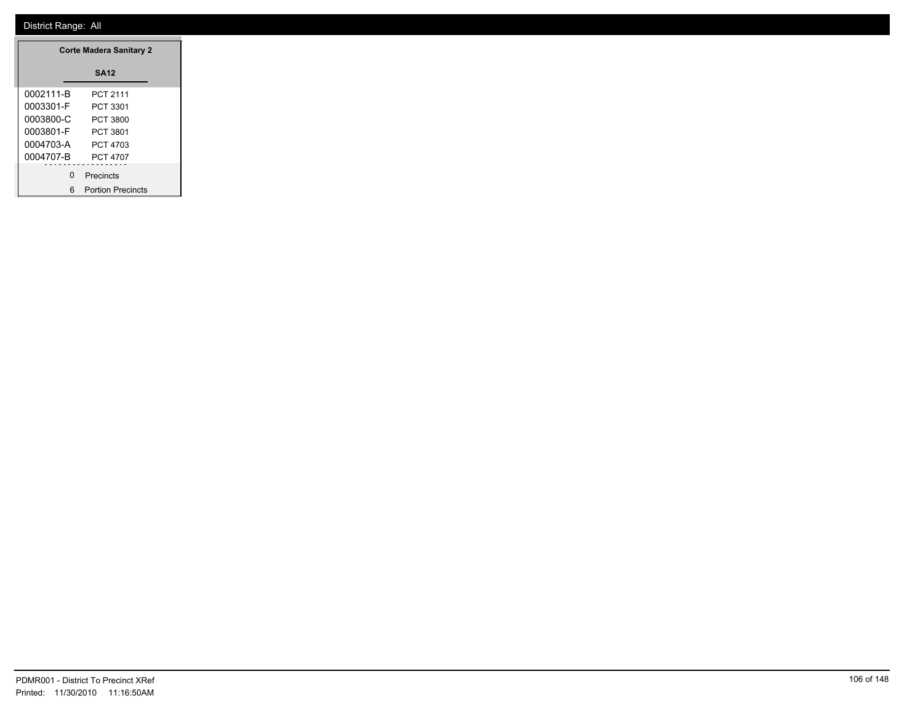|           | <b>Corte Madera Sanitary 2</b> |
|-----------|--------------------------------|
|           | <b>SA12</b>                    |
| 0002111-B | PCT 2111                       |
| 0003301-F | PCT 3301                       |
| 0003800-C | PCT 3800                       |
| 0003801-F | PCT 3801                       |
| 0004703-A | PCT 4703                       |
| 0004707-B | PCT 4707                       |
|           |                                |
|           | 0 Precincts                    |
|           | 6 Portion Precincts            |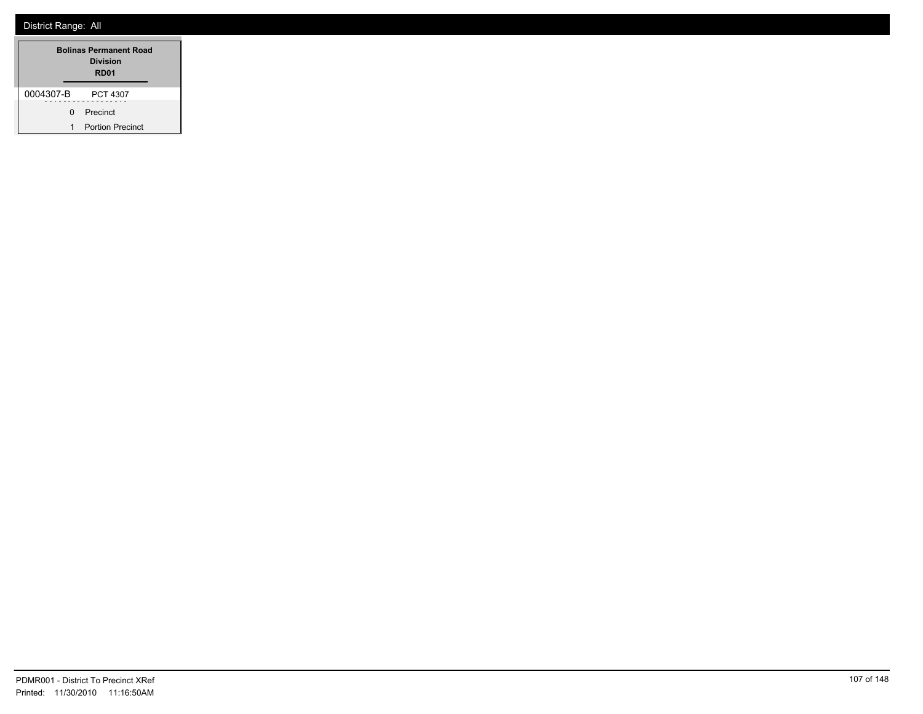| <b>Bolinas Permanent Road</b><br><b>Division</b><br>RD <sub>01</sub> |    |                         |  |
|----------------------------------------------------------------------|----|-------------------------|--|
| 0004307-B                                                            |    | <b>PCT 4307</b>         |  |
|                                                                      | n. | Precinct                |  |
| 1                                                                    |    | <b>Portion Precinct</b> |  |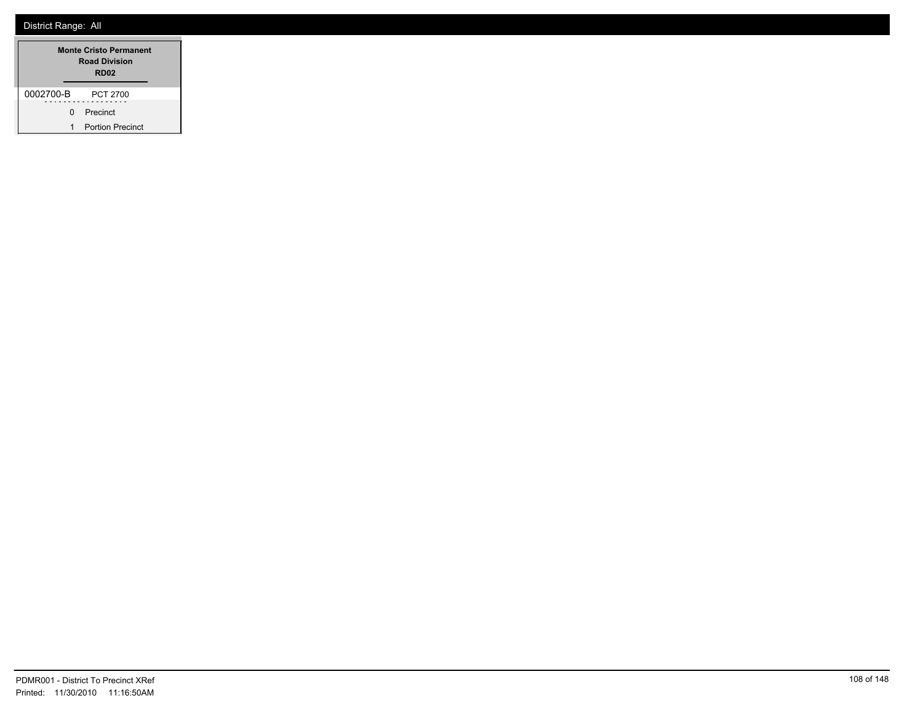| <b>Monte Cristo Permanent</b><br><b>Road Division</b><br>RD <sub>02</sub> |  |                         |  |
|---------------------------------------------------------------------------|--|-------------------------|--|
| 0002700-B                                                                 |  | <b>PCT 2700</b>         |  |
| 0                                                                         |  | Precinct                |  |
| 1                                                                         |  | <b>Portion Precinct</b> |  |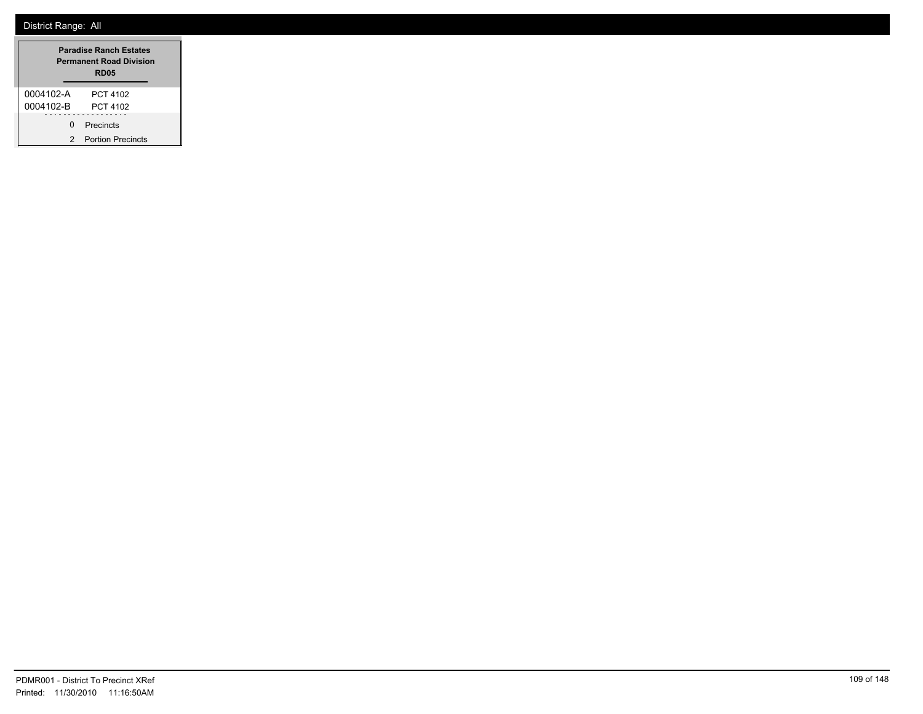| <b>Paradise Ranch Estates</b><br><b>Permanent Road Division</b><br><b>RD05</b> |                          |
|--------------------------------------------------------------------------------|--------------------------|
| 0004102-A                                                                      | PCT 4102                 |
| 0004102-B                                                                      | PCT 4102                 |
| n.                                                                             | Precincts                |
|                                                                                | <b>Portion Precincts</b> |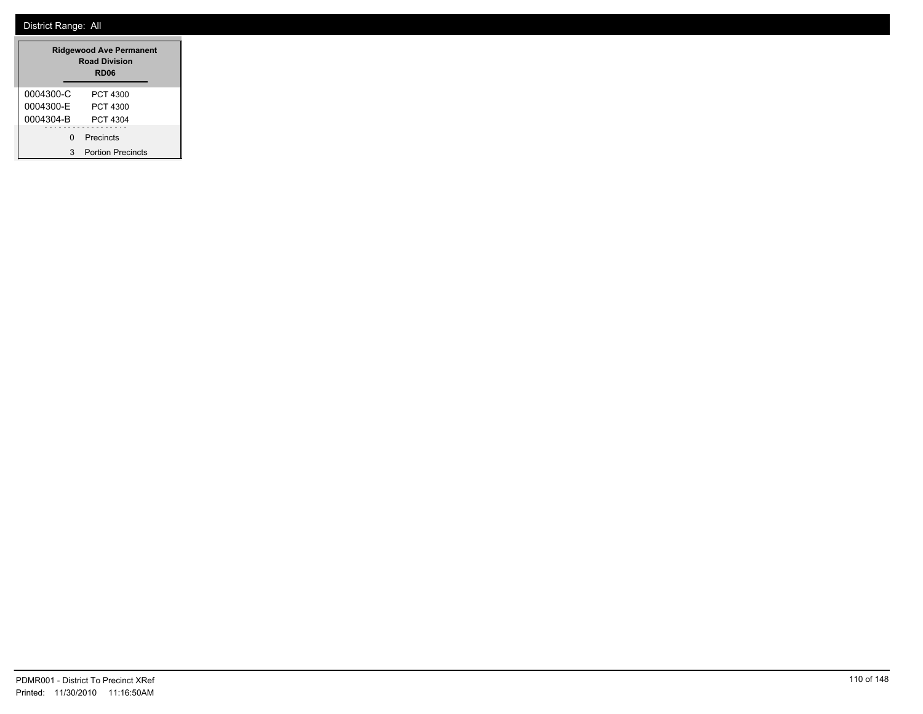| <b>Ridgewood Ave Permanent</b><br><b>Road Division</b><br>RD <sub>06</sub> |                          |
|----------------------------------------------------------------------------|--------------------------|
| 0004300-C                                                                  | PCT 4300                 |
| 0004300-F                                                                  | PCT 4300                 |
| 0004304-B                                                                  | PCT 4304                 |
| O                                                                          | Precincts                |
| 3                                                                          | <b>Portion Precincts</b> |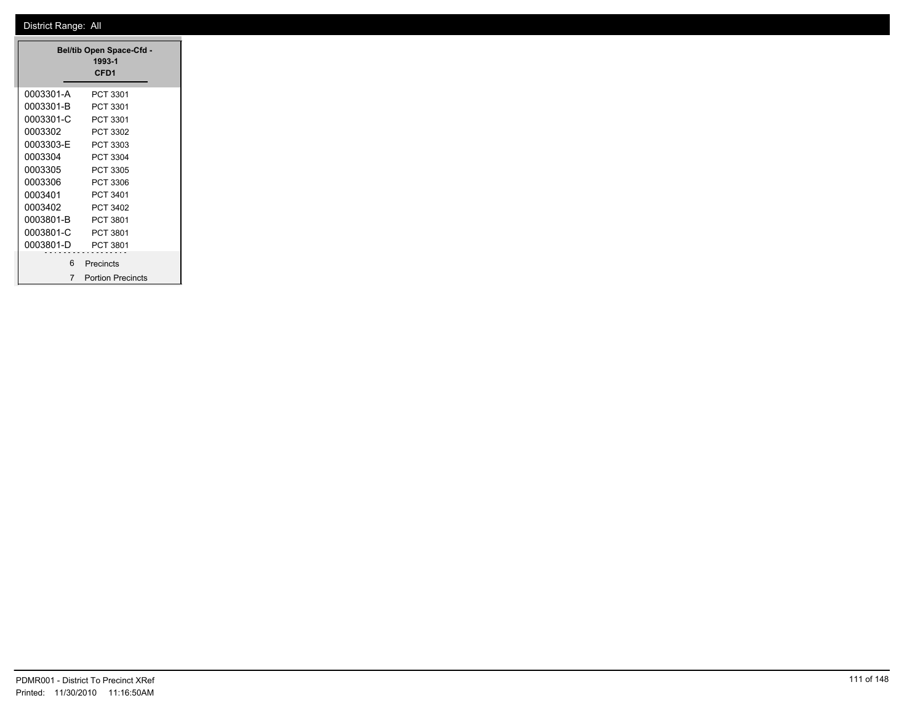| <b>Bel/tib Open Space-Cfd -</b><br>1993-1<br>CFD <sub>1</sub> |                          |  |
|---------------------------------------------------------------|--------------------------|--|
| 0003301-A                                                     | PCT 3301                 |  |
| 0003301-B                                                     | PCT 3301                 |  |
| 0003301-C                                                     | PCT 3301                 |  |
| 0003302                                                       | PCT 3302                 |  |
| 0003303-E                                                     | PCT 3303                 |  |
| 0003304                                                       | PCT 3304                 |  |
| 0003305                                                       | PCT 3305                 |  |
| 0003306                                                       | PCT 3306                 |  |
| 0003401                                                       | PCT 3401                 |  |
| 0003402                                                       | PCT 3402                 |  |
| 0003801-B                                                     | PCT 3801                 |  |
| 0003801-C                                                     | PCT 3801                 |  |
| 0003801-D                                                     | PCT 3801                 |  |
| 6                                                             | Precincts                |  |
| 7                                                             | <b>Portion Precincts</b> |  |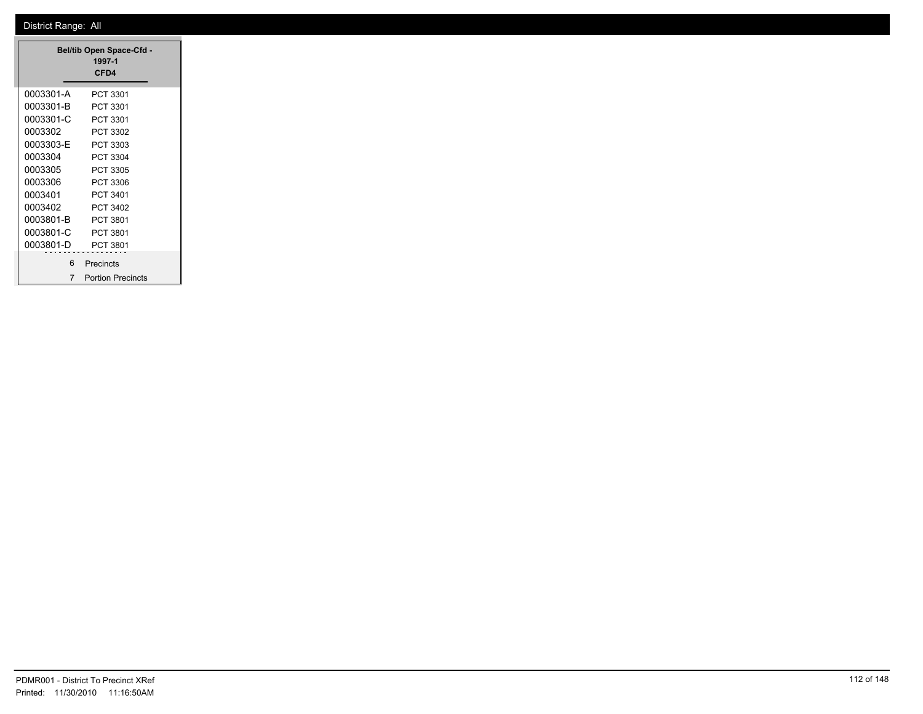| Bel/tib Open Space-Cfd -<br>1997-1<br>CFD4 |                          |  |
|--------------------------------------------|--------------------------|--|
| 0003301-A                                  | PCT 3301                 |  |
| 0003301-B                                  | PCT 3301                 |  |
| 0003301-C                                  | PCT 3301                 |  |
| 0003302                                    | PCT 3302                 |  |
| 0003303-E                                  | PCT 3303                 |  |
| 0003304                                    | PCT 3304                 |  |
| 0003305                                    | PCT 3305                 |  |
| 0003306                                    | PCT 3306                 |  |
| 0003401                                    | PCT 3401                 |  |
| 0003402                                    | PCT 3402                 |  |
| 0003801-B                                  | PCT 3801                 |  |
| 0003801-C                                  | PCT 3801                 |  |
| 0003801-D                                  | PCT 3801                 |  |
| 6                                          | Precincts                |  |
| 7                                          | <b>Portion Precincts</b> |  |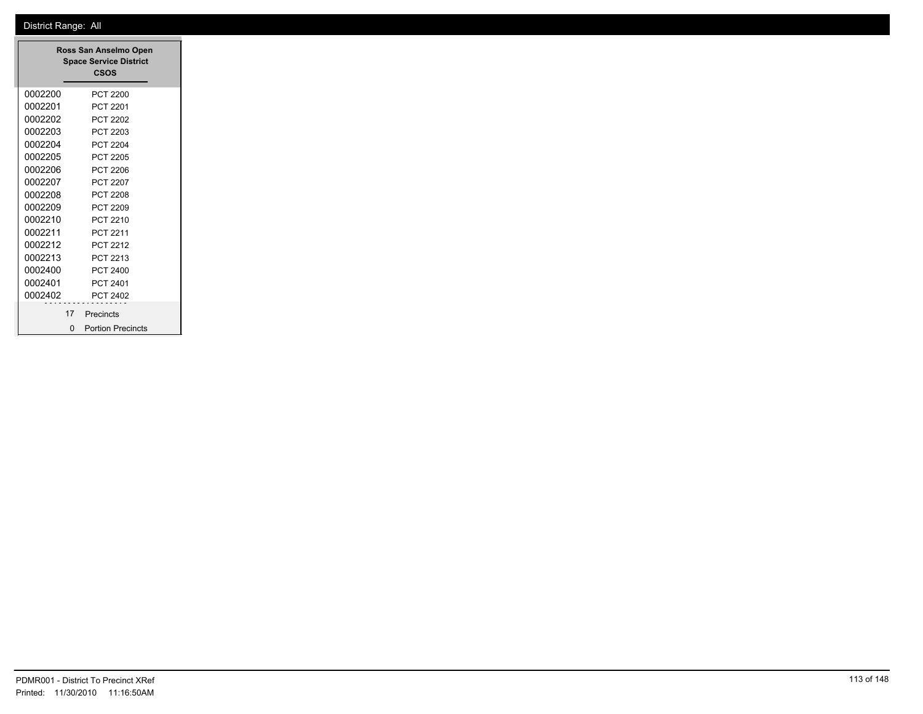| Ross San Anselmo Open<br><b>Space Service District</b><br>CSOS |                                |  |
|----------------------------------------------------------------|--------------------------------|--|
| 0002200                                                        | PCT 2200                       |  |
| 0002201                                                        | <b>PCT 2201</b>                |  |
| 0002202                                                        | PCT 2202                       |  |
| 0002203                                                        | PCT 2203                       |  |
| 0002204                                                        | PCT 2204                       |  |
| 0002205                                                        | PCT 2205                       |  |
| 0002206                                                        | PCT 2206                       |  |
| 0002207                                                        | PCT 2207                       |  |
| 0002208                                                        | PCT 2208                       |  |
| 0002209                                                        | PCT 2209                       |  |
| 0002210                                                        | PCT 2210                       |  |
| 0002211                                                        | PCT 2211                       |  |
| 0002212                                                        | PCT 2212                       |  |
| 0002213                                                        | PCT 2213                       |  |
| 0002400                                                        | PCT 2400                       |  |
| 0002401                                                        | PCT 2401                       |  |
| 0002402                                                        | PCT 2402                       |  |
|                                                                | 17 Precincts                   |  |
|                                                                | <b>Portion Precincts</b><br>O. |  |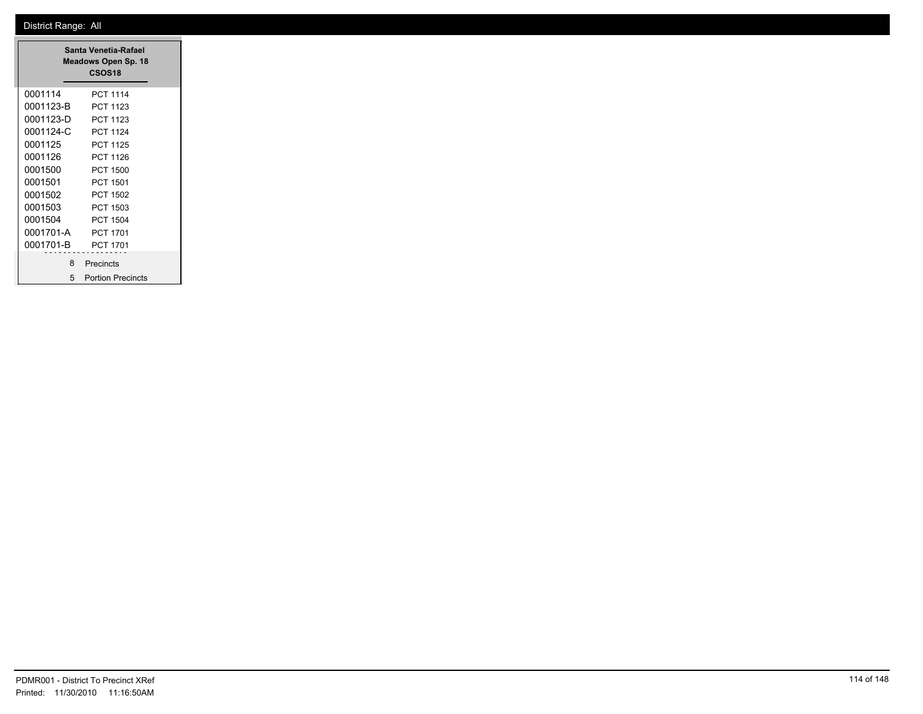| Santa Venetia-Rafael<br>Meadows Open Sp. 18<br>CSOS <sub>18</sub> |                          |  |
|-------------------------------------------------------------------|--------------------------|--|
| 0001114                                                           | PCT 1114                 |  |
| 0001123-B                                                         | PCT 1123                 |  |
| 0001123-D                                                         | PCT 1123                 |  |
| 0001124-C                                                         | <b>PCT 1124</b>          |  |
| 0001125                                                           | <b>PCT 1125</b>          |  |
| 0001126                                                           | <b>PCT 1126</b>          |  |
| 0001500                                                           | <b>PCT 1500</b>          |  |
| 0001501                                                           | <b>PCT 1501</b>          |  |
| 0001502                                                           | PCT 1502                 |  |
| 0001503                                                           | PCT 1503                 |  |
| 0001504                                                           | PCT 1504                 |  |
| 0001701-A                                                         | PCT 1701                 |  |
| 0001701-B                                                         | PCT 1701                 |  |
| 8                                                                 | Precincts                |  |
| 5                                                                 | <b>Portion Precincts</b> |  |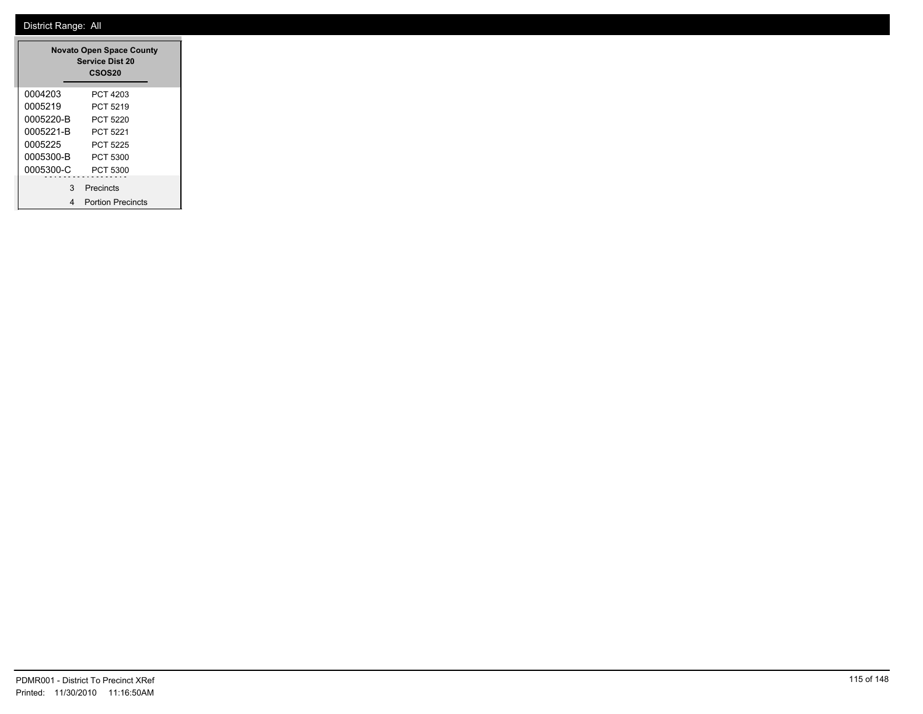|           | <b>Novato Open Space County</b><br><b>Service Dist 20</b><br><b>CSOS20</b> |
|-----------|----------------------------------------------------------------------------|
| 0004203   | PCT 4203                                                                   |
| 0005219   | PCT 5219                                                                   |
| 0005220-B | PCT 5220                                                                   |
| 0005221-B | PCT 5221                                                                   |
| 0005225   | PCT 5225                                                                   |
| 0005300-B | PCT 5300                                                                   |
| 0005300-C | PCT 5300                                                                   |
| 3         | Precincts                                                                  |
|           | <b>Portion Precincts</b>                                                   |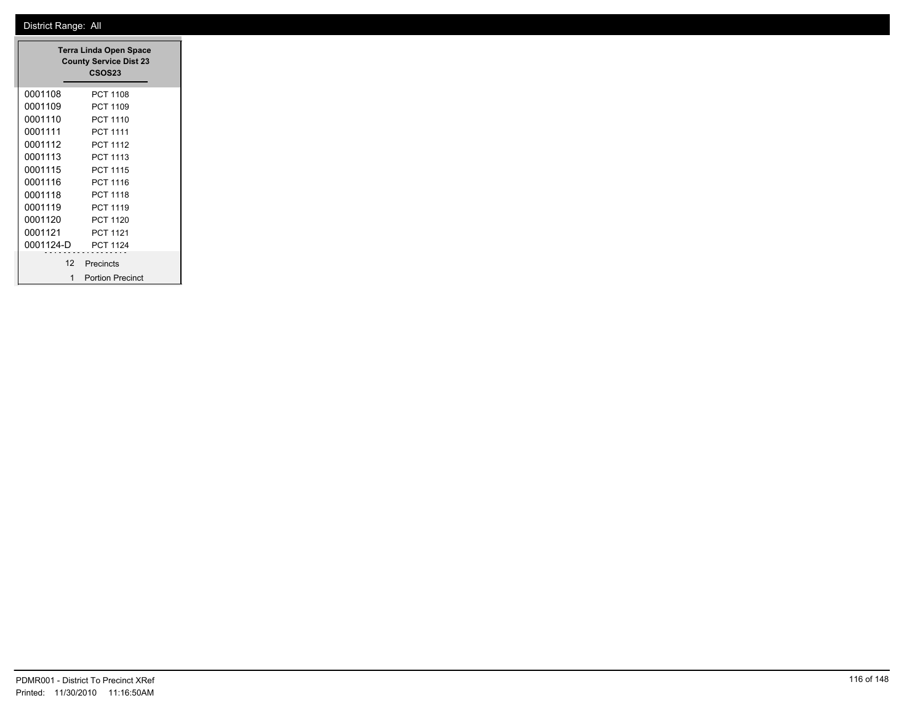|           | <b>Terra Linda Open Space</b><br><b>County Service Dist 23</b><br>CSOS23 |
|-----------|--------------------------------------------------------------------------|
| 0001108   | PCT 1108                                                                 |
| 0001109   | PCT 1109                                                                 |
| 0001110   | PCT 1110                                                                 |
| 0001111   | <b>PCT 1111</b>                                                          |
| 0001112   | <b>PCT 1112</b>                                                          |
| 0001113   | PCT 1113                                                                 |
| 0001115   | <b>PCT 1115</b>                                                          |
| 0001116   | PCT 1116                                                                 |
| 0001118   | <b>PCT 1118</b>                                                          |
| 0001119   | PCT 1119                                                                 |
| 0001120   | <b>PCT 1120</b>                                                          |
| 0001121   | <b>PCT 1121</b>                                                          |
| 0001124-D | PCT 1124                                                                 |
| 12        | Precincts                                                                |
|           |                                                                          |
| 1         | <b>Portion Precinct</b>                                                  |

 $\overline{\phantom{a}}$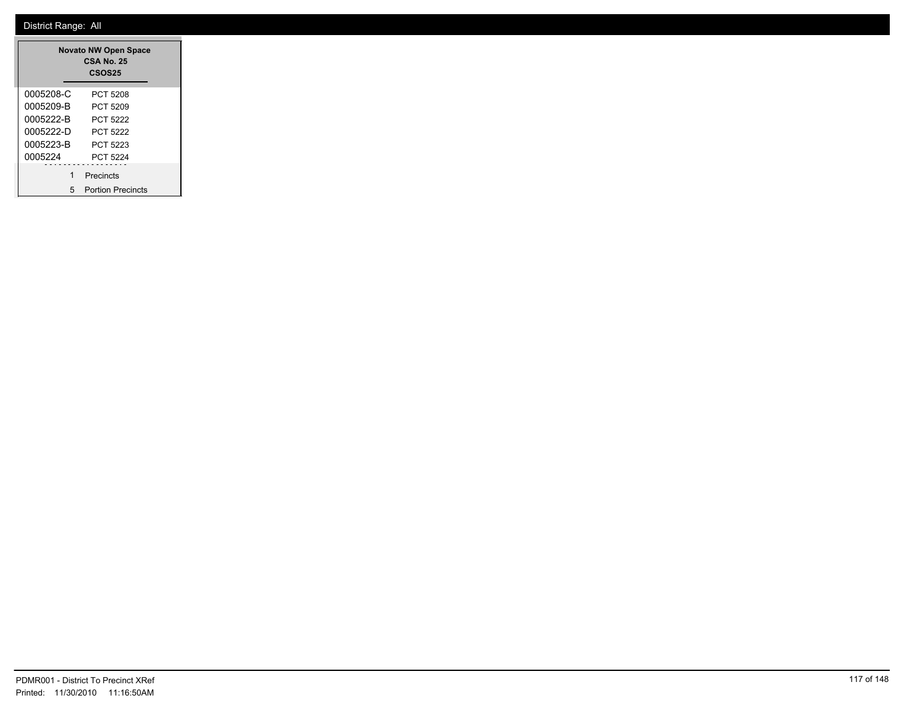|           | <b>Novato NW Open Space</b><br>CSA No. 25<br><b>CSOS25</b> |
|-----------|------------------------------------------------------------|
| 0005208-C | PCT 5208                                                   |
| 0005209-B | PCT 5209                                                   |
| 0005222-B | PCT 5222                                                   |
| 0005222-D | PCT 5222                                                   |
| 0005223-B | PCT 5223                                                   |
| 0005224   | PCT 5224                                                   |
|           | Precincts                                                  |
| 5         | <b>Portion Precincts</b>                                   |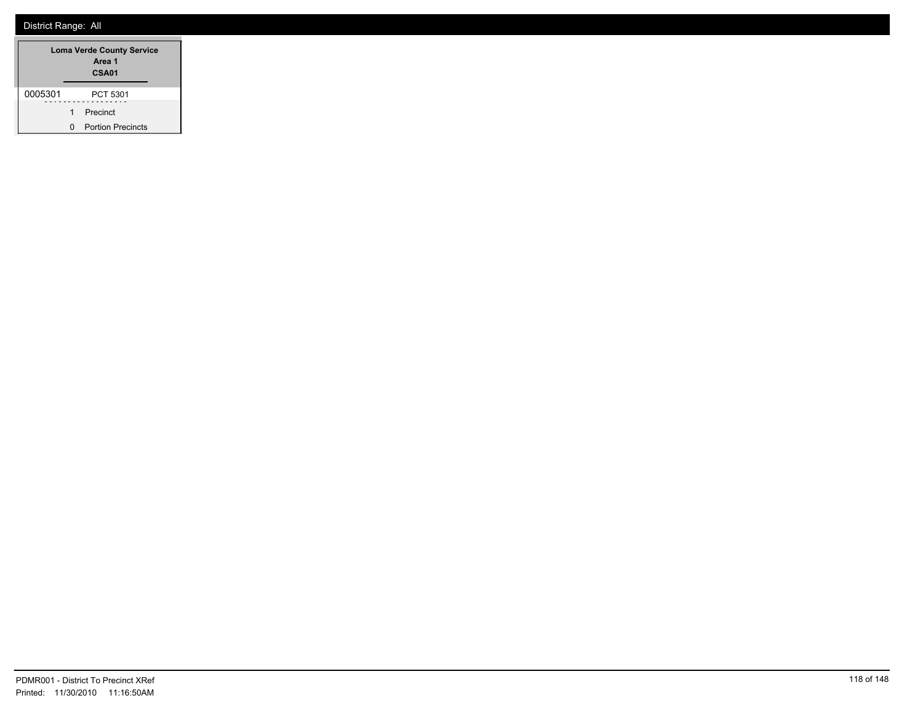| <b>Loma Verde County Service</b><br>Area 1<br>CSA01 |   |                          |
|-----------------------------------------------------|---|--------------------------|
| 0005301                                             |   | PCT 5301                 |
|                                                     | 1 | Precinct                 |
|                                                     | n | <b>Portion Precincts</b> |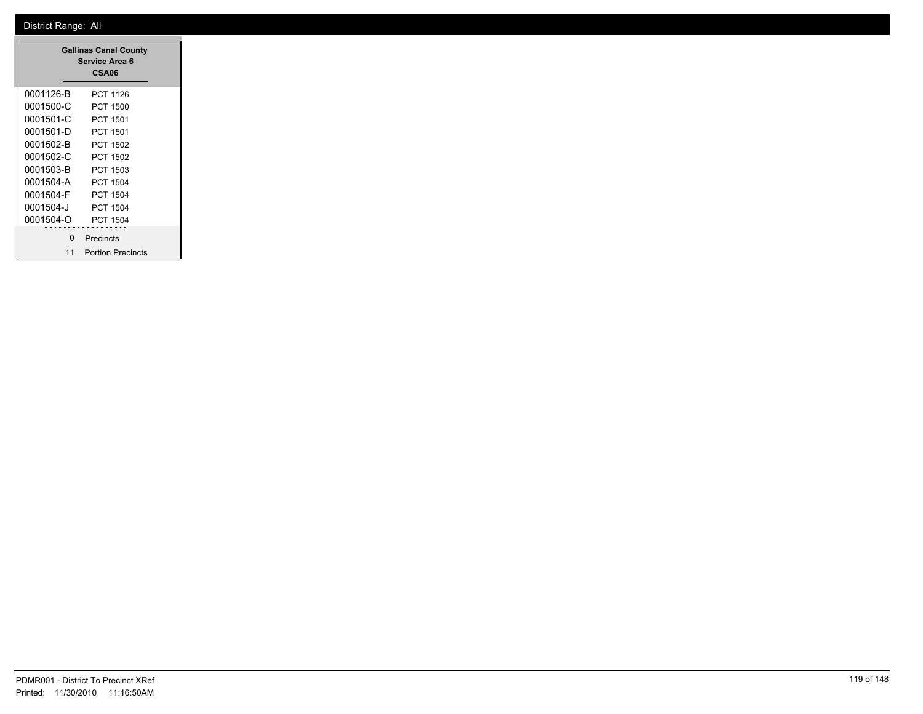|           | <b>Gallinas Canal County</b><br>Service Area 6<br>CSA06 |
|-----------|---------------------------------------------------------|
| 0001126-B | PCT 1126                                                |
| 0001500-C | PCT 1500                                                |
| 0001501-C | PCT 1501                                                |
| 0001501-D | PCT 1501                                                |
| 0001502-B | PCT 1502                                                |
| 0001502-C | PCT 1502                                                |
| 0001503-B | PCT 1503                                                |
| 0001504-A | PCT 1504                                                |
| 0001504-F | PCT 1504                                                |
| 0001504-J | <b>PCT 1504</b>                                         |
| 0001504-O | <b>PCT 1504</b>                                         |
| ŋ         | Precincts                                               |
| 11        | <b>Portion Precincts</b>                                |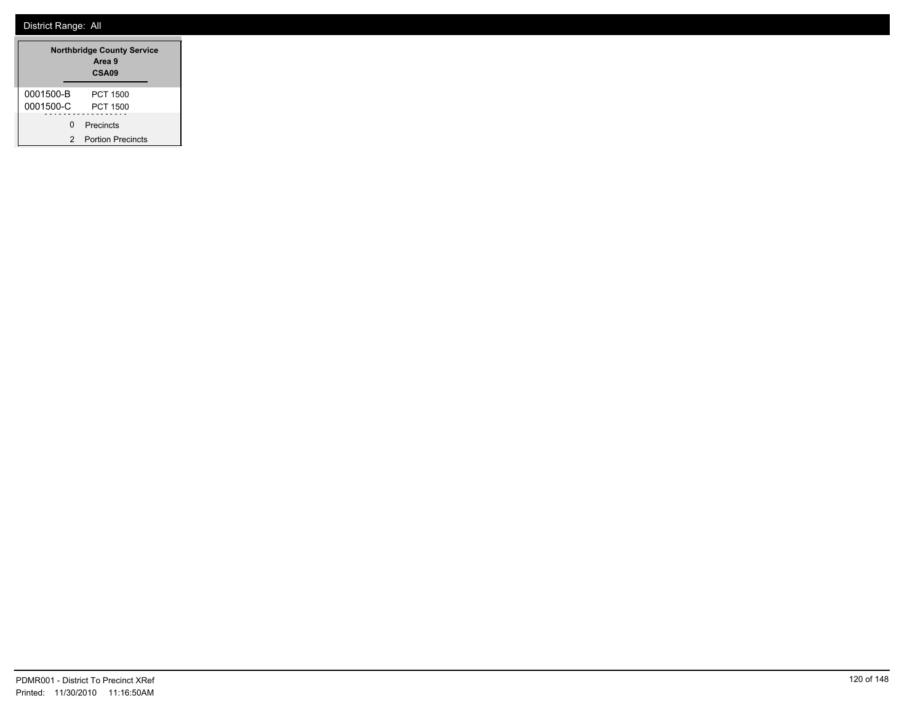| <b>Northbridge County Service</b><br>Area 9<br>CSA <sub>09</sub> |                          |
|------------------------------------------------------------------|--------------------------|
| 0001500-B                                                        | PCT 1500                 |
| 0001500-C                                                        | PCT 1500                 |
| U                                                                | Precincts                |
| 2                                                                | <b>Portion Precincts</b> |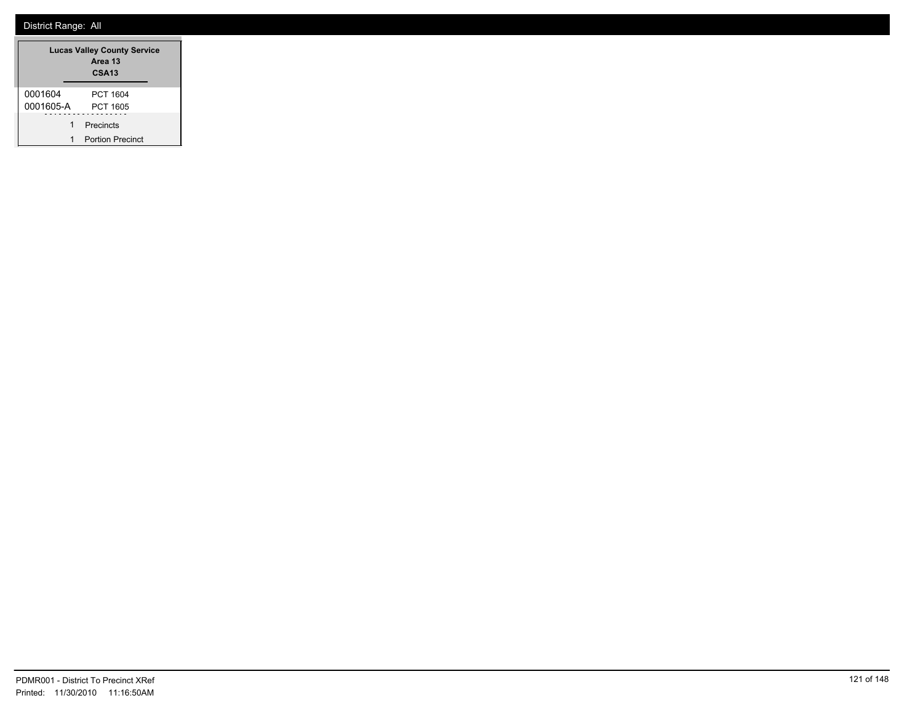|           | <b>Lucas Valley County Service</b><br>Area 13<br>CSA <sub>13</sub> |
|-----------|--------------------------------------------------------------------|
| 0001604   | PCT 1604                                                           |
| 0001605-A | <b>PCT 1605</b>                                                    |
| 1         | Precincts                                                          |
| 1         | <b>Portion Precinct</b>                                            |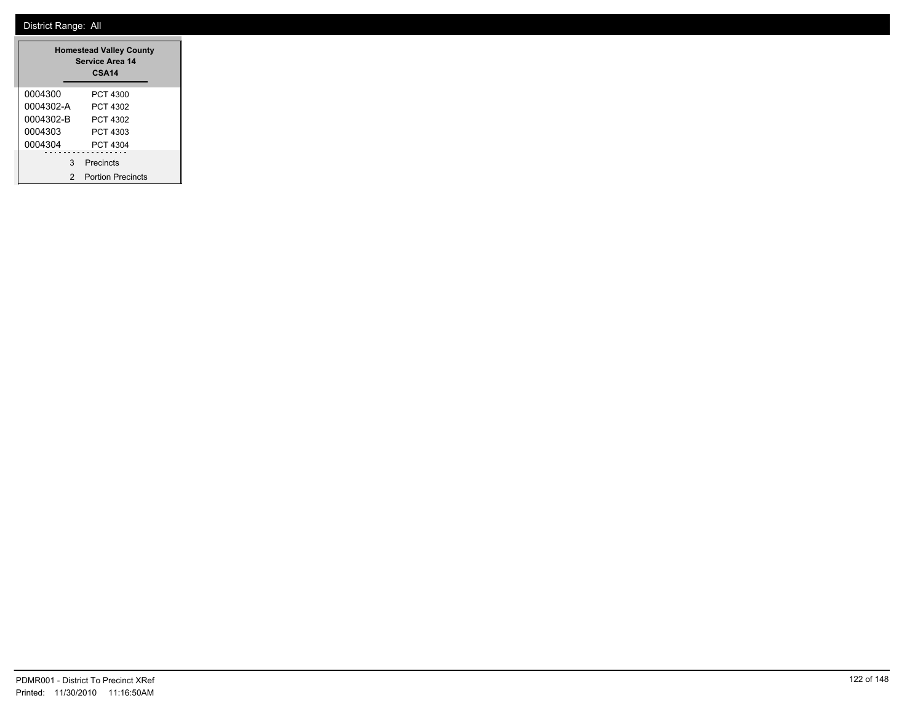| <b>Homestead Valley County</b><br>Service Area 14<br>CSA <sub>14</sub> |           |  |  |  |
|------------------------------------------------------------------------|-----------|--|--|--|
| 0004300                                                                | PCT 4300  |  |  |  |
| 0004302-A                                                              | PCT 4302  |  |  |  |
| 0004302-B                                                              | PCT 4302  |  |  |  |
| 0004303                                                                | PCT 4303  |  |  |  |
| 0004304<br>PCT 4304                                                    |           |  |  |  |
| 3                                                                      | Precincts |  |  |  |
| <b>Portion Precincts</b><br>2                                          |           |  |  |  |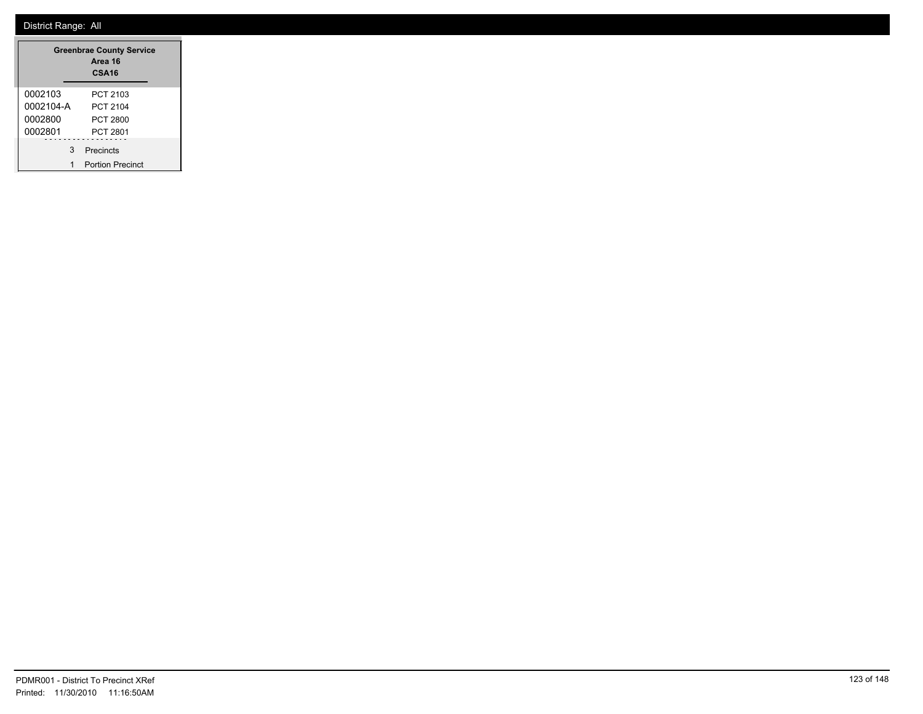|           | <b>Greenbrae County Service</b><br>Area 16<br>CSA <sub>16</sub> |
|-----------|-----------------------------------------------------------------|
| 0002103   | PCT 2103                                                        |
| 0002104-A | PCT 2104                                                        |
| 0002800   | PCT 2800                                                        |
| 0002801   | <b>PCT 2801</b>                                                 |
| 3         | Precincts                                                       |
|           | <b>Portion Precinct</b>                                         |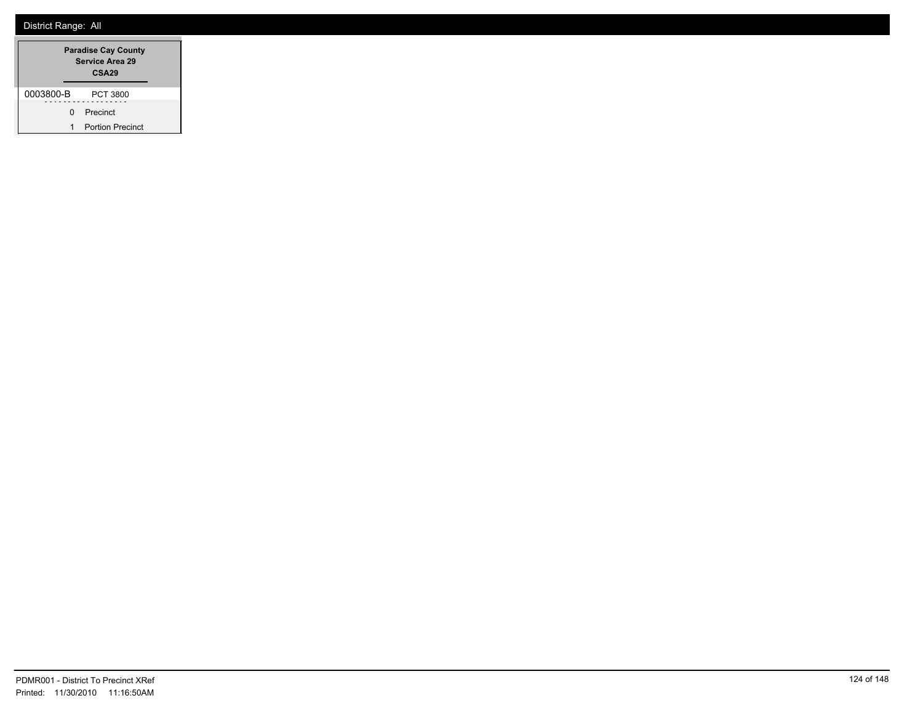|           | <b>Paradise Cay County</b><br><b>Service Area 29</b><br>CSA <sub>29</sub> |                         |
|-----------|---------------------------------------------------------------------------|-------------------------|
| 0003800-B |                                                                           | PCT 3800                |
|           | <sup>n</sup>                                                              | Precinct                |
| 1         |                                                                           | <b>Portion Precinct</b> |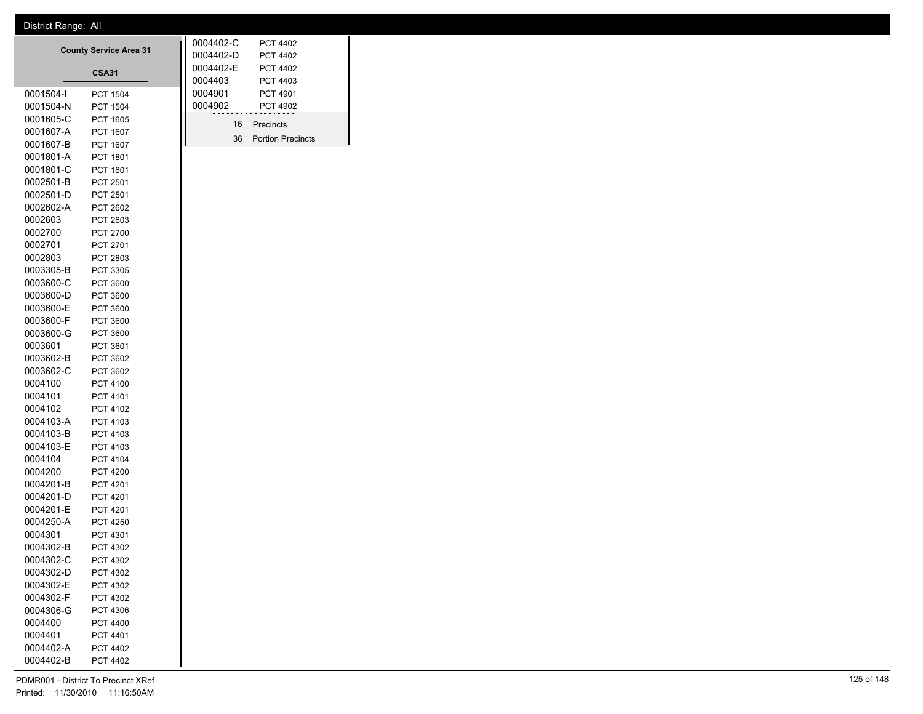0002501-D PCT 2501 0002602-A PCT 2602 0002603 PCT 2603 0002700 PCT 2700 0002701 PCT 2701 0002803 PCT 2803 0003305-B PCT 3305 0003600-C PCT 3600 0003600-D PCT 3600 0003600-E PCT 3600 0003600-F PCT 3600 0003600-G PCT 3600 0003601 PCT 3601 0003602-B PCT 3602 0003602-C PCT 3602 0004100 PCT 4100 0004101 PCT 4101 0004102 PCT 4102 0004103-A PCT 4103 0004103-B PCT 4103 0004103-E PCT 4103 0004104 PCT 4104 0004200 PCT 4200 0004201-B PCT 4201 0004201-D PCT 4201 0004201-E PCT 4201 0004250-A PCT 4250 0004301 PCT 4301 0004302-B PCT 4302 0004302-C PCT 4302 0004302-D PCT 4302 0004302-E PCT 4302 0004302-F PCT 4302 0004306-G PCT 4306 0004400 PCT 4400 0004401 PCT 4401 0004402-A PCT 4402 0004402-B PCT 4402

| <b>County Service Area 31</b> |                 |  | 0004402-C | <b>PCT 4402</b>          |  |
|-------------------------------|-----------------|--|-----------|--------------------------|--|
|                               |                 |  | 0004402-D | <b>PCT 4402</b>          |  |
| <b>CSA31</b>                  |                 |  | 0004402-E | <b>PCT 4402</b>          |  |
|                               |                 |  | 0004403   | PCT 4403                 |  |
| 0001504-I                     | <b>PCT 1504</b> |  | 0004901   | PCT 4901                 |  |
| 0001504-N                     | <b>PCT 1504</b> |  | 0004902   | <b>PCT 4902</b>          |  |
| 0001605-C                     | PCT 1605        |  | 16        | Precincts                |  |
| 0001607-A                     | PCT 1607        |  |           |                          |  |
| 0001607-B                     | <b>PCT 1607</b> |  | 36        | <b>Portion Precincts</b> |  |
| 0001801-A                     | PCT 1801        |  |           |                          |  |
| 0001801-C                     | PCT 1801        |  |           |                          |  |
| 0002501-B                     | PCT 2501        |  |           |                          |  |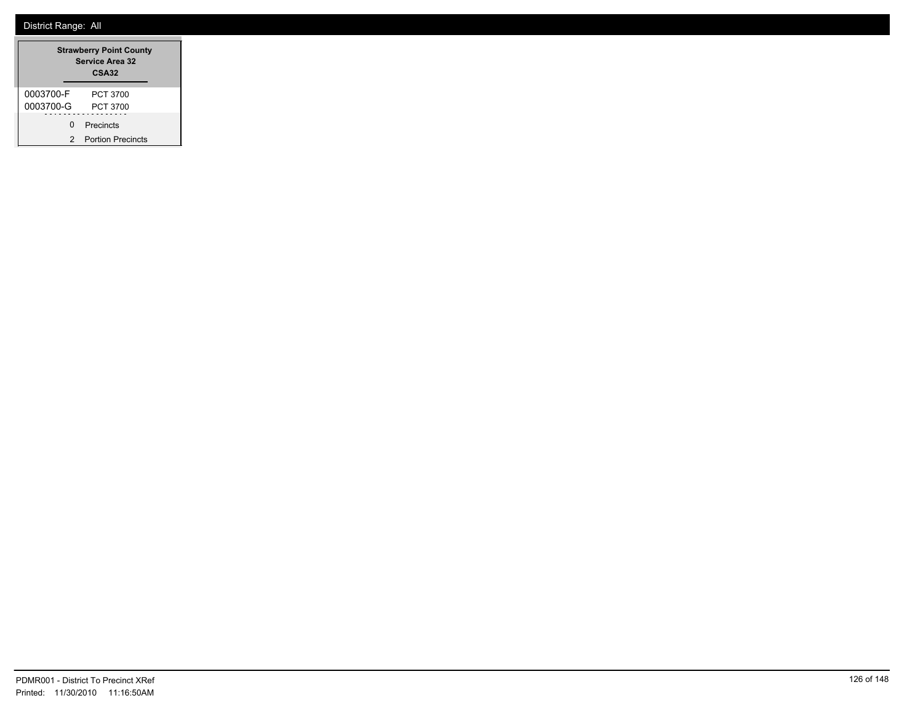|           | <b>Strawberry Point County</b><br>Service Area 32<br>CSA32 |
|-----------|------------------------------------------------------------|
| 0003700-F | PCT 3700                                                   |
| 0003700-G | PCT 3700                                                   |
| n.        | Precincts                                                  |
|           | <b>Portion Precincts</b>                                   |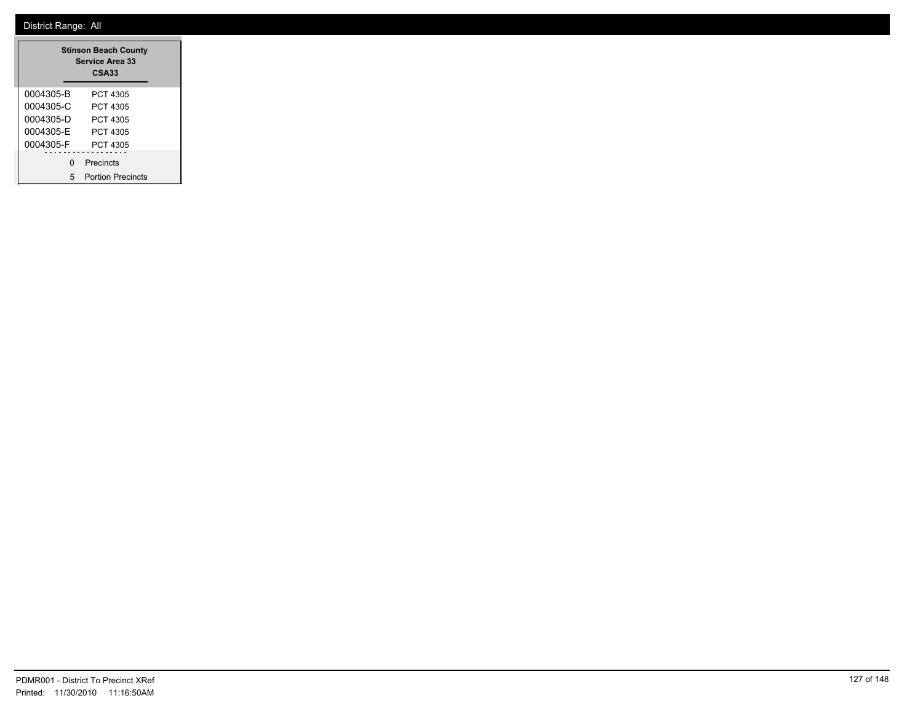| <b>Stinson Beach County</b><br><b>Service Area 33</b><br><b>CSA33</b> |                          |  |  |  |
|-----------------------------------------------------------------------|--------------------------|--|--|--|
| 0004305-B                                                             | PCT 4305                 |  |  |  |
| 0004305-C                                                             | PCT 4305                 |  |  |  |
| 0004305-D<br>PCT 4305                                                 |                          |  |  |  |
| 0004305-F                                                             | PCT 4305                 |  |  |  |
| 0004305-F                                                             | PCT 4305                 |  |  |  |
| U                                                                     | Precincts                |  |  |  |
| 5                                                                     | <b>Portion Precincts</b> |  |  |  |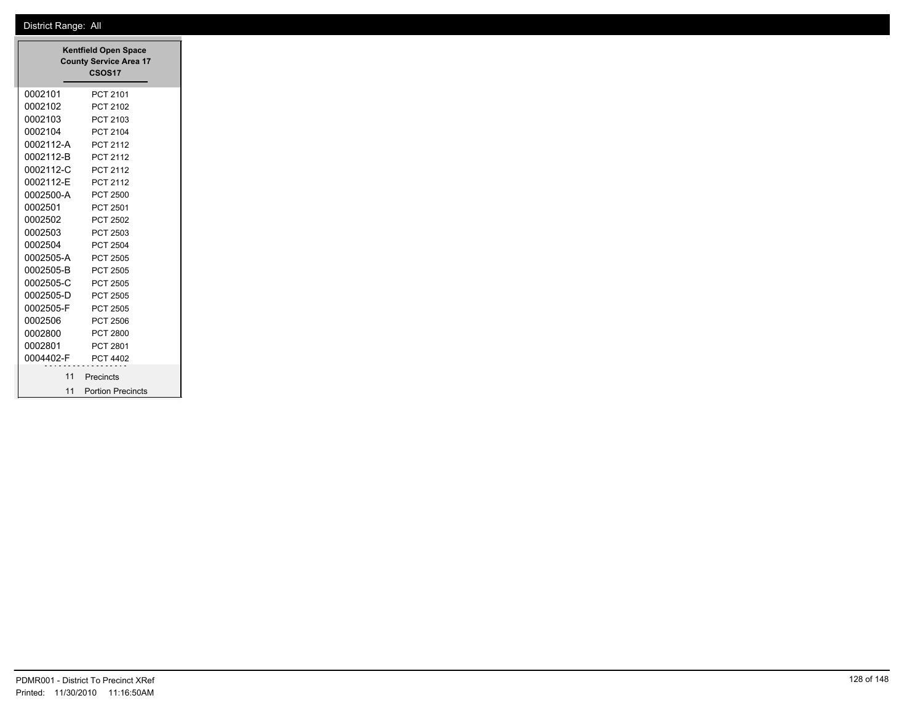|           | <b>Kentfield Open Space</b><br><b>County Service Area 17</b><br><b>CSOS17</b> |
|-----------|-------------------------------------------------------------------------------|
| 0002101   | PCT 2101                                                                      |
| 0002102   | PCT 2102                                                                      |
| 0002103   | PCT 2103                                                                      |
| 0002104   | PCT 2104                                                                      |
| 0002112-A | PCT 2112                                                                      |
| 0002112-B | PCT 2112                                                                      |
| 0002112-C | PCT 2112                                                                      |
| 0002112-E | PCT 2112                                                                      |
| 0002500-A | PCT 2500                                                                      |
| 0002501   | PCT 2501                                                                      |
| 0002502   | PCT 2502                                                                      |
| 0002503   | PCT 2503                                                                      |
| 0002504   | PCT 2504                                                                      |
| 0002505-A | PCT 2505                                                                      |
| 0002505-B | PCT 2505                                                                      |
| 0002505-C | PCT 2505                                                                      |
| 0002505-D | PCT 2505                                                                      |
| 0002505-F | PCT 2505                                                                      |
| 0002506   | PCT 2506                                                                      |
| 0002800   | PCT 2800                                                                      |
| 0002801   | PCT 2801                                                                      |
| 0004402-F | PCT 4402                                                                      |
|           | 11 Precincts                                                                  |
|           | 11 Portion Precincts                                                          |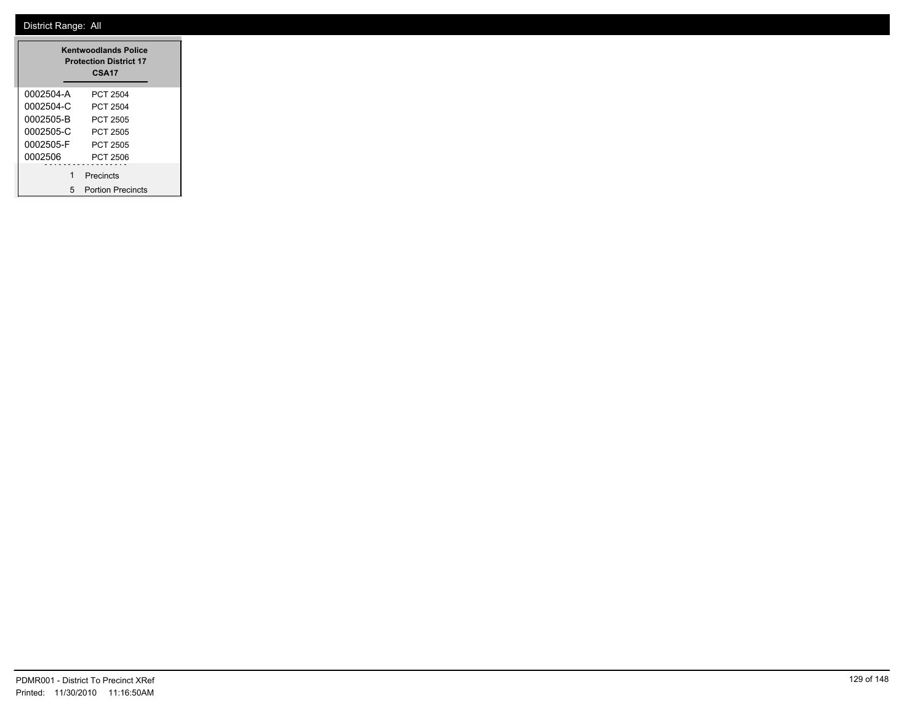| <b>Kentwoodlands Police</b><br><b>Protection District 17</b><br><b>CSA17</b> |                          |  |  |  |  |
|------------------------------------------------------------------------------|--------------------------|--|--|--|--|
| 0002504-A                                                                    | PCT 2504                 |  |  |  |  |
| 0002504-C                                                                    | PCT 2504                 |  |  |  |  |
| 0002505-B                                                                    | PCT 2505                 |  |  |  |  |
| 0002505-C                                                                    | PCT 2505                 |  |  |  |  |
| 0002505-F                                                                    | PCT 2505                 |  |  |  |  |
| 0002506                                                                      | PCT 2506                 |  |  |  |  |
| 1                                                                            | Precincts                |  |  |  |  |
| 5                                                                            | <b>Portion Precincts</b> |  |  |  |  |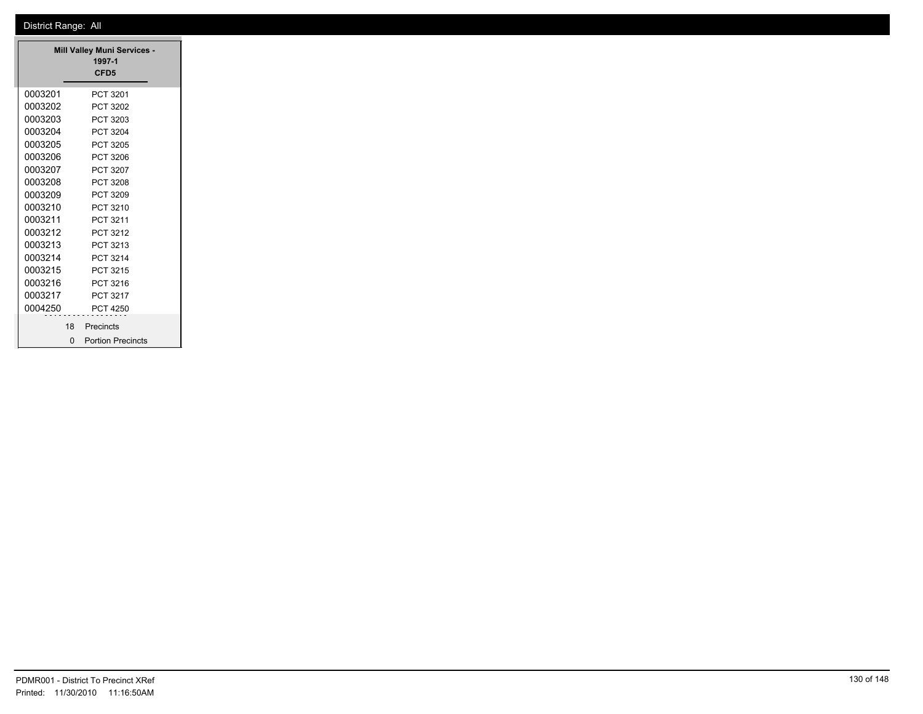| <b>Mill Valley Muni Services -</b><br>1997-1<br>CFD <sub>5</sub> |    |                          |  |  |  |  |
|------------------------------------------------------------------|----|--------------------------|--|--|--|--|
| 0003201                                                          |    | PCT 3201                 |  |  |  |  |
| 0003202                                                          |    | PCT 3202                 |  |  |  |  |
| 0003203                                                          |    | PCT 3203                 |  |  |  |  |
| 0003204                                                          |    | PCT 3204                 |  |  |  |  |
| 0003205                                                          |    | PCT 3205                 |  |  |  |  |
| 0003206                                                          |    | PCT 3206                 |  |  |  |  |
| 0003207                                                          |    | PCT 3207                 |  |  |  |  |
| 0003208                                                          |    | PCT 3208                 |  |  |  |  |
| 0003209                                                          |    | PCT 3209                 |  |  |  |  |
| 0003210                                                          |    | PCT 3210                 |  |  |  |  |
| 0003211                                                          |    | PCT 3211                 |  |  |  |  |
| 0003212                                                          |    | PCT 3212                 |  |  |  |  |
| 0003213                                                          |    | PCT 3213                 |  |  |  |  |
| 0003214                                                          |    | PCT 3214                 |  |  |  |  |
| 0003215                                                          |    | PCT 3215                 |  |  |  |  |
| 0003216                                                          |    | PCT 3216                 |  |  |  |  |
| 0003217                                                          |    | PCT 3217                 |  |  |  |  |
| 0004250                                                          |    | PCT 4250                 |  |  |  |  |
|                                                                  | 18 | Precincts                |  |  |  |  |
|                                                                  | ŋ  | <b>Portion Precincts</b> |  |  |  |  |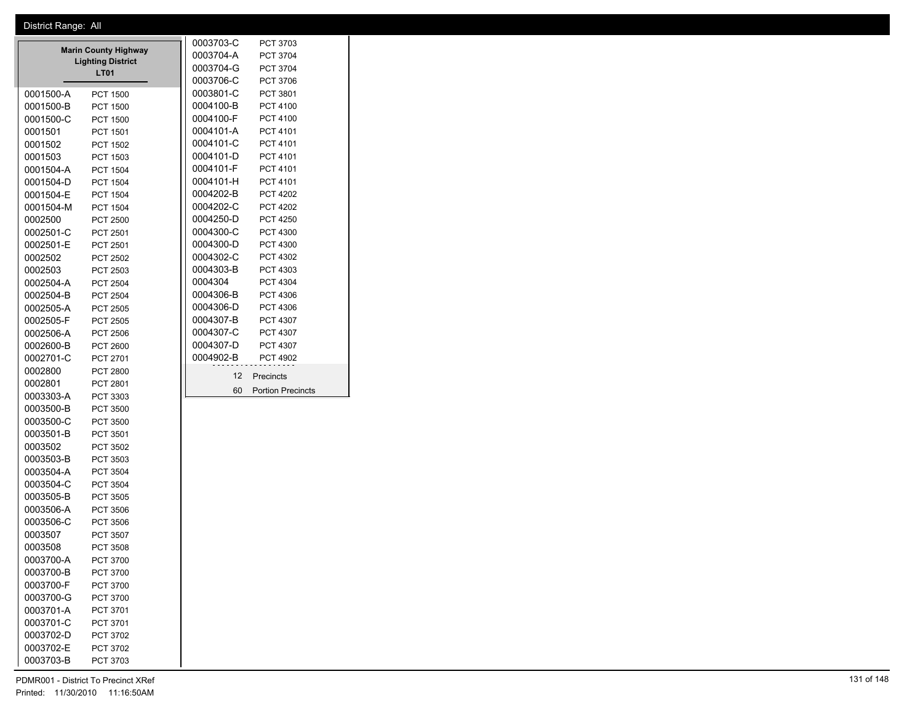|                                                         |                        |                      |           | 0003703-C | PCT 3703                 |
|---------------------------------------------------------|------------------------|----------------------|-----------|-----------|--------------------------|
| <b>Marin County Highway</b><br><b>Lighting District</b> |                        |                      | 0003704-A | PCT 3704  |                          |
|                                                         |                        |                      | 0003704-G | PCT 3704  |                          |
|                                                         |                        | <b>LT01</b>          |           | 0003706-C | PCT 3706                 |
|                                                         | 0001500-A              | <b>PCT 1500</b>      |           | 0003801-C | PCT 3801                 |
|                                                         | 0001500-B              | <b>PCT 1500</b>      |           | 0004100-B | <b>PCT 4100</b>          |
|                                                         | 0001500-C              | <b>PCT 1500</b>      |           | 0004100-F | PCT 4100                 |
|                                                         | 0001501                | PCT 1501             |           | 0004101-A | PCT 4101                 |
|                                                         | 0001502                | <b>PCT 1502</b>      |           | 0004101-C | PCT 4101                 |
|                                                         | 0001503                | PCT 1503             |           | 0004101-D | PCT 4101                 |
|                                                         | 0001504-A              | <b>PCT 1504</b>      |           | 0004101-F | PCT 4101                 |
|                                                         | 0001504-D              | <b>PCT 1504</b>      |           | 0004101-H | PCT 4101                 |
|                                                         | 0001504-E              | <b>PCT 1504</b>      |           | 0004202-B | <b>PCT 4202</b>          |
|                                                         | 0001504-M              | <b>PCT 1504</b>      |           | 0004202-C | <b>PCT 4202</b>          |
|                                                         | 0002500                | <b>PCT 2500</b>      |           | 0004250-D | <b>PCT 4250</b>          |
|                                                         | 0002501-C              | PCT 2501             |           | 0004300-C | PCT 4300                 |
|                                                         | 0002501-E              | PCT 2501             |           | 0004300-D | PCT 4300                 |
|                                                         | 0002502                | PCT 2502             |           | 0004302-C | PCT 4302                 |
|                                                         | 0002503                | PCT 2503             |           | 0004303-B | PCT 4303                 |
|                                                         | 0002504-A              | <b>PCT 2504</b>      |           | 0004304   | <b>PCT 4304</b>          |
|                                                         | 0002504-B              | <b>PCT 2504</b>      |           | 0004306-B | PCT 4306                 |
|                                                         | 0002505-A              | <b>PCT 2505</b>      |           | 0004306-D | PCT 4306                 |
|                                                         | 0002505-F              | <b>PCT 2505</b>      |           | 0004307-B | <b>PCT 4307</b>          |
|                                                         | 0002506-A              | PCT 2506             |           | 0004307-C | <b>PCT 4307</b>          |
|                                                         | 0002600-B              | PCT 2600             |           | 0004307-D | PCT 4307                 |
|                                                         | 0002701-C              | PCT 2701             |           | 0004902-B | <b>PCT 4902</b>          |
|                                                         | 0002800                | <b>PCT 2800</b>      |           | 12        | Precincts                |
|                                                         | 0002801                | PCT 2801             |           | 60        | <b>Portion Precincts</b> |
|                                                         | 0003303-A              | PCT 3303             |           |           |                          |
|                                                         | 0003500-B              | <b>PCT 3500</b>      |           |           |                          |
|                                                         | 0003500-C              | <b>PCT 3500</b>      |           |           |                          |
|                                                         | 0003501-B              | PCT 3501             |           |           |                          |
|                                                         | 0003502                | PCT 3502             |           |           |                          |
|                                                         | 0003503-B              | PCT 3503             |           |           |                          |
|                                                         | 0003504-A              | PCT 3504             |           |           |                          |
|                                                         | 0003504-C              | PCT 3504             |           |           |                          |
|                                                         | 0003505-B              | <b>PCT 3505</b>      |           |           |                          |
|                                                         | 0003506-A              | <b>PCT 3506</b>      |           |           |                          |
|                                                         | 0003506-C              | <b>PCT 3506</b>      |           |           |                          |
|                                                         | 0003507                | PCT 3507             |           |           |                          |
|                                                         | 0003508                | <b>PCT 3508</b>      |           |           |                          |
|                                                         | 0003700-A              | PCT 3700             |           |           |                          |
|                                                         | 0003700-B              | PCT 3700             |           |           |                          |
|                                                         | 0003700-F              | PCT 3700             |           |           |                          |
|                                                         | 0003700-G              | PCT 3700             |           |           |                          |
|                                                         | 0003701-A              | PCT 3701             |           |           |                          |
|                                                         | 0003701-C<br>0003702-D | PCT 3701<br>PCT 3702 |           |           |                          |
|                                                         |                        |                      |           |           |                          |
|                                                         | 0003702-E<br>0003703-B | PCT 3702             |           |           |                          |
|                                                         |                        | PCT 3703             |           |           |                          |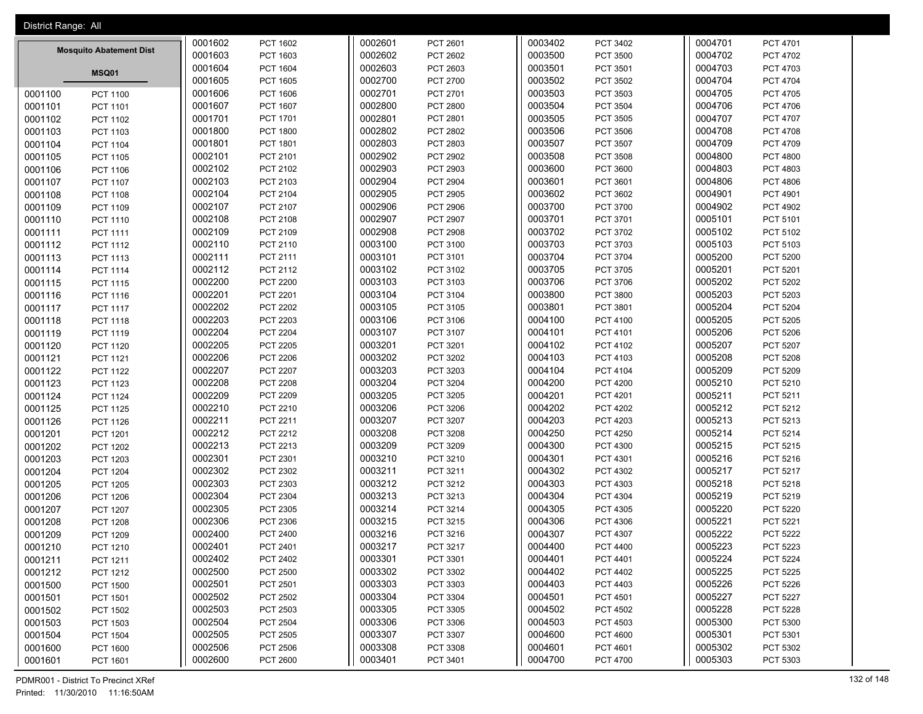| District Range: All            |         |                 |         |                 |         |                 |         |                 |
|--------------------------------|---------|-----------------|---------|-----------------|---------|-----------------|---------|-----------------|
|                                | 0001602 | PCT 1602        | 0002601 | PCT 2601        | 0003402 | PCT 3402        | 0004701 | PCT 4701        |
| <b>Mosquito Abatement Dist</b> | 0001603 | PCT 1603        | 0002602 | PCT 2602        | 0003500 | <b>PCT 3500</b> | 0004702 | <b>PCT 4702</b> |
|                                | 0001604 | PCT 1604        | 0002603 | PCT 2603        | 0003501 | PCT 3501        | 0004703 | PCT 4703        |
| <b>MSQ01</b>                   | 0001605 | <b>PCT 1605</b> | 0002700 | <b>PCT 2700</b> | 0003502 | PCT 3502        | 0004704 | <b>PCT 4704</b> |
| 0001100<br><b>PCT 1100</b>     | 0001606 | PCT 1606        | 0002701 | PCT 2701        | 0003503 | PCT 3503        | 0004705 | PCT 4705        |
| 0001101<br>PCT 1101            | 0001607 | PCT 1607        | 0002800 | <b>PCT 2800</b> | 0003504 | PCT 3504        | 0004706 | PCT 4706        |
| 0001102<br><b>PCT 1102</b>     | 0001701 | <b>PCT 1701</b> | 0002801 | PCT 2801        | 0003505 | PCT 3505        | 0004707 | <b>PCT 4707</b> |
| 0001103<br>PCT 1103            | 0001800 | <b>PCT 1800</b> | 0002802 | PCT 2802        | 0003506 | PCT 3506        | 0004708 | PCT 4708        |
| 0001104<br>PCT 1104            | 0001801 | PCT 1801        | 0002803 | PCT 2803        | 0003507 | PCT 3507        | 0004709 | PCT 4709        |
| 0001105<br><b>PCT 1105</b>     | 0002101 | PCT 2101        | 0002902 | PCT 2902        | 0003508 | PCT 3508        | 0004800 | <b>PCT 4800</b> |
| 0001106<br>PCT 1106            | 0002102 | PCT 2102        | 0002903 | PCT 2903        | 0003600 | PCT 3600        | 0004803 | PCT 4803        |
| 0001107<br><b>PCT 1107</b>     | 0002103 | PCT 2103        | 0002904 | <b>PCT 2904</b> | 0003601 | PCT 3601        | 0004806 | <b>PCT 4806</b> |
| 0001108<br>PCT 1108            | 0002104 | PCT 2104        | 0002905 | <b>PCT 2905</b> | 0003602 | PCT 3602        | 0004901 | PCT 4901        |
| 0001109<br>PCT 1109            | 0002107 | PCT 2107        | 0002906 | <b>PCT 2906</b> | 0003700 | PCT 3700        | 0004902 | PCT 4902        |
| 0001110<br>PCT 1110            | 0002108 | PCT 2108        | 0002907 | <b>PCT 2907</b> | 0003701 | PCT 3701        | 0005101 | PCT 5101        |
| 0001111<br>PCT 1111            | 0002109 | PCT 2109        | 0002908 | <b>PCT 2908</b> | 0003702 | PCT 3702        | 0005102 | PCT 5102        |
| 0001112<br>PCT 1112            | 0002110 | PCT 2110        | 0003100 | PCT 3100        | 0003703 | PCT 3703        | 0005103 | PCT 5103        |
| 0001113<br>PCT 1113            | 0002111 | PCT 2111        | 0003101 | PCT 3101        | 0003704 | PCT 3704        | 0005200 | <b>PCT 5200</b> |
| 0001114<br>PCT 1114            | 0002112 | PCT 2112        | 0003102 | PCT 3102        | 0003705 | PCT 3705        | 0005201 | PCT 5201        |
| 0001115<br><b>PCT 1115</b>     | 0002200 | <b>PCT 2200</b> | 0003103 | PCT 3103        | 0003706 | PCT 3706        | 0005202 | PCT 5202        |
| 0001116<br><b>PCT 1116</b>     | 0002201 | PCT 2201        | 0003104 | PCT 3104        | 0003800 | PCT 3800        | 0005203 | PCT 5203        |
| 0001117<br><b>PCT 1117</b>     | 0002202 | <b>PCT 2202</b> | 0003105 | PCT 3105        | 0003801 | PCT 3801        | 0005204 | <b>PCT 5204</b> |
| 0001118<br>PCT 1118            | 0002203 | <b>PCT 2203</b> | 0003106 | PCT 3106        | 0004100 | PCT 4100        | 0005205 | PCT 5205        |
| 0001119<br>PCT 1119            | 0002204 | <b>PCT 2204</b> | 0003107 | PCT 3107        | 0004101 | PCT 4101        | 0005206 | PCT 5206        |
| 0001120<br>PCT 1120            | 0002205 | PCT 2205        | 0003201 | PCT 3201        | 0004102 | PCT 4102        | 0005207 | <b>PCT 5207</b> |
| 0001121<br>PCT 1121            | 0002206 | PCT 2206        | 0003202 | PCT 3202        | 0004103 | PCT 4103        | 0005208 | PCT 5208        |
| 0001122<br><b>PCT 1122</b>     | 0002207 | <b>PCT 2207</b> | 0003203 | PCT 3203        | 0004104 | PCT 4104        | 0005209 | PCT 5209        |
| 0001123<br>PCT 1123            | 0002208 | <b>PCT 2208</b> | 0003204 | PCT 3204        | 0004200 | <b>PCT 4200</b> | 0005210 | PCT 5210        |
| 0001124<br>PCT 1124            | 0002209 | <b>PCT 2209</b> | 0003205 | PCT 3205        | 0004201 | PCT 4201        | 0005211 | PCT 5211        |
| 0001125<br><b>PCT 1125</b>     | 0002210 | PCT 2210        | 0003206 | PCT 3206        | 0004202 | <b>PCT 4202</b> | 0005212 | PCT 5212        |
| 0001126<br>PCT 1126            | 0002211 | PCT 2211        | 0003207 | PCT 3207        | 0004203 | PCT 4203        | 0005213 | PCT 5213        |
| 0001201<br>PCT 1201            | 0002212 | PCT 2212        | 0003208 | PCT 3208        | 0004250 | <b>PCT 4250</b> | 0005214 | PCT 5214        |
| 0001202<br><b>PCT 1202</b>     | 0002213 | PCT 2213        | 0003209 | PCT 3209        | 0004300 | PCT 4300        | 0005215 | PCT 5215        |
| 0001203<br>PCT 1203            | 0002301 | PCT 2301        | 0003210 | PCT 3210        | 0004301 | PCT 4301        | 0005216 | PCT 5216        |
| 0001204<br><b>PCT 1204</b>     | 0002302 | PCT 2302        | 0003211 | PCT 3211        | 0004302 | PCT 4302        | 0005217 | PCT 5217        |
| 0001205<br><b>PCT 1205</b>     | 0002303 | PCT 2303        | 0003212 | PCT 3212        | 0004303 | PCT 4303        | 0005218 | PCT 5218        |
| 0001206<br><b>PCT 1206</b>     | 0002304 | PCT 2304        | 0003213 | PCT 3213        | 0004304 | PCT 4304        | 0005219 | PCT 5219        |
| 0001207<br><b>PCT 1207</b>     | 0002305 | PCT 2305        | 0003214 | PCT 3214        | 0004305 | PCT 4305        | 0005220 | <b>PCT 5220</b> |
| 0001208<br><b>PCT 1208</b>     | 0002306 | PCT 2306        | 0003215 | PCT 3215        | 0004306 | PCT 4306        | 0005221 | PCT 5221        |
| 0001209<br><b>PCT 1209</b>     | 0002400 | PCT 2400        | 0003216 | PCT 3216        | 0004307 | PCT 4307        | 0005222 | <b>PCT 5222</b> |
| 0001210<br>PCT 1210            | 0002401 | PCT 2401        | 0003217 | PCT 3217        | 0004400 | <b>PCT 4400</b> | 0005223 | PCT 5223        |
| 0001211<br>PCT 1211            | 0002402 | PCT 2402        | 0003301 | PCT 3301        | 0004401 | PCT 4401        | 0005224 | PCT 5224        |
| 0001212<br>PCT 1212            | 0002500 | <b>PCT 2500</b> | 0003302 | PCT 3302        | 0004402 | PCT 4402        | 0005225 | PCT 5225        |
| 0001500<br><b>PCT 1500</b>     | 0002501 | PCT 2501        | 0003303 | PCT 3303        | 0004403 | PCT 4403        | 0005226 | PCT 5226        |
| 0001501<br>PCT 1501            | 0002502 | PCT 2502        | 0003304 | PCT 3304        | 0004501 | PCT 4501        | 0005227 | PCT 5227        |
| 0001502<br><b>PCT 1502</b>     | 0002503 | PCT 2503        | 0003305 | PCT 3305        | 0004502 | <b>PCT 4502</b> | 0005228 | PCT 5228        |
| 0001503<br>PCT 1503            | 0002504 | PCT 2504        | 0003306 | PCT 3306        | 0004503 | PCT 4503        | 0005300 | PCT 5300        |
| 0001504<br><b>PCT 1504</b>     | 0002505 | PCT 2505        | 0003307 | PCT 3307        | 0004600 | <b>PCT 4600</b> | 0005301 | PCT 5301        |
| 0001600<br>PCT 1600            | 0002506 | PCT 2506        | 0003308 | PCT 3308        | 0004601 | PCT 4601        | 0005302 | PCT 5302        |
| 0001601<br>PCT 1601            | 0002600 | <b>PCT 2600</b> | 0003401 | PCT 3401        | 0004700 | <b>PCT 4700</b> | 0005303 | PCT 5303        |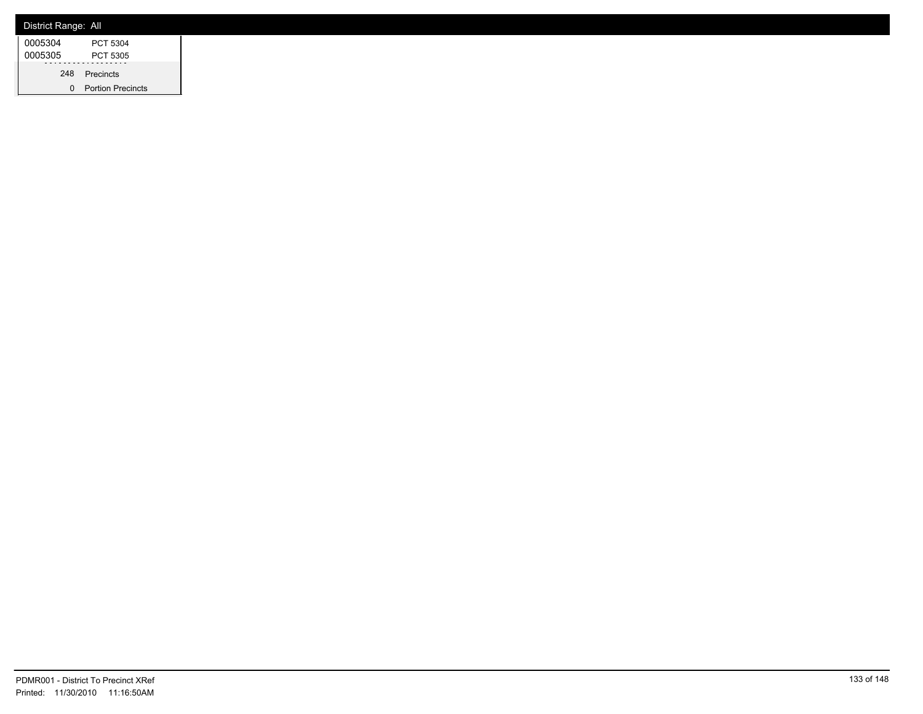| District Range: All |                          |
|---------------------|--------------------------|
| 0005304             | PCT 5304                 |
| 0005305             | PCT 5305                 |
|                     | 248 Precincts            |
|                     | <b>Portion Precincts</b> |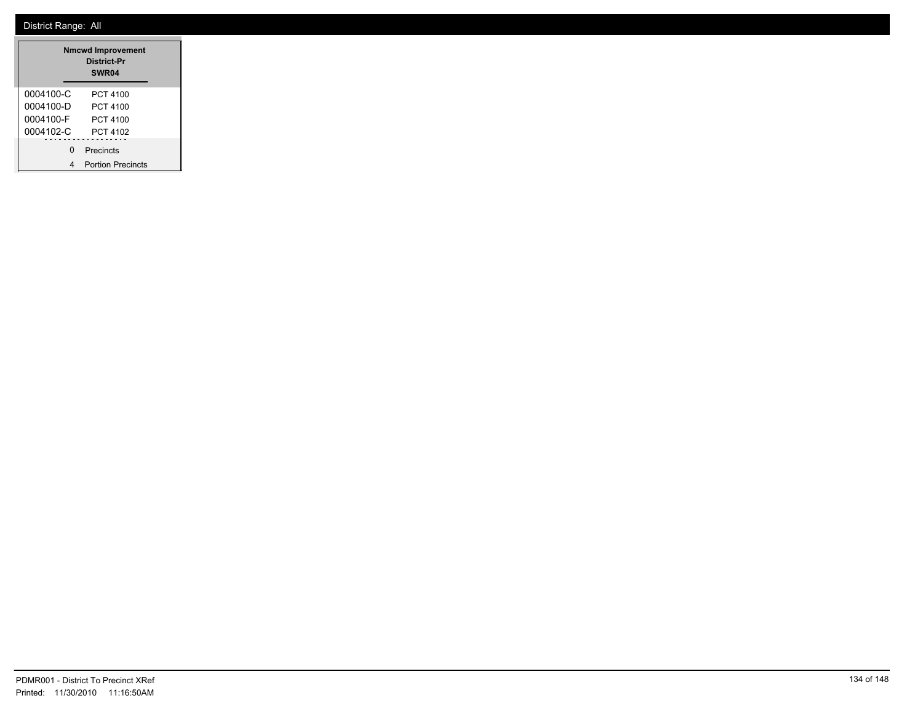| <b>Nmcwd Improvement</b><br>District-Pr<br><b>SWR04</b> |                          |  |  |  |  |
|---------------------------------------------------------|--------------------------|--|--|--|--|
| 0004100-C                                               | PCT 4100                 |  |  |  |  |
| 0004100-D                                               | PCT 4100                 |  |  |  |  |
| 0004100-F                                               | PCT 4100                 |  |  |  |  |
| 0004102-C                                               | PCT 4102                 |  |  |  |  |
| ŋ                                                       | Precincts                |  |  |  |  |
|                                                         | <b>Portion Precincts</b> |  |  |  |  |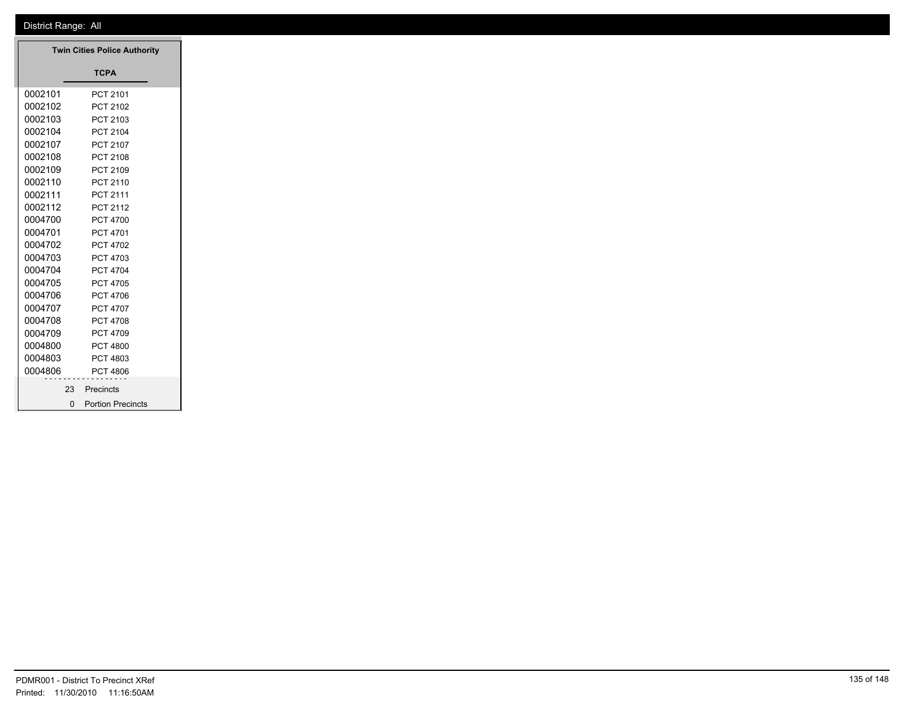|         | <b>Twin Cities Police Authority</b> |
|---------|-------------------------------------|
|         | <b>TCPA</b>                         |
| 0002101 | PCT 2101                            |
| 0002102 | PCT 2102                            |
| 0002103 | PCT 2103                            |
| 0002104 | PCT 2104                            |
| 0002107 | PCT 2107                            |
| 0002108 | PCT 2108                            |
| 0002109 | PCT 2109                            |
| 0002110 | PCT 2110                            |
| 0002111 | PCT 2111                            |
| 0002112 | PCT 2112                            |
| 0004700 | <b>PCT 4700</b>                     |
| 0004701 | PCT 4701                            |
| 0004702 | PCT 4702                            |
| 0004703 | PCT 4703                            |
| 0004704 | PCT 4704                            |
| 0004705 | PCT 4705                            |
| 0004706 | PCT 4706                            |
| 0004707 | PCT 4707                            |
| 0004708 | PCT 4708                            |
| 0004709 | PCT 4709                            |
| 0004800 | <b>PCT 4800</b>                     |
| 0004803 | PCT 4803                            |
| 0004806 | PCT 4806                            |
|         |                                     |
| 23      | Precincts                           |
|         | 0 Portion Precincts                 |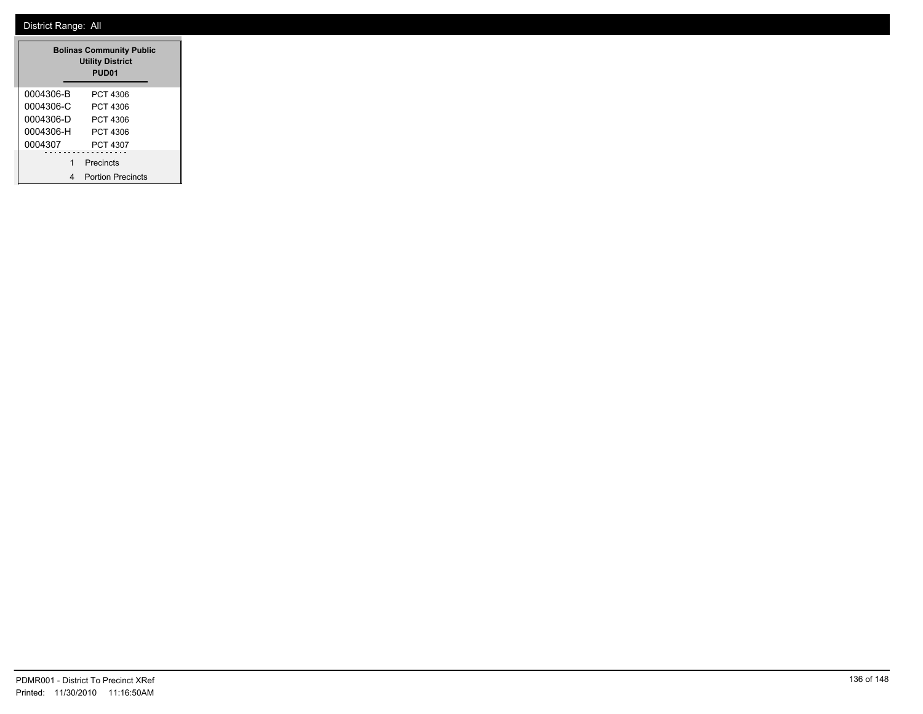| <b>Bolinas Community Public</b><br><b>Utility District</b><br>PUD <sub>01</sub> |                          |  |  |  |  |  |
|---------------------------------------------------------------------------------|--------------------------|--|--|--|--|--|
| 0004306-B                                                                       | PCT 4306                 |  |  |  |  |  |
| 0004306-C                                                                       | PCT 4306                 |  |  |  |  |  |
| 0004306-D                                                                       | PCT 4306                 |  |  |  |  |  |
| 0004306-H                                                                       | PCT 4306                 |  |  |  |  |  |
| 0004307                                                                         | PCT 4307                 |  |  |  |  |  |
| 1                                                                               | Precincts                |  |  |  |  |  |
|                                                                                 | <b>Portion Precincts</b> |  |  |  |  |  |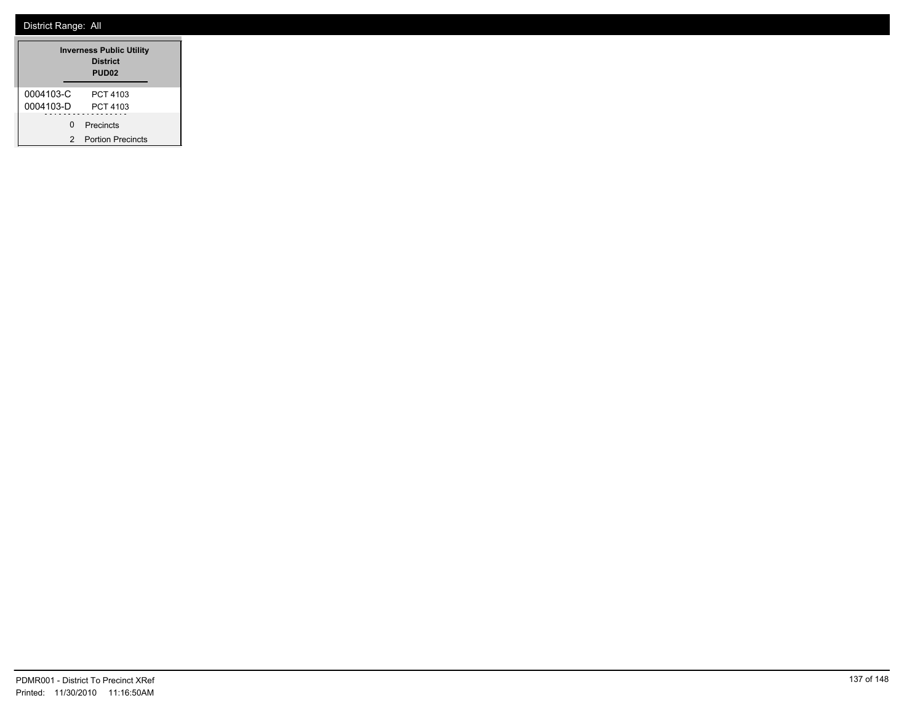|           | <b>Inverness Public Utility</b><br><b>District</b><br>PUD <sub>02</sub> |
|-----------|-------------------------------------------------------------------------|
| 0004103-C | PCT 4103                                                                |
| 0004103-D | PCT 4103                                                                |
| U         | Precincts                                                               |
| 2         | <b>Portion Precincts</b>                                                |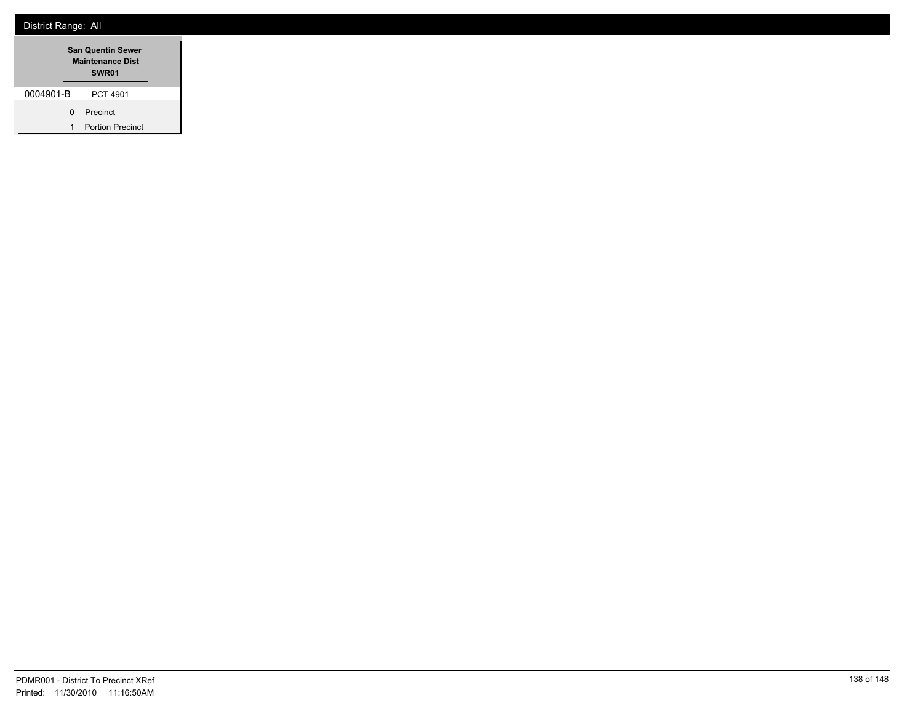| <b>San Quentin Sewer</b><br><b>Maintenance Dist</b><br>SWR <sub>01</sub> |    |                         |  |  |  |  |
|--------------------------------------------------------------------------|----|-------------------------|--|--|--|--|
| 0004901-B                                                                |    | PCT 4901                |  |  |  |  |
|                                                                          | n. | Precinct                |  |  |  |  |
| 1                                                                        |    | <b>Portion Precinct</b> |  |  |  |  |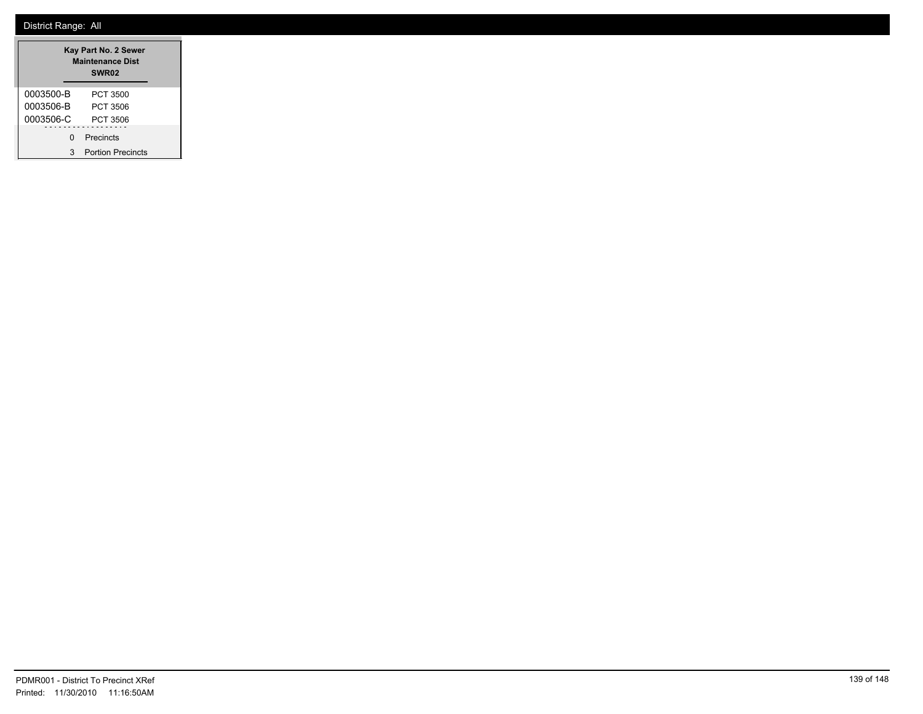|           | Kay Part No. 2 Sewer<br><b>Maintenance Dist</b><br>SWR <sub>02</sub> |
|-----------|----------------------------------------------------------------------|
| 0003500-B | PCT 3500                                                             |
| 0003506-B | PCT 3506                                                             |
| 0003506-C | PCT 3506                                                             |
| U         | Precincts                                                            |
| 3         | <b>Portion Precincts</b>                                             |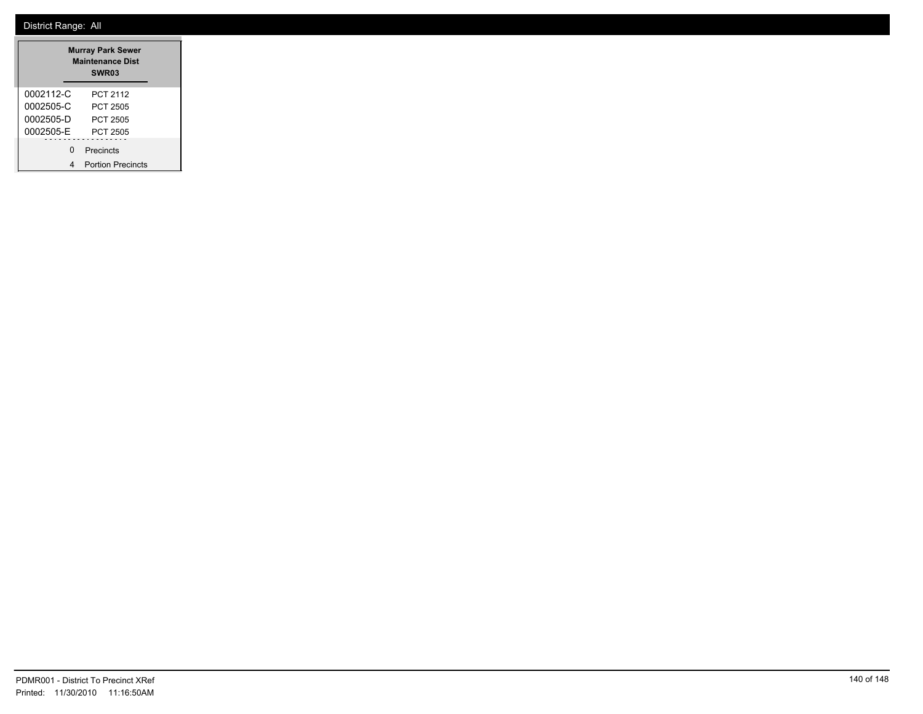|           |   | <b>Murray Park Sewer</b><br><b>Maintenance Dist</b><br>SWR <sub>03</sub> |  |
|-----------|---|--------------------------------------------------------------------------|--|
| 0002112-C |   | PCT 2112                                                                 |  |
| 0002505-C |   | <b>PCT 2505</b>                                                          |  |
| 0002505-D |   | PCT 2505                                                                 |  |
| 0002505-E |   | PCT 2505                                                                 |  |
|           | ŋ | Precincts                                                                |  |
|           |   | <b>Portion Precincts</b>                                                 |  |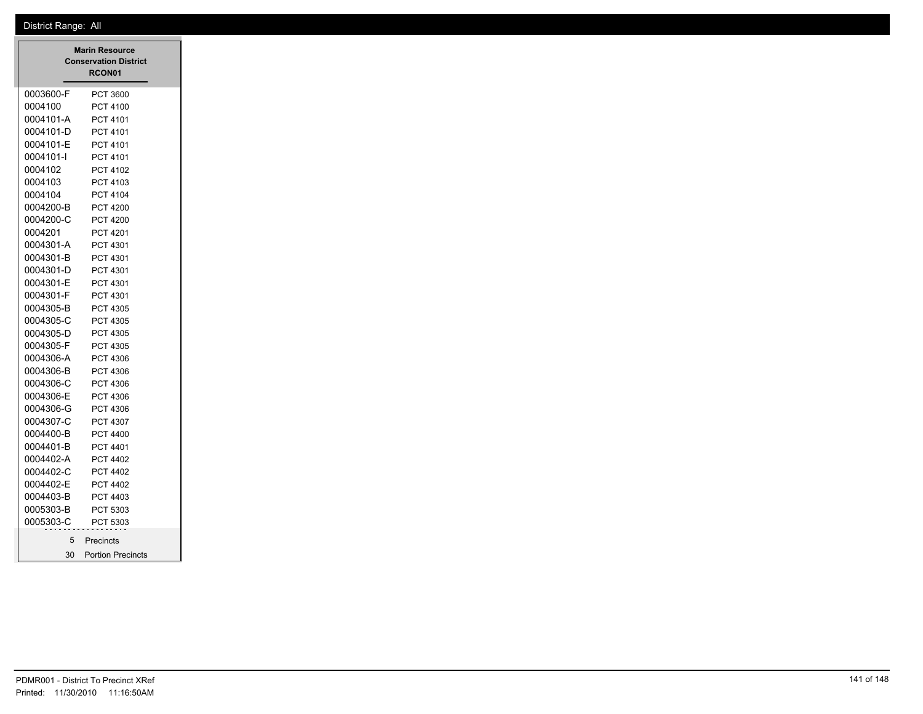|                 | <b>Marin Resource</b><br><b>Conservation District</b><br>RCON01 |
|-----------------|-----------------------------------------------------------------|
| 0003600-F       | PCT 3600                                                        |
| 0004100         | <b>PCT 4100</b>                                                 |
| 0004101-A       | PCT 4101                                                        |
| 0004101-D       | PCT 4101                                                        |
| 0004101-E       | PCT 4101                                                        |
| 0004101-l       | PCT 4101                                                        |
| 0004102         | PCT 4102                                                        |
| 0004103         | PCT 4103                                                        |
| 0004104         | PCT 4104                                                        |
| 0004200-B       | <b>PCT 4200</b>                                                 |
| 0004200-C       | PCT 4200                                                        |
| 0004201         | PCT 4201                                                        |
| 0004301-A       | PCT 4301                                                        |
| 0004301-B       | PCT 4301                                                        |
| 0004301-D       | PCT 4301                                                        |
| 0004301-E       | PCT 4301                                                        |
| 0004301-F       | PCT 4301                                                        |
| 0004305-B       | PCT 4305                                                        |
| 0004305-C       | PCT 4305                                                        |
| 0004305-D       | PCT 4305                                                        |
| 0004305-F       | PCT 4305                                                        |
| 0004306-A       | PCT 4306                                                        |
| 0004306-B       | PCT 4306                                                        |
| 0004306-C       | PCT 4306                                                        |
| 0004306-E       | PCT 4306                                                        |
| 0004306-G       | PCT 4306                                                        |
| 0004307-C       | PCT 4307                                                        |
| 0004400-B       | PCT 4400                                                        |
| 0004401-B       | PCT 4401                                                        |
| 0004402-A       | PCT 4402                                                        |
| 0004402-C       | PCT 4402                                                        |
| 0004402-E       | PCT 4402                                                        |
| 0004403-B       | PCT 4403                                                        |
| 0005303-B       | PCT 5303                                                        |
| 0005303-C       | PCT 5303                                                        |
| 5               | Precincts                                                       |
| 30 <sup>2</sup> | <b>Portion Precincts</b>                                        |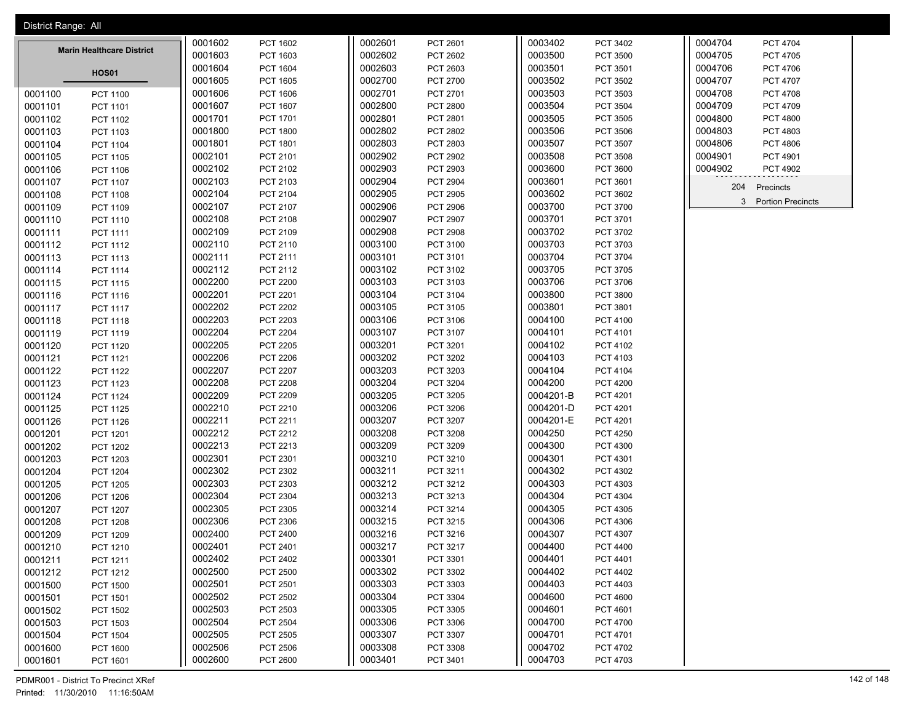| District Range: All              |                 |         |                 |         |                 |           |                 |         |                          |
|----------------------------------|-----------------|---------|-----------------|---------|-----------------|-----------|-----------------|---------|--------------------------|
|                                  |                 | 0001602 | PCT 1602        | 0002601 | PCT 2601        | 0003402   | PCT 3402        | 0004704 | PCT 4704                 |
| <b>Marin Healthcare District</b> |                 | 0001603 | PCT 1603        | 0002602 | PCT 2602        | 0003500   | PCT 3500        | 0004705 | PCT 4705                 |
|                                  | <b>HOS01</b>    | 0001604 | <b>PCT 1604</b> | 0002603 | PCT 2603        | 0003501   | PCT 3501        | 0004706 | PCT 4706                 |
|                                  |                 | 0001605 | PCT 1605        | 0002700 | PCT 2700        | 0003502   | PCT 3502        | 0004707 | PCT 4707                 |
| 0001100                          | <b>PCT 1100</b> | 0001606 | PCT 1606        | 0002701 | PCT 2701        | 0003503   | PCT 3503        | 0004708 | <b>PCT 4708</b>          |
| 0001101                          | PCT 1101        | 0001607 | PCT 1607        | 0002800 | PCT 2800        | 0003504   | PCT 3504        | 0004709 | PCT 4709                 |
| 0001102                          | PCT 1102        | 0001701 | PCT 1701        | 0002801 | PCT 2801        | 0003505   | PCT 3505        | 0004800 | <b>PCT 4800</b>          |
| 0001103                          | PCT 1103        | 0001800 | <b>PCT 1800</b> | 0002802 | PCT 2802        | 0003506   | PCT 3506        | 0004803 | PCT 4803                 |
| 0001104                          | PCT 1104        | 0001801 | PCT 1801        | 0002803 | PCT 2803        | 0003507   | PCT 3507        | 0004806 | PCT 4806                 |
| 0001105                          | PCT 1105        | 0002101 | PCT 2101        | 0002902 | PCT 2902        | 0003508   | PCT 3508        | 0004901 | PCT 4901                 |
| 0001106                          | PCT 1106        | 0002102 | PCT 2102        | 0002903 | PCT 2903        | 0003600   | PCT 3600        | 0004902 | <b>PCT 4902</b>          |
| 0001107                          | PCT 1107        | 0002103 | PCT 2103        | 0002904 | <b>PCT 2904</b> | 0003601   | PCT 3601        | 204     | Precincts                |
| 0001108                          | <b>PCT 1108</b> | 0002104 | PCT 2104        | 0002905 | PCT 2905        | 0003602   | PCT 3602        |         |                          |
| 0001109                          | PCT 1109        | 0002107 | PCT 2107        | 0002906 | PCT 2906        | 0003700   | PCT 3700        | 3       | <b>Portion Precincts</b> |
| 0001110                          | PCT 1110        | 0002108 | PCT 2108        | 0002907 | PCT 2907        | 0003701   | PCT 3701        |         |                          |
| 0001111                          | PCT 1111        | 0002109 | PCT 2109        | 0002908 | <b>PCT 2908</b> | 0003702   | PCT 3702        |         |                          |
| 0001112                          | PCT 1112        | 0002110 | PCT 2110        | 0003100 | PCT 3100        | 0003703   | PCT 3703        |         |                          |
| 0001113                          | PCT 1113        | 0002111 | PCT 2111        | 0003101 | PCT 3101        | 0003704   | PCT 3704        |         |                          |
| 0001114                          | PCT 1114        | 0002112 | PCT 2112        | 0003102 | PCT 3102        | 0003705   | PCT 3705        |         |                          |
| 0001115                          | PCT 1115        | 0002200 | <b>PCT 2200</b> | 0003103 | PCT 3103        | 0003706   | PCT 3706        |         |                          |
| 0001116                          | PCT 1116        | 0002201 | PCT 2201        | 0003104 | PCT 3104        | 0003800   | PCT 3800        |         |                          |
| 0001117                          | <b>PCT 1117</b> | 0002202 | <b>PCT 2202</b> | 0003105 | PCT 3105        | 0003801   | PCT 3801        |         |                          |
| 0001118                          | PCT 1118        | 0002203 | PCT 2203        | 0003106 | PCT 3106        | 0004100   | PCT 4100        |         |                          |
| 0001119                          | PCT 1119        | 0002204 | <b>PCT 2204</b> | 0003107 | PCT 3107        | 0004101   | PCT 4101        |         |                          |
| 0001120                          | PCT 1120        | 0002205 | <b>PCT 2205</b> | 0003201 | PCT 3201        | 0004102   | PCT 4102        |         |                          |
| 0001121                          | PCT 1121        | 0002206 | <b>PCT 2206</b> | 0003202 | PCT 3202        | 0004103   | PCT 4103        |         |                          |
| 0001122                          | <b>PCT 1122</b> | 0002207 | <b>PCT 2207</b> | 0003203 | PCT 3203        | 0004104   | PCT 4104        |         |                          |
| 0001123                          | PCT 1123        | 0002208 | <b>PCT 2208</b> | 0003204 | PCT 3204        | 0004200   | <b>PCT 4200</b> |         |                          |
| 0001124                          | PCT 1124        | 0002209 | PCT 2209        | 0003205 | PCT 3205        | 0004201-B | PCT 4201        |         |                          |
| 0001125                          | PCT 1125        | 0002210 | PCT 2210        | 0003206 | PCT 3206        | 0004201-D | PCT 4201        |         |                          |
| 0001126                          | PCT 1126        | 0002211 | PCT 2211        | 0003207 | PCT 3207        | 0004201-E | PCT 4201        |         |                          |
| 0001201                          | PCT 1201        | 0002212 | PCT 2212        | 0003208 | PCT 3208        | 0004250   | <b>PCT 4250</b> |         |                          |
| 0001202                          | <b>PCT 1202</b> | 0002213 | PCT 2213        | 0003209 | PCT 3209        | 0004300   | PCT 4300        |         |                          |
| 0001203                          | PCT 1203        | 0002301 | PCT 2301        | 0003210 | PCT 3210        | 0004301   | PCT 4301        |         |                          |
| 0001204                          | <b>PCT 1204</b> | 0002302 | PCT 2302        | 0003211 | PCT 3211        | 0004302   | PCT 4302        |         |                          |
| 0001205                          | <b>PCT 1205</b> | 0002303 | PCT 2303        | 0003212 | PCT 3212        | 0004303   | PCT 4303        |         |                          |
| 0001206                          | PCT 1206        | 0002304 | PCT 2304        | 0003213 | PCT 3213        | 0004304   | PCT 4304        |         |                          |
| 0001207                          | <b>PCT 1207</b> | 0002305 | PCT 2305        | 0003214 | PCT 3214        | 0004305   | PCT 4305        |         |                          |
| 0001208                          | PCT 1208        | 0002306 | PCT 2306        | 0003215 | PCT 3215        | 0004306   | PCT 4306        |         |                          |
| 0001209                          | PCT 1209        | 0002400 | PCT 2400        | 0003216 | PCT 3216        | 0004307   | PCT 4307        |         |                          |
| 0001210                          | PCT 1210        | 0002401 | PCT 2401        | 0003217 | PCT 3217        | 0004400   | PCT 4400        |         |                          |
| 0001211                          | PCT 1211        | 0002402 | PCT 2402        | 0003301 | PCT 3301        | 0004401   | PCT 4401        |         |                          |
| 0001212                          | PCT 1212        | 0002500 | <b>PCT 2500</b> | 0003302 | PCT 3302        | 0004402   | <b>PCT 4402</b> |         |                          |
| 0001500                          | <b>PCT 1500</b> | 0002501 | PCT 2501        | 0003303 | PCT 3303        | 0004403   | PCT 4403        |         |                          |
| 0001501                          | PCT 1501        | 0002502 | PCT 2502        | 0003304 | PCT 3304        | 0004600   | <b>PCT 4600</b> |         |                          |
| 0001502                          | PCT 1502        | 0002503 | PCT 2503        | 0003305 | PCT 3305        | 0004601   | PCT 4601        |         |                          |
| 0001503                          | PCT 1503        | 0002504 | PCT 2504        | 0003306 | PCT 3306        | 0004700   | PCT 4700        |         |                          |
| 0001504                          | <b>PCT 1504</b> | 0002505 | PCT 2505        | 0003307 | PCT 3307        | 0004701   | PCT 4701        |         |                          |
| 0001600                          | PCT 1600        | 0002506 | PCT 2506        | 0003308 | PCT 3308        | 0004702   | PCT 4702        |         |                          |
| 0001601                          | PCT 1601        | 0002600 | PCT 2600        | 0003401 | PCT 3401        | 0004703   | PCT 4703        |         |                          |

PDMR001 - District To Precinct XRef 142 of 148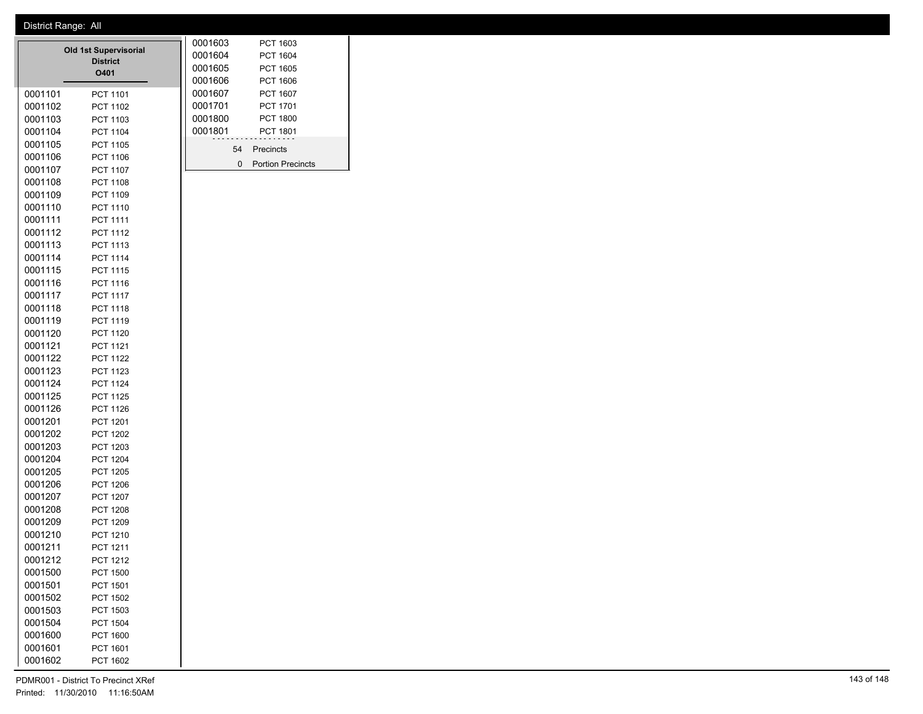|                    | <b>Old 1st Supervisorial</b><br><b>District</b><br>O401 | 0001603<br>0001604<br>0001605<br>0001606 |    | PCT 1603<br>PCT 1604<br><b>PCT 1605</b><br><b>PCT 1606</b> |
|--------------------|---------------------------------------------------------|------------------------------------------|----|------------------------------------------------------------|
| 0001101            | PCT 1101                                                | 0001607                                  |    | PCT 1607                                                   |
| 0001102            | <b>PCT 1102</b>                                         | 0001701                                  |    | <b>PCT 1701</b>                                            |
| 0001103            | PCT 1103                                                | 0001800                                  |    | <b>PCT 1800</b>                                            |
| 0001104            | PCT 1104                                                | 0001801                                  |    | <b>PCT 1801</b>                                            |
| 0001105            | PCT 1105                                                |                                          |    |                                                            |
| 0001106            | PCT 1106                                                |                                          | 54 | Precincts                                                  |
| 0001107            | PCT 1107                                                |                                          | 0  | Portion Precincts                                          |
| 0001108            | <b>PCT 1108</b>                                         |                                          |    |                                                            |
| 0001109            | PCT 1109                                                |                                          |    |                                                            |
| 0001110            | PCT 1110                                                |                                          |    |                                                            |
| 0001111            | PCT 1111                                                |                                          |    |                                                            |
| 0001112            | PCT 1112                                                |                                          |    |                                                            |
| 0001113            | PCT 1113                                                |                                          |    |                                                            |
| 0001114            | PCT 1114                                                |                                          |    |                                                            |
| 0001115            | <b>PCT 1115</b>                                         |                                          |    |                                                            |
| 0001116            | PCT 1116                                                |                                          |    |                                                            |
| 0001117            | <b>PCT 1117</b>                                         |                                          |    |                                                            |
| 0001118            | PCT 1118                                                |                                          |    |                                                            |
| 0001119            | PCT 1119                                                |                                          |    |                                                            |
| 0001120            | PCT 1120                                                |                                          |    |                                                            |
| 0001121            | <b>PCT 1121</b>                                         |                                          |    |                                                            |
| 0001122            | <b>PCT 1122</b>                                         |                                          |    |                                                            |
| 0001123            | PCT 1123                                                |                                          |    |                                                            |
| 0001124            | PCT 1124                                                |                                          |    |                                                            |
| 0001125            | <b>PCT 1125</b>                                         |                                          |    |                                                            |
| 0001126            | PCT 1126                                                |                                          |    |                                                            |
| 0001201            | PCT 1201                                                |                                          |    |                                                            |
| 0001202            | <b>PCT 1202</b>                                         |                                          |    |                                                            |
| 0001203            | PCT 1203                                                |                                          |    |                                                            |
| 0001204            | <b>PCT 1204</b>                                         |                                          |    |                                                            |
| 0001205            | PCT 1205                                                |                                          |    |                                                            |
| 0001206<br>0001207 | <b>PCT 1206</b>                                         |                                          |    |                                                            |
| 0001208            | <b>PCT 1207</b><br><b>PCT 1208</b>                      |                                          |    |                                                            |
| 0001209            | PCT 1209                                                |                                          |    |                                                            |
| 0001210            | PCT 1210                                                |                                          |    |                                                            |
| 0001211            | <b>PCT 1211</b>                                         |                                          |    |                                                            |
| 0001212            | <b>PCT 1212</b>                                         |                                          |    |                                                            |
| 0001500            | <b>PCT 1500</b>                                         |                                          |    |                                                            |
| 0001501            | PCT 1501                                                |                                          |    |                                                            |
| 0001502            | PCT 1502                                                |                                          |    |                                                            |
| 0001503            | PCT 1503                                                |                                          |    |                                                            |
| 0001504            | <b>PCT 1504</b>                                         |                                          |    |                                                            |
| 0001600            | PCT 1600                                                |                                          |    |                                                            |
| 0001601            | PCT 1601                                                |                                          |    |                                                            |
| 0001602            | PCT 1602                                                |                                          |    |                                                            |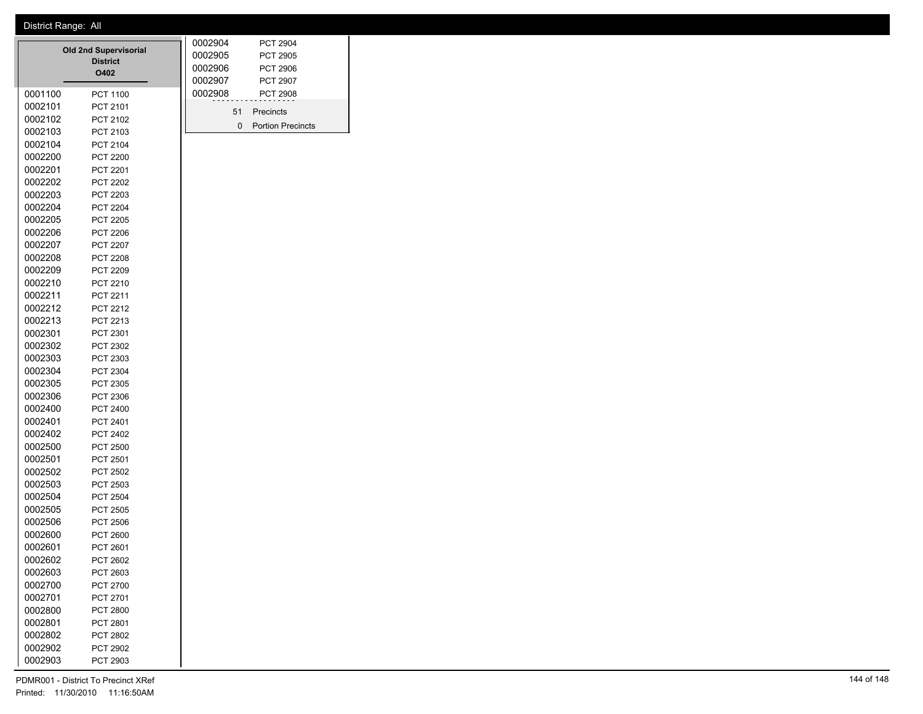| 0001100            | <b>Old 2nd Supervisorial</b><br><b>District</b><br>O402<br>PCT 1100 | 0002904<br>0002905<br>0002906<br>0002907<br>0002908 |              | <b>PCT 2904</b><br>PCT 2905<br><b>PCT 2906</b><br>PCT 2907<br>PCT 2908 |
|--------------------|---------------------------------------------------------------------|-----------------------------------------------------|--------------|------------------------------------------------------------------------|
| 0002101            | PCT 2101                                                            |                                                     |              |                                                                        |
| 0002102            | PCT 2102                                                            |                                                     | 51           | Precincts                                                              |
| 0002103            | PCT 2103                                                            |                                                     | $\mathbf{0}$ | <b>Portion Precincts</b>                                               |
| 0002104            | PCT 2104                                                            |                                                     |              |                                                                        |
| 0002200            | <b>PCT 2200</b>                                                     |                                                     |              |                                                                        |
| 0002201            | PCT 2201                                                            |                                                     |              |                                                                        |
| 0002202            | <b>PCT 2202</b>                                                     |                                                     |              |                                                                        |
| 0002203            | PCT 2203                                                            |                                                     |              |                                                                        |
| 0002204            | <b>PCT 2204</b>                                                     |                                                     |              |                                                                        |
| 0002205            | <b>PCT 2205</b>                                                     |                                                     |              |                                                                        |
| 0002206            | PCT 2206                                                            |                                                     |              |                                                                        |
| 0002207            | PCT 2207                                                            |                                                     |              |                                                                        |
| 0002208            | <b>PCT 2208</b>                                                     |                                                     |              |                                                                        |
| 0002209            | PCT 2209                                                            |                                                     |              |                                                                        |
| 0002210            | PCT 2210                                                            |                                                     |              |                                                                        |
| 0002211            | PCT 2211                                                            |                                                     |              |                                                                        |
| 0002212            | <b>PCT 2212</b>                                                     |                                                     |              |                                                                        |
| 0002213            | PCT 2213                                                            |                                                     |              |                                                                        |
| 0002301            | PCT 2301                                                            |                                                     |              |                                                                        |
| 0002302            | PCT 2302                                                            |                                                     |              |                                                                        |
| 0002303            | PCT 2303                                                            |                                                     |              |                                                                        |
| 0002304            | <b>PCT 2304</b>                                                     |                                                     |              |                                                                        |
| 0002305            | PCT 2305                                                            |                                                     |              |                                                                        |
| 0002306<br>0002400 | PCT 2306                                                            |                                                     |              |                                                                        |
| 0002401            | PCT 2400<br>PCT 2401                                                |                                                     |              |                                                                        |
| 0002402            | PCT 2402                                                            |                                                     |              |                                                                        |
| 0002500            | <b>PCT 2500</b>                                                     |                                                     |              |                                                                        |
| 0002501            | PCT 2501                                                            |                                                     |              |                                                                        |
| 0002502            | PCT 2502                                                            |                                                     |              |                                                                        |
| 0002503            | PCT 2503                                                            |                                                     |              |                                                                        |
| 0002504            | <b>PCT 2504</b>                                                     |                                                     |              |                                                                        |
| 0002505            | <b>PCT 2505</b>                                                     |                                                     |              |                                                                        |
| 0002506            | <b>PCT 2506</b>                                                     |                                                     |              |                                                                        |
| 0002600            | <b>PCT 2600</b>                                                     |                                                     |              |                                                                        |
| 0002601            | PCT 2601                                                            |                                                     |              |                                                                        |
| 0002602            | PCT 2602                                                            |                                                     |              |                                                                        |
| 0002603            | PCT 2603                                                            |                                                     |              |                                                                        |
| 0002700            | PCT 2700                                                            |                                                     |              |                                                                        |
| 0002701            | PCT 2701                                                            |                                                     |              |                                                                        |
| 0002800            | PCT 2800                                                            |                                                     |              |                                                                        |
| 0002801            | <b>PCT 2801</b>                                                     |                                                     |              |                                                                        |
| 0002802            | PCT 2802                                                            |                                                     |              |                                                                        |
| 0002902            | PCT 2902                                                            |                                                     |              |                                                                        |
| 0002903            | PCT 2903                                                            |                                                     |              |                                                                        |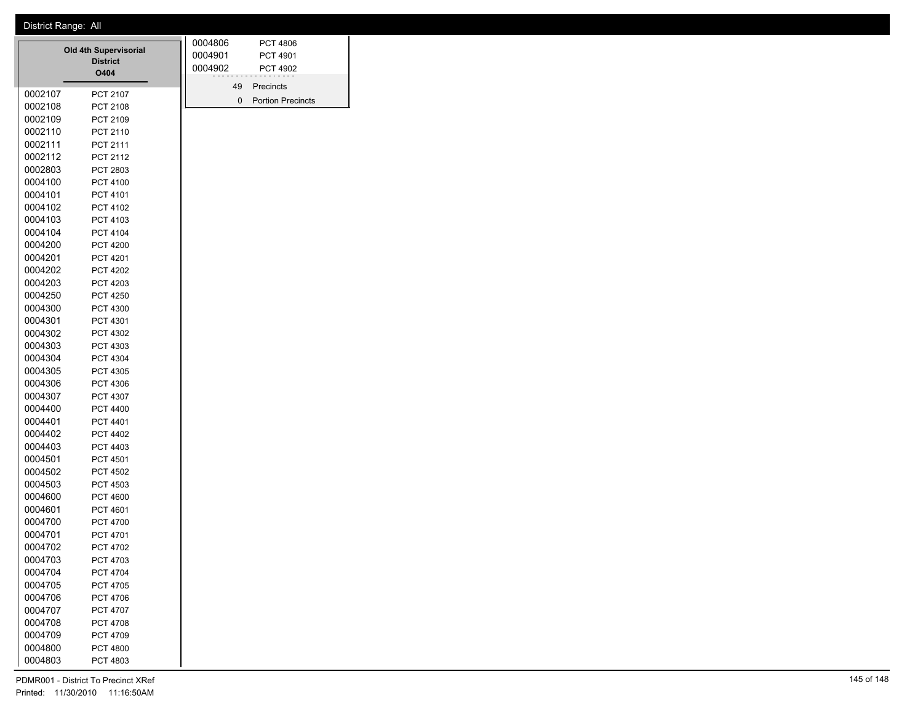## District Range: All

|         | <b>Old 4th Supervisorial</b><br><b>District</b><br>O404 | 0004806<br>0004901<br>0004902 | PCT 4806<br><b>PCT 4901</b><br><b>PCT 4902</b> |  |
|---------|---------------------------------------------------------|-------------------------------|------------------------------------------------|--|
| 0002107 | <b>PCT 2107</b>                                         | 49<br>0                       | Precincts<br><b>Portion Precincts</b>          |  |
| 0002108 | PCT 2108                                                |                               |                                                |  |
| 0002109 | PCT 2109                                                |                               |                                                |  |
| 0002110 | PCT 2110                                                |                               |                                                |  |
| 0002111 | <b>PCT 2111</b>                                         |                               |                                                |  |
| 0002112 | <b>PCT 2112</b>                                         |                               |                                                |  |
| 0002803 | PCT 2803                                                |                               |                                                |  |
| 0004100 | PCT 4100                                                |                               |                                                |  |
| 0004101 | PCT 4101                                                |                               |                                                |  |
| 0004102 | PCT 4102                                                |                               |                                                |  |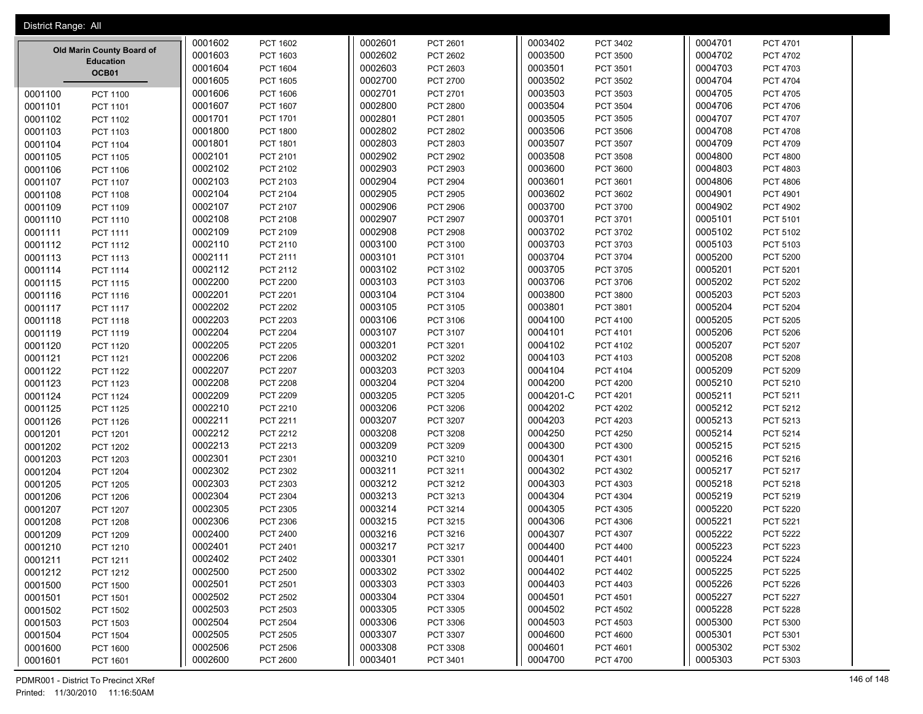| District Range: All                               |                    |                             |                    |                      |                    |                      |                    |                      |
|---------------------------------------------------|--------------------|-----------------------------|--------------------|----------------------|--------------------|----------------------|--------------------|----------------------|
|                                                   | 0001602            | PCT 1602                    | 0002601            | PCT 2601             | 0003402            | PCT 3402             | 0004701            | PCT 4701             |
| Old Marin County Board of                         | 0001603            | PCT 1603                    | 0002602            | PCT 2602             | 0003500            | <b>PCT 3500</b>      | 0004702            | <b>PCT 4702</b>      |
| <b>Education</b>                                  | 0001604            | <b>PCT 1604</b>             | 0002603            | PCT 2603             | 0003501            | PCT 3501             | 0004703            | PCT 4703             |
| OCB01                                             | 0001605            | PCT 1605                    | 0002700            | PCT 2700             | 0003502            | PCT 3502             | 0004704            | PCT 4704             |
| 0001100<br><b>PCT 1100</b>                        | 0001606            | PCT 1606                    | 0002701            | PCT 2701             | 0003503            | PCT 3503             | 0004705            | PCT 4705             |
| 0001101<br>PCT 1101                               | 0001607            | <b>PCT 1607</b>             | 0002800            | <b>PCT 2800</b>      | 0003504            | PCT 3504             | 0004706            | PCT 4706             |
| 0001102<br>PCT 1102                               | 0001701            | <b>PCT 1701</b>             | 0002801            | PCT 2801             | 0003505            | PCT 3505             | 0004707            | PCT 4707             |
| 0001103<br>PCT 1103                               | 0001800            | <b>PCT 1800</b>             | 0002802            | <b>PCT 2802</b>      | 0003506            | PCT 3506             | 0004708            | <b>PCT 4708</b>      |
| 0001104<br><b>PCT 1104</b>                        | 0001801            | PCT 1801                    | 0002803            | PCT 2803             | 0003507            | PCT 3507             | 0004709            | PCT 4709             |
| 0001105<br><b>PCT 1105</b>                        | 0002101            | PCT 2101                    | 0002902            | PCT 2902             | 0003508            | <b>PCT 3508</b>      | 0004800            | <b>PCT 4800</b>      |
| 0001106<br><b>PCT 1106</b>                        | 0002102            | PCT 2102                    | 0002903            | PCT 2903             | 0003600            | PCT 3600             | 0004803            | PCT 4803             |
| 0001107<br>PCT 1107                               | 0002103            | PCT 2103                    | 0002904            | <b>PCT 2904</b>      | 0003601            | PCT 3601             | 0004806            | <b>PCT 4806</b>      |
| 0001108<br><b>PCT 1108</b>                        | 0002104            | PCT 2104                    | 0002905            | <b>PCT 2905</b>      | 0003602            | PCT 3602             | 0004901            | PCT 4901             |
| 0001109<br>PCT 1109                               | 0002107            | PCT 2107                    | 0002906            | <b>PCT 2906</b>      | 0003700            | PCT 3700             | 0004902            | <b>PCT 4902</b>      |
| 0001110<br>PCT 1110                               | 0002108            | PCT 2108                    | 0002907            | PCT 2907             | 0003701            | PCT 3701             | 0005101            | PCT 5101             |
| 0001111<br>PCT 1111                               | 0002109            | PCT 2109                    | 0002908            | <b>PCT 2908</b>      | 0003702            | PCT 3702             | 0005102            | PCT 5102             |
| 0001112<br>PCT 1112                               | 0002110            | PCT 2110                    | 0003100            | PCT 3100             | 0003703            | PCT 3703             | 0005103            | PCT 5103             |
| 0001113<br>PCT 1113                               | 0002111            | PCT 2111                    | 0003101            | PCT 3101             | 0003704            | PCT 3704             | 0005200            | <b>PCT 5200</b>      |
| 0001114<br><b>PCT 1114</b>                        | 0002112            | PCT 2112                    | 0003102            | PCT 3102             | 0003705            | PCT 3705             | 0005201            | PCT 5201             |
| 0001115<br><b>PCT 1115</b>                        | 0002200            | <b>PCT 2200</b>             | 0003103            | PCT 3103             | 0003706            | PCT 3706             | 0005202            | <b>PCT 5202</b>      |
| 0001116<br>PCT 1116                               | 0002201            | PCT 2201                    | 0003104            | PCT 3104             | 0003800            | PCT 3800             | 0005203            | PCT 5203             |
| 0001117<br><b>PCT 1117</b>                        | 0002202            | PCT 2202                    | 0003105            | PCT 3105             | 0003801            | PCT 3801             | 0005204            | PCT 5204             |
| 0001118<br><b>PCT 1118</b>                        | 0002203            | PCT 2203                    | 0003106            | PCT 3106             | 0004100            | PCT 4100             | 0005205            | <b>PCT 5205</b>      |
| 0001119<br>PCT 1119                               | 0002204            | <b>PCT 2204</b>             | 0003107            | PCT 3107             | 0004101            | PCT 4101             | 0005206            | <b>PCT 5206</b>      |
| 0001120<br>PCT 1120                               | 0002205            | <b>PCT 2205</b>             | 0003201            | PCT 3201             | 0004102            | PCT 4102             | 0005207            | PCT 5207             |
| 0001121<br>PCT 1121                               | 0002206            | <b>PCT 2206</b>             | 0003202            | PCT 3202             | 0004103            | PCT 4103             | 0005208            | <b>PCT 5208</b>      |
| 0001122<br><b>PCT 1122</b>                        | 0002207            | <b>PCT 2207</b>             | 0003203            | PCT 3203             | 0004104            | PCT 4104             | 0005209            | PCT 5209             |
| 0001123<br><b>PCT 1123</b>                        | 0002208            | <b>PCT 2208</b>             | 0003204            | <b>PCT 3204</b>      | 0004200            | <b>PCT 4200</b>      | 0005210            | PCT 5210             |
| 0001124<br><b>PCT 1124</b>                        | 0002209            | PCT 2209                    | 0003205            | PCT 3205             | 0004201-C          | PCT 4201             | 0005211            | PCT 5211             |
| 0001125<br><b>PCT 1125</b>                        | 0002210            | PCT 2210                    | 0003206            | PCT 3206             | 0004202            | PCT 4202             | 0005212            | PCT 5212             |
| 0001126<br><b>PCT 1126</b>                        | 0002211            | PCT 2211                    | 0003207            | <b>PCT 3207</b>      | 0004203            | PCT 4203             | 0005213            | PCT 5213             |
| 0001201<br>PCT 1201                               | 0002212            | PCT 2212                    | 0003208            | PCT 3208             | 0004250            | PCT 4250             | 0005214            | PCT 5214             |
| 0001202<br><b>PCT 1202</b>                        | 0002213            | PCT 2213                    | 0003209            | PCT 3209             | 0004300            | PCT 4300             | 0005215            | PCT 5215             |
| 0001203<br><b>PCT 1203</b>                        | 0002301            | PCT 2301                    | 0003210            | PCT 3210             | 0004301            | PCT 4301             | 0005216            | PCT 5216             |
| 0001204<br><b>PCT 1204</b>                        | 0002302            | PCT 2302                    | 0003211            | PCT 3211             | 0004302            | PCT 4302             | 0005217            | PCT 5217             |
| 0001205<br><b>PCT 1205</b>                        | 0002303            | PCT 2303                    | 0003212            | PCT 3212             | 0004303            | PCT 4303             | 0005218            | PCT 5218             |
| 0001206<br><b>PCT 1206</b>                        | 0002304            | PCT 2304                    | 0003213            | PCT 3213             | 0004304            | PCT 4304             | 0005219            | PCT 5219             |
| 0001207<br><b>PCT 1207</b>                        | 0002305            | PCT 2305                    | 0003214            | <b>PCT 3214</b>      | 0004305            | PCT 4305             | 0005220            | <b>PCT 5220</b>      |
| 0001208<br><b>PCT 1208</b>                        | 0002306            | PCT 2306                    | 0003215            | PCT 3215             | 0004306            | <b>PCT 4306</b>      | 0005221            | PCT 5221             |
| 0001209<br><b>PCT 1209</b>                        | 0002400            | PCT 2400                    | 0003216            | PCT 3216             | 0004307            | PCT 4307             | 0005222            | <b>PCT 5222</b>      |
| 0001210<br>PCT 1210                               | 0002401            | PCT 2401                    | 0003217            | PCT 3217             | 0004400            | PCT 4400             | 0005223            | PCT 5223             |
| 0001211<br>PCT 1211                               | 0002402            | PCT 2402                    | 0003301            | PCT 3301             | 0004401            | PCT 4401             | 0005224            | <b>PCT 5224</b>      |
| 0001212<br>PCT 1212                               | 0002500            | <b>PCT 2500</b>             | 0003302            | PCT 3302             | 0004402            | PCT 4402             | 0005225            | PCT 5225             |
| 0001500<br><b>PCT 1500</b>                        | 0002501            | PCT 2501                    | 0003303            | PCT 3303             | 0004403            | PCT 4403             | 0005226            | PCT 5226             |
| 0001501<br>PCT 1501                               | 0002502            | PCT 2502                    | 0003304            | PCT 3304             | 0004501            | PCT 4501             | 0005227            | PCT 5227             |
| 0001502<br><b>PCT 1502</b>                        | 0002503            | PCT 2503                    | 0003305            | PCT 3305             | 0004502            | PCT 4502             | 0005228            | PCT 5228             |
| 0001503<br>PCT 1503                               | 0002504            | PCT 2504                    | 0003306            | PCT 3306             | 0004503            | PCT 4503             | 0005300            | PCT 5300             |
| 0001504<br><b>PCT 1504</b>                        | 0002505<br>0002506 | PCT 2505                    | 0003307<br>0003308 | PCT 3307             | 0004600<br>0004601 | <b>PCT 4600</b>      | 0005301<br>0005302 | PCT 5301             |
| 0001600<br><b>PCT 1600</b><br>0001601<br>PCT 1601 | 0002600            | <b>PCT 2506</b><br>PCT 2600 | 0003401            | PCT 3308<br>PCT 3401 | 0004700            | PCT 4601<br>PCT 4700 | 0005303            | PCT 5302<br>PCT 5303 |
|                                                   |                    |                             |                    |                      |                    |                      |                    |                      |

PDMR001 - District To Precinct XRef 146 of 148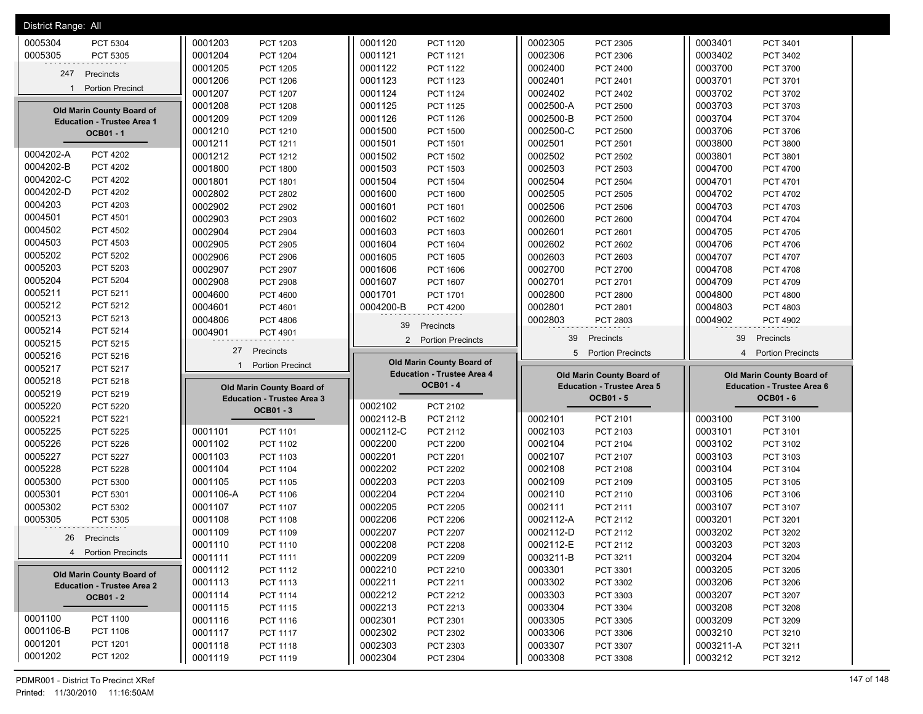| District Range: All                   |                                        |                                   |                                   |                                            |
|---------------------------------------|----------------------------------------|-----------------------------------|-----------------------------------|--------------------------------------------|
| 0005304                               | 0001203                                | 0001120                           | 0002305                           | 0003401                                    |
| PCT 5304                              | PCT 1203                               | <b>PCT 1120</b>                   | PCT 2305                          | PCT 3401                                   |
| 0005305                               | 0001204                                | 0001121                           | 0002306                           | 0003402                                    |
| PCT 5305                              | <b>PCT 1204</b>                        | <b>PCT 1121</b>                   | PCT 2306                          | PCT 3402                                   |
|                                       | 0001205                                | 0001122                           | 0002400                           | 0003700                                    |
|                                       | <b>PCT 1205</b>                        | <b>PCT 1122</b>                   | PCT 2400                          | PCT 3700                                   |
| 247                                   | 0001206                                | 0001123                           | 0002401                           | 0003701                                    |
| Precincts                             | PCT 1206                               | PCT 1123                          | PCT 2401                          | PCT 3701                                   |
| <b>Portion Precinct</b>               | 0001207                                | 0001124                           | 0002402                           | 0003702                                    |
| 1                                     | <b>PCT 1207</b>                        | PCT 1124                          | PCT 2402                          | PCT 3702                                   |
|                                       | 0001208                                | 0001125                           | 0002500-A                         | 0003703                                    |
|                                       | <b>PCT 1208</b>                        | <b>PCT 1125</b>                   | <b>PCT 2500</b>                   | PCT 3703                                   |
| Old Marin County Board of             | 0001209                                | 0001126                           | 0002500-B                         | 0003704                                    |
|                                       | PCT 1209                               | <b>PCT 1126</b>                   | <b>PCT 2500</b>                   | PCT 3704                                   |
| <b>Education - Trustee Area 1</b>     | 0001210                                | 0001500                           | 0002500-C                         | 0003706                                    |
| OCB01-1                               | PCT 1210                               | <b>PCT 1500</b>                   | PCT 2500                          | PCT 3706                                   |
|                                       | 0001211                                | 0001501                           | 0002501                           | 0003800                                    |
|                                       | PCT 1211                               | PCT 1501                          | PCT 2501                          | PCT 3800                                   |
| 0004202-A                             | 0001212                                | 0001502                           | 0002502                           | 0003801                                    |
| <b>PCT 4202</b>                       | PCT 1212                               | <b>PCT 1502</b>                   | PCT 2502                          | PCT 3801                                   |
| 0004202-B                             | 0001800                                | 0001503                           | 0002503                           | 0004700                                    |
| <b>PCT 4202</b>                       | <b>PCT 1800</b>                        | PCT 1503                          | PCT 2503                          | <b>PCT 4700</b>                            |
| 0004202-C                             | 0001801                                | 0001504                           | 0002504                           | 0004701                                    |
| <b>PCT 4202</b>                       | PCT 1801                               | <b>PCT 1504</b>                   | <b>PCT 2504</b>                   | PCT 4701                                   |
| 0004202-D                             | 0002802                                | 0001600                           | 0002505                           | 0004702                                    |
| <b>PCT 4202</b>                       | PCT 2802                               | <b>PCT 1600</b>                   | PCT 2505                          | PCT 4702                                   |
| 0004203                               | 0002902                                | 0001601                           | 0002506                           | 0004703                                    |
| PCT 4203                              | <b>PCT 2902</b>                        | PCT 1601                          | <b>PCT 2506</b>                   | PCT 4703                                   |
| 0004501                               | 0002903                                | 0001602                           | 0002600                           | 0004704                                    |
| <b>PCT 4501</b>                       | PCT 2903                               | PCT 1602                          | PCT 2600                          | <b>PCT 4704</b>                            |
| 0004502                               | 0002904                                | 0001603                           | 0002601                           | 0004705                                    |
| <b>PCT 4502</b>                       | <b>PCT 2904</b>                        | PCT 1603                          | PCT 2601                          | <b>PCT 4705</b>                            |
| 0004503                               | 0002905                                | 0001604                           | 0002602                           | 0004706                                    |
| PCT 4503                              | PCT 2905                               | <b>PCT 1604</b>                   | PCT 2602                          | PCT 4706                                   |
| 0005202                               | 0002906                                | 0001605                           | 0002603                           | 0004707                                    |
| PCT 5202                              | PCT 2906                               | <b>PCT 1605</b>                   | PCT 2603                          | PCT 4707                                   |
| 0005203                               | 0002907                                | 0001606                           | 0002700                           | 0004708                                    |
| PCT 5203                              | PCT 2907                               | PCT 1606                          | PCT 2700                          | PCT 4708                                   |
| 0005204                               | 0002908                                | 0001607                           | 0002701                           | 0004709                                    |
| PCT 5204                              | <b>PCT 2908</b>                        | <b>PCT 1607</b>                   | PCT 2701                          | PCT 4709                                   |
| 0005211                               | 0004600                                | 0001701                           | 0002800                           | 0004800                                    |
| PCT 5211                              | PCT 4600                               | <b>PCT 1701</b>                   | <b>PCT 2800</b>                   | <b>PCT 4800</b>                            |
| 0005212                               | 0004601                                | 0004200-B                         | 0002801                           | 0004803                                    |
| PCT 5212                              | PCT 4601                               | <b>PCT 4200</b>                   | PCT 2801                          | PCT 4803                                   |
| 0005213                               | 0004806                                |                                   | 0002803                           | 0004902                                    |
| PCT 5213                              | PCT 4806                               |                                   | PCT 2803                          | PCT 4902                                   |
| 0005214<br>PCT 5214                   | 0004901<br>PCT 4901                    | Precincts<br>39                   |                                   |                                            |
| 0005215                               |                                        | $\overline{2}$                    | 39                                | 39                                         |
| PCT 5215                              |                                        | <b>Portion Precincts</b>          | Precincts                         | Precincts                                  |
|                                       |                                        |                                   |                                   |                                            |
|                                       | 27<br>Precincts                        |                                   | 5<br><b>Portion Precincts</b>     | <b>Portion Precincts</b><br>$\overline{4}$ |
| 0005216<br>PCT 5216                   | <b>Portion Precinct</b><br>$\mathbf 1$ | Old Marin County Board of         |                                   |                                            |
| 0005217<br>PCT 5217                   |                                        | <b>Education - Trustee Area 4</b> | Old Marin County Board of         | Old Marin County Board of                  |
| 0005218<br>PCT 5218<br>PCT 5219       | Old Marin County Board of              | <b>OCB01-4</b>                    | <b>Education - Trustee Area 5</b> | <b>Education - Trustee Area 6</b>          |
| 0005219<br>PCT 5220                   | <b>Education - Trustee Area 3</b>      | 0002102<br>PCT 2102               | <b>OCB01-5</b>                    | <b>OCB01-6</b>                             |
| 0005220<br>0005221<br><b>PCT 5221</b> | <b>OCB01-3</b>                         | 0002112-B<br>PCT 2112             | 0002101<br>PCT 2101               | 0003100<br>PCT 3100                        |
| <b>PCT 5225</b>                       | 0001101                                | 0002112-C                         | 0002103                           | 0003101                                    |
|                                       | PCT 1101                               | PCT 2112                          | PCT 2103                          | PCT 3101                                   |
| 0005225                               | PCT 1102                               | 0002200                           | 0002104                           | PCT 3102                                   |
| PCT 5226                              | 0001102                                | <b>PCT 2200</b>                   | PCT 2104                          | 0003102                                    |
| 0005226<br>0005227<br><b>PCT 5227</b> | 0001103<br>PCT 1103                    | 0002201<br>PCT 2201               | 0002107<br>PCT 2107               | 0003103<br>PCT 3103                        |
| 0005228                               | 0001104                                | 0002202                           | 0002108                           | 0003104                                    |
| PCT 5228                              | <b>PCT 1104</b>                        | <b>PCT 2202</b>                   | PCT 2108                          | PCT 3104                                   |
| 0005300                               | 0001105                                | 0002203                           | 0002109                           | 0003105                                    |
| PCT 5300                              | <b>PCT 1105</b>                        | <b>PCT 2203</b>                   | PCT 2109                          | PCT 3105                                   |
| 0005301                               | 0001106-A                              | 0002204                           | 0002110                           | 0003106                                    |
| PCT 5301                              | PCT 1106                               | <b>PCT 2204</b>                   | PCT 2110                          | PCT 3106                                   |
| 0005302                               | <b>PCT 1107</b>                        | 0002205                           | 0002111                           | PCT 3107                                   |
| PCT 5302                              | 0001107                                | <b>PCT 2205</b>                   | PCT 2111                          | 0003107                                    |
| 0005305                               | 0001108                                | 0002206                           | 0002112-A                         | 0003201                                    |
| PCT 5305                              | PCT 1108                               | <b>PCT 2206</b>                   | PCT 2112                          | PCT 3201                                   |
|                                       | 0001109                                | 0002207                           | 0002112-D                         | 0003202                                    |
|                                       | PCT 1109                               | <b>PCT 2207</b>                   | PCT 2112                          | PCT 3202                                   |
| 26                                    | 0001110                                | 0002208                           | 0002112-E                         | 0003203                                    |
| Precincts                             | PCT 1110                               | <b>PCT 2208</b>                   | PCT 2112                          | PCT 3203                                   |
| 4 Portion Precincts                   | 0001111                                | 0002209                           | 0003211-B                         | 0003204                                    |
|                                       | PCT 1111                               | PCT 2209                          | PCT 3211                          | PCT 3204                                   |
|                                       | PCT 1112                               | 0002210                           | 0003301                           | 0003205                                    |
|                                       | 0001112                                | PCT 2210                          | PCT 3301                          | PCT 3205                                   |
| Old Marin County Board of             | 0001113                                | 0002211                           | 0003302                           | 0003206                                    |
|                                       | PCT 1113                               | PCT 2211                          | PCT 3302                          | PCT 3206                                   |
| <b>Education - Trustee Area 2</b>     | 0001114                                | 0002212                           | 0003303                           | 0003207                                    |
| <b>OCB01 - 2</b>                      | <b>PCT 1114</b>                        | PCT 2212                          | PCT 3303                          | PCT 3207                                   |
|                                       | 0001115                                | 0002213                           | 0003304                           | 0003208                                    |
|                                       | PCT 1115                               | PCT 2213                          | PCT 3304                          | PCT 3208                                   |
| 0001100                               | 0001116                                | 0002301                           | 0003305                           | 0003209                                    |
| PCT 1100                              | PCT 1116                               | PCT 2301                          | PCT 3305                          | PCT 3209                                   |
| 0001106-B                             | <b>PCT 1117</b>                        | 0002302                           | 0003306                           | 0003210                                    |
| PCT 1106                              | 0001117                                | PCT 2302                          | PCT 3306                          | PCT 3210                                   |
| 0001201<br>PCT 1201<br>0001202        | 0001118<br><b>PCT 1118</b>             | 0002303<br>PCT 2303               | 0003307<br>PCT 3307               | 0003211-A<br>PCT 3211                      |